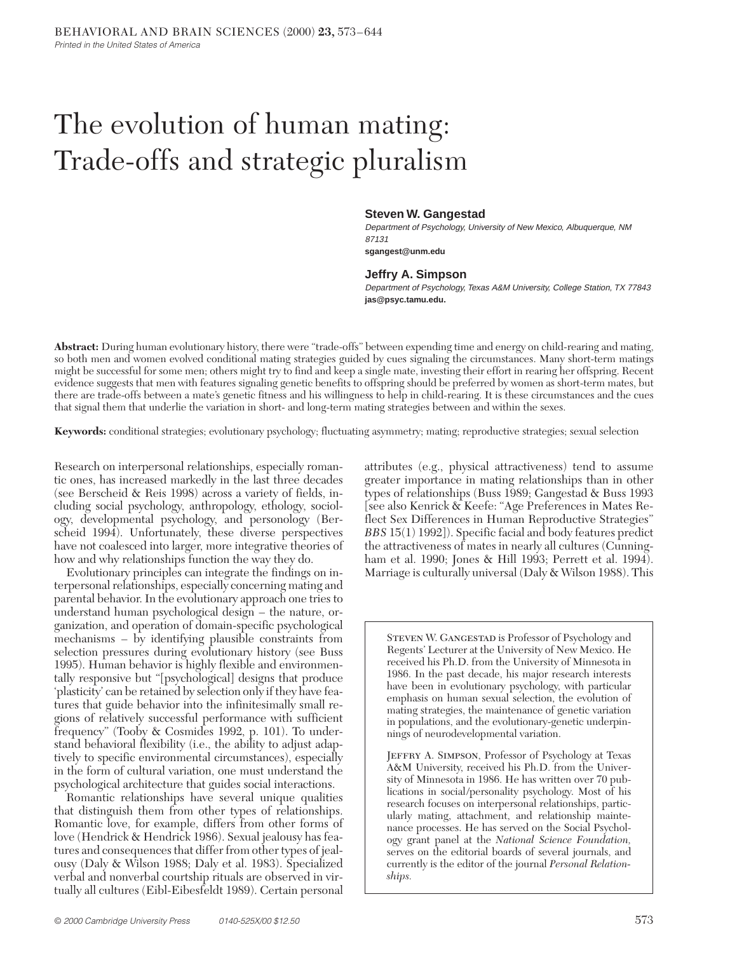# The evolution of human mating: Trade-offs and strategic pluralism

#### **Steven W. Gangestad**

Department of Psychology, University of New Mexico, Albuquerque, NM 87131

**sgangest@unm.edu**

#### **Jeffry A. Simpson**

Department of Psychology, Texas A&M University, College Station, TX 77843 **jas@psyc.tamu.edu.**

**Abstract:** During human evolutionary history, there were "trade-offs" between expending time and energy on child-rearing and mating, so both men and women evolved conditional mating strategies guided by cues signaling the circumstances. Many short-term matings might be successful for some men; others might try to find and keep a single mate, investing their effort in rearing her offspring. Recent evidence suggests that men with features signaling genetic benefits to offspring should be preferred by women as short-term mates, but there are trade-offs between a mate's genetic fitness and his willingness to help in child-rearing. It is these circumstances and the cues that signal them that underlie the variation in short- and long-term mating strategies between and within the sexes.

**Keywords:** conditional strategies; evolutionary psychology; fluctuating asymmetry; mating; reproductive strategies; sexual selection

Research on interpersonal relationships, especially romantic ones, has increased markedly in the last three decades (see Berscheid & Reis 1998) across a variety of fields, including social psychology, anthropology, ethology, sociology, developmental psychology, and personology (Berscheid 1994). Unfortunately, these diverse perspectives have not coalesced into larger, more integrative theories of how and why relationships function the way they do.

Evolutionary principles can integrate the findings on interpersonal relationships, especially concerning mating and parental behavior. In the evolutionary approach one tries to understand human psychological design – the nature, organization, and operation of domain-specific psychological mechanisms – by identifying plausible constraints from selection pressures during evolutionary history (see Buss 1995). Human behavior is highly flexible and environmentally responsive but "[psychological] designs that produce 'plasticity' can be retained by selection only if they have features that guide behavior into the infinitesimally small regions of relatively successful performance with sufficient frequency" (Tooby & Cosmides 1992, p. 101). To understand behavioral flexibility (i.e., the ability to adjust adaptively to specific environmental circumstances), especially in the form of cultural variation, one must understand the psychological architecture that guides social interactions.

Romantic relationships have several unique qualities that distinguish them from other types of relationships. Romantic love, for example, differs from other forms of love (Hendrick & Hendrick 1986). Sexual jealousy has features and consequences that differ from other types of jealousy (Daly & Wilson 1988; Daly et al. 1983). Specialized verbal and nonverbal courtship rituals are observed in virtually all cultures (Eibl-Eibesfeldt 1989). Certain personal

attributes (e.g., physical attractiveness) tend to assume greater importance in mating relationships than in other types of relationships (Buss 1989; Gangestad & Buss 1993 [see also Kenrick & Keefe: "Age Preferences in Mates Reflect Sex Differences in Human Reproductive Strategies" *BBS* 15(1) 1992]). Specific facial and body features predict the attractiveness of mates in nearly all cultures (Cunningham et al. 1990; Jones & Hill 1993; Perrett et al. 1994). Marriage is culturally universal (Daly & Wilson 1988). This

Steven W. Gangestad is Professor of Psychology and Regents' Lecturer at the University of New Mexico. He received his Ph.D. from the University of Minnesota in 1986. In the past decade, his major research interests have been in evolutionary psychology, with particular emphasis on human sexual selection, the evolution of mating strategies, the maintenance of genetic variation in populations, and the evolutionary-genetic underpinnings of neurodevelopmental variation.

JEFFRY A. SIMPSON, Professor of Psychology at Texas A&M University, received his Ph.D. from the University of Minnesota in 1986. He has written over 70 publications in social/personality psychology. Most of his research focuses on interpersonal relationships, particularly mating, attachment, and relationship maintenance processes. He has served on the Social Psychology grant panel at the *National Science Foundation,* serves on the editorial boards of several journals, and currently is the editor of the journal *Personal Relationships.*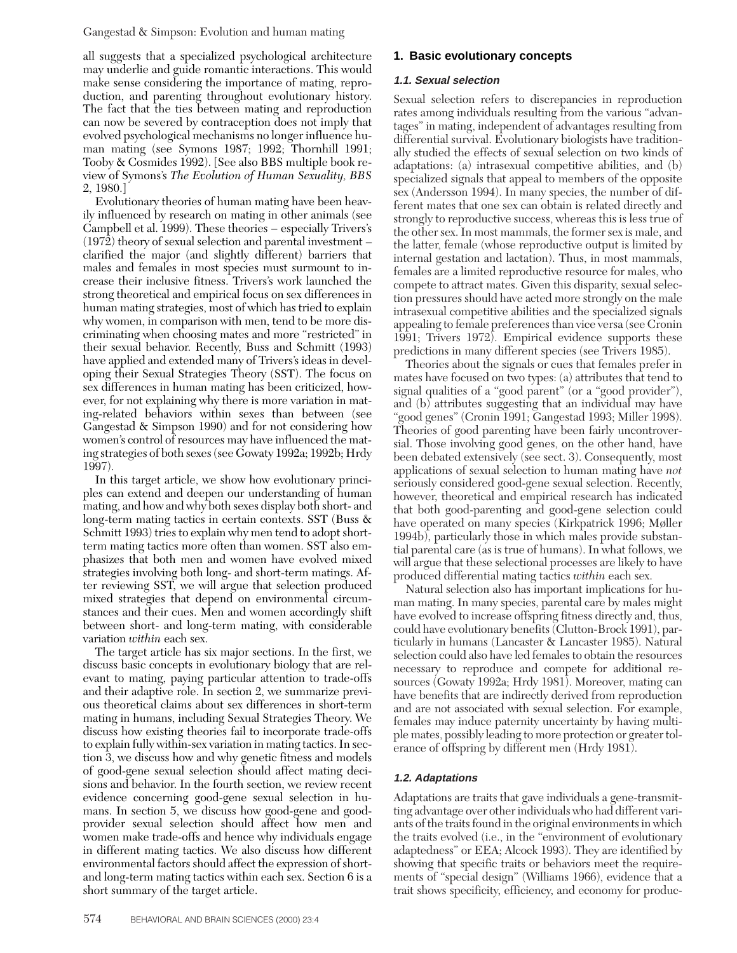#### Gangestad & Simpson: Evolution and human mating

all suggests that a specialized psychological architecture may underlie and guide romantic interactions. This would make sense considering the importance of mating, reproduction, and parenting throughout evolutionary history. The fact that the ties between mating and reproduction can now be severed by contraception does not imply that evolved psychological mechanisms no longer influence human mating (see Symons 1987; 1992; Thornhill 1991; Tooby & Cosmides 1992). [See also BBS multiple book review of Symons's *The Evolution of Human Sexuality, BBS* 2, 1980.]

Evolutionary theories of human mating have been heavily influenced by research on mating in other animals (see Campbell et al. 1999). These theories – especially Trivers's (1972) theory of sexual selection and parental investment – clarified the major (and slightly different) barriers that males and females in most species must surmount to increase their inclusive fitness. Trivers's work launched the strong theoretical and empirical focus on sex differences in human mating strategies, most of which has tried to explain why women, in comparison with men, tend to be more discriminating when choosing mates and more "restricted" in their sexual behavior. Recently, Buss and Schmitt (1993) have applied and extended many of Trivers's ideas in developing their Sexual Strategies Theory (SST). The focus on sex differences in human mating has been criticized, however, for not explaining why there is more variation in mating-related behaviors within sexes than between (see Gangestad & Simpson 1990) and for not considering how women's control of resources may have influenced the mating strategies of both sexes (see Gowaty 1992a; 1992b; Hrdy 1997).

In this target article, we show how evolutionary principles can extend and deepen our understanding of human mating, and how and why both sexes display both short- and long-term mating tactics in certain contexts. SST (Buss & Schmitt 1993) tries to explain why men tend to adopt shortterm mating tactics more often than women. SST also emphasizes that both men and women have evolved mixed strategies involving both long- and short-term matings. After reviewing SST, we will argue that selection produced mixed strategies that depend on environmental circumstances and their cues. Men and women accordingly shift between short- and long-term mating, with considerable variation *within* each sex.

The target article has six major sections. In the first, we discuss basic concepts in evolutionary biology that are relevant to mating, paying particular attention to trade-offs and their adaptive role. In section 2, we summarize previous theoretical claims about sex differences in short-term mating in humans, including Sexual Strategies Theory. We discuss how existing theories fail to incorporate trade-offs to explain fully within-sex variation in mating tactics. In section 3, we discuss how and why genetic fitness and models of good-gene sexual selection should affect mating decisions and behavior. In the fourth section, we review recent evidence concerning good-gene sexual selection in humans. In section 5, we discuss how good-gene and goodprovider sexual selection should affect how men and women make trade-offs and hence why individuals engage in different mating tactics. We also discuss how different environmental factors should affect the expression of shortand long-term mating tactics within each sex. Section 6 is a short summary of the target article.

## **1. Basic evolutionary concepts**

## **1.1. Sexual selection**

Sexual selection refers to discrepancies in reproduction rates among individuals resulting from the various "advantages" in mating, independent of advantages resulting from differential survival. Evolutionary biologists have traditionally studied the effects of sexual selection on two kinds of adaptations: (a) intrasexual competitive abilities, and (b) specialized signals that appeal to members of the opposite sex (Andersson 1994). In many species, the number of different mates that one sex can obtain is related directly and strongly to reproductive success, whereas this is less true of the other sex. In most mammals, the former sex is male, and the latter, female (whose reproductive output is limited by internal gestation and lactation). Thus, in most mammals, females are a limited reproductive resource for males, who compete to attract mates. Given this disparity, sexual selection pressures should have acted more strongly on the male intrasexual competitive abilities and the specialized signals appealing to female preferences than vice versa (see Cronin 1991; Trivers 1972). Empirical evidence supports these predictions in many different species (see Trivers 1985).

Theories about the signals or cues that females prefer in mates have focused on two types: (a) attributes that tend to signal qualities of a "good parent" (or a "good provider"), and (b) attributes suggesting that an individual may have "good genes" (Cronin 1991; Gangestad 1993; Miller 1998). Theories of good parenting have been fairly uncontroversial. Those involving good genes, on the other hand, have been debated extensively (see sect. 3). Consequently, most applications of sexual selection to human mating have *not* seriously considered good-gene sexual selection. Recently, however, theoretical and empirical research has indicated that both good-parenting and good-gene selection could have operated on many species (Kirkpatrick 1996; Møller 1994b), particularly those in which males provide substantial parental care (as is true of humans). In what follows, we will argue that these selectional processes are likely to have produced differential mating tactics *within* each sex.

Natural selection also has important implications for human mating. In many species, parental care by males might have evolved to increase offspring fitness directly and, thus, could have evolutionary benefits (Clutton-Brock 1991), particularly in humans (Lancaster & Lancaster 1985). Natural selection could also have led females to obtain the resources necessary to reproduce and compete for additional resources (Gowaty 1992a; Hrdy 1981). Moreover, mating can have benefits that are indirectly derived from reproduction and are not associated with sexual selection. For example, females may induce paternity uncertainty by having multiple mates, possibly leading to more protection or greater tolerance of offspring by different men (Hrdy 1981).

## **1.2. Adaptations**

Adaptations are traits that gave individuals a gene-transmitting advantage over other individuals who had different variants of the traits found in the original environments in which the traits evolved (i.e., in the "environment of evolutionary adaptedness" or EEA; Alcock 1993). They are identified by showing that specific traits or behaviors meet the requirements of "special design" (Williams 1966), evidence that a trait shows specificity, efficiency, and economy for produc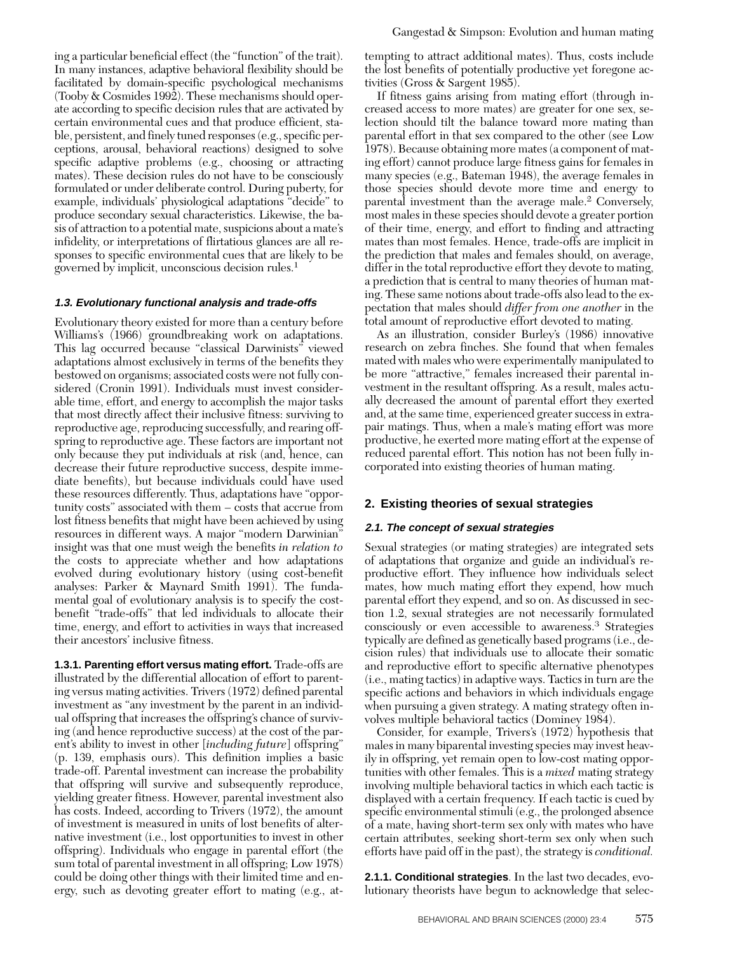ing a particular beneficial effect (the "function" of the trait). In many instances, adaptive behavioral flexibility should be facilitated by domain-specific psychological mechanisms (Tooby & Cosmides 1992). These mechanisms should operate according to specific decision rules that are activated by certain environmental cues and that produce efficient, stable, persistent, and finely tuned responses (e.g., specific perceptions, arousal, behavioral reactions) designed to solve specific adaptive problems (e.g., choosing or attracting mates). These decision rules do not have to be consciously formulated or under deliberate control. During puberty, for example, individuals' physiological adaptations "decide" to produce secondary sexual characteristics. Likewise, the basis of attraction to a potential mate, suspicions about a mate's infidelity, or interpretations of flirtatious glances are all responses to specific environmental cues that are likely to be governed by implicit, unconscious decision rules.1

## **1.3. Evolutionary functional analysis and trade-offs**

Evolutionary theory existed for more than a century before Williams's (1966) groundbreaking work on adaptations. This lag occurred because "classical Darwinists" viewed adaptations almost exclusively in terms of the benefits they bestowed on organisms; associated costs were not fully considered (Cronin 1991). Individuals must invest considerable time, effort, and energy to accomplish the major tasks that most directly affect their inclusive fitness: surviving to reproductive age, reproducing successfully, and rearing offspring to reproductive age. These factors are important not only because they put individuals at risk (and, hence, can decrease their future reproductive success, despite immediate benefits), but because individuals could have used these resources differently. Thus, adaptations have "opportunity costs" associated with them – costs that accrue from lost fitness benefits that might have been achieved by using resources in different ways. A major "modern Darwinian" insight was that one must weigh the benefits *in relation to* the costs to appreciate whether and how adaptations evolved during evolutionary history (using cost-benefit analyses: Parker & Maynard Smith 1991). The fundamental goal of evolutionary analysis is to specify the costbenefit "trade-offs" that led individuals to allocate their time, energy, and effort to activities in ways that increased their ancestors' inclusive fitness.

**1.3.1. Parenting effort versus mating effort.** Trade-offs are illustrated by the differential allocation of effort to parenting versus mating activities. Trivers (1972) defined parental investment as "any investment by the parent in an individual offspring that increases the offspring's chance of surviving (and hence reproductive success) at the cost of the parent's ability to invest in other [*including future*] offspring" (p. 139, emphasis ours). This definition implies a basic trade-off. Parental investment can increase the probability that offspring will survive and subsequently reproduce, yielding greater fitness. However, parental investment also has costs. Indeed, according to Trivers (1972), the amount of investment is measured in units of lost benefits of alternative investment (i.e., lost opportunities to invest in other offspring). Individuals who engage in parental effort (the sum total of parental investment in all offspring; Low 1978) could be doing other things with their limited time and energy, such as devoting greater effort to mating (e.g., attempting to attract additional mates). Thus, costs include the lost benefits of potentially productive yet foregone activities (Gross & Sargent 1985).

If fitness gains arising from mating effort (through increased access to more mates) are greater for one sex, selection should tilt the balance toward more mating than parental effort in that sex compared to the other (see Low 1978). Because obtaining more mates (a component of mating effort) cannot produce large fitness gains for females in many species (e.g., Bateman 1948), the average females in those species should devote more time and energy to parental investment than the average male.2 Conversely, most males in these species should devote a greater portion of their time, energy, and effort to finding and attracting mates than most females. Hence, trade-offs are implicit in the prediction that males and females should, on average, differ in the total reproductive effort they devote to mating, a prediction that is central to many theories of human mating. These same notions about trade-offs also lead to the expectation that males should *differ from one another* in the total amount of reproductive effort devoted to mating.

As an illustration, consider Burley's (1986) innovative research on zebra finches. She found that when females mated with males who were experimentally manipulated to be more "attractive," females increased their parental investment in the resultant offspring. As a result, males actually decreased the amount of parental effort they exerted and, at the same time, experienced greater success in extrapair matings. Thus, when a male's mating effort was more productive, he exerted more mating effort at the expense of reduced parental effort. This notion has not been fully incorporated into existing theories of human mating.

## **2. Existing theories of sexual strategies**

## **2.1. The concept of sexual strategies**

Sexual strategies (or mating strategies) are integrated sets of adaptations that organize and guide an individual's reproductive effort. They influence how individuals select mates, how much mating effort they expend, how much parental effort they expend, and so on. As discussed in section 1.2, sexual strategies are not necessarily formulated consciously or even accessible to awareness.3 Strategies typically are defined as genetically based programs (i.e., decision rules) that individuals use to allocate their somatic and reproductive effort to specific alternative phenotypes (i.e., mating tactics) in adaptive ways. Tactics in turn are the specific actions and behaviors in which individuals engage when pursuing a given strategy. A mating strategy often involves multiple behavioral tactics (Dominey 1984).

Consider, for example, Trivers's (1972) hypothesis that males in many biparental investing species may invest heavily in offspring, yet remain open to low-cost mating opportunities with other females. This is a *mixed* mating strategy involving multiple behavioral tactics in which each tactic is displayed with a certain frequency. If each tactic is cued by specific environmental stimuli (e.g., the prolonged absence of a mate, having short-term sex only with mates who have certain attributes, seeking short-term sex only when such efforts have paid off in the past), the strategy is *conditional.*

**2.1.1. Conditional strategies**. In the last two decades, evolutionary theorists have begun to acknowledge that selec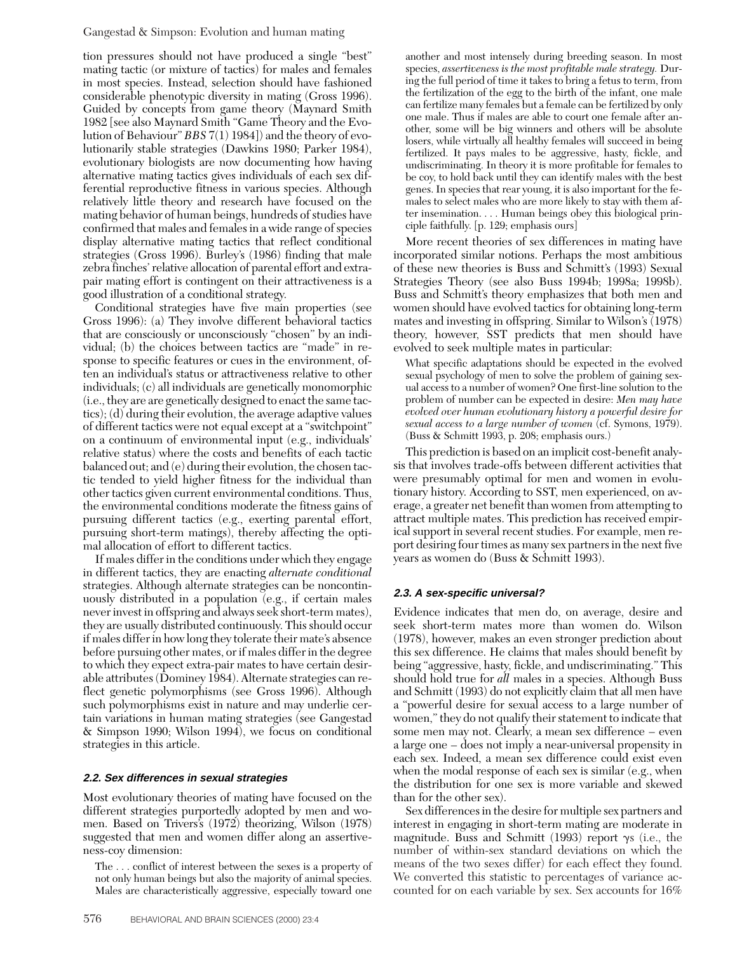tion pressures should not have produced a single "best" mating tactic (or mixture of tactics) for males and females in most species. Instead, selection should have fashioned considerable phenotypic diversity in mating (Gross 1996). Guided by concepts from game theory (Maynard Smith 1982 [see also Maynard Smith "Game Theory and the Evolution of Behaviour" *BBS* 7(1) 1984]) and the theory of evolutionarily stable strategies (Dawkins 1980; Parker 1984), evolutionary biologists are now documenting how having alternative mating tactics gives individuals of each sex differential reproductive fitness in various species. Although relatively little theory and research have focused on the mating behavior of human beings, hundreds of studies have confirmed that males and females in a wide range of species display alternative mating tactics that reflect conditional strategies (Gross 1996). Burley's (1986) finding that male zebra finches' relative allocation of parental effort and extrapair mating effort is contingent on their attractiveness is a good illustration of a conditional strategy.

Conditional strategies have five main properties (see Gross 1996): (a) They involve different behavioral tactics that are consciously or unconsciously "chosen" by an individual; (b) the choices between tactics are "made" in response to specific features or cues in the environment, often an individual's status or attractiveness relative to other individuals; (c) all individuals are genetically monomorphic (i.e., they are are genetically designed to enact the same tactics); (d) during their evolution, the average adaptive values of different tactics were not equal except at a "switchpoint" on a continuum of environmental input (e.g., individuals' relative status) where the costs and benefits of each tactic balanced out; and (e) during their evolution, the chosen tactic tended to yield higher fitness for the individual than other tactics given current environmental conditions. Thus, the environmental conditions moderate the fitness gains of pursuing different tactics (e.g., exerting parental effort, pursuing short-term matings), thereby affecting the optimal allocation of effort to different tactics.

If males differ in the conditions under which they engage in different tactics, they are enacting *alternate conditional* strategies. Although alternate strategies can be noncontinuously distributed in a population (e.g., if certain males never invest in offspring and always seek short-term mates), they are usually distributed continuously. This should occur if males differ in how long they tolerate their mate's absence before pursuing other mates, or if males differ in the degree to which they expect extra-pair mates to have certain desirable attributes (Dominey 1984). Alternate strategies can reflect genetic polymorphisms (see Gross 1996). Although such polymorphisms exist in nature and may underlie certain variations in human mating strategies (see Gangestad & Simpson 1990; Wilson 1994), we focus on conditional strategies in this article.

#### **2.2. Sex differences in sexual strategies**

Most evolutionary theories of mating have focused on the different strategies purportedly adopted by men and women. Based on Trivers's (1972) theorizing, Wilson (1978) suggested that men and women differ along an assertiveness-coy dimension:

The . . . conflict of interest between the sexes is a property of not only human beings but also the majority of animal species. Males are characteristically aggressive, especially toward one

576 BEHAVIORAL AND BRAIN SCIENCES (2000) 23:4

another and most intensely during breeding season. In most species, *assertiveness is the most profitable male strategy.* During the full period of time it takes to bring a fetus to term, from the fertilization of the egg to the birth of the infant, one male can fertilize many females but a female can be fertilized by only one male. Thus if males are able to court one female after another, some will be big winners and others will be absolute losers, while virtually all healthy females will succeed in being fertilized. It pays males to be aggressive, hasty, fickle, and undiscriminating. In theory it is more profitable for females to be coy, to hold back until they can identify males with the best genes. In species that rear young, it is also important for the females to select males who are more likely to stay with them after insemination. . . . Human beings obey this biological principle faithfully. [p. 129; emphasis ours]

More recent theories of sex differences in mating have incorporated similar notions. Perhaps the most ambitious of these new theories is Buss and Schmitt's (1993) Sexual Strategies Theory (see also Buss 1994b; 1998a; 1998b). Buss and Schmitt's theory emphasizes that both men and women should have evolved tactics for obtaining long-term mates and investing in offspring. Similar to Wilson's (1978) theory, however, SST predicts that men should have evolved to seek multiple mates in particular:

What specific adaptations should be expected in the evolved sexual psychology of men to solve the problem of gaining sexual access to a number of women? One first-line solution to the problem of number can be expected in desire: *Men may have evolved over human evolutionary history a powerful desire for sexual access to a large number of women* (cf. Symons, 1979). (Buss & Schmitt 1993, p. 208; emphasis ours.)

This prediction is based on an implicit cost-benefit analysis that involves trade-offs between different activities that were presumably optimal for men and women in evolutionary history. According to SST, men experienced, on average, a greater net benefit than women from attempting to attract multiple mates. This prediction has received empirical support in several recent studies. For example, men report desiring four times as many sex partners in the next five years as women do (Buss & Schmitt 1993).

## **2.3. A sex-specific universal?**

Evidence indicates that men do, on average, desire and seek short-term mates more than women do. Wilson (1978), however, makes an even stronger prediction about this sex difference. He claims that males should benefit by being "aggressive, hasty, fickle, and undiscriminating." This should hold true for *all* males in a species. Although Buss and Schmitt (1993) do not explicitly claim that all men have a "powerful desire for sexual access to a large number of women," they do not qualify their statement to indicate that some men may not. Clearly, a mean sex difference – even a large one – does not imply a near-universal propensity in each sex. Indeed, a mean sex difference could exist even when the modal response of each sex is similar (e.g., when the distribution for one sex is more variable and skewed than for the other sex).

Sex differences in the desire for multiple sex partners and interest in engaging in short-term mating are moderate in magnitude. Buss and Schmitt  $(1993)$  report  $\gamma s$  (i.e., the number of within-sex standard deviations on which the means of the two sexes differ) for each effect they found. We converted this statistic to percentages of variance accounted for on each variable by sex. Sex accounts for 16%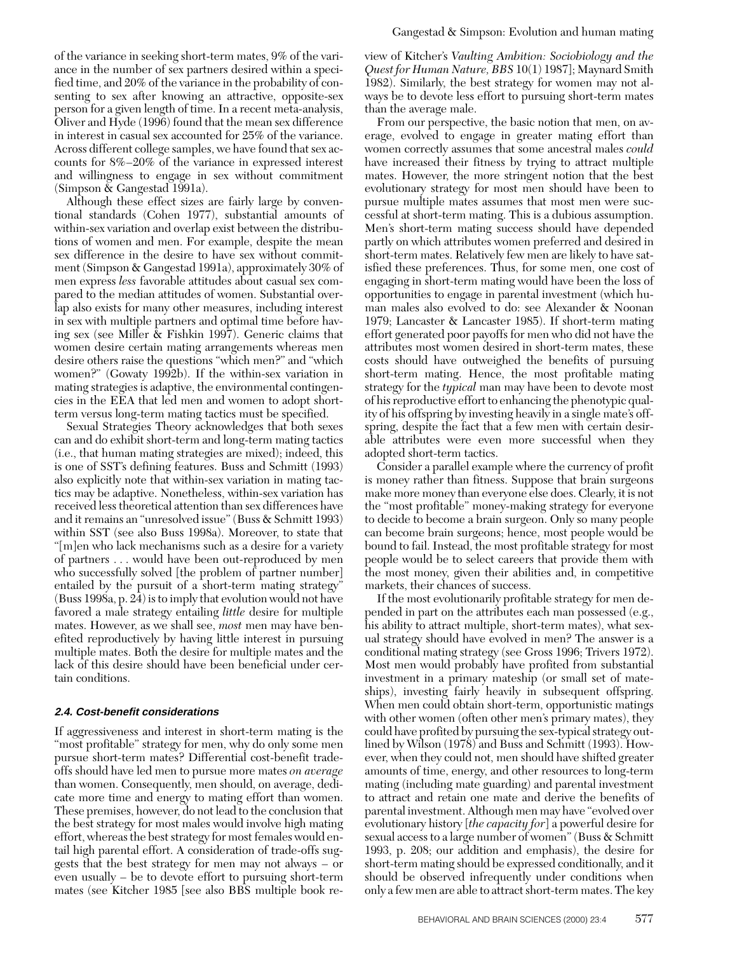of the variance in seeking short-term mates, 9% of the variance in the number of sex partners desired within a specified time, and 20% of the variance in the probability of consenting to sex after knowing an attractive, opposite-sex person for a given length of time. In a recent meta-analysis, Oliver and Hyde (1996) found that the mean sex difference in interest in casual sex accounted for 25% of the variance. Across different college samples, we have found that sex accounts for 8%–20% of the variance in expressed interest and willingness to engage in sex without commitment (Simpson & Gangestad 1991a).

Although these effect sizes are fairly large by conventional standards (Cohen 1977), substantial amounts of within-sex variation and overlap exist between the distributions of women and men. For example, despite the mean sex difference in the desire to have sex without commitment (Simpson & Gangestad 1991a), approximately 30% of men express *less* favorable attitudes about casual sex compared to the median attitudes of women. Substantial overlap also exists for many other measures, including interest in sex with multiple partners and optimal time before having sex (see Miller & Fishkin 1997). Generic claims that women desire certain mating arrangements whereas men desire others raise the questions "which men?" and "which women?" (Gowaty 1992b). If the within-sex variation in mating strategies is adaptive, the environmental contingencies in the EEA that led men and women to adopt shortterm versus long-term mating tactics must be specified.

Sexual Strategies Theory acknowledges that both sexes can and do exhibit short-term and long-term mating tactics (i.e., that human mating strategies are mixed); indeed, this is one of SST's defining features. Buss and Schmitt (1993) also explicitly note that within-sex variation in mating tactics may be adaptive. Nonetheless, within-sex variation has received less theoretical attention than sex differences have and it remains an "unresolved issue" (Buss & Schmitt 1993) within SST (see also Buss 1998a). Moreover, to state that "[m]en who lack mechanisms such as a desire for a variety of partners . . . would have been out-reproduced by men who successfully solved [the problem of partner number] entailed by the pursuit of a short-term mating strategy" (Buss 1998a, p. 24) is to imply that evolution would not have favored a male strategy entailing *little* desire for multiple mates. However, as we shall see, *most* men may have benefited reproductively by having little interest in pursuing multiple mates. Both the desire for multiple mates and the lack of this desire should have been beneficial under certain conditions.

#### **2.4. Cost-benefit considerations**

If aggressiveness and interest in short-term mating is the "most profitable" strategy for men, why do only some men pursue short-term mates? Differential cost-benefit tradeoffs should have led men to pursue more mates *on average* than women. Consequently, men should, on average, dedicate more time and energy to mating effort than women. These premises, however, do not lead to the conclusion that the best strategy for most males would involve high mating effort, whereas the best strategy for most females would entail high parental effort. A consideration of trade-offs suggests that the best strategy for men may not always – or even usually – be to devote effort to pursuing short-term mates (see Kitcher 1985 [see also BBS multiple book review of Kitcher's *Vaulting Ambition: Sociobiology and the Quest for Human Nature, BBS* 10(1) 1987]; Maynard Smith 1982). Similarly, the best strategy for women may not always be to devote less effort to pursuing short-term mates than the average male.

From our perspective, the basic notion that men, on average, evolved to engage in greater mating effort than women correctly assumes that some ancestral males *could* have increased their fitness by trying to attract multiple mates. However, the more stringent notion that the best evolutionary strategy for most men should have been to pursue multiple mates assumes that most men were successful at short-term mating. This is a dubious assumption. Men's short-term mating success should have depended partly on which attributes women preferred and desired in short-term mates. Relatively few men are likely to have satisfied these preferences. Thus, for some men, one cost of engaging in short-term mating would have been the loss of opportunities to engage in parental investment (which human males also evolved to do: see Alexander & Noonan 1979; Lancaster & Lancaster 1985). If short-term mating effort generated poor payoffs for men who did not have the attributes most women desired in short-term mates, these costs should have outweighed the benefits of pursuing short-term mating. Hence, the most profitable mating strategy for the *typical* man may have been to devote most of his reproductive effort to enhancing the phenotypic quality of his offspring by investing heavily in a single mate's offspring, despite the fact that a few men with certain desirable attributes were even more successful when they adopted short-term tactics.

Consider a parallel example where the currency of profit is money rather than fitness. Suppose that brain surgeons make more money than everyone else does. Clearly, it is not the "most profitable" money-making strategy for everyone to decide to become a brain surgeon. Only so many people can become brain surgeons; hence, most people would be bound to fail. Instead, the most profitable strategy for most people would be to select careers that provide them with the most money, given their abilities and, in competitive markets, their chances of success.

If the most evolutionarily profitable strategy for men depended in part on the attributes each man possessed (e.g., his ability to attract multiple, short-term mates), what sexual strategy should have evolved in men? The answer is a conditional mating strategy (see Gross 1996; Trivers 1972). Most men would probably have profited from substantial investment in a primary mateship (or small set of mateships), investing fairly heavily in subsequent offspring. When men could obtain short-term, opportunistic matings with other women (often other men's primary mates), they could have profited by pursuing the sex-typical strategy outlined by Wilson (1978) and Buss and Schmitt (1993). However, when they could not, men should have shifted greater amounts of time, energy, and other resources to long-term mating (including mate guarding) and parental investment to attract and retain one mate and derive the benefits of parental investment. Although men may have "evolved over evolutionary history [*the capacity for*] a powerful desire for sexual access to a large number of women" (Buss & Schmitt 1993, p. 208; our addition and emphasis), the desire for short-term mating should be expressed conditionally, and it should be observed infrequently under conditions when only a few men are able to attract short-term mates. The key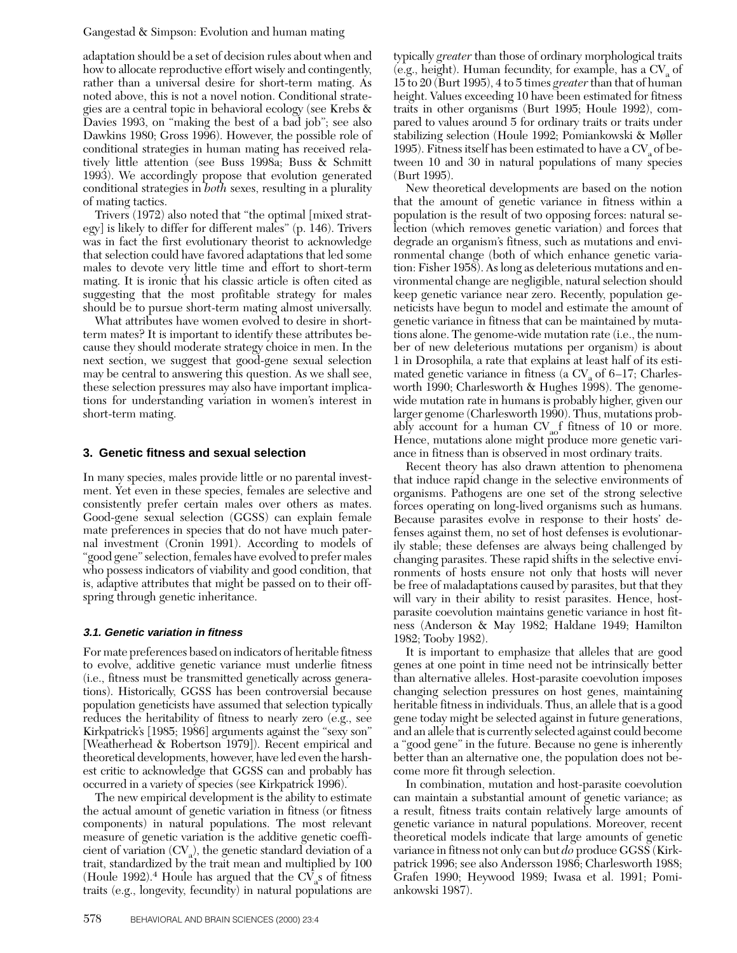#### Gangestad & Simpson: Evolution and human mating

adaptation should be a set of decision rules about when and how to allocate reproductive effort wisely and contingently, rather than a universal desire for short-term mating. As noted above, this is not a novel notion. Conditional strategies are a central topic in behavioral ecology (see Krebs & Davies 1993, on "making the best of a bad job"; see also Dawkins 1980; Gross 1996). However, the possible role of conditional strategies in human mating has received relatively little attention (see Buss 1998a; Buss & Schmitt 1993). We accordingly propose that evolution generated conditional strategies in *both* sexes, resulting in a plurality of mating tactics.

Trivers (1972) also noted that "the optimal [mixed strategy] is likely to differ for different males" (p. 146). Trivers was in fact the first evolutionary theorist to acknowledge that selection could have favored adaptations that led some males to devote very little time and effort to short-term mating. It is ironic that his classic article is often cited as suggesting that the most profitable strategy for males should be to pursue short-term mating almost universally.

What attributes have women evolved to desire in shortterm mates? It is important to identify these attributes because they should moderate strategy choice in men. In the next section, we suggest that good-gene sexual selection may be central to answering this question. As we shall see, these selection pressures may also have important implications for understanding variation in women's interest in short-term mating.

#### **3. Genetic fitness and sexual selection**

In many species, males provide little or no parental investment. Yet even in these species, females are selective and consistently prefer certain males over others as mates. Good-gene sexual selection (GGSS) can explain female mate preferences in species that do not have much paternal investment (Cronin 1991). According to models of "good gene" selection, females have evolved to prefer males who possess indicators of viability and good condition, that is, adaptive attributes that might be passed on to their offspring through genetic inheritance.

#### **3.1. Genetic variation in fitness**

For mate preferences based on indicators of heritable fitness to evolve, additive genetic variance must underlie fitness (i.e., fitness must be transmitted genetically across generations). Historically, GGSS has been controversial because population geneticists have assumed that selection typically reduces the heritability of fitness to nearly zero (e.g., see Kirkpatrick's [1985; 1986] arguments against the "sexy son" [Weatherhead & Robertson 1979]). Recent empirical and theoretical developments, however, have led even the harshest critic to acknowledge that GGSS can and probably has occurred in a variety of species (see Kirkpatrick 1996).

The new empirical development is the ability to estimate the actual amount of genetic variation in fitness (or fitness components) in natural populations. The most relevant measure of genetic variation is the additive genetic coefficient of variation  $(CV_a)$ , the genetic standard deviation of a trait, standardized by the trait mean and multiplied by 100 (Houle 1992).<sup>4</sup> Houle has argued that the  $CV_a$ s of fitness traits (e.g., longevity, fecundity) in natural populations are typically *greater* than those of ordinary morphological traits (e.g., height). Human fecundity, for example, has a  $CV_a$  of 15 to 20 (Burt 1995), 4 to 5 times *greater* than that of human height. Values exceeding 10 have been estimated for fitness traits in other organisms (Burt 1995; Houle 1992), compared to values around 5 for ordinary traits or traits under stabilizing selection (Houle 1992; Pomiankowski & Møller 1995). Fitness itself has been estimated to have a  $CV_a$  of between 10 and 30 in natural populations of many species (Burt 1995).

New theoretical developments are based on the notion that the amount of genetic variance in fitness within a population is the result of two opposing forces: natural selection (which removes genetic variation) and forces that degrade an organism's fitness, such as mutations and environmental change (both of which enhance genetic variation: Fisher 1958). As long as deleterious mutations and environmental change are negligible, natural selection should keep genetic variance near zero. Recently, population geneticists have begun to model and estimate the amount of genetic variance in fitness that can be maintained by mutations alone. The genome-wide mutation rate (i.e., the number of new deleterious mutations per organism) is about 1 in Drosophila, a rate that explains at least half of its estimated genetic variance in fitness (a  $CV_a$  of 6–17; Charlesworth 1990; Charlesworth & Hughes 1998). The genomewide mutation rate in humans is probably higher, given our larger genome (Charlesworth 1990). Thus, mutations probably account for a human  $CV_{\text{ao}}f$  fitness of 10 or more. Hence, mutations alone might produce more genetic variance in fitness than is observed in most ordinary traits.

Recent theory has also drawn attention to phenomena that induce rapid change in the selective environments of organisms. Pathogens are one set of the strong selective forces operating on long-lived organisms such as humans. Because parasites evolve in response to their hosts' defenses against them, no set of host defenses is evolutionarily stable; these defenses are always being challenged by changing parasites. These rapid shifts in the selective environments of hosts ensure not only that hosts will never be free of maladaptations caused by parasites, but that they will vary in their ability to resist parasites. Hence, hostparasite coevolution maintains genetic variance in host fitness (Anderson & May 1982; Haldane 1949; Hamilton 1982; Tooby 1982).

It is important to emphasize that alleles that are good genes at one point in time need not be intrinsically better than alternative alleles. Host-parasite coevolution imposes changing selection pressures on host genes, maintaining heritable fitness in individuals. Thus, an allele that is a good gene today might be selected against in future generations, and an allele that is currently selected against could become a "good gene" in the future. Because no gene is inherently better than an alternative one, the population does not become more fit through selection.

In combination, mutation and host-parasite coevolution can maintain a substantial amount of genetic variance; as a result, fitness traits contain relatively large amounts of genetic variance in natural populations. Moreover, recent theoretical models indicate that large amounts of genetic variance in fitness not only can but *do* produce GGSS (Kirkpatrick 1996; see also Andersson 1986; Charlesworth 1988; Grafen 1990; Heywood 1989; Iwasa et al. 1991; Pomiankowski 1987).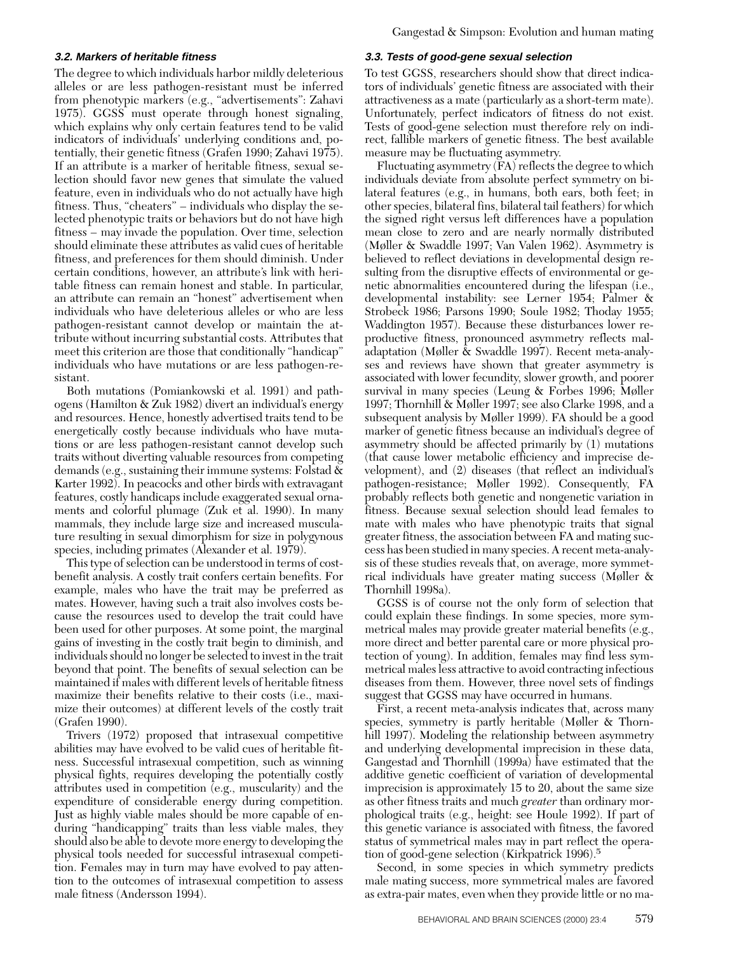## **3.2. Markers of heritable fitness**

The degree to which individuals harbor mildly deleterious alleles or are less pathogen-resistant must be inferred from phenotypic markers (e.g., "advertisements": Zahavi 1975). GGSS must operate through honest signaling, which explains why only certain features tend to be valid indicators of individuals' underlying conditions and, potentially, their genetic fitness (Grafen 1990; Zahavi 1975). If an attribute is a marker of heritable fitness, sexual selection should favor new genes that simulate the valued feature, even in individuals who do not actually have high fitness. Thus, "cheaters" – individuals who display the selected phenotypic traits or behaviors but do not have high fitness – may invade the population. Over time, selection should eliminate these attributes as valid cues of heritable fitness, and preferences for them should diminish. Under certain conditions, however, an attribute's link with heritable fitness can remain honest and stable. In particular, an attribute can remain an "honest" advertisement when individuals who have deleterious alleles or who are less pathogen-resistant cannot develop or maintain the attribute without incurring substantial costs. Attributes that meet this criterion are those that conditionally "handicap" individuals who have mutations or are less pathogen-resistant.

Both mutations (Pomiankowski et al. 1991) and pathogens (Hamilton & Zuk 1982) divert an individual's energy and resources. Hence, honestly advertised traits tend to be energetically costly because individuals who have mutations or are less pathogen-resistant cannot develop such traits without diverting valuable resources from competing demands (e.g., sustaining their immune systems: Folstad & Karter 1992). In peacocks and other birds with extravagant features, costly handicaps include exaggerated sexual ornaments and colorful plumage (Zuk et al. 1990). In many mammals, they include large size and increased musculature resulting in sexual dimorphism for size in polygynous species, including primates (Alexander et al. 1979).

This type of selection can be understood in terms of costbenefit analysis. A costly trait confers certain benefits. For example, males who have the trait may be preferred as mates. However, having such a trait also involves costs because the resources used to develop the trait could have been used for other purposes. At some point, the marginal gains of investing in the costly trait begin to diminish, and individuals should no longer be selected to invest in the trait beyond that point. The benefits of sexual selection can be maintained if males with different levels of heritable fitness maximize their benefits relative to their costs (i.e., maximize their outcomes) at different levels of the costly trait (Grafen 1990).

Trivers (1972) proposed that intrasexual competitive abilities may have evolved to be valid cues of heritable fitness. Successful intrasexual competition, such as winning physical fights, requires developing the potentially costly attributes used in competition (e.g., muscularity) and the expenditure of considerable energy during competition. Just as highly viable males should be more capable of enduring "handicapping" traits than less viable males, they should also be able to devote more energy to developing the physical tools needed for successful intrasexual competition. Females may in turn may have evolved to pay attention to the outcomes of intrasexual competition to assess male fitness (Andersson 1994).

## **3.3. Tests of good-gene sexual selection**

To test GGSS, researchers should show that direct indicators of individuals' genetic fitness are associated with their attractiveness as a mate (particularly as a short-term mate). Unfortunately, perfect indicators of fitness do not exist. Tests of good-gene selection must therefore rely on indirect, fallible markers of genetic fitness. The best available measure may be fluctuating asymmetry.

Fluctuating asymmetry  $(FA)$  reflects the degree to which individuals deviate from absolute perfect symmetry on bilateral features (e.g., in humans, both ears, both feet; in other species, bilateral fins, bilateral tail feathers) for which the signed right versus left differences have a population mean close to zero and are nearly normally distributed (Møller & Swaddle 1997; Van Valen 1962). Asymmetry is believed to reflect deviations in developmental design resulting from the disruptive effects of environmental or genetic abnormalities encountered during the lifespan (i.e., developmental instability: see Lerner 1954; Palmer & Strobeck 1986; Parsons 1990; Soule 1982; Thoday 1955; Waddington 1957). Because these disturbances lower reproductive fitness, pronounced asymmetry reflects maladaptation (Møller & Swaddle 1997). Recent meta-analyses and reviews have shown that greater asymmetry is associated with lower fecundity, slower growth, and poorer survival in many species (Leung & Forbes 1996; Møller 1997; Thornhill & Møller 1997; see also Clarke 1998, and a subsequent analysis by Møller 1999). FA should be a good marker of genetic fitness because an individual's degree of asymmetry should be affected primarily by (1) mutations (that cause lower metabolic efficiency and imprecise development), and (2) diseases (that reflect an individual's pathogen-resistance; Møller 1992). Consequently, FA probably reflects both genetic and nongenetic variation in fitness. Because sexual selection should lead females to mate with males who have phenotypic traits that signal greater fitness, the association between FA and mating success has been studied in many species. A recent meta-analysis of these studies reveals that, on average, more symmetrical individuals have greater mating success (Møller & Thornhill 1998a).

GGSS is of course not the only form of selection that could explain these findings. In some species, more symmetrical males may provide greater material benefits (e.g., more direct and better parental care or more physical protection of young). In addition, females may find less symmetrical males less attractive to avoid contracting infectious diseases from them. However, three novel sets of findings suggest that GGSS may have occurred in humans.

First, a recent meta-analysis indicates that, across many species, symmetry is partly heritable (Møller & Thornhill 1997). Modeling the relationship between asymmetry and underlying developmental imprecision in these data, Gangestad and Thornhill (1999a) have estimated that the additive genetic coefficient of variation of developmental imprecision is approximately 15 to 20, about the same size as other fitness traits and much *greater* than ordinary morphological traits (e.g., height: see Houle 1992). If part of this genetic variance is associated with fitness, the favored status of symmetrical males may in part reflect the operation of good-gene selection (Kirkpatrick 1996).5

Second, in some species in which symmetry predicts male mating success, more symmetrical males are favored as extra-pair mates, even when they provide little or no ma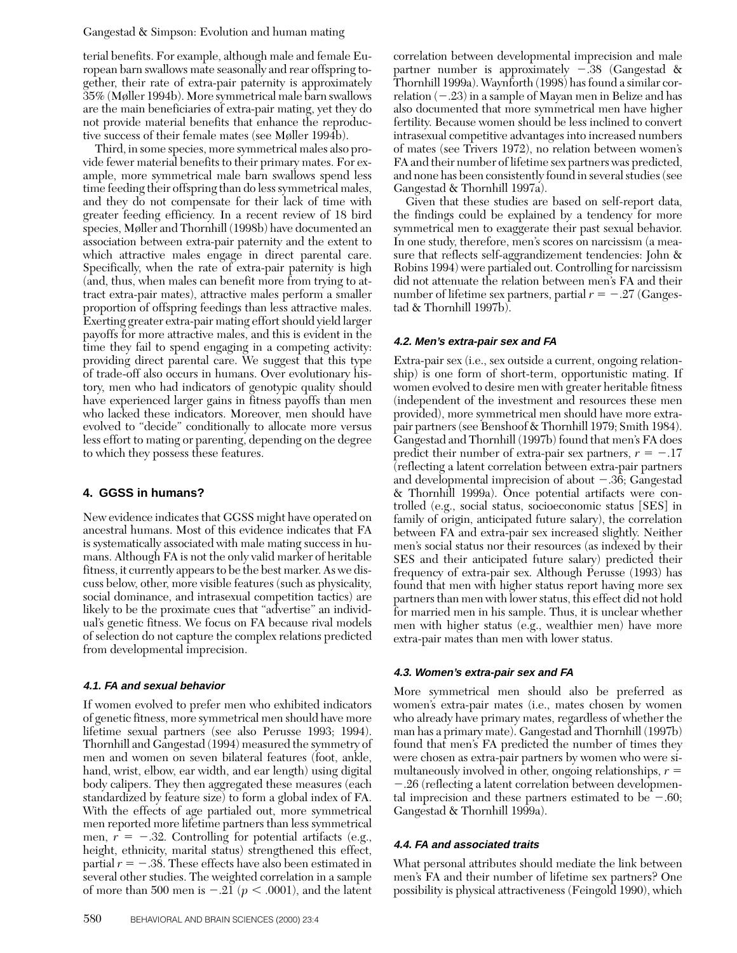terial benefits. For example, although male and female European barn swallows mate seasonally and rear offspring together, their rate of extra-pair paternity is approximately 35% (Møller 1994b). More symmetrical male barn swallows are the main beneficiaries of extra-pair mating, yet they do not provide material benefits that enhance the reproductive success of their female mates (see Møller 1994b).

Third, in some species, more symmetrical males also provide fewer material benefits to their primary mates. For example, more symmetrical male barn swallows spend less time feeding their offspring than do less symmetrical males, and they do not compensate for their lack of time with greater feeding efficiency. In a recent review of 18 bird species, Møller and Thornhill (1998b) have documented an association between extra-pair paternity and the extent to which attractive males engage in direct parental care. Specifically, when the rate of extra-pair paternity is high (and, thus, when males can benefit more from trying to attract extra-pair mates), attractive males perform a smaller proportion of offspring feedings than less attractive males. Exerting greater extra-pair mating effort should yield larger payoffs for more attractive males, and this is evident in the time they fail to spend engaging in a competing activity: providing direct parental care. We suggest that this type of trade-off also occurs in humans. Over evolutionary history, men who had indicators of genotypic quality should have experienced larger gains in fitness payoffs than men who lacked these indicators. Moreover, men should have evolved to "decide" conditionally to allocate more versus less effort to mating or parenting, depending on the degree to which they possess these features.

## **4. GGSS in humans?**

New evidence indicates that GGSS might have operated on ancestral humans. Most of this evidence indicates that FA is systematically associated with male mating success in humans. Although FA is not the only valid marker of heritable fitness, it currently appears to be the best marker. As we discuss below, other, more visible features (such as physicality, social dominance, and intrasexual competition tactics) are likely to be the proximate cues that "advertise" an individual's genetic fitness. We focus on FA because rival models of selection do not capture the complex relations predicted from developmental imprecision.

## **4.1. FA and sexual behavior**

If women evolved to prefer men who exhibited indicators of genetic fitness, more symmetrical men should have more lifetime sexual partners (see also Perusse 1993; 1994). Thornhill and Gangestad (1994) measured the symmetry of men and women on seven bilateral features (foot, ankle, hand, wrist, elbow, ear width, and ear length) using digital body calipers. They then aggregated these measures (each standardized by feature size) to form a global index of FA. With the effects of age partialed out, more symmetrical men reported more lifetime partners than less symmetrical men,  $r = -.32$ . Controlling for potential artifacts (e.g., height, ethnicity, marital status) strengthened this effect, partial  $r = -.38$ . These effects have also been estimated in several other studies. The weighted correlation in a sample of more than 500 men is  $-.21$  ( $p < .0001$ ), and the latent

correlation between developmental imprecision and male partner number is approximately -.38 (Gangestad & Thornhill 1999a). Waynforth (1998) has found a similar correlation  $(-.23)$  in a sample of Mayan men in Belize and has also documented that more symmetrical men have higher fertility. Because women should be less inclined to convert intrasexual competitive advantages into increased numbers of mates (see Trivers 1972), no relation between women's FA and their number of lifetime sex partners was predicted, and none has been consistently found in several studies (see Gangestad & Thornhill 1997a).

Given that these studies are based on self-report data, the findings could be explained by a tendency for more symmetrical men to exaggerate their past sexual behavior. In one study, therefore, men's scores on narcissism (a measure that reflects self-aggrandizement tendencies: John & Robins 1994) were partialed out. Controlling for narcissism did not attenuate the relation between men's FA and their number of lifetime sex partners, partial  $r = -.27$  (Gangestad & Thornhill 1997b).

## **4.2. Men's extra-pair sex and FA**

Extra-pair sex (i.e., sex outside a current, ongoing relationship) is one form of short-term, opportunistic mating. If women evolved to desire men with greater heritable fitness (independent of the investment and resources these men provided), more symmetrical men should have more extrapair partners (see Benshoof & Thornhill 1979; Smith 1984). Gangestad and Thornhill (1997b) found that men's FA does predict their number of extra-pair sex partners,  $r = -.17$ (reflecting a latent correlation between extra-pair partners and developmental imprecision of about  $-.3\overline{6}$ ; Gangestad & Thornhill 1999a). Once potential artifacts were controlled (e.g., social status, socioeconomic status [SES] in family of origin, anticipated future salary), the correlation between FA and extra-pair sex increased slightly. Neither men's social status nor their resources (as indexed by their SES and their anticipated future salary) predicted their frequency of extra-pair sex. Although Perusse (1993) has found that men with higher status report having more sex partners than men with lower status, this effect did not hold for married men in his sample. Thus, it is unclear whether men with higher status (e.g., wealthier men) have more extra-pair mates than men with lower status.

## **4.3. Women's extra-pair sex and FA**

More symmetrical men should also be preferred as women's extra-pair mates (i.e., mates chosen by women who already have primary mates, regardless of whether the man has a primary mate). Gangestad and Thornhill (1997b) found that men's FA predicted the number of times they were chosen as extra-pair partners by women who were simultaneously involved in other, ongoing relationships,  $r =$ 2.26 (reflecting a latent correlation between developmen-

tal imprecision and these partners estimated to be  $-.60;$ Gangestad & Thornhill 1999a).

#### **4.4. FA and associated traits**

What personal attributes should mediate the link between men's FA and their number of lifetime sex partners? One possibility is physical attractiveness (Feingold 1990), which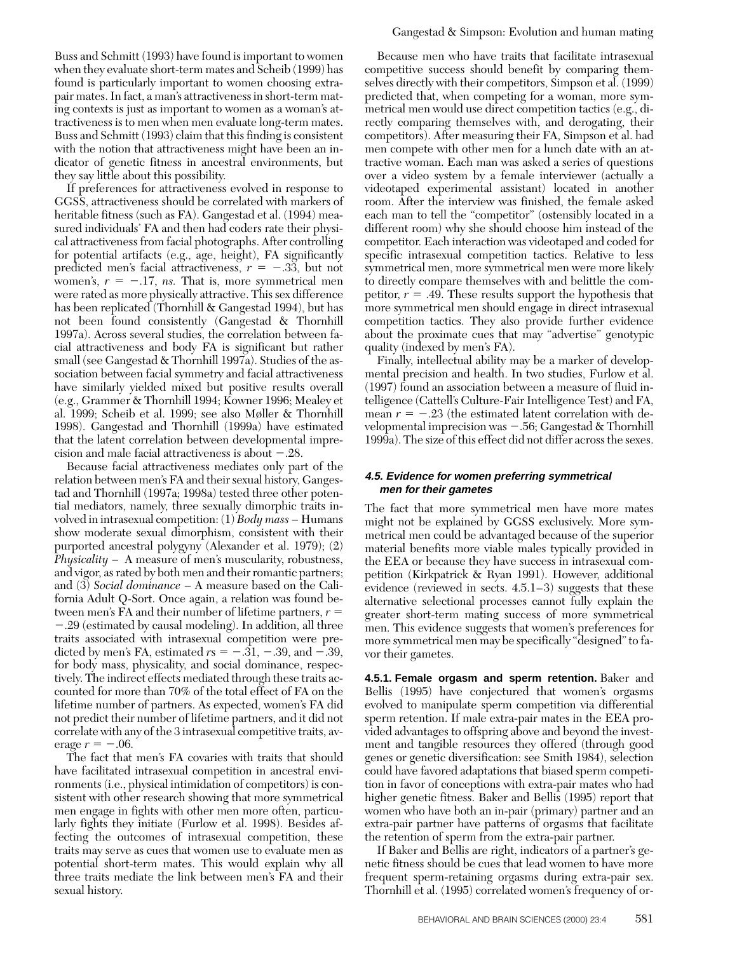Buss and Schmitt (1993) have found is important to women when they evaluate short-term mates and Scheib (1999) has found is particularly important to women choosing extrapair mates. In fact, a man's attractiveness in short-term mating contexts is just as important to women as a woman's attractiveness is to men when men evaluate long-term mates. Buss and Schmitt (1993) claim that this finding is consistent with the notion that attractiveness might have been an indicator of genetic fitness in ancestral environments, but they say little about this possibility.

If preferences for attractiveness evolved in response to GGSS, attractiveness should be correlated with markers of heritable fitness (such as FA). Gangestad et al. (1994) measured individuals' FA and then had coders rate their physical attractiveness from facial photographs. After controlling for potential artifacts (e.g., age, height), FA significantly predicted men's facial attractiveness,  $r = -.33$ , but not women's,  $r = -.17$ , *ns.* That is, more symmetrical men were rated as more physically attractive. This sex difference has been replicated (Thornhill & Gangestad 1994), but has not been found consistently (Gangestad & Thornhill 1997a). Across several studies, the correlation between facial attractiveness and body FA is significant but rather small (see Gangestad & Thornhill 1997a). Studies of the association between facial symmetry and facial attractiveness have similarly yielded mixed but positive results overall (e.g., Grammer & Thornhill 1994; Kowner 1996; Mealey et al. 1999; Scheib et al. 1999; see also Møller & Thornhill 1998). Gangestad and Thornhill (1999a) have estimated that the latent correlation between developmental imprecision and male facial attractiveness is about  $-.28$ .

Because facial attractiveness mediates only part of the relation between men's FA and their sexual history, Gangestad and Thornhill (1997a; 1998a) tested three other potential mediators, namely, three sexually dimorphic traits involved in intrasexual competition: (1) *Body mass* – Humans show moderate sexual dimorphism, consistent with their purported ancestral polygyny (Alexander et al. 1979); (2) *Physicality –* A measure of men's muscularity, robustness, and vigor, as rated by both men and their romantic partners; and (3) *Social dominance –* A measure based on the California Adult Q-Sort. Once again, a relation was found between men's FA and their number of lifetime partners,  $r =$ 2.29 (estimated by causal modeling). In addition, all three traits associated with intrasexual competition were predicted by men's FA, estimated  $rs = -.31, -.39, and -.39,$ for body mass, physicality, and social dominance, respectively. The indirect effects mediated through these traits accounted for more than 70% of the total effect of FA on the lifetime number of partners. As expected, women's FA did not predict their number of lifetime partners, and it did not correlate with any of the 3 intrasexual competitive traits, average  $r = -.06$ .

The fact that men's FA covaries with traits that should have facilitated intrasexual competition in ancestral environments (i.e., physical intimidation of competitors) is consistent with other research showing that more symmetrical men engage in fights with other men more often, particularly fights they initiate (Furlow et al. 1998). Besides affecting the outcomes of intrasexual competition, these traits may serve as cues that women use to evaluate men as potential short-term mates. This would explain why all three traits mediate the link between men's FA and their sexual history.

Because men who have traits that facilitate intrasexual competitive success should benefit by comparing themselves directly with their competitors, Simpson et al. (1999) predicted that, when competing for a woman, more symmetrical men would use direct competition tactics (e.g., directly comparing themselves with, and derogating, their competitors). After measuring their FA, Simpson et al. had men compete with other men for a lunch date with an attractive woman. Each man was asked a series of questions over a video system by a female interviewer (actually a videotaped experimental assistant) located in another room. After the interview was finished, the female asked each man to tell the "competitor" (ostensibly located in a different room) why she should choose him instead of the competitor. Each interaction was videotaped and coded for specific intrasexual competition tactics. Relative to less symmetrical men, more symmetrical men were more likely to directly compare themselves with and belittle the competitor,  $r = .49$ . These results support the hypothesis that more symmetrical men should engage in direct intrasexual competition tactics. They also provide further evidence about the proximate cues that may "advertise" genotypic quality (indexed by men's FA).

Finally, intellectual ability may be a marker of developmental precision and health. In two studies, Furlow et al. (1997) found an association between a measure of fluid intelligence (Cattell's Culture-Fair Intelligence Test) and FA, mean  $r = -.23$  (the estimated latent correlation with developmental imprecision was  $-.56$ ; Gangestad & Thornhill 1999a). The size of this effect did not differ across the sexes.

## **4.5. Evidence for women preferring symmetrical men for their gametes**

The fact that more symmetrical men have more mates might not be explained by GGSS exclusively. More symmetrical men could be advantaged because of the superior material benefits more viable males typically provided in the EEA or because they have success in intrasexual competition (Kirkpatrick & Ryan 1991). However, additional evidence (reviewed in sects. 4.5.1–3) suggests that these alternative selectional processes cannot fully explain the greater short-term mating success of more symmetrical men. This evidence suggests that women's preferences for more symmetrical men may be specifically "designed" to favor their gametes.

**4.5.1. Female orgasm and sperm retention.** Baker and Bellis (1995) have conjectured that women's orgasms evolved to manipulate sperm competition via differential sperm retention. If male extra-pair mates in the EEA provided advantages to offspring above and beyond the investment and tangible resources they offered (through good genes or genetic diversification: see Smith 1984), selection could have favored adaptations that biased sperm competition in favor of conceptions with extra-pair mates who had higher genetic fitness. Baker and Bellis (1995) report that women who have both an in-pair (primary) partner and an extra-pair partner have patterns of orgasms that facilitate the retention of sperm from the extra-pair partner.

If Baker and Bellis are right, indicators of a partner's genetic fitness should be cues that lead women to have more frequent sperm-retaining orgasms during extra-pair sex. Thornhill et al. (1995) correlated women's frequency of or-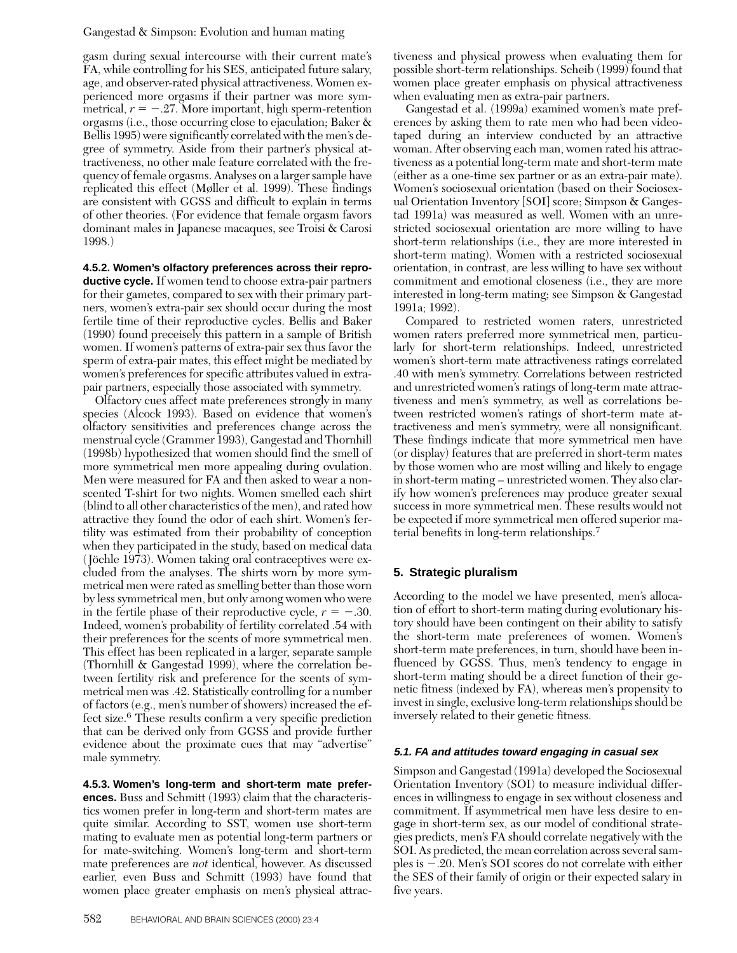#### Gangestad & Simpson: Evolution and human mating

gasm during sexual intercourse with their current mate's FA, while controlling for his SES, anticipated future salary, age, and observer-rated physical attractiveness. Women experienced more orgasms if their partner was more symmetrical,  $r = -.27$ . More important, high sperm-retention orgasms (i.e., those occurring close to ejaculation; Baker & Bellis 1995) were significantly correlated with the men's degree of symmetry. Aside from their partner's physical attractiveness, no other male feature correlated with the frequency of female orgasms. Analyses on a larger sample have replicated this effect (Møller et al. 1999). These findings are consistent with GGSS and difficult to explain in terms of other theories. (For evidence that female orgasm favors dominant males in Japanese macaques, see Troisi & Carosi 1998.)

**4.5.2. Women's olfactory preferences across their reproductive cycle.** If women tend to choose extra-pair partners for their gametes, compared to sex with their primary partners, women's extra-pair sex should occur during the most fertile time of their reproductive cycles. Bellis and Baker (1990) found preceisely this pattern in a sample of British women. If women's patterns of extra-pair sex thus favor the sperm of extra-pair mates, this effect might be mediated by women's preferences for specific attributes valued in extrapair partners, especially those associated with symmetry.

Olfactory cues affect mate preferences strongly in many species (Alcock 1993). Based on evidence that women's olfactory sensitivities and preferences change across the menstrual cycle (Grammer 1993), Gangestad and Thornhill (1998b) hypothesized that women should find the smell of more symmetrical men more appealing during ovulation. Men were measured for FA and then asked to wear a nonscented T-shirt for two nights. Women smelled each shirt (blind to all other characteristics of the men), and rated how attractive they found the odor of each shirt. Women's fertility was estimated from their probability of conception when they participated in the study, based on medical data (Jöchle 1973). Women taking oral contraceptives were excluded from the analyses. The shirts worn by more symmetrical men were rated as smelling better than those worn by less symmetrical men, but only among women who were in the fertile phase of their reproductive cycle,  $r = -.30$ . Indeed, women's probability of fertility correlated .54 with their preferences for the scents of more symmetrical men. This effect has been replicated in a larger, separate sample (Thornhill & Gangestad 1999), where the correlation between fertility risk and preference for the scents of symmetrical men was .42. Statistically controlling for a number of factors (e.g., men's number of showers) increased the effect size.6 These results confirm a very specific prediction that can be derived only from GGSS and provide further evidence about the proximate cues that may "advertise" male symmetry.

**4.5.3. Women's long-term and short-term mate preferences.** Buss and Schmitt (1993) claim that the characteristics women prefer in long-term and short-term mates are quite similar. According to SST, women use short-term mating to evaluate men as potential long-term partners or for mate-switching. Women's long-term and short-term mate preferences are *not* identical, however. As discussed earlier, even Buss and Schmitt (1993) have found that women place greater emphasis on men's physical attractiveness and physical prowess when evaluating them for possible short-term relationships. Scheib (1999) found that women place greater emphasis on physical attractiveness when evaluating men as extra-pair partners.

Gangestad et al. (1999a) examined women's mate preferences by asking them to rate men who had been videotaped during an interview conducted by an attractive woman. After observing each man, women rated his attractiveness as a potential long-term mate and short-term mate (either as a one-time sex partner or as an extra-pair mate). Women's sociosexual orientation (based on their Sociosexual Orientation Inventory [SOI] score; Simpson & Gangestad 1991a) was measured as well. Women with an unrestricted sociosexual orientation are more willing to have short-term relationships (i.e., they are more interested in short-term mating). Women with a restricted sociosexual orientation, in contrast, are less willing to have sex without commitment and emotional closeness (i.e., they are more interested in long-term mating; see Simpson & Gangestad 1991a; 1992).

Compared to restricted women raters, unrestricted women raters preferred more symmetrical men, particularly for short-term relationships. Indeed, unrestricted women's short-term mate attractiveness ratings correlated .40 with men's symmetry. Correlations between restricted and unrestricted women's ratings of long-term mate attractiveness and men's symmetry, as well as correlations between restricted women's ratings of short-term mate attractiveness and men's symmetry, were all nonsignificant. These findings indicate that more symmetrical men have (or display) features that are preferred in short-term mates by those women who are most willing and likely to engage in short-term mating – unrestricted women. They also clarify how women's preferences may produce greater sexual success in more symmetrical men. These results would not be expected if more symmetrical men offered superior material benefits in long-term relationships.7

## **5. Strategic pluralism**

According to the model we have presented, men's allocation of effort to short-term mating during evolutionary history should have been contingent on their ability to satisfy the short-term mate preferences of women. Women's short-term mate preferences, in turn, should have been influenced by GGSS. Thus, men's tendency to engage in short-term mating should be a direct function of their genetic fitness (indexed by FA), whereas men's propensity to invest in single, exclusive long-term relationships should be inversely related to their genetic fitness.

## **5.1. FA and attitudes toward engaging in casual sex**

Simpson and Gangestad (1991a) developed the Sociosexual Orientation Inventory (SOI) to measure individual differences in willingness to engage in sex without closeness and commitment. If asymmetrical men have less desire to engage in short-term sex, as our model of conditional strategies predicts, men's FA should correlate negatively with the SOI. As predicted, the mean correlation across several samples is  $-.20$ . Men's SOI scores do not correlate with either the SES of their family of origin or their expected salary in five years.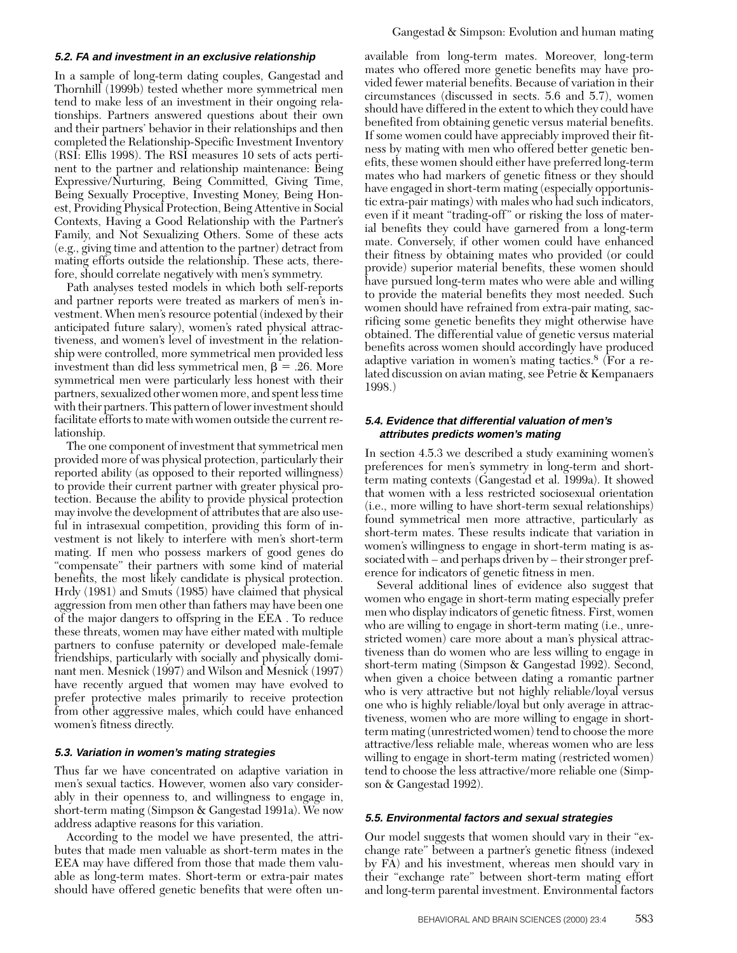#### **5.2. FA and investment in an exclusive relationship**

In a sample of long-term dating couples, Gangestad and Thornhill (1999b) tested whether more symmetrical men tend to make less of an investment in their ongoing relationships. Partners answered questions about their own and their partners' behavior in their relationships and then completed the Relationship-Specific Investment Inventory (RSI: Ellis 1998). The RSI measures 10 sets of acts pertinent to the partner and relationship maintenance: Being Expressive/Nurturing, Being Committed, Giving Time, Being Sexually Proceptive, Investing Money, Being Honest, Providing Physical Protection, Being Attentive in Social Contexts, Having a Good Relationship with the Partner's Family, and Not Sexualizing Others. Some of these acts (e.g., giving time and attention to the partner) detract from mating efforts outside the relationship. These acts, therefore, should correlate negatively with men's symmetry.

Path analyses tested models in which both self-reports and partner reports were treated as markers of men's investment. When men's resource potential (indexed by their anticipated future salary), women's rated physical attractiveness, and women's level of investment in the relationship were controlled, more symmetrical men provided less investment than did less symmetrical men,  $\beta = .26$ . More symmetrical men were particularly less honest with their partners, sexualized other women more, and spent less time with their partners. This pattern of lower investment should facilitate efforts to mate with women outside the current relationship.

The one component of investment that symmetrical men provided more of was physical protection, particularly their reported ability (as opposed to their reported willingness) to provide their current partner with greater physical protection. Because the ability to provide physical protection may involve the development of attributes that are also useful in intrasexual competition, providing this form of investment is not likely to interfere with men's short-term mating. If men who possess markers of good genes do "compensate" their partners with some kind of material benefits, the most likely candidate is physical protection. Hrdy (1981) and Smuts (1985) have claimed that physical aggression from men other than fathers may have been one of the major dangers to offspring in the EEA . To reduce these threats, women may have either mated with multiple partners to confuse paternity or developed male-female friendships, particularly with socially and physically dominant men. Mesnick (1997) and Wilson and Mesnick (1997) have recently argued that women may have evolved to prefer protective males primarily to receive protection from other aggressive males, which could have enhanced women's fitness directly.

#### **5.3. Variation in women's mating strategies**

Thus far we have concentrated on adaptive variation in men's sexual tactics. However, women also vary considerably in their openness to, and willingness to engage in, short-term mating (Simpson & Gangestad 1991a). We now address adaptive reasons for this variation.

According to the model we have presented, the attributes that made men valuable as short-term mates in the EEA may have differed from those that made them valuable as long-term mates. Short-term or extra-pair mates should have offered genetic benefits that were often un-

available from long-term mates. Moreover, long-term mates who offered more genetic benefits may have provided fewer material benefits. Because of variation in their circumstances (discussed in sects. 5.6 and 5.7), women should have differed in the extent to which they could have benefited from obtaining genetic versus material benefits. If some women could have appreciably improved their fitness by mating with men who offered better genetic benefits, these women should either have preferred long-term mates who had markers of genetic fitness or they should have engaged in short-term mating (especially opportunistic extra-pair matings) with males who had such indicators, even if it meant "trading-off" or risking the loss of material benefits they could have garnered from a long-term mate. Conversely, if other women could have enhanced their fitness by obtaining mates who provided (or could provide) superior material benefits, these women should have pursued long-term mates who were able and willing to provide the material benefits they most needed. Such women should have refrained from extra-pair mating, sacrificing some genetic benefits they might otherwise have obtained. The differential value of genetic versus material benefits across women should accordingly have produced adaptive variation in women's mating tactics.8 (For a related discussion on avian mating, see Petrie & Kempanaers 1998.)

#### **5.4. Evidence that differential valuation of men's attributes predicts women's mating**

In section 4.5.3 we described a study examining women's preferences for men's symmetry in long-term and shortterm mating contexts (Gangestad et al. 1999a). It showed that women with a less restricted sociosexual orientation (i.e., more willing to have short-term sexual relationships) found symmetrical men more attractive, particularly as short-term mates. These results indicate that variation in women's willingness to engage in short-term mating is associated with – and perhaps driven by – their stronger preference for indicators of genetic fitness in men.

Several additional lines of evidence also suggest that women who engage in short-term mating especially prefer men who display indicators of genetic fitness. First, women who are willing to engage in short-term mating (i.e., unrestricted women) care more about a man's physical attractiveness than do women who are less willing to engage in short-term mating (Simpson & Gangestad 1992). Second, when given a choice between dating a romantic partner who is very attractive but not highly reliable/loyal versus one who is highly reliable/loyal but only average in attractiveness, women who are more willing to engage in shortterm mating (unrestricted women) tend to choose the more attractive/less reliable male, whereas women who are less willing to engage in short-term mating (restricted women) tend to choose the less attractive/more reliable one (Simpson & Gangestad 1992).

#### **5.5. Environmental factors and sexual strategies**

Our model suggests that women should vary in their "exchange rate" between a partner's genetic fitness (indexed by FA) and his investment, whereas men should vary in their "exchange rate" between short-term mating effort and long-term parental investment. Environmental factors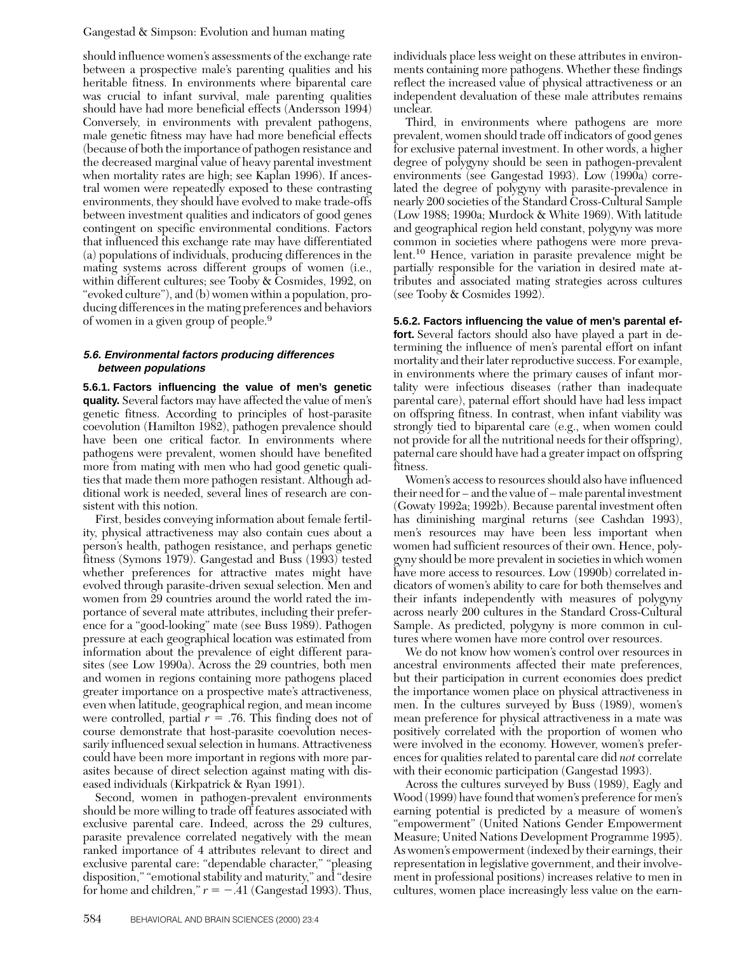should influence women's assessments of the exchange rate between a prospective male's parenting qualities and his heritable fitness. In environments where biparental care was crucial to infant survival, male parenting qualities should have had more beneficial effects (Andersson 1994) Conversely, in environments with prevalent pathogens, male genetic fitness may have had more beneficial effects (because of both the importance of pathogen resistance and the decreased marginal value of heavy parental investment when mortality rates are high; see Kaplan 1996). If ancestral women were repeatedly exposed to these contrasting environments, they should have evolved to make trade-offs between investment qualities and indicators of good genes contingent on specific environmental conditions. Factors that influenced this exchange rate may have differentiated (a) populations of individuals, producing differences in the mating systems across different groups of women (i.e., within different cultures; see Tooby & Cosmides, 1992, on "evoked culture"), and (b) women within a population, producing differences in the mating preferences and behaviors of women in a given group of people.9

## **5.6. Environmental factors producing differences between populations**

**5.6.1. Factors influencing the value of men's genetic quality.** Several factors may have affected the value of men's genetic fitness. According to principles of host-parasite coevolution (Hamilton 1982), pathogen prevalence should have been one critical factor. In environments where pathogens were prevalent, women should have benefited more from mating with men who had good genetic qualities that made them more pathogen resistant. Although additional work is needed, several lines of research are consistent with this notion.

First, besides conveying information about female fertility, physical attractiveness may also contain cues about a person's health, pathogen resistance, and perhaps genetic fitness (Symons 1979). Gangestad and Buss (1993) tested whether preferences for attractive mates might have evolved through parasite-driven sexual selection. Men and women from 29 countries around the world rated the importance of several mate attributes, including their preference for a "good-looking" mate (see Buss 1989). Pathogen pressure at each geographical location was estimated from information about the prevalence of eight different parasites (see Low 1990a). Across the 29 countries, both men and women in regions containing more pathogens placed greater importance on a prospective mate's attractiveness, even when latitude, geographical region, and mean income were controlled, partial  $r = .76$ . This finding does not of course demonstrate that host-parasite coevolution necessarily influenced sexual selection in humans. Attractiveness could have been more important in regions with more parasites because of direct selection against mating with diseased individuals (Kirkpatrick & Ryan 1991).

Second, women in pathogen-prevalent environments should be more willing to trade off features associated with exclusive parental care. Indeed, across the 29 cultures, parasite prevalence correlated negatively with the mean ranked importance of 4 attributes relevant to direct and exclusive parental care: "dependable character," "pleasing disposition," "emotional stability and maturity," and "desire for home and children,"  $r = -.41$  (Gangestad 1993). Thus,

individuals place less weight on these attributes in environments containing more pathogens. Whether these findings reflect the increased value of physical attractiveness or an independent devaluation of these male attributes remains unclear.

Third, in environments where pathogens are more prevalent, women should trade off indicators of good genes for exclusive paternal investment. In other words, a higher degree of polygyny should be seen in pathogen-prevalent environments (see Gangestad 1993). Low (1990a) correlated the degree of polygyny with parasite-prevalence in nearly 200 societies of the Standard Cross-Cultural Sample (Low 1988; 1990a; Murdock & White 1969). With latitude and geographical region held constant, polygyny was more common in societies where pathogens were more prevalent.10 Hence, variation in parasite prevalence might be partially responsible for the variation in desired mate attributes and associated mating strategies across cultures (see Tooby & Cosmides 1992).

**5.6.2. Factors influencing the value of men's parental effort.** Several factors should also have played a part in determining the influence of men's parental effort on infant mortality and their later reproductive success. For example, in environments where the primary causes of infant mortality were infectious diseases (rather than inadequate parental care), paternal effort should have had less impact on offspring fitness. In contrast, when infant viability was strongly tied to biparental care (e.g., when women could not provide for all the nutritional needs for their offspring), paternal care should have had a greater impact on offspring fitness.

Women's access to resources should also have influenced their need for – and the value of – male parental investment (Gowaty 1992a; 1992b). Because parental investment often has diminishing marginal returns (see Cashdan 1993), men's resources may have been less important when women had sufficient resources of their own. Hence, polygyny should be more prevalent in societies in which women have more access to resources. Low (1990b) correlated indicators of women's ability to care for both themselves and their infants independently with measures of polygyny across nearly 200 cultures in the Standard Cross-Cultural Sample. As predicted, polygyny is more common in cultures where women have more control over resources.

We do not know how women's control over resources in ancestral environments affected their mate preferences, but their participation in current economies does predict the importance women place on physical attractiveness in men. In the cultures surveyed by Buss (1989), women's mean preference for physical attractiveness in a mate was positively correlated with the proportion of women who were involved in the economy. However, women's preferences for qualities related to parental care did *not* correlate with their economic participation (Gangestad 1993).

Across the cultures surveyed by Buss (1989), Eagly and Wood (1999) have found that women's preference for men's earning potential is predicted by a measure of women's "empowerment" (United Nations Gender Empowerment Measure; United Nations Development Programme 1995). As women's empowerment (indexed by their earnings, their representation in legislative government, and their involvement in professional positions) increases relative to men in cultures, women place increasingly less value on the earn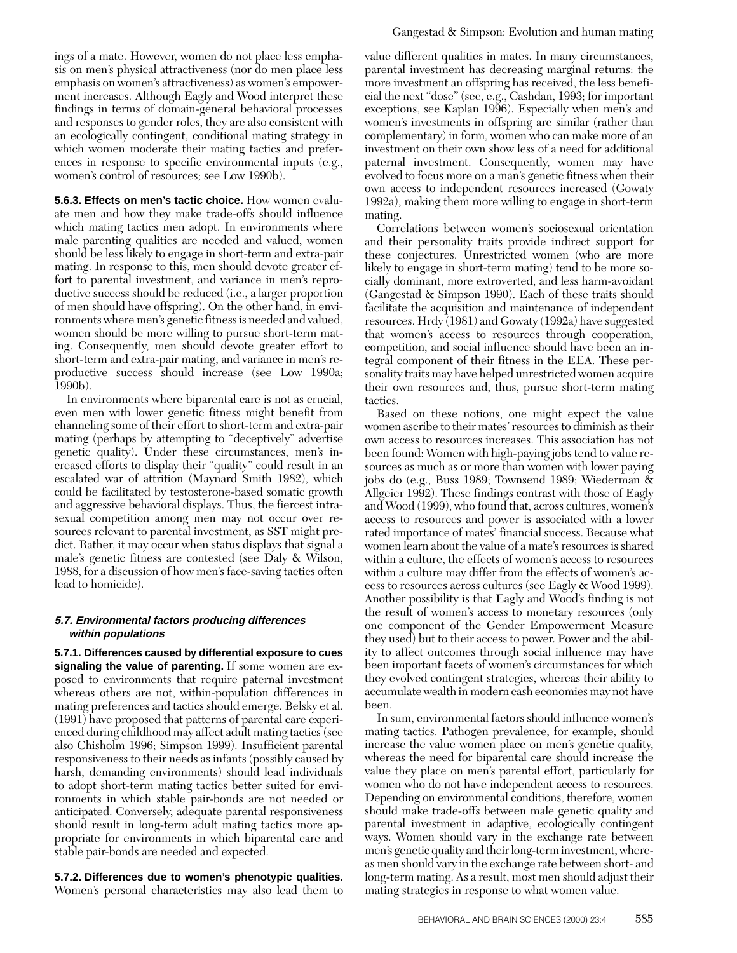ings of a mate. However, women do not place less emphasis on men's physical attractiveness (nor do men place less emphasis on women's attractiveness) as women's empowerment increases. Although Eagly and Wood interpret these findings in terms of domain-general behavioral processes and responses to gender roles, they are also consistent with an ecologically contingent, conditional mating strategy in which women moderate their mating tactics and preferences in response to specific environmental inputs (e.g., women's control of resources; see Low 1990b).

**5.6.3. Effects on men's tactic choice.** How women evaluate men and how they make trade-offs should influence which mating tactics men adopt. In environments where male parenting qualities are needed and valued, women should be less likely to engage in short-term and extra-pair mating. In response to this, men should devote greater effort to parental investment, and variance in men's reproductive success should be reduced (i.e., a larger proportion of men should have offspring). On the other hand, in environments where men's genetic fitness is needed and valued, women should be more willing to pursue short-term mating. Consequently, men should devote greater effort to short-term and extra-pair mating, and variance in men's reproductive success should increase (see Low 1990a; 1990b).

In environments where biparental care is not as crucial, even men with lower genetic fitness might benefit from channeling some of their effort to short-term and extra-pair mating (perhaps by attempting to "deceptively" advertise genetic quality). Under these circumstances, men's increased efforts to display their "quality" could result in an escalated war of attrition (Maynard Smith 1982), which could be facilitated by testosterone-based somatic growth and aggressive behavioral displays. Thus, the fiercest intrasexual competition among men may not occur over resources relevant to parental investment, as SST might predict. Rather, it may occur when status displays that signal a male's genetic fitness are contested (see Daly & Wilson, 1988, for a discussion of how men's face-saving tactics often lead to homicide).

## **5.7. Environmental factors producing differences within populations**

**5.7.1. Differences caused by differential exposure to cues signaling the value of parenting.** If some women are exposed to environments that require paternal investment whereas others are not, within-population differences in mating preferences and tactics should emerge. Belsky et al. (1991) have proposed that patterns of parental care experienced during childhood may affect adult mating tactics (see also Chisholm 1996; Simpson 1999). Insufficient parental responsiveness to their needs as infants (possibly caused by harsh, demanding environments) should lead individuals to adopt short-term mating tactics better suited for environments in which stable pair-bonds are not needed or anticipated. Conversely, adequate parental responsiveness should result in long-term adult mating tactics more appropriate for environments in which biparental care and stable pair-bonds are needed and expected.

#### **5.7.2. Differences due to women's phenotypic qualities.** Women's personal characteristics may also lead them to

value different qualities in mates. In many circumstances, parental investment has decreasing marginal returns: the more investment an offspring has received, the less beneficial the next "dose" (see, e.g., Cashdan, 1993; for important exceptions, see Kaplan 1996). Especially when men's and women's investments in offspring are similar (rather than complementary) in form, women who can make more of an investment on their own show less of a need for additional paternal investment. Consequently, women may have evolved to focus more on a man's genetic fitness when their own access to independent resources increased (Gowaty 1992a), making them more willing to engage in short-term mating.

Correlations between women's sociosexual orientation and their personality traits provide indirect support for these conjectures. Unrestricted women (who are more likely to engage in short-term mating) tend to be more socially dominant, more extroverted, and less harm-avoidant (Gangestad & Simpson 1990). Each of these traits should facilitate the acquisition and maintenance of independent resources. Hrdy (1981) and Gowaty (1992a) have suggested that women's access to resources through cooperation, competition, and social influence should have been an integral component of their fitness in the EEA. These personality traits may have helped unrestricted women acquire their own resources and, thus, pursue short-term mating tactics.

Based on these notions, one might expect the value women ascribe to their mates' resources to diminish as their own access to resources increases. This association has not been found: Women with high-paying jobs tend to value resources as much as or more than women with lower paying jobs do (e.g., Buss 1989; Townsend 1989; Wiederman & Allgeier 1992). These findings contrast with those of Eagly and Wood (1999), who found that, across cultures, women's access to resources and power is associated with a lower rated importance of mates' financial success. Because what women learn about the value of a mate's resources is shared within a culture, the effects of women's access to resources within a culture may differ from the effects of women's access to resources across cultures (see Eagly & Wood 1999). Another possibility is that Eagly and Wood's finding is not the result of women's access to monetary resources (only one component of the Gender Empowerment Measure they used) but to their access to power. Power and the ability to affect outcomes through social influence may have been important facets of women's circumstances for which they evolved contingent strategies, whereas their ability to accumulate wealth in modern cash economies may not have been.

In sum, environmental factors should influence women's mating tactics. Pathogen prevalence, for example, should increase the value women place on men's genetic quality, whereas the need for biparental care should increase the value they place on men's parental effort, particularly for women who do not have independent access to resources. Depending on environmental conditions, therefore, women should make trade-offs between male genetic quality and parental investment in adaptive, ecologically contingent ways. Women should vary in the exchange rate between men's genetic quality and their long-term investment, whereas men should vary in the exchange rate between short- and long-term mating. As a result, most men should adjust their mating strategies in response to what women value.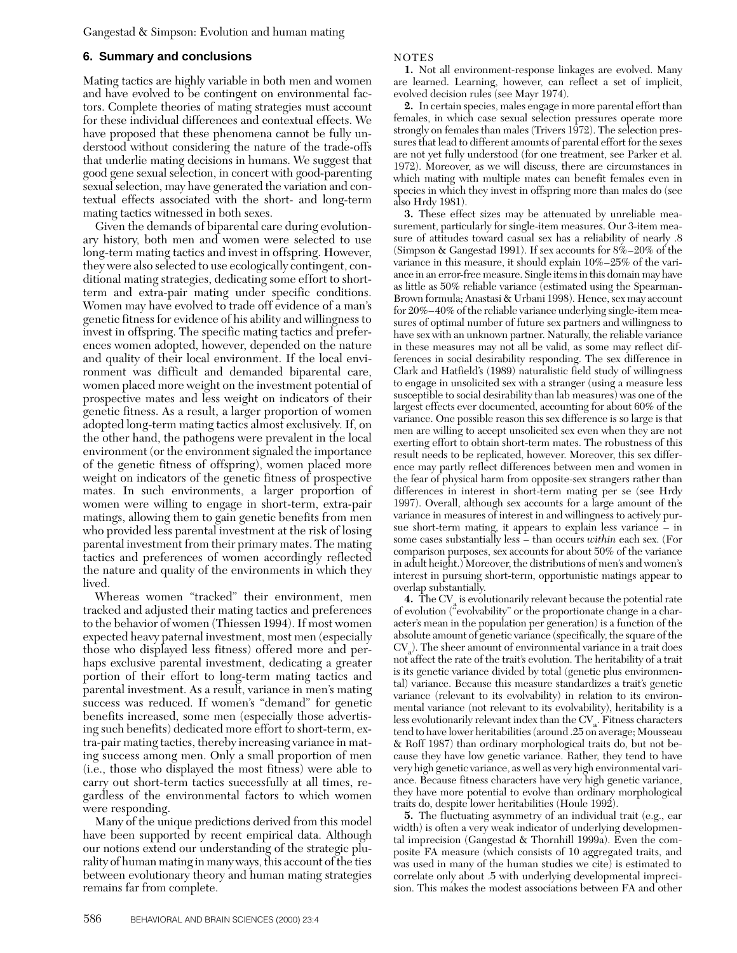Gangestad & Simpson: Evolution and human mating

#### **6. Summary and conclusions**

Mating tactics are highly variable in both men and women and have evolved to be contingent on environmental factors. Complete theories of mating strategies must account for these individual differences and contextual effects. We have proposed that these phenomena cannot be fully understood without considering the nature of the trade-offs that underlie mating decisions in humans. We suggest that good gene sexual selection, in concert with good-parenting sexual selection, may have generated the variation and contextual effects associated with the short- and long-term mating tactics witnessed in both sexes.

Given the demands of biparental care during evolutionary history, both men and women were selected to use long-term mating tactics and invest in offspring. However, they were also selected to use ecologically contingent, conditional mating strategies, dedicating some effort to shortterm and extra-pair mating under specific conditions. Women may have evolved to trade off evidence of a man's genetic fitness for evidence of his ability and willingness to invest in offspring. The specific mating tactics and preferences women adopted, however, depended on the nature and quality of their local environment. If the local environment was difficult and demanded biparental care, women placed more weight on the investment potential of prospective mates and less weight on indicators of their genetic fitness. As a result, a larger proportion of women adopted long-term mating tactics almost exclusively. If, on the other hand, the pathogens were prevalent in the local environment (or the environment signaled the importance of the genetic fitness of offspring), women placed more weight on indicators of the genetic fitness of prospective mates. In such environments, a larger proportion of women were willing to engage in short-term, extra-pair matings, allowing them to gain genetic benefits from men who provided less parental investment at the risk of losing parental investment from their primary mates. The mating tactics and preferences of women accordingly reflected the nature and quality of the environments in which they lived.

Whereas women "tracked" their environment, men tracked and adjusted their mating tactics and preferences to the behavior of women (Thiessen 1994). If most women expected heavy paternal investment, most men (especially those who displayed less fitness) offered more and perhaps exclusive parental investment, dedicating a greater portion of their effort to long-term mating tactics and parental investment. As a result, variance in men's mating success was reduced. If women's "demand" for genetic benefits increased, some men (especially those advertising such benefits) dedicated more effort to short-term, extra-pair mating tactics, thereby increasing variance in mating success among men. Only a small proportion of men (i.e., those who displayed the most fitness) were able to carry out short-term tactics successfully at all times, regardless of the environmental factors to which women were responding.

Many of the unique predictions derived from this model have been supported by recent empirical data. Although our notions extend our understanding of the strategic plurality of human mating in many ways, this account of the ties between evolutionary theory and human mating strategies remains far from complete.

#### **NOTES**

**1.** Not all environment-response linkages are evolved. Many are learned. Learning, however, can reflect a set of implicit, evolved decision rules (see Mayr 1974).

**2.** In certain species, males engage in more parental effort than females, in which case sexual selection pressures operate more strongly on females than males (Trivers 1972). The selection pressures that lead to different amounts of parental effort for the sexes are not yet fully understood (for one treatment, see Parker et al. 1972). Moreover, as we will discuss, there are circumstances in which mating with multiple mates can benefit females even in species in which they invest in offspring more than males do (see also Hrdy 1981).

**3.** These effect sizes may be attenuated by unreliable measurement, particularly for single-item measures. Our 3-item measure of attitudes toward casual sex has a reliability of nearly .8 (Simpson & Gangestad 1991). If sex accounts for 8%–20% of the variance in this measure, it should explain 10%–25% of the variance in an error-free measure. Single items in this domain may have as little as 50% reliable variance (estimated using the Spearman-Brown formula; Anastasi & Urbani 1998). Hence, sex may account for 20%–40% of the reliable variance underlying single-item measures of optimal number of future sex partners and willingness to have sex with an unknown partner. Naturally, the reliable variance in these measures may not all be valid, as some may reflect differences in social desirability responding. The sex difference in Clark and Hatfield's (1989) naturalistic field study of willingness to engage in unsolicited sex with a stranger (using a measure less susceptible to social desirability than lab measures) was one of the largest effects ever documented, accounting for about 60% of the variance. One possible reason this sex difference is so large is that men are willing to accept unsolicited sex even when they are not exerting effort to obtain short-term mates. The robustness of this result needs to be replicated, however. Moreover, this sex difference may partly reflect differences between men and women in the fear of physical harm from opposite-sex strangers rather than differences in interest in short-term mating per se (see Hrdy 1997). Overall, although sex accounts for a large amount of the variance in measures of interest in and willingness to actively pursue short-term mating, it appears to explain less variance – in some cases substantially less – than occurs *within* each sex. (For comparison purposes, sex accounts for about 50% of the variance in adult height.) Moreover, the distributions of men's and women's interest in pursuing short-term, opportunistic matings appear to overlap substantially.

**4.** The CV<sub>a</sub> is evolutionarily relevant because the potential rate of evolution ("evolvability" or the proportionate change in a character's mean in the population per generation) is a function of the absolute amount of genetic variance (specifically, the square of the CVa ). The sheer amount of environmental variance in a trait does not affect the rate of the trait's evolution. The heritability of a trait is its genetic variance divided by total (genetic plus environmental) variance. Because this measure standardizes a trait's genetic variance (relevant to its evolvability) in relation to its environmental variance (not relevant to its evolvability), heritability is a less evolutionarily relevant index than the  $CV_a$ . Fitness characters tend to have lower heritabilities (around .25 on average; Mousseau & Roff 1987) than ordinary morphological traits do, but not because they have low genetic variance. Rather, they tend to have very high genetic variance, as well as very high environmental variance. Because fitness characters have very high genetic variance, they have more potential to evolve than ordinary morphological traits do, despite lower heritabilities (Houle 1992).

**5.** The fluctuating asymmetry of an individual trait (e.g., ear width) is often a very weak indicator of underlying developmental imprecision (Gangestad & Thornhill 1999a). Even the composite FA measure (which consists of 10 aggregated traits, and was used in many of the human studies we cite) is estimated to correlate only about .5 with underlying developmental imprecision. This makes the modest associations between FA and other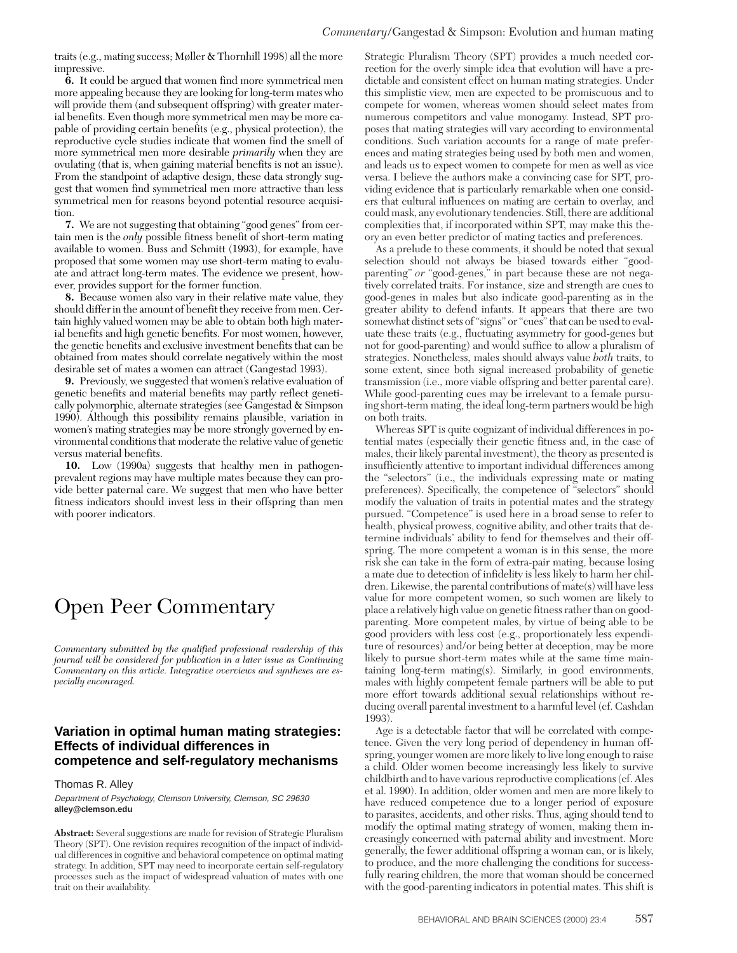traits (e.g., mating success; Møller & Thornhill 1998) all the more impressive.

**6.** It could be argued that women find more symmetrical men more appealing because they are looking for long-term mates who will provide them (and subsequent offspring) with greater material benefits. Even though more symmetrical men may be more capable of providing certain benefits (e.g., physical protection), the reproductive cycle studies indicate that women find the smell of more symmetrical men more desirable *primarily* when they are ovulating (that is, when gaining material benefits is not an issue). From the standpoint of adaptive design, these data strongly suggest that women find symmetrical men more attractive than less symmetrical men for reasons beyond potential resource acquisition.

**7.** We are not suggesting that obtaining "good genes" from certain men is the *only* possible fitness benefit of short-term mating available to women. Buss and Schmitt (1993), for example, have proposed that some women may use short-term mating to evaluate and attract long-term mates. The evidence we present, however, provides support for the former function.

**8.** Because women also vary in their relative mate value, they should differ in the amount of benefit they receive from men. Certain highly valued women may be able to obtain both high material benefits and high genetic benefits. For most women, however, the genetic benefits and exclusive investment benefits that can be obtained from mates should correlate negatively within the most desirable set of mates a women can attract (Gangestad 1993).

**9.** Previously, we suggested that women's relative evaluation of genetic benefits and material benefits may partly reflect genetically polymorphic, alternate strategies (see Gangestad & Simpson 1990). Although this possibility remains plausible, variation in women's mating strategies may be more strongly governed by environmental conditions that moderate the relative value of genetic versus material benefits.

**10.** Low (1990a) suggests that healthy men in pathogenprevalent regions may have multiple mates because they can provide better paternal care. We suggest that men who have better fitness indicators should invest less in their offspring than men with poorer indicators.

## Open Peer Commentary

*Commentary submitted by the qualified professional readership of this journal will be considered for publication in a later issue as Continuing Commentary on this article. Integrative overviews and syntheses are especially encouraged.*

## **Variation in optimal human mating strategies: Effects of individual differences in competence and self-regulatory mechanisms**

Thomas R. Alley

Department of Psychology, Clemson University, Clemson, SC 29630 **alley@clemson.edu**

**Abstract:** Several suggestions are made for revision of Strategic Pluralism Theory (SPT). One revision requires recognition of the impact of individual differences in cognitive and behavioral competence on optimal mating strategy. In addition, SPT may need to incorporate certain self-regulatory processes such as the impact of widespread valuation of mates with one trait on their availability.

Strategic Pluralism Theory (SPT) provides a much needed correction for the overly simple idea that evolution will have a predictable and consistent effect on human mating strategies. Under this simplistic view, men are expected to be promiscuous and to compete for women, whereas women should select mates from numerous competitors and value monogamy. Instead, SPT proposes that mating strategies will vary according to environmental conditions. Such variation accounts for a range of mate preferences and mating strategies being used by both men and women, and leads us to expect women to compete for men as well as vice versa. I believe the authors make a convincing case for SPT, providing evidence that is particularly remarkable when one considers that cultural influences on mating are certain to overlay, and could mask, any evolutionary tendencies. Still, there are additional complexities that, if incorporated within SPT, may make this theory an even better predictor of mating tactics and preferences.

As a prelude to these comments, it should be noted that sexual selection should not always be biased towards either "goodparenting" or "good-genes," in part because these are not negatively correlated traits. For instance, size and strength are cues to good-genes in males but also indicate good-parenting as in the greater ability to defend infants. It appears that there are two somewhat distinct sets of "signs" or "cues" that can be used to evaluate these traits (e.g., fluctuating asymmetry for good-genes but not for good-parenting) and would suffice to allow a pluralism of strategies. Nonetheless, males should always value *both* traits, to some extent, since both signal increased probability of genetic transmission (i.e., more viable offspring and better parental care). While good-parenting cues may be irrelevant to a female pursuing short-term mating, the ideal long-term partners would be high on both traits.

Whereas SPT is quite cognizant of individual differences in potential mates (especially their genetic fitness and, in the case of males, their likely parental investment), the theory as presented is insufficiently attentive to important individual differences among the "selectors" (i.e., the individuals expressing mate or mating preferences). Specifically, the competence of "selectors" should modify the valuation of traits in potential mates and the strategy pursued. "Competence" is used here in a broad sense to refer to health, physical prowess, cognitive ability, and other traits that determine individuals' ability to fend for themselves and their offspring. The more competent a woman is in this sense, the more risk she can take in the form of extra-pair mating, because losing a mate due to detection of infidelity is less likely to harm her children. Likewise, the parental contributions of mate(s) will have less value for more competent women, so such women are likely to place a relatively high value on genetic fitness rather than on goodparenting. More competent males, by virtue of being able to be good providers with less cost (e.g., proportionately less expenditure of resources) and/or being better at deception, may be more likely to pursue short-term mates while at the same time maintaining long-term mating(s). Similarly, in good environments, males with highly competent female partners will be able to put more effort towards additional sexual relationships without reducing overall parental investment to a harmful level (cf. Cashdan 1993).

Age is a detectable factor that will be correlated with competence. Given the very long period of dependency in human offspring, younger women are more likely to live long enough to raise a child. Older women become increasingly less likely to survive childbirth and to have various reproductive complications (cf. Ales et al. 1990). In addition, older women and men are more likely to have reduced competence due to a longer period of exposure to parasites, accidents, and other risks. Thus, aging should tend to modify the optimal mating strategy of women, making them increasingly concerned with paternal ability and investment. More generally, the fewer additional offspring a woman can, or is likely, to produce, and the more challenging the conditions for successfully rearing children, the more that woman should be concerned with the good-parenting indicators in potential mates. This shift is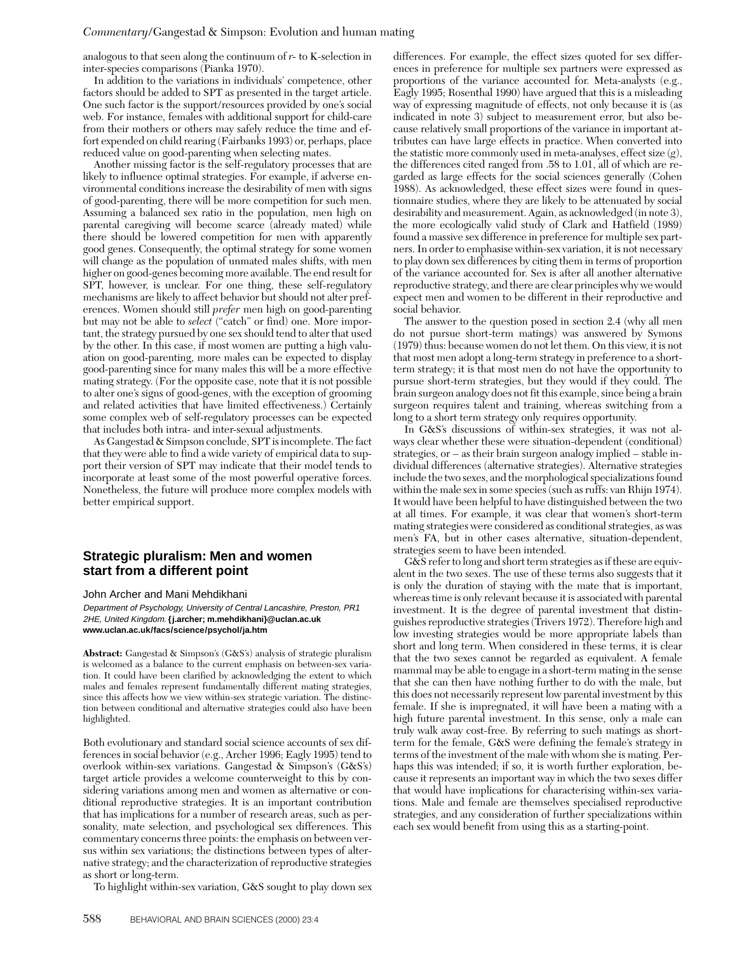analogous to that seen along the continuum of *r-* to K-selection in inter-species comparisons (Pianka 1970).

In addition to the variations in individuals' competence, other factors should be added to SPT as presented in the target article. One such factor is the support/resources provided by one's social web. For instance, females with additional support for child-care from their mothers or others may safely reduce the time and effort expended on child rearing (Fairbanks 1993) or, perhaps, place reduced value on good-parenting when selecting mates.

Another missing factor is the self-regulatory processes that are likely to influence optimal strategies. For example, if adverse environmental conditions increase the desirability of men with signs of good-parenting, there will be more competition for such men. Assuming a balanced sex ratio in the population, men high on parental caregiving will become scarce (already mated) while there should be lowered competition for men with apparently good genes. Consequently, the optimal strategy for some women will change as the population of unmated males shifts, with men higher on good-genes becoming more available. The end result for SPT, however, is unclear. For one thing, these self-regulatory mechanisms are likely to affect behavior but should not alter preferences. Women should still *prefer* men high on good-parenting but may not be able to *select* ("catch" or find) one. More important, the strategy pursued by one sex should tend to alter that used by the other. In this case, if most women are putting a high valuation on good-parenting, more males can be expected to display good-parenting since for many males this will be a more effective mating strategy. (For the opposite case, note that it is not possible to alter one's signs of good-genes, with the exception of grooming and related activities that have limited effectiveness.) Certainly some complex web of self-regulatory processes can be expected that includes both intra- and inter-sexual adjustments.

As Gangestad & Simpson conclude, SPT is incomplete. The fact that they were able to find a wide variety of empirical data to support their version of SPT may indicate that their model tends to incorporate at least some of the most powerful operative forces. Nonetheless, the future will produce more complex models with better empirical support.

## **Strategic pluralism: Men and women start from a different point**

John Archer and Mani Mehdikhani

Department of Psychology, University of Central Lancashire, Preston, PR1 2HE, United Kingdom. **{j.archer; m.mehdikhani}@uclan.ac.uk www.uclan.ac.uk/facs/science/psychol/ja.htm**

**Abstract:** Gangestad & Simpson's (G&S's) analysis of strategic pluralism is welcomed as a balance to the current emphasis on between-sex variation. It could have been clarified by acknowledging the extent to which males and females represent fundamentally different mating strategies, since this affects how we view within-sex strategic variation. The distinction between conditional and alternative strategies could also have been highlighted.

Both evolutionary and standard social science accounts of sex differences in social behavior (e.g., Archer 1996; Eagly 1995) tend to overlook within-sex variations. Gangestad & Simpson's (G&S's) target article provides a welcome counterweight to this by considering variations among men and women as alternative or conditional reproductive strategies. It is an important contribution that has implications for a number of research areas, such as personality, mate selection, and psychological sex differences. This commentary concerns three points: the emphasis on between versus within sex variations; the distinctions between types of alternative strategy; and the characterization of reproductive strategies as short or long-term.

To highlight within-sex variation, G&S sought to play down sex

differences. For example, the effect sizes quoted for sex differences in preference for multiple sex partners were expressed as proportions of the variance accounted for. Meta-analysts (e.g., Eagly 1995; Rosenthal 1990) have argued that this is a misleading way of expressing magnitude of effects, not only because it is (as indicated in note 3) subject to measurement error, but also because relatively small proportions of the variance in important attributes can have large effects in practice. When converted into the statistic more commonly used in meta-analyses, effect size (*g*), the differences cited ranged from .58 to 1.01, all of which are regarded as large effects for the social sciences generally (Cohen 1988). As acknowledged, these effect sizes were found in questionnaire studies, where they are likely to be attenuated by social desirability and measurement. Again, as acknowledged (in note 3), the more ecologically valid study of Clark and Hatfield (1989) found a massive sex difference in preference for multiple sex partners. In order to emphasise within-sex variation, it is not necessary to play down sex differences by citing them in terms of proportion of the variance accounted for. Sex is after all another alternative reproductive strategy, and there are clear principles why we would expect men and women to be different in their reproductive and social behavior.

The answer to the question posed in section 2.4 (why all men do not pursue short-term matings) was answered by Symons (1979) thus: because women do not let them. On this view, it is not that most men adopt a long-term strategy in preference to a shortterm strategy; it is that most men do not have the opportunity to pursue short-term strategies, but they would if they could. The brain surgeon analogy does not fit this example, since being a brain surgeon requires talent and training, whereas switching from a long to a short term strategy only requires opportunity.

In G&S's discussions of within-sex strategies, it was not always clear whether these were situation-dependent (conditional) strategies, or – as their brain surgeon analogy implied – stable individual differences (alternative strategies). Alternative strategies include the two sexes, and the morphological specializations found within the male sex in some species (such as ruffs: van Rhijn 1974). It would have been helpful to have distinguished between the two at all times. For example, it was clear that women's short-term mating strategies were considered as conditional strategies, as was men's FA, but in other cases alternative, situation-dependent, strategies seem to have been intended.

G&S refer to long and short term strategies as if these are equivalent in the two sexes. The use of these terms also suggests that it is only the duration of staying with the mate that is important, whereas time is only relevant because it is associated with parental investment. It is the degree of parental investment that distinguishes reproductive strategies (Trivers 1972). Therefore high and low investing strategies would be more appropriate labels than short and long term. When considered in these terms, it is clear that the two sexes cannot be regarded as equivalent. A female mammal may be able to engage in a short-term mating in the sense that she can then have nothing further to do with the male, but this does not necessarily represent low parental investment by this female. If she is impregnated, it will have been a mating with a high future parental investment. In this sense, only a male can truly walk away cost-free. By referring to such matings as shortterm for the female, G&S were defining the female's strategy in terms of the investment of the male with whom she is mating. Perhaps this was intended; if so, it is worth further exploration, because it represents an important way in which the two sexes differ that would have implications for characterising within-sex variations. Male and female are themselves specialised reproductive strategies, and any consideration of further specializations within each sex would benefit from using this as a starting-point.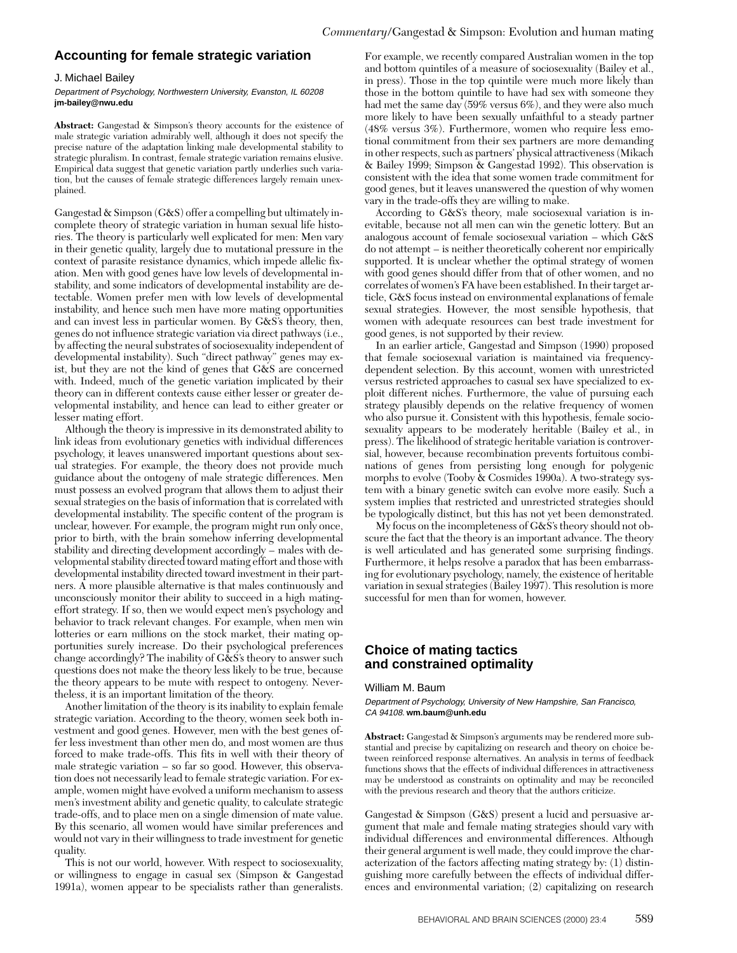## **Accounting for female strategic variation**

#### J. Michael Bailey

Department of Psychology, Northwestern University, Evanston, IL 60208 **jm-bailey@nwu.edu**

**Abstract:** Gangestad & Simpson's theory accounts for the existence of male strategic variation admirably well, although it does not specify the precise nature of the adaptation linking male developmental stability to strategic pluralism. In contrast, female strategic variation remains elusive. Empirical data suggest that genetic variation partly underlies such variation, but the causes of female strategic differences largely remain unexplained.

Gangestad & Simpson (G&S) offer a compelling but ultimately incomplete theory of strategic variation in human sexual life histories. The theory is particularly well explicated for men: Men vary in their genetic quality, largely due to mutational pressure in the context of parasite resistance dynamics, which impede allelic fixation. Men with good genes have low levels of developmental instability, and some indicators of developmental instability are detectable. Women prefer men with low levels of developmental instability, and hence such men have more mating opportunities and can invest less in particular women. By G&S's theory, then, genes do not influence strategic variation via direct pathways (i.e., by affecting the neural substrates of sociosexuality independent of developmental instability). Such "direct pathway" genes may exist, but they are not the kind of genes that G&S are concerned with. Indeed, much of the genetic variation implicated by their theory can in different contexts cause either lesser or greater developmental instability, and hence can lead to either greater or lesser mating effort.

Although the theory is impressive in its demonstrated ability to link ideas from evolutionary genetics with individual differences psychology, it leaves unanswered important questions about sexual strategies. For example, the theory does not provide much guidance about the ontogeny of male strategic differences. Men must possess an evolved program that allows them to adjust their sexual strategies on the basis of information that is correlated with developmental instability. The specific content of the program is unclear, however. For example, the program might run only once, prior to birth, with the brain somehow inferring developmental stability and directing development accordingly – males with developmental stability directed toward mating effort and those with developmental instability directed toward investment in their partners. A more plausible alternative is that males continuously and unconsciously monitor their ability to succeed in a high matingeffort strategy. If so, then we would expect men's psychology and behavior to track relevant changes. For example, when men win lotteries or earn millions on the stock market, their mating opportunities surely increase. Do their psychological preferences change accordingly? The inability of G&S's theory to answer such questions does not make the theory less likely to be true, because the theory appears to be mute with respect to ontogeny. Nevertheless, it is an important limitation of the theory.

Another limitation of the theory is its inability to explain female strategic variation. According to the theory, women seek both investment and good genes. However, men with the best genes offer less investment than other men do, and most women are thus forced to make trade-offs. This fits in well with their theory of male strategic variation – so far so good. However, this observation does not necessarily lead to female strategic variation. For example, women might have evolved a uniform mechanism to assess men's investment ability and genetic quality, to calculate strategic trade-offs, and to place men on a single dimension of mate value. By this scenario, all women would have similar preferences and would not vary in their willingness to trade investment for genetic quality.

This is not our world, however. With respect to sociosexuality, or willingness to engage in casual sex (Simpson & Gangestad 1991a), women appear to be specialists rather than generalists.

For example, we recently compared Australian women in the top and bottom quintiles of a measure of sociosexuality (Bailey et al., in press). Those in the top quintile were much more likely than those in the bottom quintile to have had sex with someone they had met the same day (59% versus 6%), and they were also much more likely to have been sexually unfaithful to a steady partner (48% versus 3%). Furthermore, women who require less emotional commitment from their sex partners are more demanding in other respects, such as partners' physical attractiveness (Mikach & Bailey 1999; Simpson & Gangestad 1992). This observation is consistent with the idea that some women trade commitment for good genes, but it leaves unanswered the question of why women vary in the trade-offs they are willing to make.

According to G&S's theory, male sociosexual variation is inevitable, because not all men can win the genetic lottery. But an analogous account of female sociosexual variation – which G&S do not attempt – is neither theoretically coherent nor empirically supported. It is unclear whether the optimal strategy of women with good genes should differ from that of other women, and no correlates of women's FA have been established. In their target article, G&S focus instead on environmental explanations of female sexual strategies. However, the most sensible hypothesis, that women with adequate resources can best trade investment for good genes, is not supported by their review.

In an earlier article, Gangestad and Simpson (1990) proposed that female sociosexual variation is maintained via frequencydependent selection. By this account, women with unrestricted versus restricted approaches to casual sex have specialized to exploit different niches. Furthermore, the value of pursuing each strategy plausibly depends on the relative frequency of women who also pursue it. Consistent with this hypothesis, female sociosexuality appears to be moderately heritable (Bailey et al., in press). The likelihood of strategic heritable variation is controversial, however, because recombination prevents fortuitous combinations of genes from persisting long enough for polygenic morphs to evolve (Tooby & Cosmides 1990a). A two-strategy system with a binary genetic switch can evolve more easily. Such a system implies that restricted and unrestricted strategies should be typologically distinct, but this has not yet been demonstrated.

My focus on the incompleteness of G&S's theory should not obscure the fact that the theory is an important advance. The theory is well articulated and has generated some surprising findings. Furthermore, it helps resolve a paradox that has been embarrassing for evolutionary psychology, namely, the existence of heritable variation in sexual strategies (Bailey 1997). This resolution is more successful for men than for women, however.

## **Choice of mating tactics and constrained optimality**

#### William M. Baum

Department of Psychology, University of New Hampshire, San Francisco, CA 94108. **wm.baum@unh.edu**

Abstract: Gangestad & Simpson's arguments may be rendered more substantial and precise by capitalizing on research and theory on choice between reinforced response alternatives. An analysis in terms of feedback functions shows that the effects of individual differences in attractiveness may be understood as constraints on optimality and may be reconciled with the previous research and theory that the authors criticize.

Gangestad & Simpson (G&S) present a lucid and persuasive argument that male and female mating strategies should vary with individual differences and environmental differences. Although their general argument is well made, they could improve the characterization of the factors affecting mating strategy by: (1) distinguishing more carefully between the effects of individual differences and environmental variation; (2) capitalizing on research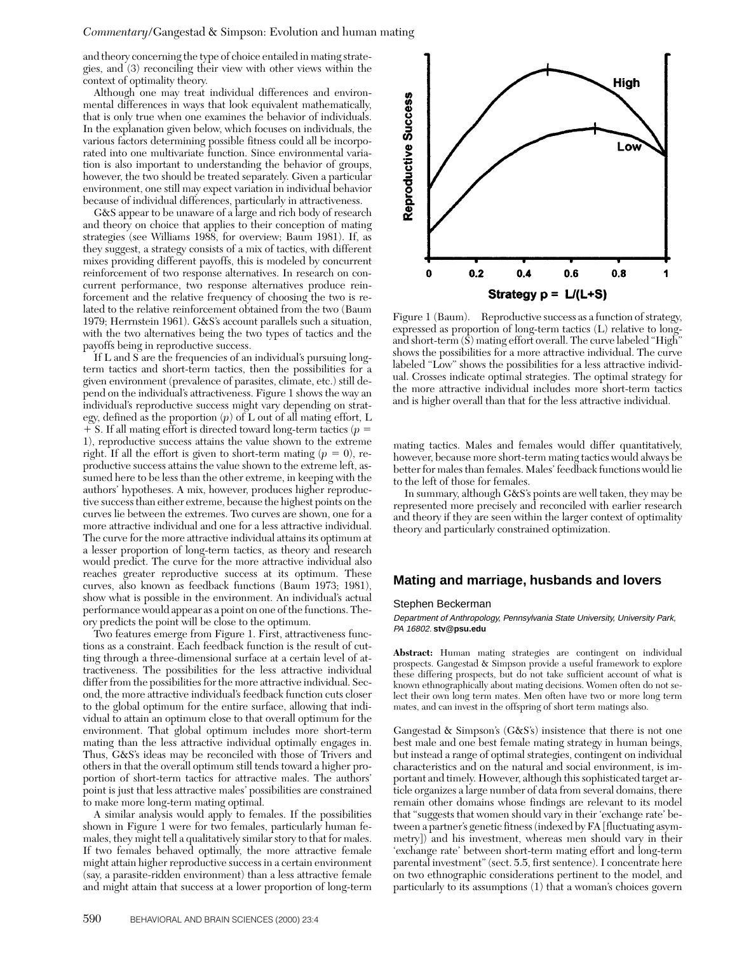and theory concerning the type of choice entailed in mating strategies, and (3) reconciling their view with other views within the context of optimality theory.

Although one may treat individual differences and environmental differences in ways that look equivalent mathematically, that is only true when one examines the behavior of individuals. In the explanation given below, which focuses on individuals, the various factors determining possible fitness could all be incorporated into one multivariate function. Since environmental variation is also important to understanding the behavior of groups, however, the two should be treated separately. Given a particular environment, one still may expect variation in individual behavior because of individual differences, particularly in attractiveness.

G&S appear to be unaware of a large and rich body of research and theory on choice that applies to their conception of mating strategies (see Williams 1988, for overview; Baum 1981). If, as they suggest, a strategy consists of a mix of tactics, with different mixes providing different payoffs, this is modeled by concurrent reinforcement of two response alternatives. In research on concurrent performance, two response alternatives produce reinforcement and the relative frequency of choosing the two is related to the relative reinforcement obtained from the two (Baum 1979; Herrnstein 1961). G&S's account parallels such a situation, with the two alternatives being the two types of tactics and the payoffs being in reproductive success.

If L and S are the frequencies of an individual's pursuing longterm tactics and short-term tactics, then the possibilities for a given environment (prevalence of parasites, climate, etc.) still depend on the individual's attractiveness. Figure 1 shows the way an individual's reproductive success might vary depending on strategy, defined as the proportion  $(p)$  of L out of all mating effort, L  $+$  S. If all mating effort is directed toward long-term tactics ( $p =$ 1), reproductive success attains the value shown to the extreme right. If all the effort is given to short-term mating  $(p = 0)$ , reproductive success attains the value shown to the extreme left, assumed here to be less than the other extreme, in keeping with the authors' hypotheses. A mix, however, produces higher reproductive success than either extreme, because the highest points on the curves lie between the extremes. Two curves are shown, one for a more attractive individual and one for a less attractive individual. The curve for the more attractive individual attains its optimum at a lesser proportion of long-term tactics, as theory and research would predict. The curve for the more attractive individual also reaches greater reproductive success at its optimum. These curves, also known as feedback functions (Baum 1973; 1981), show what is possible in the environment. An individual's actual performance would appear as a point on one of the functions. Theory predicts the point will be close to the optimum.

Two features emerge from Figure 1. First, attractiveness functions as a constraint. Each feedback function is the result of cutting through a three-dimensional surface at a certain level of attractiveness. The possibilities for the less attractive individual differ from the possibilities for the more attractive individual. Second, the more attractive individual's feedback function cuts closer to the global optimum for the entire surface, allowing that individual to attain an optimum close to that overall optimum for the environment. That global optimum includes more short-term mating than the less attractive individual optimally engages in. Thus, G&S's ideas may be reconciled with those of Trivers and others in that the overall optimum still tends toward a higher proportion of short-term tactics for attractive males. The authors' point is just that less attractive males' possibilities are constrained to make more long-term mating optimal.

A similar analysis would apply to females. If the possibilities shown in Figure 1 were for two females, particularly human females, they might tell a qualitatively similar story to that for males. If two females behaved optimally, the more attractive female might attain higher reproductive success in a certain environment (say, a parasite-ridden environment) than a less attractive female and might attain that success at a lower proportion of long-term



Figure 1 (Baum). Reproductive success as a function of strategy, expressed as proportion of long-term tactics (L) relative to longand short-term (S) mating effort overall. The curve labeled "High" shows the possibilities for a more attractive individual. The curve labeled "Low" shows the possibilities for a less attractive individual. Crosses indicate optimal strategies. The optimal strategy for the more attractive individual includes more short-term tactics and is higher overall than that for the less attractive individual.

mating tactics. Males and females would differ quantitatively, however, because more short-term mating tactics would always be better for males than females. Males' feedback functions would lie to the left of those for females.

In summary, although G&S's points are well taken, they may be represented more precisely and reconciled with earlier research and theory if they are seen within the larger context of optimality theory and particularly constrained optimization.

## **Mating and marriage, husbands and lovers**

#### Stephen Beckerman

Department of Anthropology, Pennsylvania State University, University Park, PA 16802. **stv@psu.edu**

**Abstract:** Human mating strategies are contingent on individual prospects. Gangestad & Simpson provide a useful framework to explore these differing prospects, but do not take sufficient account of what is known ethnographically about mating decisions. Women often do not select their own long term mates. Men often have two or more long term mates, and can invest in the offspring of short term matings also.

Gangestad & Simpson's (G&S's) insistence that there is not one best male and one best female mating strategy in human beings, but instead a range of optimal strategies, contingent on individual characteristics and on the natural and social environment, is important and timely. However, although this sophisticated target article organizes a large number of data from several domains, there remain other domains whose findings are relevant to its model that "suggests that women should vary in their 'exchange rate' between a partner's genetic fitness (indexed by FA [fluctuating asymmetry]) and his investment, whereas men should vary in their 'exchange rate' between short-term mating effort and long-term parental investment" (sect. 5.5, first sentence). I concentrate here on two ethnographic considerations pertinent to the model, and particularly to its assumptions (1) that a woman's choices govern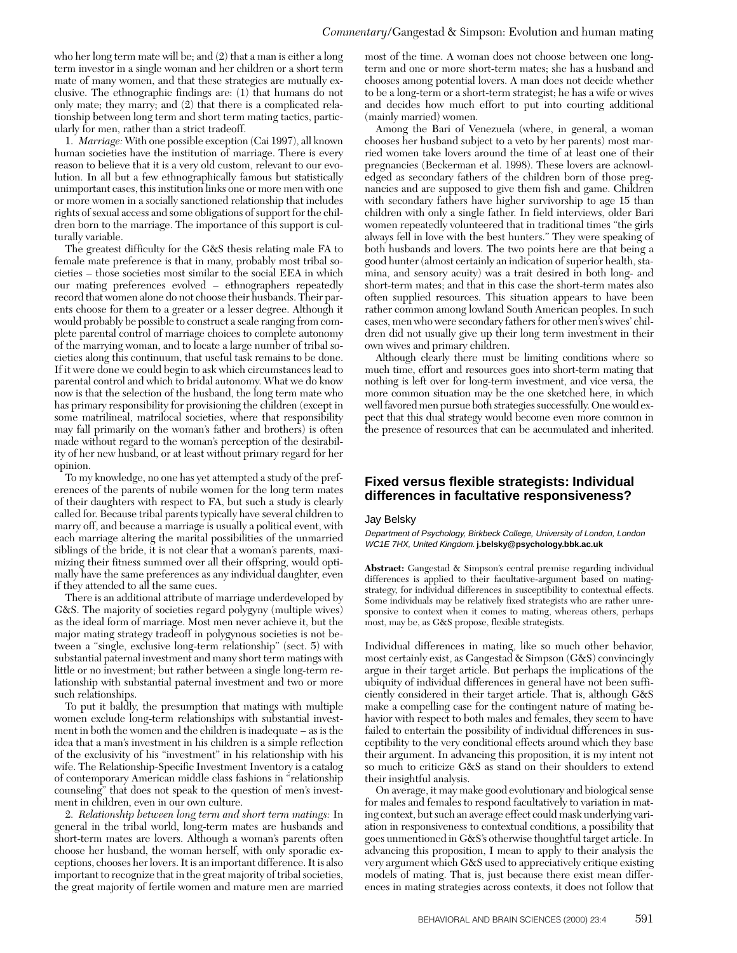who her long term mate will be; and (2) that a man is either a long term investor in a single woman and her children or a short term mate of many women, and that these strategies are mutually exclusive. The ethnographic findings are: (1) that humans do not only mate; they marry; and (2) that there is a complicated relationship between long term and short term mating tactics, particularly for men, rather than a strict tradeoff.

1. *Marriage:* With one possible exception (Cai 1997), all known human societies have the institution of marriage. There is every reason to believe that it is a very old custom, relevant to our evolution. In all but a few ethnographically famous but statistically unimportant cases, this institution links one or more men with one or more women in a socially sanctioned relationship that includes rights of sexual access and some obligations of support for the children born to the marriage. The importance of this support is culturally variable.

The greatest difficulty for the G&S thesis relating male FA to female mate preference is that in many, probably most tribal societies – those societies most similar to the social EEA in which our mating preferences evolved – ethnographers repeatedly record that women alone do not choose their husbands. Their parents choose for them to a greater or a lesser degree. Although it would probably be possible to construct a scale ranging from complete parental control of marriage choices to complete autonomy of the marrying woman, and to locate a large number of tribal societies along this continuum, that useful task remains to be done. If it were done we could begin to ask which circumstances lead to parental control and which to bridal autonomy. What we do know now is that the selection of the husband, the long term mate who has primary responsibility for provisioning the children (except in some matrilineal, matrilocal societies, where that responsibility may fall primarily on the woman's father and brothers) is often made without regard to the woman's perception of the desirability of her new husband, or at least without primary regard for her opinion.

To my knowledge, no one has yet attempted a study of the preferences of the parents of nubile women for the long term mates of their daughters with respect to FA, but such a study is clearly called for. Because tribal parents typically have several children to marry off, and because a marriage is usually a political event, with each marriage altering the marital possibilities of the unmarried siblings of the bride, it is not clear that a woman's parents, maximizing their fitness summed over all their offspring, would optimally have the same preferences as any individual daughter, even if they attended to all the same cues.

There is an additional attribute of marriage underdeveloped by G&S. The majority of societies regard polygyny (multiple wives) as the ideal form of marriage. Most men never achieve it, but the major mating strategy tradeoff in polygynous societies is not between a "single, exclusive long-term relationship" (sect. 5) with substantial paternal investment and many short term matings with little or no investment; but rather between a single long-term relationship with substantial paternal investment and two or more such relationships.

To put it baldly, the presumption that matings with multiple women exclude long-term relationships with substantial investment in both the women and the children is inadequate – as is the idea that a man's investment in his children is a simple reflection of the exclusivity of his "investment" in his relationship with his wife. The Relationship-Specific Investment Inventory is a catalog of contemporary American middle class fashions in "relationship counseling" that does not speak to the question of men's investment in children, even in our own culture.

2. *Relationship between long term and short term matings:* In general in the tribal world, long-term mates are husbands and short-term mates are lovers. Although a woman's parents often choose her husband, the woman herself, with only sporadic exceptions, chooses her lovers. It is an important difference. It is also important to recognize that in the great majority of tribal societies, the great majority of fertile women and mature men are married

most of the time. A woman does not choose between one longterm and one or more short-term mates; she has a husband and chooses among potential lovers. A man does not decide whether to be a long-term or a short-term strategist; he has a wife or wives and decides how much effort to put into courting additional (mainly married) women.

Among the Bari of Venezuela (where, in general, a woman chooses her husband subject to a veto by her parents) most married women take lovers around the time of at least one of their pregnancies (Beckerman et al. 1998). These lovers are acknowledged as secondary fathers of the children born of those pregnancies and are supposed to give them fish and game. Children with secondary fathers have higher survivorship to age 15 than children with only a single father. In field interviews, older Bari women repeatedly volunteered that in traditional times "the girls always fell in love with the best hunters." They were speaking of both husbands and lovers. The two points here are that being a good hunter (almost certainly an indication of superior health, stamina, and sensory acuity) was a trait desired in both long- and short-term mates; and that in this case the short-term mates also often supplied resources. This situation appears to have been rather common among lowland South American peoples. In such cases, men who were secondary fathers for other men's wives' children did not usually give up their long term investment in their own wives and primary children.

Although clearly there must be limiting conditions where so much time, effort and resources goes into short-term mating that nothing is left over for long-term investment, and vice versa, the more common situation may be the one sketched here, in which well favored men pursue both strategies successfully. One would expect that this dual strategy would become even more common in the presence of resources that can be accumulated and inherited.

## **Fixed versus flexible strategists: Individual differences in facultative responsiveness?**

#### Jay Belsky

Department of Psychology, Birkbeck College, University of London, London WC1E 7HX, United Kingdom. **j.belsky@psychology.bbk.ac.uk**

**Abstract:** Gangestad & Simpson's central premise regarding individual differences is applied to their facultative-argument based on matingstrategy, for individual differences in susceptibility to contextual effects. Some individuals may be relatively fixed strategists who are rather unresponsive to context when it comes to mating, whereas others, perhaps most, may be, as G&S propose, flexible strategists.

Individual differences in mating, like so much other behavior, most certainly exist, as Gangestad & Simpson (G&S) convincingly argue in their target article. But perhaps the implications of the ubiquity of individual differences in general have not been sufficiently considered in their target article. That is, although G&S make a compelling case for the contingent nature of mating behavior with respect to both males and females, they seem to have failed to entertain the possibility of individual differences in susceptibility to the very conditional effects around which they base their argument. In advancing this proposition, it is my intent not so much to criticize G&S as stand on their shoulders to extend their insightful analysis.

On average, it may make good evolutionary and biological sense for males and females to respond facultatively to variation in mating context, but such an average effect could mask underlying variation in responsiveness to contextual conditions, a possibility that goes unmentioned in G&S's otherwise thoughtful target article. In advancing this proposition, I mean to apply to their analysis the very argument which G&S used to appreciatively critique existing models of mating. That is, just because there exist mean differences in mating strategies across contexts, it does not follow that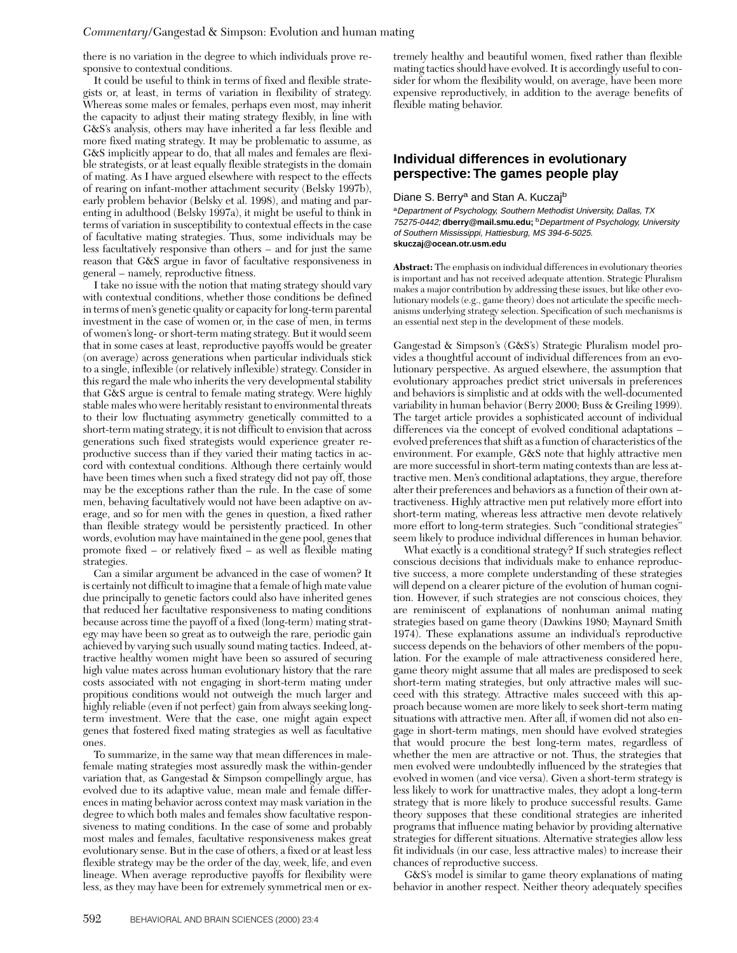there is no variation in the degree to which individuals prove responsive to contextual conditions.

It could be useful to think in terms of fixed and flexible strategists or, at least, in terms of variation in flexibility of strategy. Whereas some males or females, perhaps even most, may inherit the capacity to adjust their mating strategy flexibly, in line with G&S's analysis, others may have inherited a far less flexible and more fixed mating strategy. It may be problematic to assume, as G&S implicitly appear to do, that all males and females are flexible strategists, or at least equally flexible strategists in the domain of mating. As I have argued elsewhere with respect to the effects of rearing on infant-mother attachment security (Belsky 1997b), early problem behavior (Belsky et al. 1998), and mating and parenting in adulthood (Belsky 1997a), it might be useful to think in terms of variation in susceptibility to contextual effects in the case of facultative mating strategies. Thus, some individuals may be less facultatively responsive than others – and for just the same reason that G&S argue in favor of facultative responsiveness in general – namely, reproductive fitness.

I take no issue with the notion that mating strategy should vary with contextual conditions, whether those conditions be defined in terms of men's genetic quality or capacity for long-term parental investment in the case of women or, in the case of men, in terms of women's long- or short-term mating strategy. But it would seem that in some cases at least, reproductive payoffs would be greater (on average) across generations when particular individuals stick to a single, inflexible (or relatively inflexible) strategy. Consider in this regard the male who inherits the very developmental stability that G&S argue is central to female mating strategy. Were highly stable males who were heritably resistant to environmental threats to their low fluctuating asymmetry genetically committed to a short-term mating strategy, it is not difficult to envision that across generations such fixed strategists would experience greater reproductive success than if they varied their mating tactics in accord with contextual conditions. Although there certainly would have been times when such a fixed strategy did not pay off, those may be the exceptions rather than the rule. In the case of some men, behaving facultatively would not have been adaptive on average, and so for men with the genes in question, a fixed rather than flexible strategy would be persistently practiced. In other words, evolution may have maintained in the gene pool, genes that promote fixed – or relatively fixed – as well as flexible mating strategies.

Can a similar argument be advanced in the case of women? It is certainly not difficult to imagine that a female of high mate value due principally to genetic factors could also have inherited genes that reduced her facultative responsiveness to mating conditions because across time the payoff of a fixed (long-term) mating strategy may have been so great as to outweigh the rare, periodic gain achieved by varying such usually sound mating tactics. Indeed, attractive healthy women might have been so assured of securing high value mates across human evolutionary history that the rare costs associated with not engaging in short-term mating under propitious conditions would not outweigh the much larger and highly reliable (even if not perfect) gain from always seeking longterm investment. Were that the case, one might again expect genes that fostered fixed mating strategies as well as facultative ones.

To summarize, in the same way that mean differences in malefemale mating strategies most assuredly mask the within-gender variation that, as Gangestad & Simpson compellingly argue, has evolved due to its adaptive value, mean male and female differences in mating behavior across context may mask variation in the degree to which both males and females show facultative responsiveness to mating conditions. In the case of some and probably most males and females, facultative responsiveness makes great evolutionary sense. But in the case of others, a fixed or at least less flexible strategy may be the order of the day, week, life, and even lineage. When average reproductive payoffs for flexibility were less, as they may have been for extremely symmetrical men or extremely healthy and beautiful women, fixed rather than flexible mating tactics should have evolved. It is accordingly useful to consider for whom the flexibility would, on average, have been more expensive reproductively, in addition to the average benefits of flexible mating behavior.

## **Individual differences in evolutionary perspective:The games people play**

#### Diane S. Berry<sup>a</sup> and Stan A. Kuczaj<sup>b</sup>

aDepartment of Psychology, Southern Methodist University, Dallas, TX 75275-0442; **dberry@mail.smu.edu; bDepartment of Psychology, University** of Southern Mississippi, Hattiesburg, MS 394-6-5025. **skuczaj@ocean.otr.usm.edu**

**Abstract:** The emphasis on individual differences in evolutionary theories is important and has not received adequate attention. Strategic Pluralism makes a major contribution by addressing these issues, but like other evolutionary models (e.g., game theory) does not articulate the specific mechanisms underlying strategy selection. Specification of such mechanisms is an essential next step in the development of these models.

Gangestad & Simpson's (G&S's) Strategic Pluralism model provides a thoughtful account of individual differences from an evolutionary perspective. As argued elsewhere, the assumption that evolutionary approaches predict strict universals in preferences and behaviors is simplistic and at odds with the well-documented variability in human behavior (Berry 2000; Buss & Greiling 1999). The target article provides a sophisticated account of individual differences via the concept of evolved conditional adaptations – evolved preferences that shift as a function of characteristics of the environment. For example, G&S note that highly attractive men are more successful in short-term mating contexts than are less attractive men. Men's conditional adaptations, they argue, therefore alter their preferences and behaviors as a function of their own attractiveness. Highly attractive men put relatively more effort into short-term mating, whereas less attractive men devote relatively more effort to long-term strategies. Such "conditional strategies" seem likely to produce individual differences in human behavior.

What exactly is a conditional strategy? If such strategies reflect conscious decisions that individuals make to enhance reproductive success, a more complete understanding of these strategies will depend on a clearer picture of the evolution of human cognition. However, if such strategies are not conscious choices, they are reminiscent of explanations of nonhuman animal mating strategies based on game theory (Dawkins 1980; Maynard Smith 1974). These explanations assume an individual's reproductive success depends on the behaviors of other members of the population. For the example of male attractiveness considered here, game theory might assume that all males are predisposed to seek short-term mating strategies, but only attractive males will succeed with this strategy. Attractive males succeed with this approach because women are more likely to seek short-term mating situations with attractive men. After all, if women did not also engage in short-term matings, men should have evolved strategies that would procure the best long-term mates, regardless of whether the men are attractive or not. Thus, the strategies that men evolved were undoubtedly influenced by the strategies that evolved in women (and vice versa). Given a short-term strategy is less likely to work for unattractive males, they adopt a long-term strategy that is more likely to produce successful results. Game theory supposes that these conditional strategies are inherited programs that influence mating behavior by providing alternative strategies for different situations. Alternative strategies allow less fit individuals (in our case, less attractive males) to increase their chances of reproductive success.

G&S's model is similar to game theory explanations of mating behavior in another respect. Neither theory adequately specifies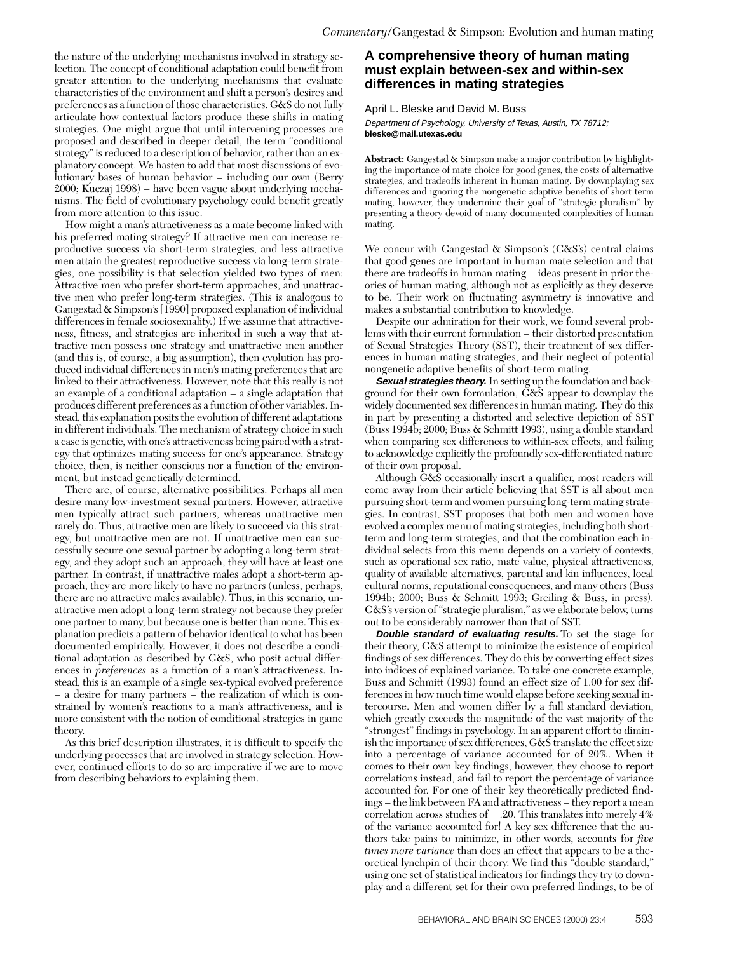the nature of the underlying mechanisms involved in strategy selection. The concept of conditional adaptation could benefit from greater attention to the underlying mechanisms that evaluate characteristics of the environment and shift a person's desires and preferences as a function of those characteristics. G&S do not fully articulate how contextual factors produce these shifts in mating strategies. One might argue that until intervening processes are proposed and described in deeper detail, the term "conditional strategy" is reduced to a description of behavior, rather than an explanatory concept. We hasten to add that most discussions of evolutionary bases of human behavior – including our own (Berry 2000; Kuczaj 1998) – have been vague about underlying mechanisms. The field of evolutionary psychology could benefit greatly from more attention to this issue.

How might a man's attractiveness as a mate become linked with his preferred mating strategy? If attractive men can increase reproductive success via short-term strategies, and less attractive men attain the greatest reproductive success via long-term strategies, one possibility is that selection yielded two types of men: Attractive men who prefer short-term approaches, and unattractive men who prefer long-term strategies. (This is analogous to Gangestad & Simpson's [1990] proposed explanation of individual differences in female sociosexuality.) If we assume that attractiveness, fitness, and strategies are inherited in such a way that attractive men possess one strategy and unattractive men another (and this is, of course, a big assumption), then evolution has produced individual differences in men's mating preferences that are linked to their attractiveness. However, note that this really is not an example of a conditional adaptation – a single adaptation that produces different preferences as a function of other variables. Instead, this explanation posits the evolution of different adaptations in different individuals. The mechanism of strategy choice in such a case is genetic, with one's attractiveness being paired with a strategy that optimizes mating success for one's appearance. Strategy choice, then, is neither conscious nor a function of the environment, but instead genetically determined.

There are, of course, alternative possibilities. Perhaps all men desire many low-investment sexual partners. However, attractive men typically attract such partners, whereas unattractive men rarely do. Thus, attractive men are likely to succeed via this strategy, but unattractive men are not. If unattractive men can successfully secure one sexual partner by adopting a long-term strategy, and they adopt such an approach, they will have at least one partner. In contrast, if unattractive males adopt a short-term approach, they are more likely to have no partners (unless, perhaps, there are no attractive males available). Thus, in this scenario, unattractive men adopt a long-term strategy not because they prefer one partner to many, but because one is better than none. This explanation predicts a pattern of behavior identical to what has been documented empirically. However, it does not describe a conditional adaptation as described by G&S, who posit actual differences in *preferences* as a function of a man's attractiveness. Instead, this is an example of a single sex-typical evolved preference – a desire for many partners – the realization of which is constrained by women's reactions to a man's attractiveness, and is more consistent with the notion of conditional strategies in game theory.

As this brief description illustrates, it is difficult to specify the underlying processes that are involved in strategy selection. However, continued efforts to do so are imperative if we are to move from describing behaviors to explaining them.

## **A comprehensive theory of human mating must explain between-sex and within-sex differences in mating strategies**

## April L. Bleske and David M. Buss

Department of Psychology, University of Texas, Austin, TX 78712; **bleske@mail.utexas.edu**

**Abstract:** Gangestad & Simpson make a major contribution by highlighting the importance of mate choice for good genes, the costs of alternative strategies, and tradeoffs inherent in human mating. By downplaying sex differences and ignoring the nongenetic adaptive benefits of short term mating, however, they undermine their goal of "strategic pluralism" by presenting a theory devoid of many documented complexities of human mating.

We concur with Gangestad & Simpson's (G&S's) central claims that good genes are important in human mate selection and that there are tradeoffs in human mating – ideas present in prior theories of human mating, although not as explicitly as they deserve to be. Their work on fluctuating asymmetry is innovative and makes a substantial contribution to knowledge.

Despite our admiration for their work, we found several problems with their current formulation – their distorted presentation of Sexual Strategies Theory (SST), their treatment of sex differences in human mating strategies, and their neglect of potential nongenetic adaptive benefits of short-term mating.

**Sexual strategies theory.** In setting up the foundation and background for their own formulation, G&S appear to downplay the widely documented sex differences in human mating. They do this in part by presenting a distorted and selective depiction of SST (Buss 1994b; 2000; Buss & Schmitt 1993), using a double standard when comparing sex differences to within-sex effects, and failing to acknowledge explicitly the profoundly sex-differentiated nature of their own proposal.

Although G&S occasionally insert a qualifier, most readers will come away from their article believing that SST is all about men pursuing short-term and women pursuing long-term mating strategies. In contrast, SST proposes that both men and women have evolved a complex menu of mating strategies, including both shortterm and long-term strategies, and that the combination each individual selects from this menu depends on a variety of contexts, such as operational sex ratio, mate value, physical attractiveness, quality of available alternatives, parental and kin influences, local cultural norms, reputational consequences, and many others (Buss 1994b; 2000; Buss & Schmitt 1993; Greiling & Buss, in press). G&S's version of "strategic pluralism," as we elaborate below, turns out to be considerably narrower than that of SST.

**Double standard of evaluating results.** To set the stage for their theory, G&S attempt to minimize the existence of empirical findings of sex differences. They do this by converting effect sizes into indices of explained variance. To take one concrete example, Buss and Schmitt (1993) found an effect size of 1.00 for sex differences in how much time would elapse before seeking sexual intercourse. Men and women differ by a full standard deviation, which greatly exceeds the magnitude of the vast majority of the "strongest" findings in psychology. In an apparent effort to diminish the importance of sex differences, G&S translate the effect size into a percentage of variance accounted for of 20%. When it comes to their own key findings, however, they choose to report correlations instead, and fail to report the percentage of variance accounted for. For one of their key theoretically predicted findings – the link between FA and attractiveness – they report a mean correlation across studies of  $-.20$ . This translates into merely  $4\%$ of the variance accounted for! A key sex difference that the authors take pains to minimize, in other words, accounts for *five times more variance* than does an effect that appears to be a theoretical lynchpin of their theory. We find this "double standard," using one set of statistical indicators for findings they try to downplay and a different set for their own preferred findings, to be of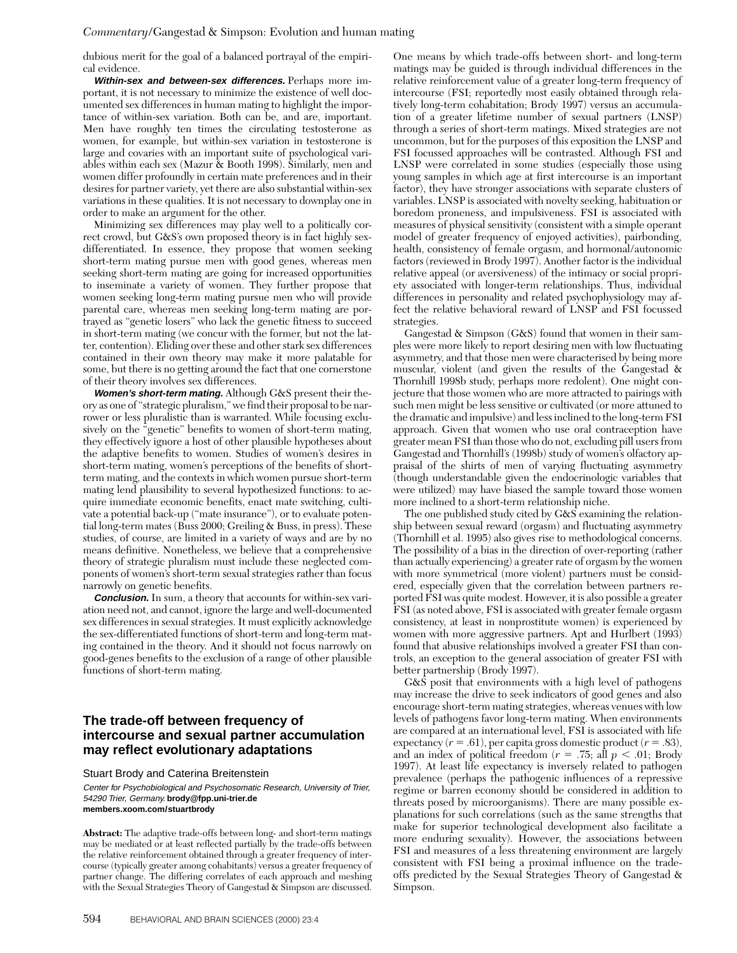dubious merit for the goal of a balanced portrayal of the empirical evidence.

**Within-sex and between-sex differences.** Perhaps more important, it is not necessary to minimize the existence of well documented sex differences in human mating to highlight the importance of within-sex variation. Both can be, and are, important. Men have roughly ten times the circulating testosterone as women, for example, but within-sex variation in testosterone is large and covaries with an important suite of psychological variables within each sex (Mazur & Booth 1998). Similarly, men and women differ profoundly in certain mate preferences and in their desires for partner variety, yet there are also substantial within-sex variations in these qualities. It is not necessary to downplay one in order to make an argument for the other.

Minimizing sex differences may play well to a politically correct crowd, but G&S's own proposed theory is in fact highly sexdifferentiated. In essence, they propose that women seeking short-term mating pursue men with good genes, whereas men seeking short-term mating are going for increased opportunities to inseminate a variety of women. They further propose that women seeking long-term mating pursue men who will provide parental care, whereas men seeking long-term mating are portrayed as "genetic losers" who lack the genetic fitness to succeed in short-term mating (we concur with the former, but not the latter, contention). Eliding over these and other stark sex differences contained in their own theory may make it more palatable for some, but there is no getting around the fact that one cornerstone of their theory involves sex differences.

**Women's short-term mating.** Although G&S present their theory as one of "strategic pluralism," we find their proposal to be narrower or less pluralistic than is warranted. While focusing exclusively on the "genetic" benefits to women of short-term mating, they effectively ignore a host of other plausible hypotheses about the adaptive benefits to women. Studies of women's desires in short-term mating, women's perceptions of the benefits of shortterm mating, and the contexts in which women pursue short-term mating lend plausibility to several hypothesized functions: to acquire immediate economic benefits, enact mate switching, cultivate a potential back-up ("mate insurance"), or to evaluate potential long-term mates (Buss 2000; Greiling & Buss, in press). These studies, of course, are limited in a variety of ways and are by no means definitive. Nonetheless, we believe that a comprehensive theory of strategic pluralism must include these neglected components of women's short-term sexual strategies rather than focus narrowly on genetic benefits.

**Conclusion.** In sum, a theory that accounts for within-sex variation need not, and cannot, ignore the large and well-documented sex differences in sexual strategies. It must explicitly acknowledge the sex-differentiated functions of short-term and long-term mating contained in the theory. And it should not focus narrowly on good-genes benefits to the exclusion of a range of other plausible functions of short-term mating.

## **The trade-off between frequency of intercourse and sexual partner accumulation may reflect evolutionary adaptations**

#### Stuart Brody and Caterina Breitenstein

Center for Psychobiological and Psychosomatic Research, University of Trier, 54290 Trier, Germany. **brody@fpp.uni-trier.de members.xoom.com/stuartbrody**

**Abstract:** The adaptive trade-offs between long- and short-term matings may be mediated or at least reflected partially by the trade-offs between the relative reinforcement obtained through a greater frequency of intercourse (typically greater among cohabitants) versus a greater frequency of partner change. The differing correlates of each approach and meshing with the Sexual Strategies Theory of Gangestad & Simpson are discussed.

One means by which trade-offs between short- and long-term matings may be guided is through individual differences in the relative reinforcement value of a greater long-term frequency of intercourse (FSI; reportedly most easily obtained through relatively long-term cohabitation; Brody 1997) versus an accumulation of a greater lifetime number of sexual partners (LNSP) through a series of short-term matings. Mixed strategies are not uncommon, but for the purposes of this exposition the LNSP and FSI focussed approaches will be contrasted. Although FSI and LNSP were correlated in some studies (especially those using young samples in which age at first intercourse is an important factor), they have stronger associations with separate clusters of variables. LNSP is associated with novelty seeking, habituation or boredom proneness, and impulsiveness. FSI is associated with measures of physical sensitivity (consistent with a simple operant model of greater frequency of enjoyed activities), pairbonding, health, consistency of female orgasm, and hormonal/autonomic factors (reviewed in Brody 1997). Another factor is the individual relative appeal (or aversiveness) of the intimacy or social propriety associated with longer-term relationships. Thus, individual differences in personality and related psychophysiology may affect the relative behavioral reward of LNSP and FSI focussed strategies.

Gangestad & Simpson (G&S) found that women in their samples were more likely to report desiring men with low fluctuating asymmetry, and that those men were characterised by being more muscular, violent (and given the results of the Gangestad & Thornhill 1998b study, perhaps more redolent). One might conjecture that those women who are more attracted to pairings with such men might be less sensitive or cultivated (or more attuned to the dramatic and impulsive) and less inclined to the long-term FSI approach. Given that women who use oral contraception have greater mean FSI than those who do not, excluding pill users from Gangestad and Thornhill's (1998b) study of women's olfactory appraisal of the shirts of men of varying fluctuating asymmetry (though understandable given the endocrinologic variables that were utilized) may have biased the sample toward those women more inclined to a short-term relationship niche.

The one published study cited by G&S examining the relationship between sexual reward (orgasm) and fluctuating asymmetry (Thornhill et al. 1995) also gives rise to methodological concerns. The possibility of a bias in the direction of over-reporting (rather than actually experiencing) a greater rate of orgasm by the women with more symmetrical (more violent) partners must be considered, especially given that the correlation between partners reported FSI was quite modest. However, it is also possible a greater FSI (as noted above, FSI is associated with greater female orgasm consistency, at least in nonprostitute women) is experienced by women with more aggressive partners. Apt and Hurlbert (1993) found that abusive relationships involved a greater FSI than controls, an exception to the general association of greater FSI with better partnership (Brody 1997).

G&S posit that environments with a high level of pathogens may increase the drive to seek indicators of good genes and also encourage short-term mating strategies, whereas venues with low levels of pathogens favor long-term mating. When environments are compared at an international level, FSI is associated with life expectancy  $(r = .61)$ , per capita gross domestic product  $(r = .83)$ , and an index of political freedom ( $r = .75$ ; all  $p < .01$ ; Brody 1997). At least life expectancy is inversely related to pathogen prevalence (perhaps the pathogenic influences of a repressive regime or barren economy should be considered in addition to threats posed by microorganisms). There are many possible explanations for such correlations (such as the same strengths that make for superior technological development also facilitate a more enduring sexuality). However, the associations between FSI and measures of a less threatening environment are largely consistent with FSI being a proximal influence on the tradeoffs predicted by the Sexual Strategies Theory of Gangestad & Simpson.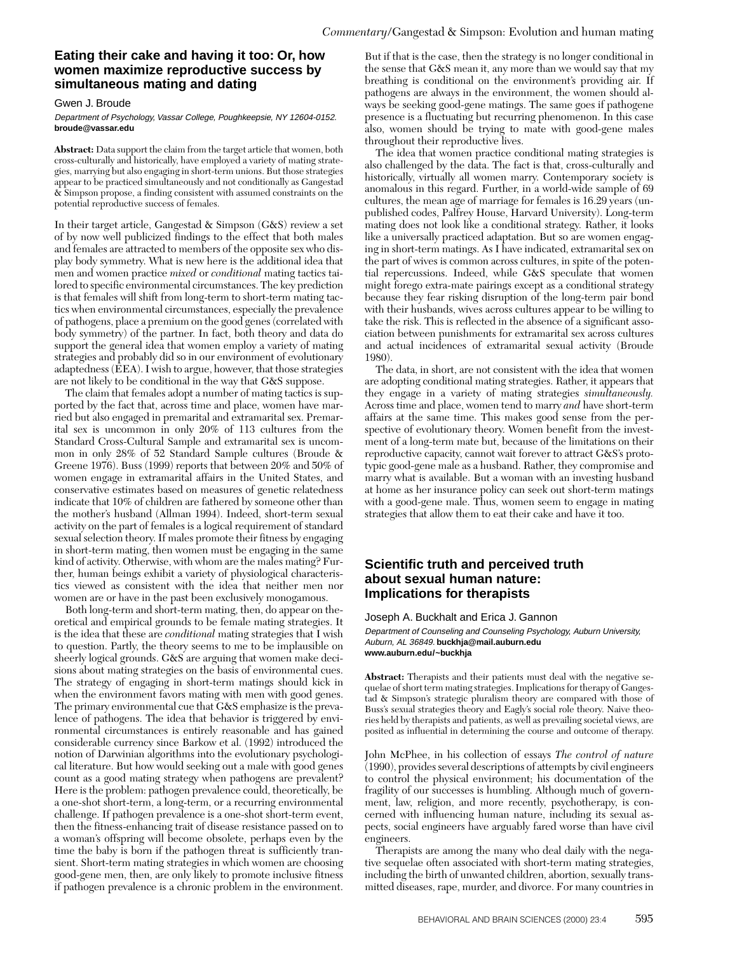## **Eating their cake and having it too: Or, how women maximize reproductive success by simultaneous mating and dating**

#### Gwen J. Broude

Department of Psychology, Vassar College, Poughkeepsie, NY 12604-0152. **broude@vassar.edu**

**Abstract:** Data support the claim from the target article that women, both cross-culturally and historically, have employed a variety of mating strategies, marrying but also engaging in short-term unions. But those strategies appear to be practiced simultaneously and not conditionally as Gangestad & Simpson propose, a finding consistent with assumed constraints on the potential reproductive success of females.

In their target article, Gangestad & Simpson (G&S) review a set of by now well publicized findings to the effect that both males and females are attracted to members of the opposite sex who display body symmetry. What is new here is the additional idea that men and women practice *mixed* or *conditional* mating tactics tailored to specific environmental circumstances. The key prediction is that females will shift from long-term to short-term mating tactics when environmental circumstances, especially the prevalence of pathogens, place a premium on the good genes (correlated with body symmetry) of the partner. In fact, both theory and data do support the general idea that women employ a variety of mating strategies and probably did so in our environment of evolutionary adaptedness (EEA). I wish to argue, however, that those strategies are not likely to be conditional in the way that G&S suppose.

The claim that females adopt a number of mating tactics is supported by the fact that, across time and place, women have married but also engaged in premarital and extramarital sex. Premarital sex is uncommon in only 20% of 113 cultures from the Standard Cross-Cultural Sample and extramarital sex is uncommon in only 28% of 52 Standard Sample cultures (Broude & Greene 1976). Buss (1999) reports that between 20% and 50% of women engage in extramarital affairs in the United States, and conservative estimates based on measures of genetic relatedness indicate that 10% of children are fathered by someone other than the mother's husband (Allman 1994). Indeed, short-term sexual activity on the part of females is a logical requirement of standard sexual selection theory. If males promote their fitness by engaging in short-term mating, then women must be engaging in the same kind of activity. Otherwise, with whom are the males mating? Further, human beings exhibit a variety of physiological characteristics viewed as consistent with the idea that neither men nor women are or have in the past been exclusively monogamous.

Both long-term and short-term mating, then, do appear on theoretical and empirical grounds to be female mating strategies. It is the idea that these are *conditional* mating strategies that I wish to question. Partly, the theory seems to me to be implausible on sheerly logical grounds. G&S are arguing that women make decisions about mating strategies on the basis of environmental cues. The strategy of engaging in short-term matings should kick in when the environment favors mating with men with good genes. The primary environmental cue that G&S emphasize is the prevalence of pathogens. The idea that behavior is triggered by environmental circumstances is entirely reasonable and has gained considerable currency since Barkow et al. (1992) introduced the notion of Darwinian algorithms into the evolutionary psychological literature. But how would seeking out a male with good genes count as a good mating strategy when pathogens are prevalent? Here is the problem: pathogen prevalence could, theoretically, be a one-shot short-term, a long-term, or a recurring environmental challenge. If pathogen prevalence is a one-shot short-term event, then the fitness-enhancing trait of disease resistance passed on to a woman's offspring will become obsolete, perhaps even by the time the baby is born if the pathogen threat is sufficiently transient. Short-term mating strategies in which women are choosing good-gene men, then, are only likely to promote inclusive fitness if pathogen prevalence is a chronic problem in the environment.

But if that is the case, then the strategy is no longer conditional in the sense that G&S mean it, any more than we would say that my breathing is conditional on the environment's providing air. If pathogens are always in the environment, the women should always be seeking good-gene matings. The same goes if pathogene presence is a fluctuating but recurring phenomenon. In this case also, women should be trying to mate with good-gene males throughout their reproductive lives.

The idea that women practice conditional mating strategies is also challenged by the data. The fact is that, cross-culturally and historically, virtually all women marry. Contemporary society is anomalous in this regard. Further, in a world-wide sample of 69 cultures, the mean age of marriage for females is 16.29 years (unpublished codes, Palfrey House, Harvard University). Long-term mating does not look like a conditional strategy. Rather, it looks like a universally practiced adaptation. But so are women engaging in short-term matings. As I have indicated, extramarital sex on the part of wives is common across cultures, in spite of the potential repercussions. Indeed, while G&S speculate that women might forego extra-mate pairings except as a conditional strategy because they fear risking disruption of the long-term pair bond with their husbands, wives across cultures appear to be willing to take the risk. This is reflected in the absence of a significant association between punishments for extramarital sex across cultures and actual incidences of extramarital sexual activity (Broude 1980).

The data, in short, are not consistent with the idea that women are adopting conditional mating strategies. Rather, it appears that they engage in a variety of mating strategies *simultaneously.* Across time and place, women tend to marry *and* have short-term affairs at the same time. This makes good sense from the perspective of evolutionary theory. Women benefit from the investment of a long-term mate but, because of the limitations on their reproductive capacity, cannot wait forever to attract G&S's prototypic good-gene male as a husband. Rather, they compromise and marry what is available. But a woman with an investing husband at home as her insurance policy can seek out short-term matings with a good-gene male. Thus, women seem to engage in mating strategies that allow them to eat their cake and have it too.

## **Scientific truth and perceived truth about sexual human nature: Implications for therapists**

Joseph A. Buckhalt and Erica J. Gannon

Department of Counseling and Counseling Psychology, Auburn University, Auburn, AL 36849. **buckhja@mail.auburn.edu www.auburn.edu/~buckhja**

**Abstract:** Therapists and their patients must deal with the negative sequelae of short term mating strategies. Implications for therapy of Gangestad & Simpson's strategic pluralism theory are compared with those of Buss's sexual strategies theory and Eagly's social role theory. Naive theories held by therapists and patients, as well as prevailing societal views, are posited as influential in determining the course and outcome of therapy.

John McPhee, in his collection of essays *The control of nature* (1990), provides several descriptions of attempts by civil engineers to control the physical environment; his documentation of the fragility of our successes is humbling. Although much of government, law, religion, and more recently, psychotherapy, is concerned with influencing human nature, including its sexual aspects, social engineers have arguably fared worse than have civil engineers.

Therapists are among the many who deal daily with the negative sequelae often associated with short-term mating strategies, including the birth of unwanted children, abortion, sexually transmitted diseases, rape, murder, and divorce. For many countries in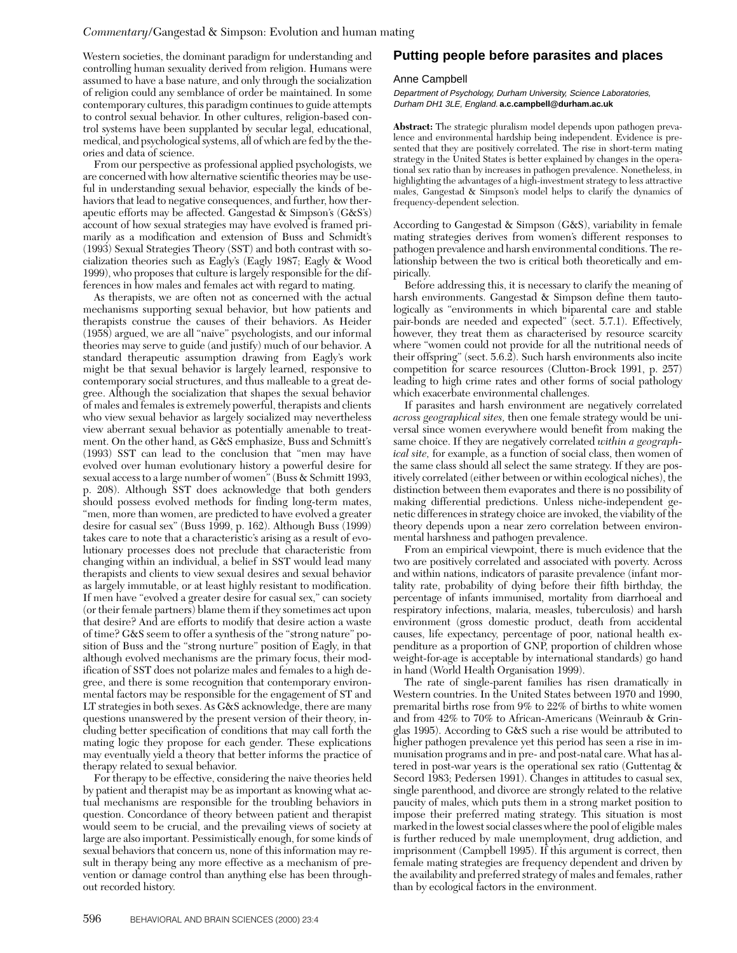## *Commentary/*Gangestad & Simpson: Evolution and human mating

Western societies, the dominant paradigm for understanding and controlling human sexuality derived from religion. Humans were assumed to have a base nature, and only through the socialization of religion could any semblance of order be maintained. In some contemporary cultures, this paradigm continues to guide attempts to control sexual behavior. In other cultures, religion-based control systems have been supplanted by secular legal, educational, medical, and psychological systems, all of which are fed by the theories and data of science.

From our perspective as professional applied psychologists, we are concerned with how alternative scientific theories may be useful in understanding sexual behavior, especially the kinds of behaviors that lead to negative consequences, and further, how therapeutic efforts may be affected. Gangestad & Simpson's (G&S's) account of how sexual strategies may have evolved is framed primarily as a modification and extension of Buss and Schmidt's (1993) Sexual Strategies Theory (SST) and both contrast with socialization theories such as Eagly's (Eagly 1987; Eagly & Wood 1999), who proposes that culture is largely responsible for the differences in how males and females act with regard to mating.

As therapists, we are often not as concerned with the actual mechanisms supporting sexual behavior, but how patients and therapists construe the causes of their behaviors. As Heider (1958) argued, we are all "naive" psychologists, and our informal theories may serve to guide (and justify) much of our behavior. A standard therapeutic assumption drawing from Eagly's work might be that sexual behavior is largely learned, responsive to contemporary social structures, and thus malleable to a great degree. Although the socialization that shapes the sexual behavior of males and females is extremely powerful, therapists and clients who view sexual behavior as largely socialized may nevertheless view aberrant sexual behavior as potentially amenable to treatment. On the other hand, as G&S emphasize, Buss and Schmitt's (1993) SST can lead to the conclusion that "men may have evolved over human evolutionary history a powerful desire for sexual access to a large number of women" (Buss & Schmitt 1993, p. 208). Although SST does acknowledge that both genders should possess evolved methods for finding long-term mates, "men, more than women, are predicted to have evolved a greater desire for casual sex" (Buss 1999, p. 162). Although Buss (1999) takes care to note that a characteristic's arising as a result of evolutionary processes does not preclude that characteristic from changing within an individual, a belief in SST would lead many therapists and clients to view sexual desires and sexual behavior as largely immutable, or at least highly resistant to modification. If men have "evolved a greater desire for casual sex," can society (or their female partners) blame them if they sometimes act upon that desire? And are efforts to modify that desire action a waste of time? G&S seem to offer a synthesis of the "strong nature" position of Buss and the "strong nurture" position of Eagly, in that although evolved mechanisms are the primary focus, their modification of SST does not polarize males and females to a high degree, and there is some recognition that contemporary environmental factors may be responsible for the engagement of ST and LT strategies in both sexes. As G&S acknowledge, there are many questions unanswered by the present version of their theory, including better specification of conditions that may call forth the mating logic they propose for each gender. These explications may eventually yield a theory that better informs the practice of therapy related to sexual behavior.

For therapy to be effective, considering the naive theories held by patient and therapist may be as important as knowing what actual mechanisms are responsible for the troubling behaviors in question. Concordance of theory between patient and therapist would seem to be crucial, and the prevailing views of society at large are also important. Pessimistically enough, for some kinds of sexual behaviors that concern us, none of this information may result in therapy being any more effective as a mechanism of prevention or damage control than anything else has been throughout recorded history.

## **Putting people before parasites and places**

#### Anne Campbell

Department of Psychology, Durham University, Science Laboratories, Durham DH1 3LE, England. **a.c.campbell@durham.ac.uk**

**Abstract:** The strategic pluralism model depends upon pathogen prevalence and environmental hardship being independent. Evidence is presented that they are positively correlated. The rise in short-term mating strategy in the United States is better explained by changes in the operational sex ratio than by increases in pathogen prevalence. Nonetheless, in highlighting the advantages of a high-investment strategy to less attractive males, Gangestad & Simpson's model helps to clarify the dynamics of frequency-dependent selection.

According to Gangestad & Simpson (G&S), variability in female mating strategies derives from women's different responses to pathogen prevalence and harsh environmental conditions. The relationship between the two is critical both theoretically and empirically.

Before addressing this, it is necessary to clarify the meaning of harsh environments. Gangestad & Simpson define them tautologically as "environments in which biparental care and stable pair-bonds are needed and expected" (sect. 5.7.1). Effectively, however, they treat them as characterised by resource scarcity where "women could not provide for all the nutritional needs of their offspring" (sect. 5.6.2). Such harsh environments also incite competition for scarce resources (Clutton-Brock 1991, p. 257) leading to high crime rates and other forms of social pathology which exacerbate environmental challenges.

If parasites and harsh environment are negatively correlated *across geographical sites,* then one female strategy would be universal since women everywhere would benefit from making the same choice. If they are negatively correlated *within a geographical site,* for example, as a function of social class, then women of the same class should all select the same strategy. If they are positively correlated (either between or within ecological niches), the distinction between them evaporates and there is no possibility of making differential predictions. Unless niche-independent genetic differences in strategy choice are invoked, the viability of the theory depends upon a near zero correlation between environmental harshness and pathogen prevalence.

From an empirical viewpoint, there is much evidence that the two are positively correlated and associated with poverty. Across and within nations, indicators of parasite prevalence (infant mortality rate, probability of dying before their fifth birthday, the percentage of infants immunised, mortality from diarrhoeal and respiratory infections, malaria, measles, tuberculosis) and harsh environment (gross domestic product, death from accidental causes, life expectancy, percentage of poor, national health expenditure as a proportion of GNP, proportion of children whose weight-for-age is acceptable by international standards) go hand in hand (World Health Organisation 1999).

The rate of single-parent families has risen dramatically in Western countries. In the United States between 1970 and 1990, premarital births rose from 9% to 22% of births to white women and from 42% to 70% to African-Americans (Weinraub & Gringlas 1995). According to G&S such a rise would be attributed to higher pathogen prevalence yet this period has seen a rise in immunisation programs and in pre- and post-natal care. What has altered in post-war years is the operational sex ratio (Guttentag & Secord 1983; Pedersen 1991). Changes in attitudes to casual sex, single parenthood, and divorce are strongly related to the relative paucity of males, which puts them in a strong market position to impose their preferred mating strategy. This situation is most marked in the lowest social classes where the pool of eligible males is further reduced by male unemployment, drug addiction, and imprisonment (Campbell 1995). If this argument is correct, then female mating strategies are frequency dependent and driven by the availability and preferred strategy of males and females, rather than by ecological factors in the environment.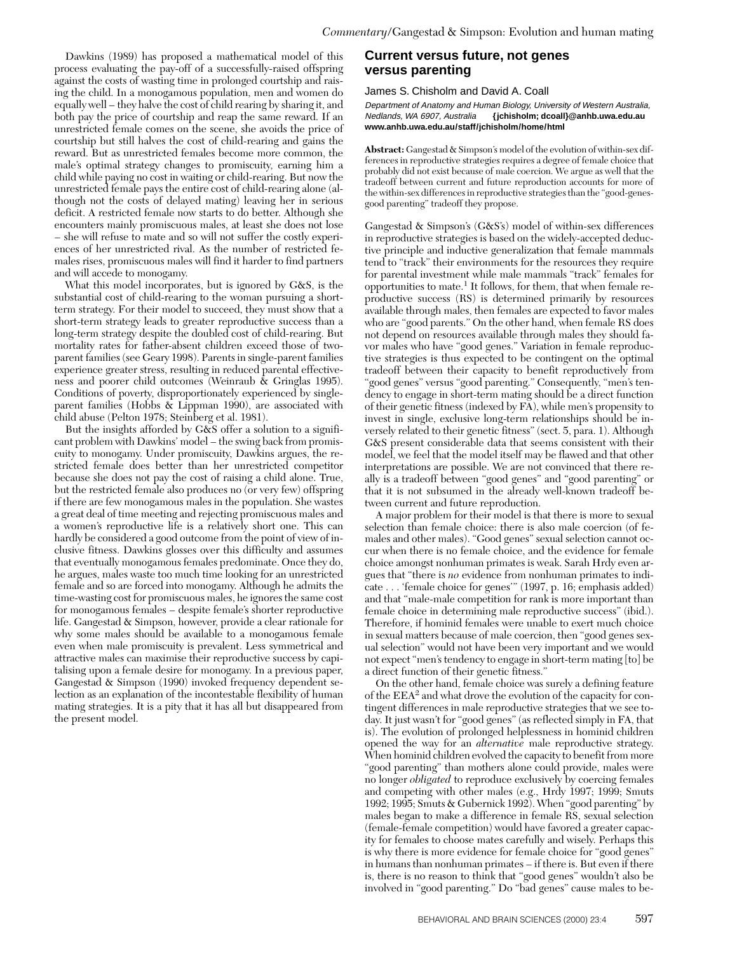Dawkins (1989) has proposed a mathematical model of this process evaluating the pay-off of a successfully-raised offspring against the costs of wasting time in prolonged courtship and raising the child. In a monogamous population, men and women do equally well – they halve the cost of child rearing by sharing it, and both pay the price of courtship and reap the same reward. If an unrestricted female comes on the scene, she avoids the price of courtship but still halves the cost of child-rearing and gains the reward. But as unrestricted females become more common, the male's optimal strategy changes to promiscuity, earning him a child while paying no cost in waiting or child-rearing. But now the unrestricted female pays the entire cost of child-rearing alone (although not the costs of delayed mating) leaving her in serious deficit. A restricted female now starts to do better. Although she encounters mainly promiscuous males, at least she does not lose – she will refuse to mate and so will not suffer the costly experiences of her unrestricted rival. As the number of restricted females rises, promiscuous males will find it harder to find partners and will accede to monogamy.

What this model incorporates, but is ignored by G&S, is the substantial cost of child-rearing to the woman pursuing a shortterm strategy. For their model to succeed, they must show that a short-term strategy leads to greater reproductive success than a long-term strategy despite the doubled cost of child-rearing. But mortality rates for father-absent children exceed those of twoparent families (see Geary 1998). Parents in single-parent families experience greater stress, resulting in reduced parental effectiveness and poorer child outcomes (Weinraub & Gringlas 1995). Conditions of poverty, disproportionately experienced by singleparent families (Hobbs & Lippman 1990), are associated with child abuse (Pelton 1978; Steinberg et al. 1981).

But the insights afforded by G&S offer a solution to a significant problem with Dawkins' model – the swing back from promiscuity to monogamy. Under promiscuity, Dawkins argues, the restricted female does better than her unrestricted competitor because she does not pay the cost of raising a child alone. True, but the restricted female also produces no (or very few) offspring if there are few monogamous males in the population. She wastes a great deal of time meeting and rejecting promiscuous males and a women's reproductive life is a relatively short one. This can hardly be considered a good outcome from the point of view of inclusive fitness. Dawkins glosses over this difficulty and assumes that eventually monogamous females predominate. Once they do, he argues, males waste too much time looking for an unrestricted female and so are forced into monogamy. Although he admits the time-wasting cost for promiscuous males, he ignores the same cost for monogamous females – despite female's shorter reproductive life. Gangestad & Simpson, however, provide a clear rationale for why some males should be available to a monogamous female even when male promiscuity is prevalent. Less symmetrical and attractive males can maximise their reproductive success by capitalising upon a female desire for monogamy. In a previous paper, Gangestad & Simpson (1990) invoked frequency dependent selection as an explanation of the incontestable flexibility of human mating strategies. It is a pity that it has all but disappeared from the present model.

## **Current versus future, not genes versus parenting**

#### James S. Chisholm and David A. Coall

Department of Anatomy and Human Biology, University of Western Australia, Nedlands, WA 6907, Australia **{jchisholm; dcoall}@anhb.uwa.edu.au www.anhb.uwa.edu.au/staff/jchisholm/home/html**

**Abstract:** Gangestad & Simpson's model of the evolution of within-sex differences in reproductive strategies requires a degree of female choice that probably did not exist because of male coercion. We argue as well that the tradeoff between current and future reproduction accounts for more of the within-sex differences in reproductive strategies than the "good-genesgood parenting" tradeoff they propose.

Gangestad & Simpson's (G&S's) model of within-sex differences in reproductive strategies is based on the widely-accepted deductive principle and inductive generalization that female mammals tend to "track" their environments for the resources they require for parental investment while male mammals "track" females for opportunities to mate.1 It follows, for them, that when female reproductive success (RS) is determined primarily by resources available through males, then females are expected to favor males who are "good parents." On the other hand, when female RS does not depend on resources available through males they should favor males who have "good genes." Variation in female reproductive strategies is thus expected to be contingent on the optimal tradeoff between their capacity to benefit reproductively from "good genes" versus "good parenting." Consequently, "men's tendency to engage in short-term mating should be a direct function of their genetic fitness (indexed by FA), while men's propensity to invest in single, exclusive long-term relationships should be inversely related to their genetic fitness" (sect. 5, para. 1). Although G&S present considerable data that seems consistent with their model, we feel that the model itself may be flawed and that other interpretations are possible. We are not convinced that there really is a tradeoff between "good genes" and "good parenting" or that it is not subsumed in the already well-known tradeoff between current and future reproduction.

A major problem for their model is that there is more to sexual selection than female choice: there is also male coercion (of females and other males). "Good genes" sexual selection cannot occur when there is no female choice, and the evidence for female choice amongst nonhuman primates is weak. Sarah Hrdy even argues that "there is *no* evidence from nonhuman primates to indicate . . . 'female choice for genes'" (1997, p. 16; emphasis added) and that "male-male competition for rank is more important than female choice in determining male reproductive success" (ibid.). Therefore, if hominid females were unable to exert much choice in sexual matters because of male coercion, then "good genes sexual selection" would not have been very important and we would not expect "men's tendency to engage in short-term mating [to] be a direct function of their genetic fitness."

On the other hand, female choice was surely a defining feature of the EEA2 and what drove the evolution of the capacity for contingent differences in male reproductive strategies that we see today. It just wasn't for "good genes" (as reflected simply in FA, that is). The evolution of prolonged helplessness in hominid children opened the way for an *alternative* male reproductive strategy. When hominid children evolved the capacity to benefit from more "good parenting" than mothers alone could provide, males were no longer *obligated* to reproduce exclusively by coercing females and competing with other males (e.g., Hrdy 1997; 1999; Smuts 1992; 1995; Smuts & Gubernick 1992). When "good parenting" by males began to make a difference in female RS, sexual selection (female-female competition) would have favored a greater capacity for females to choose mates carefully and wisely. Perhaps this is why there is more evidence for female choice for "good genes" in humans than nonhuman primates – if there is. But even if there is, there is no reason to think that "good genes" wouldn't also be involved in "good parenting." Do "bad genes" cause males to be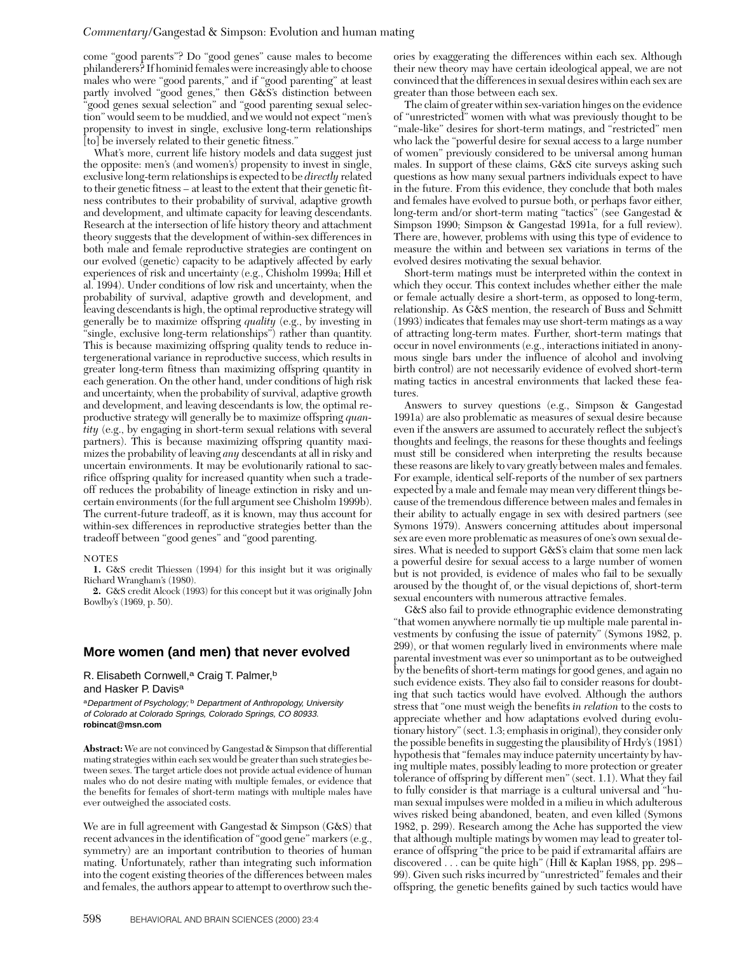come "good parents"? Do "good genes" cause males to become philanderers? If hominid females were increasingly able to choose males who were "good parents," and if "good parenting" at least partly involved "good genes," then G&S's distinction between "good genes sexual selection" and "good parenting sexual selection" would seem to be muddied, and we would not expect "men's propensity to invest in single, exclusive long-term relationships [to] be inversely related to their genetic fitness."

What's more, current life history models and data suggest just the opposite: men's (and women's) propensity to invest in single, exclusive long-term relationships is expected to be *directly* related to their genetic fitness – at least to the extent that their genetic fitness contributes to their probability of survival, adaptive growth and development, and ultimate capacity for leaving descendants. Research at the intersection of life history theory and attachment theory suggests that the development of within-sex differences in both male and female reproductive strategies are contingent on our evolved (genetic) capacity to be adaptively affected by early experiences of risk and uncertainty (e.g., Chisholm 1999a; Hill et al. 1994). Under conditions of low risk and uncertainty, when the probability of survival, adaptive growth and development, and leaving descendants is high, the optimal reproductive strategy will generally be to maximize offspring *quality* (e.g., by investing in "single, exclusive long-term relationships") rather than quantity. This is because maximizing offspring quality tends to reduce intergenerational variance in reproductive success, which results in greater long-term fitness than maximizing offspring quantity in each generation. On the other hand, under conditions of high risk and uncertainty, when the probability of survival, adaptive growth and development, and leaving descendants is low, the optimal reproductive strategy will generally be to maximize offspring *quantity* (e.g., by engaging in short-term sexual relations with several partners). This is because maximizing offspring quantity maximizes the probability of leaving *any* descendants at all in risky and uncertain environments. It may be evolutionarily rational to sacrifice offspring quality for increased quantity when such a tradeoff reduces the probability of lineage extinction in risky and uncertain environments (for the full argument see Chisholm 1999b). The current-future tradeoff, as it is known, may thus account for within-sex differences in reproductive strategies better than the tradeoff between "good genes" and "good parenting.

#### NOTES

**1.** G&S credit Thiessen (1994) for this insight but it was originally Richard Wrangham's (1980).

**2.** G&S credit Alcock (1993) for this concept but it was originally John Bowlby's (1969, p. 50).

## **More women (and men) that never evolved**

R. Elisabeth Cornwell,<sup>a</sup> Craig T. Palmer,<sup>b</sup> and Hasker P. Davis<sup>a</sup>

aDepartment of Psychology; **b** Department of Anthropology, University of Colorado at Colorado Springs, Colorado Springs, CO 80933. **robincat@msn.com**

**Abstract:** We are not convinced by Gangestad & Simpson that differential mating strategies within each sex would be greater than such strategies between sexes. The target article does not provide actual evidence of human males who do not desire mating with multiple females, or evidence that the benefits for females of short-term matings with multiple males have ever outweighed the associated costs.

We are in full agreement with Gangestad & Simpson (G&S) that recent advances in the identification of "good gene" markers (e.g., symmetry) are an important contribution to theories of human mating. Unfortunately, rather than integrating such information into the cogent existing theories of the differences between males and females, the authors appear to attempt to overthrow such theories by exaggerating the differences within each sex. Although their new theory may have certain ideological appeal, we are not convinced that the differences in sexual desires within each sex are greater than those between each sex.

The claim of greater within sex-variation hinges on the evidence of "unrestricted" women with what was previously thought to be "male-like" desires for short-term matings, and "restricted" men who lack the "powerful desire for sexual access to a large number of women" previously considered to be universal among human males. In support of these claims, G&S cite surveys asking such questions as how many sexual partners individuals expect to have in the future. From this evidence, they conclude that both males and females have evolved to pursue both, or perhaps favor either, long-term and/or short-term mating "tactics" (see Gangestad & Simpson 1990; Simpson & Gangestad 1991a, for a full review). There are, however, problems with using this type of evidence to measure the within and between sex variations in terms of the evolved desires motivating the sexual behavior.

Short-term matings must be interpreted within the context in which they occur. This context includes whether either the male or female actually desire a short-term, as opposed to long-term, relationship. As G&S mention, the research of Buss and Schmitt (1993) indicates that females may use short-term matings as a way of attracting long-term mates. Further, short-term matings that occur in novel environments (e.g., interactions initiated in anonymous single bars under the influence of alcohol and involving birth control) are not necessarily evidence of evolved short-term mating tactics in ancestral environments that lacked these features.

Answers to survey questions (e.g., Simpson & Gangestad 1991a) are also problematic as measures of sexual desire because even if the answers are assumed to accurately reflect the subject's thoughts and feelings, the reasons for these thoughts and feelings must still be considered when interpreting the results because these reasons are likely to vary greatly between males and females. For example, identical self-reports of the number of sex partners expected by a male and female may mean very different things because of the tremendous difference between males and females in their ability to actually engage in sex with desired partners (see Symons 1979). Answers concerning attitudes about impersonal sex are even more problematic as measures of one's own sexual desires. What is needed to support G&S's claim that some men lack a powerful desire for sexual access to a large number of women but is not provided, is evidence of males who fail to be sexually aroused by the thought of, or the visual depictions of, short-term sexual encounters with numerous attractive females.

G&S also fail to provide ethnographic evidence demonstrating "that women anywhere normally tie up multiple male parental investments by confusing the issue of paternity" (Symons 1982, p. 299), or that women regularly lived in environments where male parental investment was ever so unimportant as to be outweighed by the benefits of short-term matings for good genes, and again no such evidence exists. They also fail to consider reasons for doubting that such tactics would have evolved. Although the authors stress that "one must weigh the benefits *in relation* to the costs to appreciate whether and how adaptations evolved during evolutionary history" (sect. 1.3; emphasis in original), they consider only the possible benefits in suggesting the plausibility of Hrdy's (1981) hypothesis that "females may induce paternity uncertainty by having multiple mates, possibly leading to more protection or greater tolerance of offspring by different men" (sect. 1.1). What they fail to fully consider is that marriage is a cultural universal and "human sexual impulses were molded in a milieu in which adulterous wives risked being abandoned, beaten, and even killed (Symons 1982, p. 299). Research among the Ache has supported the view that although multiple matings by women may lead to greater tolerance of offspring "the price to be paid if extramarital affairs are discovered . . . can be quite high" (Hill & Kaplan 1988, pp. 298– 99). Given such risks incurred by "unrestricted" females and their offspring, the genetic benefits gained by such tactics would have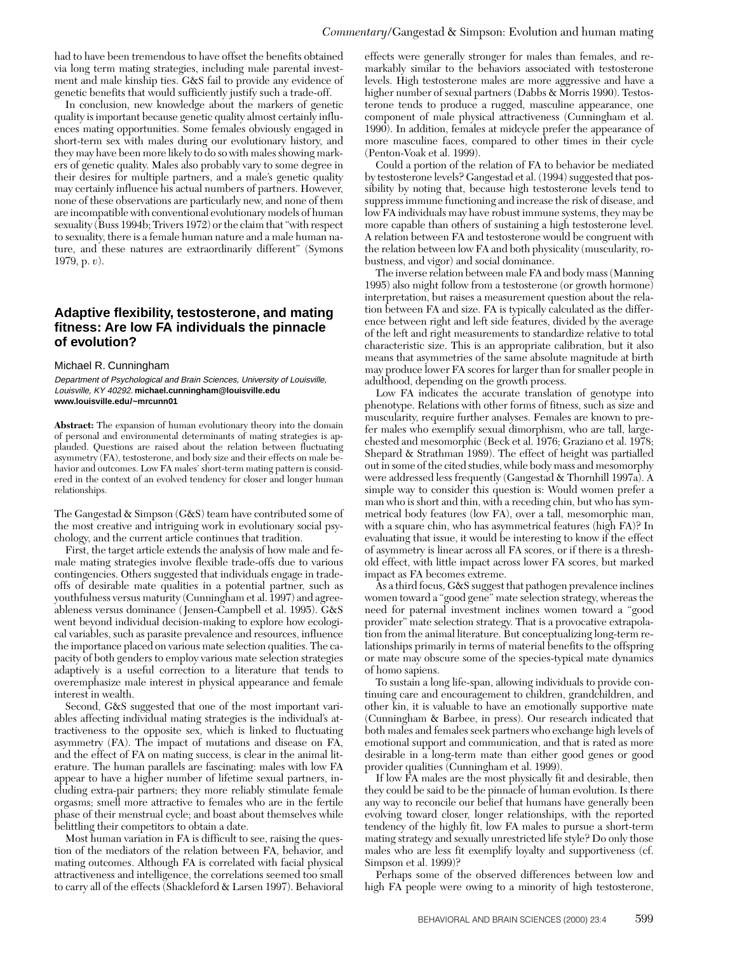had to have been tremendous to have offset the benefits obtained via long term mating strategies, including male parental investment and male kinship ties. G&S fail to provide any evidence of genetic benefits that would sufficiently justify such a trade-off.

In conclusion, new knowledge about the markers of genetic quality is important because genetic quality almost certainly influences mating opportunities. Some females obviously engaged in short-term sex with males during our evolutionary history, and they may have been more likely to do so with males showing markers of genetic quality. Males also probably vary to some degree in their desires for multiple partners, and a male's genetic quality may certainly influence his actual numbers of partners. However, none of these observations are particularly new, and none of them are incompatible with conventional evolutionary models of human sexuality (Buss 1994b; Trivers 1972) or the claim that "with respect to sexuality, there is a female human nature and a male human nature, and these natures are extraordinarily different" (Symons 1979, p. *v*).

## **Adaptive flexibility, testosterone, and mating fitness: Are low FA individuals the pinnacle of evolution?**

#### Michael R. Cunningham

Department of Psychological and Brain Sciences, University of Louisville, Louisville, KY 40292. **michael.cunningham@louisville.edu www.louisville.edu/~mrcunn01**

**Abstract:** The expansion of human evolutionary theory into the domain of personal and environmental determinants of mating strategies is applauded. Questions are raised about the relation between fluctuating asymmetry (FA), testosterone, and body size and their effects on male behavior and outcomes. Low FA males' short-term mating pattern is considered in the context of an evolved tendency for closer and longer human relationships.

The Gangestad & Simpson (G&S) team have contributed some of the most creative and intriguing work in evolutionary social psychology, and the current article continues that tradition.

First, the target article extends the analysis of how male and female mating strategies involve flexible trade-offs due to various contingencies. Others suggested that individuals engage in tradeoffs of desirable mate qualities in a potential partner, such as youthfulness versus maturity (Cunningham et al. 1997) and agreeableness versus dominance (Jensen-Campbell et al. 1995). G&S went beyond individual decision-making to explore how ecological variables, such as parasite prevalence and resources, influence the importance placed on various mate selection qualities. The capacity of both genders to employ various mate selection strategies adaptively is a useful correction to a literature that tends to overemphasize male interest in physical appearance and female interest in wealth.

Second, G&S suggested that one of the most important variables affecting individual mating strategies is the individual's attractiveness to the opposite sex, which is linked to fluctuating asymmetry (FA). The impact of mutations and disease on FA, and the effect of FA on mating success, is clear in the animal literature. The human parallels are fascinating: males with low FA appear to have a higher number of lifetime sexual partners, including extra-pair partners; they more reliably stimulate female orgasms; smell more attractive to females who are in the fertile phase of their menstrual cycle; and boast about themselves while belittling their competitors to obtain a date.

Most human variation in FA is difficult to see, raising the question of the mediators of the relation between FA, behavior, and mating outcomes. Although FA is correlated with facial physical attractiveness and intelligence, the correlations seemed too small to carry all of the effects (Shackleford & Larsen 1997). Behavioral

effects were generally stronger for males than females, and remarkably similar to the behaviors associated with testosterone levels. High testosterone males are more aggressive and have a higher number of sexual partners (Dabbs & Morris 1990). Testosterone tends to produce a rugged, masculine appearance, one component of male physical attractiveness (Cunningham et al. 1990). In addition, females at midcycle prefer the appearance of more masculine faces, compared to other times in their cycle (Penton-Voak et al. 1999).

Could a portion of the relation of FA to behavior be mediated by testosterone levels? Gangestad et al. (1994) suggested that possibility by noting that, because high testosterone levels tend to suppress immune functioning and increase the risk of disease, and low FA individuals may have robust immune systems, they may be more capable than others of sustaining a high testosterone level. A relation between FA and testosterone would be congruent with the relation between low FA and both physicality (muscularity, robustness, and vigor) and social dominance.

The inverse relation between male FA and body mass (Manning 1995) also might follow from a testosterone (or growth hormone) interpretation, but raises a measurement question about the relation between FA and size. FA is typically calculated as the difference between right and left side features, divided by the average of the left and right measurements to standardize relative to total characteristic size. This is an appropriate calibration, but it also means that asymmetries of the same absolute magnitude at birth may produce lower FA scores for larger than for smaller people in adulthood, depending on the growth process.

Low FA indicates the accurate translation of genotype into phenotype. Relations with other forms of fitness, such as size and muscularity, require further analyses. Females are known to prefer males who exemplify sexual dimorphism, who are tall, largechested and mesomorphic (Beck et al. 1976; Graziano et al. 1978; Shepard & Strathman 1989). The effect of height was partialled out in some of the cited studies, while body mass and mesomorphy were addressed less frequently (Gangestad & Thornhill 1997a). A simple way to consider this question is: Would women prefer a man who is short and thin, with a receding chin, but who has symmetrical body features (low FA), over a tall, mesomorphic man, with a square chin, who has asymmetrical features (high FA)? In evaluating that issue, it would be interesting to know if the effect of asymmetry is linear across all FA scores, or if there is a threshold effect, with little impact across lower FA scores, but marked impact as FA becomes extreme.

As a third focus, G&S suggest that pathogen prevalence inclines women toward a "good gene" mate selection strategy, whereas the need for paternal investment inclines women toward a "good provider" mate selection strategy. That is a provocative extrapolation from the animal literature. But conceptualizing long-term relationships primarily in terms of material benefits to the offspring or mate may obscure some of the species-typical mate dynamics of homo sapiens.

To sustain a long life-span, allowing individuals to provide continuing care and encouragement to children, grandchildren, and other kin, it is valuable to have an emotionally supportive mate (Cunningham & Barbee, in press). Our research indicated that both males and females seek partners who exchange high levels of emotional support and communication, and that is rated as more desirable in a long-term mate than either good genes or good provider qualities (Cunningham et al. 1999).

If low FA males are the most physically fit and desirable, then they could be said to be the pinnacle of human evolution. Is there any way to reconcile our belief that humans have generally been evolving toward closer, longer relationships, with the reported tendency of the highly fit, low FA males to pursue a short-term mating strategy and sexually unrestricted life style? Do only those males who are less fit exemplify loyalty and supportiveness (cf. Simpson et al. 1999)?

Perhaps some of the observed differences between low and high FA people were owing to a minority of high testosterone,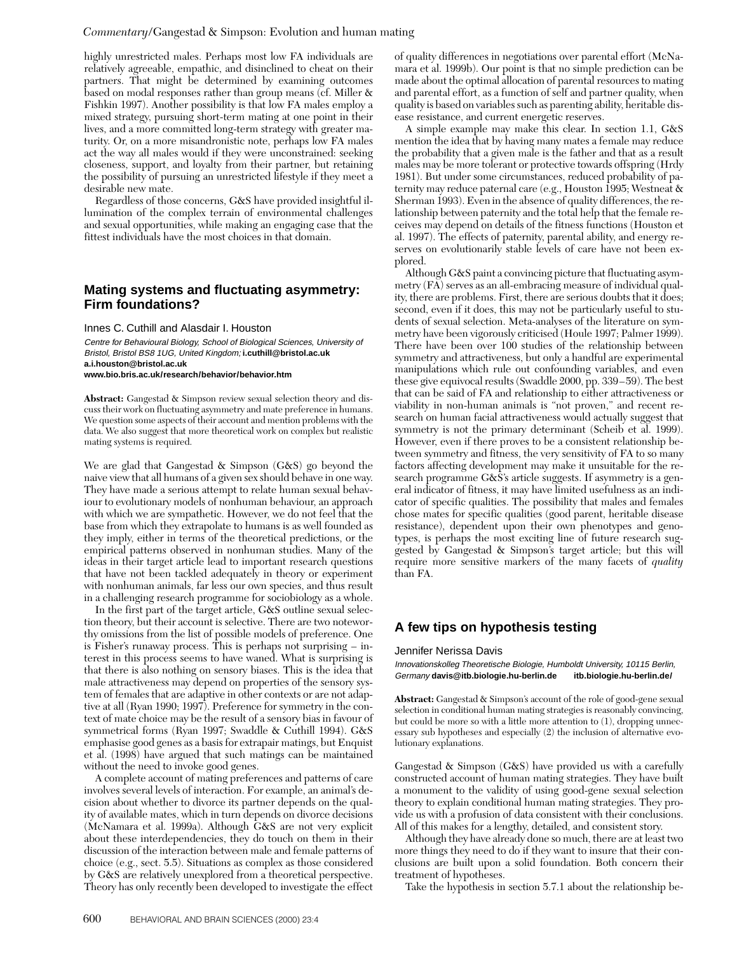## *Commentary/*Gangestad & Simpson: Evolution and human mating

highly unrestricted males. Perhaps most low FA individuals are relatively agreeable, empathic, and disinclined to cheat on their partners. That might be determined by examining outcomes based on modal responses rather than group means (cf. Miller & Fishkin 1997). Another possibility is that low FA males employ a mixed strategy, pursuing short-term mating at one point in their lives, and a more committed long-term strategy with greater maturity. Or, on a more misandronistic note, perhaps low FA males act the way all males would if they were unconstrained: seeking closeness, support, and loyalty from their partner, but retaining the possibility of pursuing an unrestricted lifestyle if they meet a desirable new mate.

Regardless of those concerns, G&S have provided insightful illumination of the complex terrain of environmental challenges and sexual opportunities, while making an engaging case that the fittest individuals have the most choices in that domain.

## **Mating systems and fluctuating asymmetry: Firm foundations?**

Innes C. Cuthill and Alasdair I. Houston

Centre for Behavioural Biology, School of Biological Sciences, University of Bristol, Bristol BS8 1UG, United Kingdom; **i.cuthill@bristol.ac.uk a.i.houston@bristol.ac.uk**

**www.bio.bris.ac.uk/research/behavior/behavior.htm**

**Abstract:** Gangestad & Simpson review sexual selection theory and discuss their work on fluctuating asymmetry and mate preference in humans. We question some aspects of their account and mention problems with the data. We also suggest that more theoretical work on complex but realistic mating systems is required.

We are glad that Gangestad & Simpson (G&S) go beyond the naive view that all humans of a given sex should behave in one way. They have made a serious attempt to relate human sexual behaviour to evolutionary models of nonhuman behaviour, an approach with which we are sympathetic. However, we do not feel that the base from which they extrapolate to humans is as well founded as they imply, either in terms of the theoretical predictions, or the empirical patterns observed in nonhuman studies. Many of the ideas in their target article lead to important research questions that have not been tackled adequately in theory or experiment with nonhuman animals, far less our own species, and thus result in a challenging research programme for sociobiology as a whole.

In the first part of the target article, G&S outline sexual selection theory, but their account is selective. There are two noteworthy omissions from the list of possible models of preference. One is Fisher's runaway process. This is perhaps not surprising – interest in this process seems to have waned. What is surprising is that there is also nothing on sensory biases. This is the idea that male attractiveness may depend on properties of the sensory system of females that are adaptive in other contexts or are not adaptive at all (Ryan 1990; 1997). Preference for symmetry in the context of mate choice may be the result of a sensory bias in favour of symmetrical forms (Ryan 1997; Swaddle & Cuthill 1994). G&S emphasise good genes as a basis for extrapair matings, but Enquist et al. (1998) have argued that such matings can be maintained without the need to invoke good genes.

A complete account of mating preferences and patterns of care involves several levels of interaction. For example, an animal's decision about whether to divorce its partner depends on the quality of available mates, which in turn depends on divorce decisions (McNamara et al. 1999a). Although G&S are not very explicit about these interdependencies, they do touch on them in their discussion of the interaction between male and female patterns of choice (e.g., sect. 5.5). Situations as complex as those considered by G&S are relatively unexplored from a theoretical perspective. Theory has only recently been developed to investigate the effect

of quality differences in negotiations over parental effort (McNamara et al. 1999b). Our point is that no simple prediction can be made about the optimal allocation of parental resources to mating and parental effort, as a function of self and partner quality, when quality is based on variables such as parenting ability, heritable disease resistance, and current energetic reserves.

A simple example may make this clear. In section 1.1, G&S mention the idea that by having many mates a female may reduce the probability that a given male is the father and that as a result males may be more tolerant or protective towards offspring (Hrdy 1981). But under some circumstances, reduced probability of paternity may reduce paternal care (e.g., Houston 1995; Westneat & Sherman 1993). Even in the absence of quality differences, the relationship between paternity and the total help that the female receives may depend on details of the fitness functions (Houston et al. 1997). The effects of paternity, parental ability, and energy reserves on evolutionarily stable levels of care have not been explored.

Although G&S paint a convincing picture that fluctuating asymmetry (FA) serves as an all-embracing measure of individual quality, there are problems. First, there are serious doubts that it does; second, even if it does, this may not be particularly useful to students of sexual selection. Meta-analyses of the literature on symmetry have been vigorously criticised (Houle 1997; Palmer 1999). There have been over 100 studies of the relationship between symmetry and attractiveness, but only a handful are experimental manipulations which rule out confounding variables, and even these give equivocal results (Swaddle 2000, pp. 339–59). The best that can be said of FA and relationship to either attractiveness or viability in non-human animals is "not proven," and recent research on human facial attractiveness would actually suggest that symmetry is not the primary determinant (Scheib et al. 1999). However, even if there proves to be a consistent relationship between symmetry and fitness, the very sensitivity of FA to so many factors affecting development may make it unsuitable for the research programme G&S's article suggests. If asymmetry is a general indicator of fitness, it may have limited usefulness as an indicator of specific qualities. The possibility that males and females chose mates for specific qualities (good parent, heritable disease resistance), dependent upon their own phenotypes and genotypes, is perhaps the most exciting line of future research suggested by Gangestad & Simpson's target article; but this will require more sensitive markers of the many facets of *quality* than FA.

## **A few tips on hypothesis testing**

#### Jennifer Nerissa Davis

Innovationskolleg Theoretische Biologie, Humboldt University, 10115 Berlin, Germany **davis@itb.biologie.hu-berlin.de itb.biologie.hu-berlin.de/**

**Abstract:** Gangestad & Simpson's account of the role of good-gene sexual selection in conditional human mating strategies is reasonably convincing, but could be more so with a little more attention to (1), dropping unnecessary sub hypotheses and especially (2) the inclusion of alternative evolutionary explanations.

Gangestad & Simpson (G&S) have provided us with a carefully constructed account of human mating strategies. They have built a monument to the validity of using good-gene sexual selection theory to explain conditional human mating strategies. They provide us with a profusion of data consistent with their conclusions. All of this makes for a lengthy, detailed, and consistent story.

Although they have already done so much, there are at least two more things they need to do if they want to insure that their conclusions are built upon a solid foundation. Both concern their treatment of hypotheses.

Take the hypothesis in section 5.7.1 about the relationship be-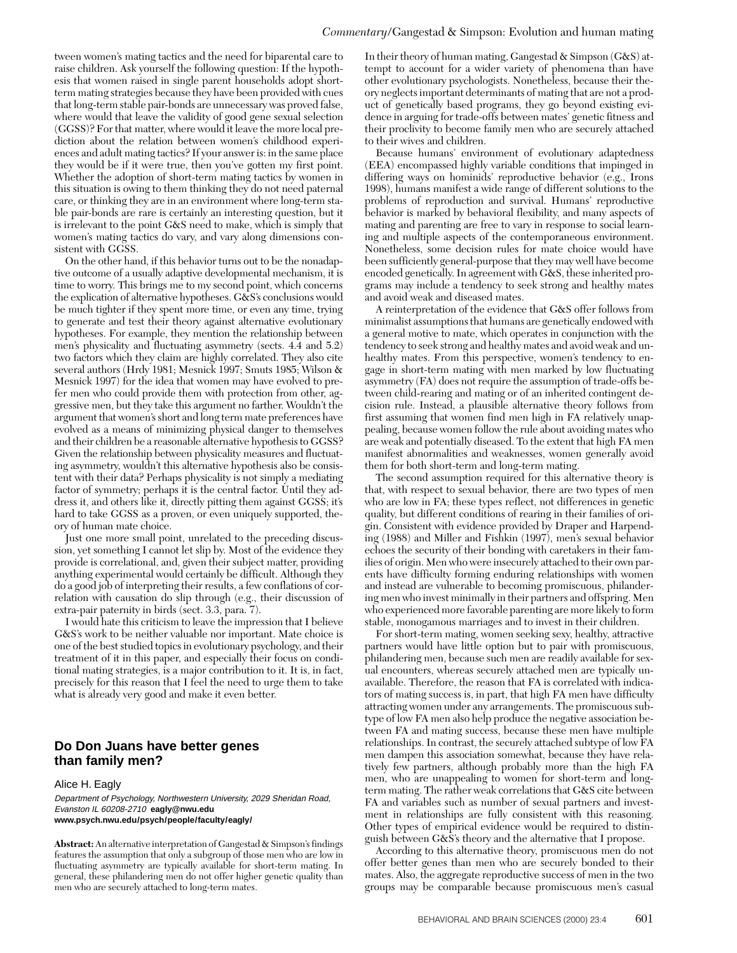tween women's mating tactics and the need for biparental care to raise children. Ask yourself the following question: If the hypothesis that women raised in single parent households adopt shortterm mating strategies because they have been provided with cues that long-term stable pair-bonds are unnecessary was proved false, where would that leave the validity of good gene sexual selection (GGSS)? For that matter, where would it leave the more local prediction about the relation between women's childhood experiences and adult mating tactics? If your answer is: in the same place they would be if it were true, then you've gotten my first point. Whether the adoption of short-term mating tactics by women in this situation is owing to them thinking they do not need paternal care, or thinking they are in an environment where long-term stable pair-bonds are rare is certainly an interesting question, but it is irrelevant to the point G&S need to make, which is simply that women's mating tactics do vary, and vary along dimensions consistent with GGSS.

On the other hand, if this behavior turns out to be the nonadaptive outcome of a usually adaptive developmental mechanism, it is time to worry. This brings me to my second point, which concerns the explication of alternative hypotheses. G&S's conclusions would be much tighter if they spent more time, or even any time, trying to generate and test their theory against alternative evolutionary hypotheses. For example, they mention the relationship between men's physicality and fluctuating asymmetry (sects. 4.4 and 5.2) two factors which they claim are highly correlated. They also cite several authors (Hrdy 1981; Mesnick 1997; Smuts 1985; Wilson & Mesnick 1997) for the idea that women may have evolved to prefer men who could provide them with protection from other, aggressive men, but they take this argument no farther. Wouldn't the argument that women's short and long term mate preferences have evolved as a means of minimizing physical danger to themselves and their children be a reasonable alternative hypothesis to GGSS? Given the relationship between physicality measures and fluctuating asymmetry, wouldn't this alternative hypothesis also be consistent with their data? Perhaps physicality is not simply a mediating factor of symmetry; perhaps it is the central factor. Until they address it, and others like it, directly pitting them against GGSS; it's hard to take GGSS as a proven, or even uniquely supported, theory of human mate choice.

Just one more small point, unrelated to the preceding discussion, yet something I cannot let slip by. Most of the evidence they provide is correlational, and, given their subject matter, providing anything experimental would certainly be difficult. Although they do a good job of interpreting their results, a few conflations of correlation with causation do slip through (e.g., their discussion of extra-pair paternity in birds (sect. 3.3, para. 7).

I would hate this criticism to leave the impression that I believe G&S's work to be neither valuable nor important. Mate choice is one of the best studied topics in evolutionary psychology, and their treatment of it in this paper, and especially their focus on conditional mating strategies, is a major contribution to it. It is, in fact, precisely for this reason that I feel the need to urge them to take what is already very good and make it even better.

## **Do Don Juans have better genes than family men?**

Alice H. Eagly

Department of Psychology, Northwestern University, 2029 Sheridan Road, Evanston IL 60208-2710 **eagly@nwu.edu www.psych.nwu.edu/psych/people/faculty/eagly/**

**Abstract:** An alternative interpretation of Gangestad & Simpson's findings features the assumption that only a subgroup of those men who are low in fluctuating asymmetry are typically available for short-term mating. In general, these philandering men do not offer higher genetic quality than men who are securely attached to long-term mates.

In their theory of human mating, Gangestad & Simpson (G&S) attempt to account for a wider variety of phenomena than have other evolutionary psychologists. Nonetheless, because their theory neglects important determinants of mating that are not a product of genetically based programs, they go beyond existing evidence in arguing for trade-offs between mates' genetic fitness and their proclivity to become family men who are securely attached to their wives and children.

Because humans' environment of evolutionary adaptedness (EEA) encompassed highly variable conditions that impinged in differing ways on hominids' reproductive behavior (e.g., Irons 1998), humans manifest a wide range of different solutions to the problems of reproduction and survival. Humans' reproductive behavior is marked by behavioral flexibility, and many aspects of mating and parenting are free to vary in response to social learning and multiple aspects of the contemporaneous environment. Nonetheless, some decision rules for mate choice would have been sufficiently general-purpose that they may well have become encoded genetically. In agreement with G&S, these inherited programs may include a tendency to seek strong and healthy mates and avoid weak and diseased mates.

A reinterpretation of the evidence that G&S offer follows from minimalist assumptions that humans are genetically endowed with a general motive to mate, which operates in conjunction with the tendency to seek strong and healthy mates and avoid weak and unhealthy mates. From this perspective, women's tendency to engage in short-term mating with men marked by low fluctuating asymmetry (FA) does not require the assumption of trade-offs between child-rearing and mating or of an inherited contingent decision rule. Instead, a plausible alternative theory follows from first assuming that women find men high in FA relatively unappealing, because women follow the rule about avoiding mates who are weak and potentially diseased. To the extent that high FA men manifest abnormalities and weaknesses, women generally avoid them for both short-term and long-term mating.

The second assumption required for this alternative theory is that, with respect to sexual behavior, there are two types of men who are low in FA; these types reflect, not differences in genetic quality, but different conditions of rearing in their families of origin. Consistent with evidence provided by Draper and Harpending (1988) and Miller and Fishkin (1997), men's sexual behavior echoes the security of their bonding with caretakers in their families of origin. Men who were insecurely attached to their own parents have difficulty forming enduring relationships with women and instead are vulnerable to becoming promiscuous, philandering men who invest minimally in their partners and offspring. Men who experienced more favorable parenting are more likely to form stable, monogamous marriages and to invest in their children.

For short-term mating, women seeking sexy, healthy, attractive partners would have little option but to pair with promiscuous, philandering men, because such men are readily available for sexual encounters, whereas securely attached men are typically unavailable. Therefore, the reason that FA is correlated with indicators of mating success is, in part, that high FA men have difficulty attracting women under any arrangements. The promiscuous subtype of low FA men also help produce the negative association between FA and mating success, because these men have multiple relationships. In contrast, the securely attached subtype of low FA men dampen this association somewhat, because they have relatively few partners, although probably more than the high FA men, who are unappealing to women for short-term and longterm mating. The rather weak correlations that G&S cite between FA and variables such as number of sexual partners and investment in relationships are fully consistent with this reasoning. Other types of empirical evidence would be required to distinguish between G&S's theory and the alternative that I propose.

According to this alternative theory, promiscuous men do not offer better genes than men who are securely bonded to their mates. Also, the aggregate reproductive success of men in the two groups may be comparable because promiscuous men's casual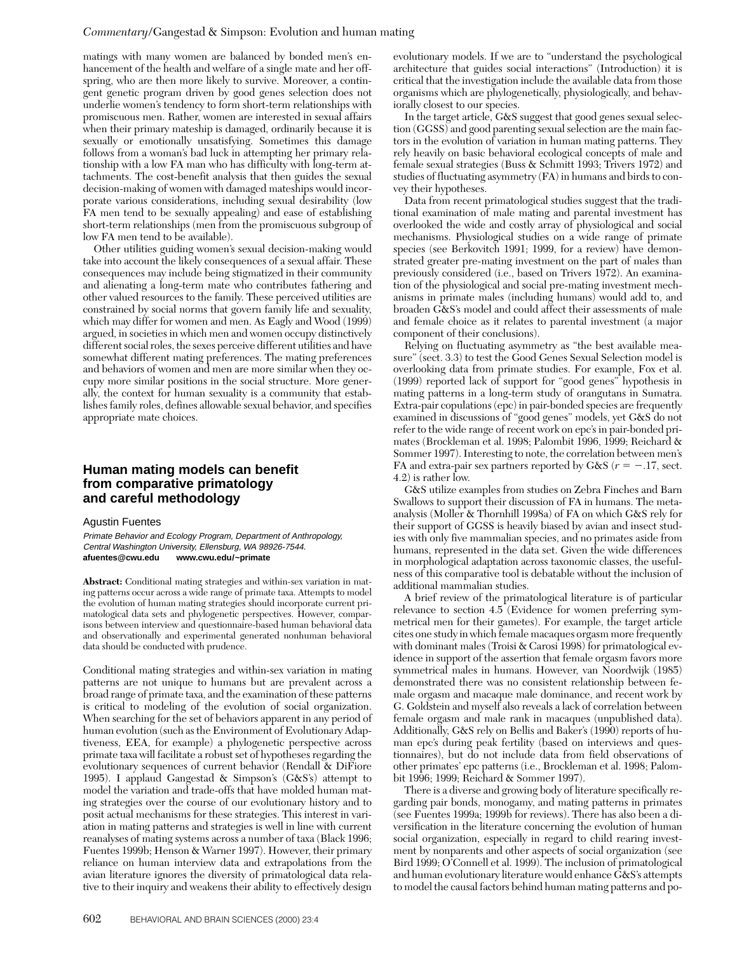## *Commentary/*Gangestad & Simpson: Evolution and human mating

matings with many women are balanced by bonded men's enhancement of the health and welfare of a single mate and her offspring, who are then more likely to survive. Moreover, a contingent genetic program driven by good genes selection does not underlie women's tendency to form short-term relationships with promiscuous men. Rather, women are interested in sexual affairs when their primary mateship is damaged, ordinarily because it is sexually or emotionally unsatisfying. Sometimes this damage follows from a woman's bad luck in attempting her primary relationship with a low FA man who has difficulty with long-term attachments. The cost-benefit analysis that then guides the sexual decision-making of women with damaged mateships would incorporate various considerations, including sexual desirability (low FA men tend to be sexually appealing) and ease of establishing short-term relationships (men from the promiscuous subgroup of low FA men tend to be available).

Other utilities guiding women's sexual decision-making would take into account the likely consequences of a sexual affair. These consequences may include being stigmatized in their community and alienating a long-term mate who contributes fathering and other valued resources to the family. These perceived utilities are constrained by social norms that govern family life and sexuality, which may differ for women and men. As Eagly and Wood (1999) argued, in societies in which men and women occupy distinctively different social roles, the sexes perceive different utilities and have somewhat different mating preferences. The mating preferences and behaviors of women and men are more similar when they occupy more similar positions in the social structure. More generally, the context for human sexuality is a community that establishes family roles, defines allowable sexual behavior, and specifies appropriate mate choices.

## **Human mating models can benefit from comparative primatology and careful methodology**

#### Agustin Fuentes

Primate Behavior and Ecology Program, Department of Anthropology, Central Washington University, Ellensburg, WA 98926-7544. **afuentes@cwu.edu www.cwu.edu/~primate**

**Abstract:** Conditional mating strategies and within-sex variation in mating patterns occur across a wide range of primate taxa. Attempts to model the evolution of human mating strategies should incorporate current primatological data sets and phylogenetic perspectives. However, comparisons between interview and questionnaire-based human behavioral data and observationally and experimental generated nonhuman behavioral data should be conducted with prudence.

Conditional mating strategies and within-sex variation in mating patterns are not unique to humans but are prevalent across a broad range of primate taxa, and the examination of these patterns is critical to modeling of the evolution of social organization. When searching for the set of behaviors apparent in any period of human evolution (such as the Environment of Evolutionary Adaptiveness, EEA, for example) a phylogenetic perspective across primate taxa will facilitate a robust set of hypotheses regarding the evolutionary sequences of current behavior (Rendall & DiFiore 1995). I applaud Gangestad & Simpson's (G&S's) attempt to model the variation and trade-offs that have molded human mating strategies over the course of our evolutionary history and to posit actual mechanisms for these strategies. This interest in variation in mating patterns and strategies is well in line with current reanalyses of mating systems across a number of taxa (Black 1996; Fuentes 1999b; Henson & Warner 1997). However, their primary reliance on human interview data and extrapolations from the avian literature ignores the diversity of primatological data relative to their inquiry and weakens their ability to effectively design evolutionary models. If we are to "understand the psychological architecture that guides social interactions" (Introduction) it is critical that the investigation include the available data from those organisms which are phylogenetically, physiologically, and behaviorally closest to our species.

In the target article, G&S suggest that good genes sexual selection (GGSS) and good parenting sexual selection are the main factors in the evolution of variation in human mating patterns. They rely heavily on basic behavioral ecological concepts of male and female sexual strategies (Buss & Schmitt 1993; Trivers 1972) and studies of fluctuating asymmetry (FA) in humans and birds to convey their hypotheses.

Data from recent primatological studies suggest that the traditional examination of male mating and parental investment has overlooked the wide and costly array of physiological and social mechanisms. Physiological studies on a wide range of primate species (see Berkovitch 1991; 1999, for a review) have demonstrated greater pre-mating investment on the part of males than previously considered (i.e., based on Trivers 1972). An examination of the physiological and social pre-mating investment mechanisms in primate males (including humans) would add to, and broaden G&S's model and could affect their assessments of male and female choice as it relates to parental investment (a major component of their conclusions).

Relying on fluctuating asymmetry as "the best available measure" (sect. 3.3) to test the Good Genes Sexual Selection model is overlooking data from primate studies. For example, Fox et al. (1999) reported lack of support for "good genes" hypothesis in mating patterns in a long-term study of orangutans in Sumatra. Extra-pair copulations (epc) in pair-bonded species are frequently examined in discussions of "good genes" models, yet G&S do not refer to the wide range of recent work on epc's in pair-bonded primates (Brockleman et al. 1998; Palombit 1996, 1999; Reichard & Sommer 1997). Interesting to note, the correlation between men's FA and extra-pair sex partners reported by G&S  $(r = -.17, \text{ sect.})$ 4.2) is rather low.

G&S utilize examples from studies on Zebra Finches and Barn Swallows to support their discussion of FA in humans. The metaanalysis (Moller & Thornhill 1998a) of FA on which G&S rely for their support of GGSS is heavily biased by avian and insect studies with only five mammalian species, and no primates aside from humans, represented in the data set. Given the wide differences in morphological adaptation across taxonomic classes, the usefulness of this comparative tool is debatable without the inclusion of additional mammalian studies.

A brief review of the primatological literature is of particular relevance to section 4.5 (Evidence for women preferring symmetrical men for their gametes). For example, the target article cites one study in which female macaques orgasm more frequently with dominant males (Troisi & Carosi 1998) for primatological evidence in support of the assertion that female orgasm favors more symmetrical males in humans. However, van Noordwijk (1985) demonstrated there was no consistent relationship between female orgasm and macaque male dominance, and recent work by G. Goldstein and myself also reveals a lack of correlation between female orgasm and male rank in macaques (unpublished data). Additionally, G&S rely on Bellis and Baker's (1990) reports of human epc's during peak fertility (based on interviews and questionnaires), but do not include data from field observations of other primates' epc patterns (i.e., Brockleman et al. 1998; Palombit 1996; 1999; Reichard & Sommer 1997).

There is a diverse and growing body of literature specifically regarding pair bonds, monogamy, and mating patterns in primates (see Fuentes 1999a; 1999b for reviews). There has also been a diversification in the literature concerning the evolution of human social organization, especially in regard to child rearing investment by nonparents and other aspects of social organization (see Bird 1999; O'Connell et al. 1999). The inclusion of primatological and human evolutionary literature would enhance G&S's attempts to model the causal factors behind human mating patterns and po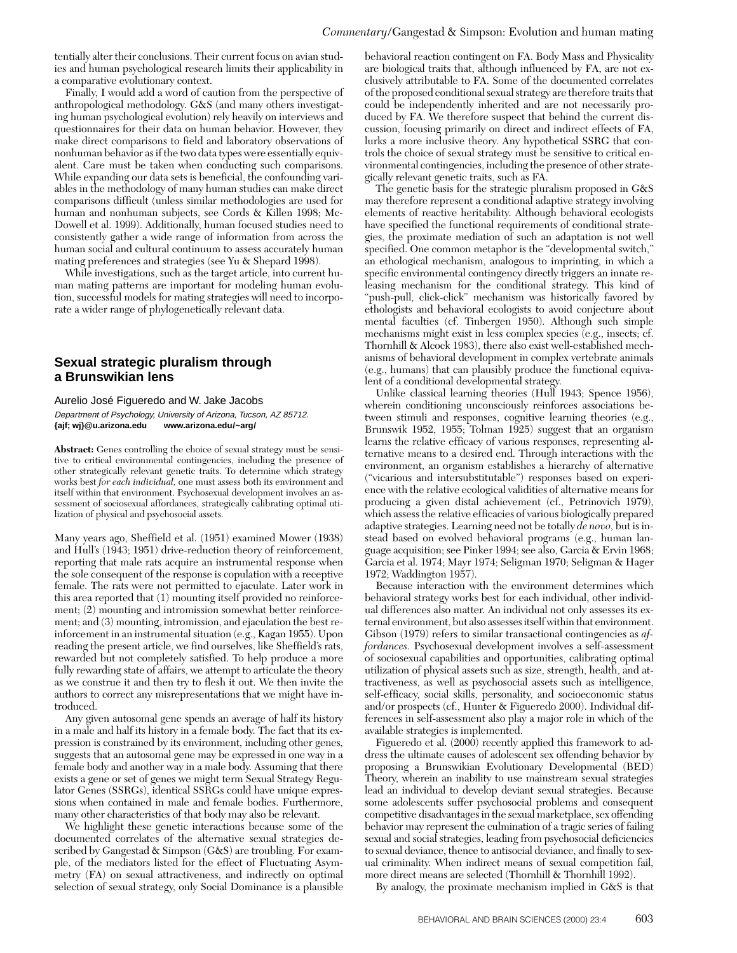tentially alter their conclusions. Their current focus on avian studies and human psychological research limits their applicability in a comparative evolutionary context.

Finally, I would add a word of caution from the perspective of anthropological methodology. G&S (and many others investigating human psychological evolution) rely heavily on interviews and questionnaires for their data on human behavior. However, they make direct comparisons to field and laboratory observations of nonhuman behavior as if the two data types were essentially equivalent. Care must be taken when conducting such comparisons. While expanding our data sets is beneficial, the confounding variables in the methodology of many human studies can make direct comparisons difficult (unless similar methodologies are used for human and nonhuman subjects, see Cords & Killen 1998; Mc-Dowell et al. 1999). Additionally, human focused studies need to consistently gather a wide range of information from across the human social and cultural continuum to assess accurately human mating preferences and strategies (see Yu & Shepard 1998).

While investigations, such as the target article, into current human mating patterns are important for modeling human evolution, successful models for mating strategies will need to incorporate a wider range of phylogenetically relevant data.

## **Sexual strategic pluralism through a Brunswikian lens**

Aurelio José Figueredo and W. Jake Jacobs Department of Psychology, University of Arizona, Tucson, AZ 85712. **{ajf; wj}@u.arizona.edu www.arizona.edu/~arg/**

**Abstract:** Genes controlling the choice of sexual strategy must be sensitive to critical environmental contingencies, including the presence of other strategically relevant genetic traits. To determine which strategy works best *for each individual,* one must assess both its environment and itself within that environment. Psychosexual development involves an assessment of sociosexual affordances, strategically calibrating optimal utilization of physical and psychosocial assets.

Many years ago, Sheffield et al. (1951) examined Mower (1938) and Hull's (1943; 1951) drive-reduction theory of reinforcement, reporting that male rats acquire an instrumental response when the sole consequent of the response is copulation with a receptive female. The rats were not permitted to ejaculate. Later work in this area reported that (1) mounting itself provided no reinforcement; (2) mounting and intromission somewhat better reinforcement; and (3) mounting, intromission, and ejaculation the best reinforcement in an instrumental situation (e.g., Kagan 1955). Upon reading the present article, we find ourselves, like Sheffield's rats, rewarded but not completely satisfied. To help produce a more fully rewarding state of affairs, we attempt to articulate the theory as we construe it and then try to flesh it out. We then invite the authors to correct any misrepresentations that we might have introduced.

Any given autosomal gene spends an average of half its history in a male and half its history in a female body. The fact that its expression is constrained by its environment, including other genes, suggests that an autosomal gene may be expressed in one way in a female body and another way in a male body. Assuming that there exists a gene or set of genes we might term Sexual Strategy Regulator Genes (SSRGs), identical SSRGs could have unique expressions when contained in male and female bodies. Furthermore, many other characteristics of that body may also be relevant.

We highlight these genetic interactions because some of the documented correlates of the alternative sexual strategies described by Gangestad & Simpson (G&S) are troubling. For example, of the mediators listed for the effect of Fluctuating Asymmetry (FA) on sexual attractiveness, and indirectly on optimal selection of sexual strategy, only Social Dominance is a plausible

behavioral reaction contingent on FA. Body Mass and Physicality are biological traits that, although influenced by FA, are not exclusively attributable to FA. Some of the documented correlates of the proposed conditional sexual strategy are therefore traits that could be independently inherited and are not necessarily produced by FA. We therefore suspect that behind the current discussion, focusing primarily on direct and indirect effects of FA, lurks a more inclusive theory. Any hypothetical SSRG that controls the choice of sexual strategy must be sensitive to critical environmental contingencies, including the presence of other strategically relevant genetic traits, such as FA.

The genetic basis for the strategic pluralism proposed in G&S may therefore represent a conditional adaptive strategy involving elements of reactive heritability. Although behavioral ecologists have specified the functional requirements of conditional strategies, the proximate mediation of such an adaptation is not well specified. One common metaphor is the "developmental switch," an ethological mechanism, analogous to imprinting, in which a specific environmental contingency directly triggers an innate releasing mechanism for the conditional strategy. This kind of "push-pull, click-click" mechanism was historically favored by ethologists and behavioral ecologists to avoid conjecture about mental faculties (cf. Tinbergen 1950). Although such simple mechanisms might exist in less complex species (e.g., insects; cf. Thornhill & Alcock 1983), there also exist well-established mechanisms of behavioral development in complex vertebrate animals (e.g., humans) that can plausibly produce the functional equivalent of a conditional developmental strategy.

Unlike classical learning theories (Hull 1943; Spence 1956), wherein conditioning unconsciously reinforces associations between stimuli and responses, cognitive learning theories (e.g., Brunswik 1952, 1955; Tolman 1925) suggest that an organism learns the relative efficacy of various responses, representing alternative means to a desired end. Through interactions with the environment, an organism establishes a hierarchy of alternative ("vicarious and intersubstitutable") responses based on experience with the relative ecological validities of alternative means for producing a given distal achievement (cf., Petrinovich 1979), which assess the relative efficacies of various biologically prepared adaptive strategies. Learning need not be totally *de novo,* but is instead based on evolved behavioral programs (e.g., human language acquisition; see Pinker 1994; see also, Garcia & Ervin 1968; Garcia et al. 1974; Mayr 1974; Seligman 1970; Seligman & Hager 1972; Waddington 1957).

Because interaction with the environment determines which behavioral strategy works best for each individual, other individual differences also matter. An individual not only assesses its external environment, but also assesses itself within that environment. Gibson (1979) refers to similar transactional contingencies as *affordances.* Psychosexual development involves a self-assessment of sociosexual capabilities and opportunities, calibrating optimal utilization of physical assets such as size, strength, health, and attractiveness, as well as psychosocial assets such as intelligence, self-efficacy, social skills, personality, and socioeconomic status and/or prospects (cf., Hunter & Figueredo 2000). Individual differences in self-assessment also play a major role in which of the available strategies is implemented.

Figueredo et al. (2000) recently applied this framework to address the ultimate causes of adolescent sex offending behavior by proposing a Brunswikian Evolutionary Developmental (BED) Theory, wherein an inability to use mainstream sexual strategies lead an individual to develop deviant sexual strategies. Because some adolescents suffer psychosocial problems and consequent competitive disadvantages in the sexual marketplace, sex offending behavior may represent the culmination of a tragic series of failing sexual and social strategies, leading from psychosocial deficiencies to sexual deviance, thence to antisocial deviance, and finally to sexual criminality. When indirect means of sexual competition fail, more direct means are selected (Thornhill & Thornhill 1992).

By analogy, the proximate mechanism implied in G&S is that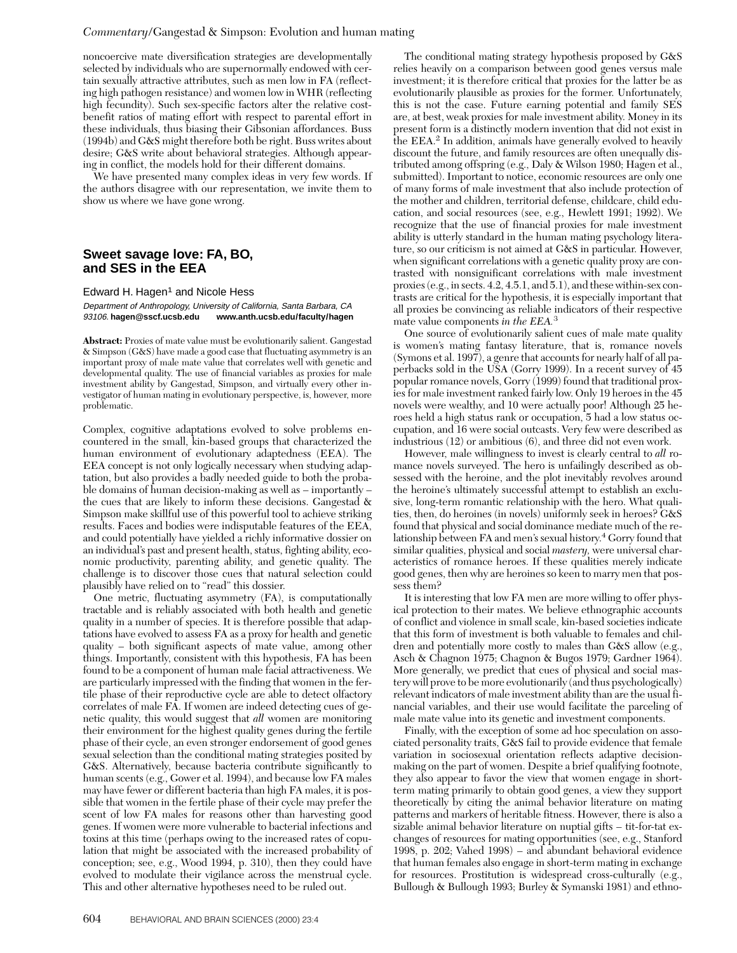noncoercive mate diversification strategies are developmentally selected by individuals who are supernormally endowed with certain sexually attractive attributes, such as men low in FA (reflecting high pathogen resistance) and women low in WHR (reflecting high fecundity). Such sex-specific factors alter the relative costbenefit ratios of mating effort with respect to parental effort in these individuals, thus biasing their Gibsonian affordances. Buss (1994b) and G&S might therefore both be right. Buss writes about desire; G&S write about behavioral strategies. Although appearing in conflict, the models hold for their different domains.

We have presented many complex ideas in very few words. If the authors disagree with our representation, we invite them to show us where we have gone wrong.

## **Sweet savage love: FA, BO, and SES in the EEA**

Edward H. Hagen<sup>1</sup> and Nicole Hess

Department of Anthropology, University of California, Santa Barbara, CA 93106. **hagen@sscf.ucsb.edu www.anth.ucsb.edu/faculty/hagen**

**Abstract:** Proxies of mate value must be evolutionarily salient. Gangestad & Simpson (G&S) have made a good case that fluctuating asymmetry is an important proxy of male mate value that correlates well with genetic and developmental quality. The use of financial variables as proxies for male investment ability by Gangestad, Simpson, and virtually every other investigator of human mating in evolutionary perspective, is, however, more problematic.

Complex, cognitive adaptations evolved to solve problems encountered in the small, kin-based groups that characterized the human environment of evolutionary adaptedness (EEA). The EEA concept is not only logically necessary when studying adaptation, but also provides a badly needed guide to both the probable domains of human decision-making as well as – importantly – the cues that are likely to inform these decisions. Gangestad & Simpson make skillful use of this powerful tool to achieve striking results. Faces and bodies were indisputable features of the EEA, and could potentially have yielded a richly informative dossier on an individual's past and present health, status, fighting ability, economic productivity, parenting ability, and genetic quality. The challenge is to discover those cues that natural selection could plausibly have relied on to "read" this dossier.

One metric, fluctuating asymmetry (FA), is computationally tractable and is reliably associated with both health and genetic quality in a number of species. It is therefore possible that adaptations have evolved to assess FA as a proxy for health and genetic quality – both significant aspects of mate value, among other things. Importantly, consistent with this hypothesis, FA has been found to be a component of human male facial attractiveness. We are particularly impressed with the finding that women in the fertile phase of their reproductive cycle are able to detect olfactory correlates of male FA. If women are indeed detecting cues of genetic quality, this would suggest that *all* women are monitoring their environment for the highest quality genes during the fertile phase of their cycle, an even stronger endorsement of good genes sexual selection than the conditional mating strategies posited by G&S. Alternatively, because bacteria contribute significantly to human scents (e.g., Gower et al. 1994), and because low FA males may have fewer or different bacteria than high FA males, it is possible that women in the fertile phase of their cycle may prefer the scent of low FA males for reasons other than harvesting good genes. If women were more vulnerable to bacterial infections and toxins at this time (perhaps owing to the increased rates of copulation that might be associated with the increased probability of conception; see, e.g., Wood 1994, p. 310), then they could have evolved to modulate their vigilance across the menstrual cycle. This and other alternative hypotheses need to be ruled out.

The conditional mating strategy hypothesis proposed by G&S relies heavily on a comparison between good genes versus male investment; it is therefore critical that proxies for the latter be as evolutionarily plausible as proxies for the former. Unfortunately, this is not the case. Future earning potential and family SES are, at best, weak proxies for male investment ability. Money in its present form is a distinctly modern invention that did not exist in the EEA.2 In addition, animals have generally evolved to heavily discount the future, and family resources are often unequally distributed among offspring (e.g., Daly & Wilson 1980; Hagen et al., submitted). Important to notice, economic resources are only one of many forms of male investment that also include protection of the mother and children, territorial defense, childcare, child education, and social resources (see, e.g., Hewlett 1991; 1992). We recognize that the use of financial proxies for male investment ability is utterly standard in the human mating psychology literature, so our criticism is not aimed at G&S in particular. However, when significant correlations with a genetic quality proxy are contrasted with nonsignificant correlations with male investment proxies (e.g., in sects. 4.2, 4.5.1, and 5.1), and these within-sex contrasts are critical for the hypothesis, it is especially important that all proxies be convincing as reliable indicators of their respective mate value components *in the EEA.*<sup>3</sup>

One source of evolutionarily salient cues of male mate quality is women's mating fantasy literature, that is, romance novels (Symons et al. 1997), a genre that accounts for nearly half of all paperbacks sold in the USA (Gorry 1999). In a recent survey of 45 popular romance novels, Gorry (1999) found that traditional proxies for male investment ranked fairly low. Only 19 heroes in the 45 novels were wealthy, and 10 were actually poor! Although 25 heroes held a high status rank or occupation, 5 had a low status occupation, and 16 were social outcasts. Very few were described as industrious (12) or ambitious (6), and three did not even work.

However, male willingness to invest is clearly central to *all* romance novels surveyed. The hero is unfailingly described as obsessed with the heroine, and the plot inevitably revolves around the heroine's ultimately successful attempt to establish an exclusive, long-term romantic relationship with the hero. What qualities, then, do heroines (in novels) uniformly seek in heroes? G&S found that physical and social dominance mediate much of the relationship between FA and men's sexual history.<sup>4</sup> Gorry found that similar qualities, physical and social *mastery,* were universal characteristics of romance heroes. If these qualities merely indicate good genes, then why are heroines so keen to marry men that possess them?

It is interesting that low FA men are more willing to offer physical protection to their mates. We believe ethnographic accounts of conflict and violence in small scale, kin-based societies indicate that this form of investment is both valuable to females and children and potentially more costly to males than G&S allow (e.g., Asch & Chagnon 1975; Chagnon & Bugos 1979; Gardner 1964). More generally, we predict that cues of physical and social mastery will prove to be more evolutionarily (and thus psychologically) relevant indicators of male investment ability than are the usual financial variables, and their use would facilitate the parceling of male mate value into its genetic and investment components.

Finally, with the exception of some ad hoc speculation on associated personality traits, G&S fail to provide evidence that female variation in sociosexual orientation reflects adaptive decisionmaking on the part of women. Despite a brief qualifying footnote, they also appear to favor the view that women engage in shortterm mating primarily to obtain good genes, a view they support theoretically by citing the animal behavior literature on mating patterns and markers of heritable fitness. However, there is also a sizable animal behavior literature on nuptial gifts – tit-for-tat exchanges of resources for mating opportunities (see, e.g., Stanford 1998, p. 202; Vahed 1998) – and abundant behavioral evidence that human females also engage in short-term mating in exchange for resources. Prostitution is widespread cross-culturally (e.g., Bullough & Bullough 1993; Burley & Symanski 1981) and ethno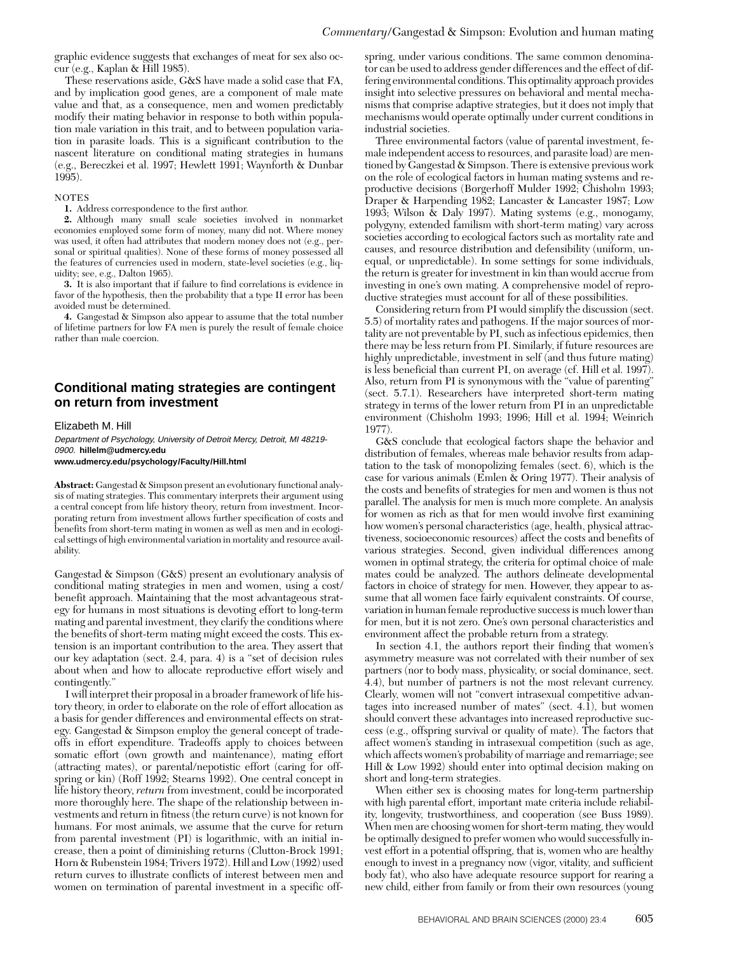graphic evidence suggests that exchanges of meat for sex also occur (e.g., Kaplan & Hill 1985).

These reservations aside, G&S have made a solid case that FA, and by implication good genes, are a component of male mate value and that, as a consequence, men and women predictably modify their mating behavior in response to both within population male variation in this trait, and to between population variation in parasite loads. This is a significant contribution to the nascent literature on conditional mating strategies in humans (e.g., Bereczkei et al. 1997; Hewlett 1991; Waynforth & Dunbar 1995).

#### NOTES

**1.** Address correspondence to the first author.

**2.** Although many small scale societies involved in nonmarket economies employed some form of money, many did not. Where money was used, it often had attributes that modern money does not (e.g., personal or spiritual qualities). None of these forms of money possessed all the features of currencies used in modern, state-level societies (e.g., liquidity; see, e.g., Dalton 1965).

**3.** It is also important that if failure to find correlations is evidence in favor of the hypothesis, then the probability that a type II error has been avoided must be determined.

**4.** Gangestad & Simpson also appear to assume that the total number of lifetime partners for low FA men is purely the result of female choice rather than male coercion.

## **Conditional mating strategies are contingent on return from investment**

Elizabeth M. Hill

Department of Psychology, University of Detroit Mercy, Detroit, MI 48219- 0900. **hillelm@udmercy.edu www.udmercy.edu/psychology/Faculty/Hill.html**

**Abstract:** Gangestad & Simpson present an evolutionary functional analysis of mating strategies. This commentary interprets their argument using a central concept from life history theory, return from investment. Incorporating return from investment allows further specification of costs and benefits from short-term mating in women as well as men and in ecological settings of high environmental variation in mortality and resource availability.

Gangestad & Simpson (G&S) present an evolutionary analysis of conditional mating strategies in men and women, using a cost/ benefit approach. Maintaining that the most advantageous strategy for humans in most situations is devoting effort to long-term mating and parental investment, they clarify the conditions where the benefits of short-term mating might exceed the costs. This extension is an important contribution to the area. They assert that our key adaptation (sect. 2.4, para. 4) is a "set of decision rules about when and how to allocate reproductive effort wisely and contingently."

I will interpret their proposal in a broader framework of life history theory, in order to elaborate on the role of effort allocation as a basis for gender differences and environmental effects on strategy. Gangestad & Simpson employ the general concept of tradeoffs in effort expenditure. Tradeoffs apply to choices between somatic effort (own growth and maintenance), mating effort (attracting mates), or parental/nepotistic effort (caring for offspring or kin) (Roff 1992; Stearns 1992). One central concept in life history theory, *return* from investment, could be incorporated more thoroughly here. The shape of the relationship between investments and return in fitness (the return curve) is not known for humans. For most animals, we assume that the curve for return from parental investment (PI) is logarithmic, with an initial increase, then a point of diminishing returns (Clutton-Brock 1991; Horn & Rubenstein 1984; Trivers 1972). Hill and Low (1992) used return curves to illustrate conflicts of interest between men and women on termination of parental investment in a specific off-

spring, under various conditions. The same common denominator can be used to address gender differences and the effect of differing environmental conditions. This optimality approach provides insight into selective pressures on behavioral and mental mechanisms that comprise adaptive strategies, but it does not imply that mechanisms would operate optimally under current conditions in industrial societies.

Three environmental factors (value of parental investment, female independent access to resources, and parasite load) are mentioned by Gangestad & Simpson. There is extensive previous work on the role of ecological factors in human mating systems and reproductive decisions (Borgerhoff Mulder 1992; Chisholm 1993; Draper & Harpending 1982; Lancaster & Lancaster 1987; Low 1993; Wilson & Daly 1997). Mating systems (e.g., monogamy, polygyny, extended familism with short-term mating) vary across societies according to ecological factors such as mortality rate and causes, and resource distribution and defensibility (uniform, unequal, or unpredictable). In some settings for some individuals, the return is greater for investment in kin than would accrue from investing in one's own mating. A comprehensive model of reproductive strategies must account for all of these possibilities.

Considering return from PI would simplify the discussion (sect. 5.5) of mortality rates and pathogens. If the major sources of mortality are not preventable by PI, such as infectious epidemics, then there may be less return from PI. Similarly, if future resources are highly unpredictable, investment in self (and thus future mating) is less beneficial than current PI, on average (cf. Hill et al. 1997). Also, return from PI is synonymous with the "value of parenting" (sect. 5.7.1). Researchers have interpreted short-term mating strategy in terms of the lower return from PI in an unpredictable environment (Chisholm 1993; 1996; Hill et al. 1994; Weinrich 1977).

G&S conclude that ecological factors shape the behavior and distribution of females, whereas male behavior results from adaptation to the task of monopolizing females (sect. 6), which is the case for various animals (Emlen & Oring 1977). Their analysis of the costs and benefits of strategies for men and women is thus not parallel. The analysis for men is much more complete. An analysis for women as rich as that for men would involve first examining how women's personal characteristics (age, health, physical attractiveness, socioeconomic resources) affect the costs and benefits of various strategies. Second, given individual differences among women in optimal strategy, the criteria for optimal choice of male mates could be analyzed. The authors delineate developmental factors in choice of strategy for men. However, they appear to assume that all women face fairly equivalent constraints. Of course, variation in human female reproductive success is much lower than for men, but it is not zero. One's own personal characteristics and environment affect the probable return from a strategy.

In section 4.1, the authors report their finding that women's asymmetry measure was not correlated with their number of sex partners (nor to body mass, physicality, or social dominance, sect. 4.4), but number of partners is not the most relevant currency. Clearly, women will not "convert intrasexual competitive advantages into increased number of mates" (sect. 4.1), but women should convert these advantages into increased reproductive success (e.g., offspring survival or quality of mate). The factors that affect women's standing in intrasexual competition (such as age, which affects women's probability of marriage and remarriage; see Hill & Low 1992) should enter into optimal decision making on short and long-term strategies.

When either sex is choosing mates for long-term partnership with high parental effort, important mate criteria include reliability, longevity, trustworthiness, and cooperation (see Buss 1989). When men are choosing women for short-term mating, they would be optimally designed to prefer women who would successfully invest effort in a potential offspring, that is, women who are healthy enough to invest in a pregnancy now (vigor, vitality, and sufficient body fat), who also have adequate resource support for rearing a new child, either from family or from their own resources (young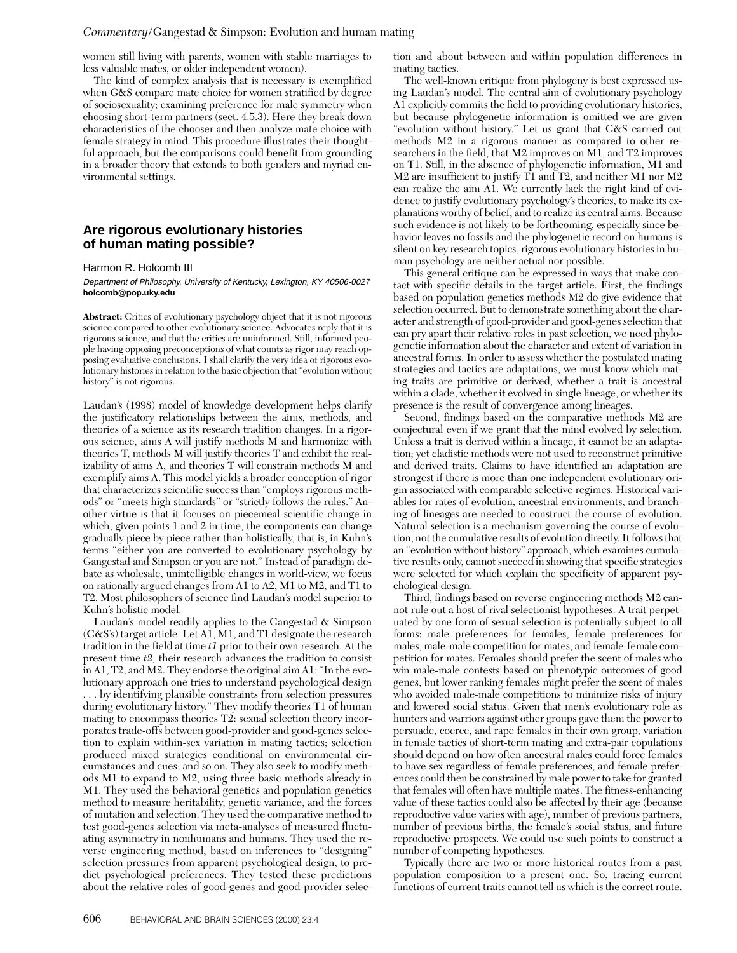## *Commentary/*Gangestad & Simpson: Evolution and human mating

women still living with parents, women with stable marriages to less valuable mates, or older independent women).

The kind of complex analysis that is necessary is exemplified when G&S compare mate choice for women stratified by degree of sociosexuality; examining preference for male symmetry when choosing short-term partners (sect. 4.5.3). Here they break down characteristics of the chooser and then analyze mate choice with female strategy in mind. This procedure illustrates their thoughtful approach, but the comparisons could benefit from grounding in a broader theory that extends to both genders and myriad environmental settings.

## **Are rigorous evolutionary histories of human mating possible?**

#### Harmon R. Holcomb III

#### Department of Philosophy, University of Kentucky, Lexington, KY 40506-0027 **holcomb@pop.uky.edu**

**Abstract:** Critics of evolutionary psychology object that it is not rigorous science compared to other evolutionary science. Advocates reply that it is rigorous science, and that the critics are uninformed. Still, informed people having opposing preconceptions of what counts as rigor may reach opposing evaluative conclusions. I shall clarify the very idea of rigorous evolutionary histories in relation to the basic objection that "evolution without history" is not rigorous.

Laudan's (1998) model of knowledge development helps clarify the justificatory relationships between the aims, methods, and theories of a science as its research tradition changes. In a rigorous science, aims A will justify methods M and harmonize with theories T, methods M will justify theories T and exhibit the realizability of aims A, and theories T will constrain methods M and exemplify aims A. This model yields a broader conception of rigor that characterizes scientific success than "employs rigorous methods" or "meets high standards" or "strictly follows the rules." Another virtue is that it focuses on piecemeal scientific change in which, given points 1 and 2 in time, the components can change gradually piece by piece rather than holistically, that is, in Kuhn's terms "either you are converted to evolutionary psychology by Gangestad and Simpson or you are not." Instead of paradigm debate as wholesale, unintelligible changes in world-view, we focus on rationally argued changes from A1 to A2, M1 to M2, and T1 to T2. Most philosophers of science find Laudan's model superior to Kuhn's holistic model.

Laudan's model readily applies to the Gangestad & Simpson (G&S's) target article. Let A1, M1, and T1 designate the research tradition in the field at time *t1* prior to their own research. At the present time *t2,* their research advances the tradition to consist in A1, T2, and M2. They endorse the original aim A1: "In the evolutionary approach one tries to understand psychological design . . . by identifying plausible constraints from selection pressures during evolutionary history." They modify theories T1 of human mating to encompass theories T2: sexual selection theory incorporates trade-offs between good-provider and good-genes selection to explain within-sex variation in mating tactics; selection produced mixed strategies conditional on environmental circumstances and cues; and so on. They also seek to modify methods M1 to expand to M2, using three basic methods already in M1. They used the behavioral genetics and population genetics method to measure heritability, genetic variance, and the forces of mutation and selection. They used the comparative method to test good-genes selection via meta-analyses of measured fluctuating asymmetry in nonhumans and humans. They used the reverse engineering method, based on inferences to "designing" selection pressures from apparent psychological design, to predict psychological preferences. They tested these predictions about the relative roles of good-genes and good-provider selection and about between and within population differences in mating tactics.

The well-known critique from phylogeny is best expressed using Laudan's model. The central aim of evolutionary psychology A1 explicitly commits the field to providing evolutionary histories, but because phylogenetic information is omitted we are given "evolution without history." Let us grant that G&S carried out methods M2 in a rigorous manner as compared to other researchers in the field, that M2 improves on M1, and T2 improves on T1. Still, in the absence of phylogenetic information, M1 and M2 are insufficient to justify T1 and T2, and neither M1 nor M2 can realize the aim A1. We currently lack the right kind of evidence to justify evolutionary psychology's theories, to make its explanations worthy of belief, and to realize its central aims. Because such evidence is not likely to be forthcoming, especially since behavior leaves no fossils and the phylogenetic record on humans is silent on key research topics, rigorous evolutionary histories in human psychology are neither actual nor possible.

This general critique can be expressed in ways that make contact with specific details in the target article. First, the findings based on population genetics methods M2 do give evidence that selection occurred. But to demonstrate something about the character and strength of good-provider and good-genes selection that can pry apart their relative roles in past selection, we need phylogenetic information about the character and extent of variation in ancestral forms. In order to assess whether the postulated mating strategies and tactics are adaptations, we must know which mating traits are primitive or derived, whether a trait is ancestral within a clade, whether it evolved in single lineage, or whether its presence is the result of convergence among lineages.

Second, findings based on the comparative methods M2 are conjectural even if we grant that the mind evolved by selection. Unless a trait is derived within a lineage, it cannot be an adaptation; yet cladistic methods were not used to reconstruct primitive and derived traits. Claims to have identified an adaptation are strongest if there is more than one independent evolutionary origin associated with comparable selective regimes. Historical variables for rates of evolution, ancestral environments, and branching of lineages are needed to construct the course of evolution. Natural selection is a mechanism governing the course of evolution, not the cumulative results of evolution directly. It follows that an "evolution without history" approach, which examines cumulative results only, cannot succeed in showing that specific strategies were selected for which explain the specificity of apparent psychological design.

Third, findings based on reverse engineering methods M2 cannot rule out a host of rival selectionist hypotheses. A trait perpetuated by one form of sexual selection is potentially subject to all forms: male preferences for females, female preferences for males, male-male competition for mates, and female-female competition for mates. Females should prefer the scent of males who win male-male contests based on phenotypic outcomes of good genes, but lower ranking females might prefer the scent of males who avoided male-male competitions to minimize risks of injury and lowered social status. Given that men's evolutionary role as hunters and warriors against other groups gave them the power to persuade, coerce, and rape females in their own group, variation in female tactics of short-term mating and extra-pair copulations should depend on how often ancestral males could force females to have sex regardless of female preferences, and female preferences could then be constrained by male power to take for granted that females will often have multiple mates. The fitness-enhancing value of these tactics could also be affected by their age (because reproductive value varies with age), number of previous partners, number of previous births, the female's social status, and future reproductive prospects. We could use such points to construct a number of competing hypotheses.

Typically there are two or more historical routes from a past population composition to a present one. So, tracing current functions of current traits cannot tell us which is the correct route.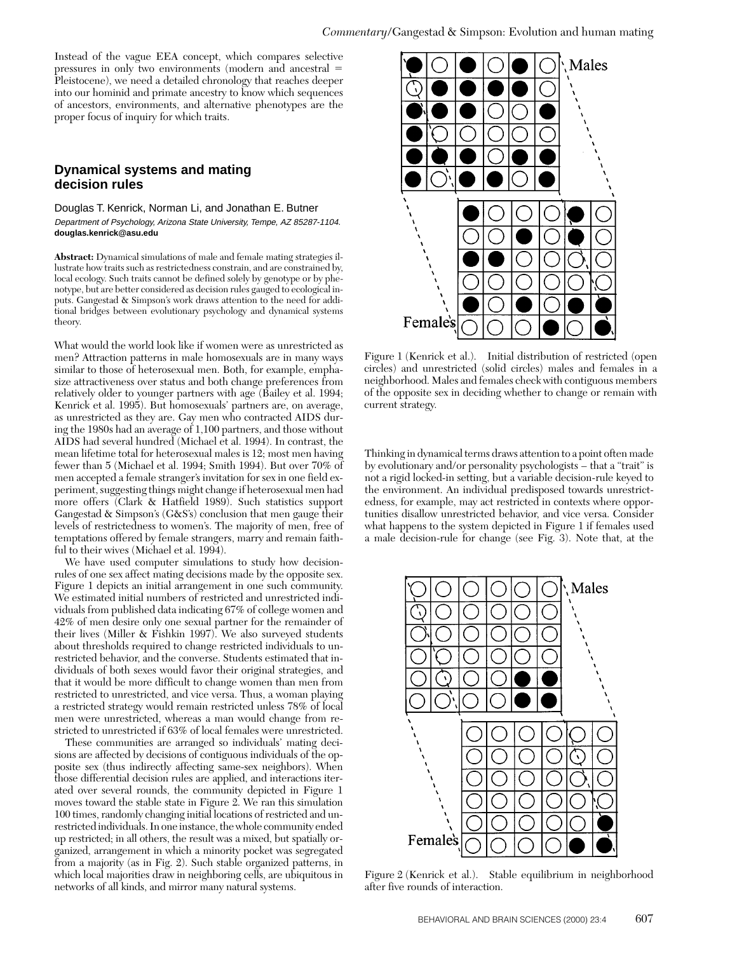Instead of the vague EEA concept, which compares selective pressures in only two environments (modern and ancestral  $=$ Pleistocene), we need a detailed chronology that reaches deeper into our hominid and primate ancestry to know which sequences of ancestors, environments, and alternative phenotypes are the proper focus of inquiry for which traits.

## **Dynamical systems and mating decision rules**

Douglas T. Kenrick, Norman Li, and Jonathan E. Butner Department of Psychology, Arizona State University, Tempe, AZ 85287-1104. **douglas.kenrick@asu.edu**

**Abstract:** Dynamical simulations of male and female mating strategies illustrate how traits such as restrictedness constrain, and are constrained by, local ecology. Such traits cannot be defined solely by genotype or by phenotype, but are better considered as decision rules gauged to ecological inputs. Gangestad & Simpson's work draws attention to the need for additional bridges between evolutionary psychology and dynamical systems theory.

What would the world look like if women were as unrestricted as men? Attraction patterns in male homosexuals are in many ways similar to those of heterosexual men. Both, for example, emphasize attractiveness over status and both change preferences from relatively older to younger partners with age (Bailey et al. 1994; Kenrick et al. 1995). But homosexuals' partners are, on average, as unrestricted as they are. Gay men who contracted AIDS during the 1980s had an average of 1,100 partners, and those without AIDS had several hundred (Michael et al. 1994). In contrast, the mean lifetime total for heterosexual males is 12; most men having fewer than 5 (Michael et al. 1994; Smith 1994). But over 70% of men accepted a female stranger's invitation for sex in one field experiment, suggesting things might change if heterosexual men had more offers (Clark & Hatfield 1989). Such statistics support Gangestad & Simpson's (G&S's) conclusion that men gauge their levels of restrictedness to women's. The majority of men, free of temptations offered by female strangers, marry and remain faithful to their wives (Michael et al. 1994).

We have used computer simulations to study how decisionrules of one sex affect mating decisions made by the opposite sex. Figure 1 depicts an initial arrangement in one such community. We estimated initial numbers of restricted and unrestricted individuals from published data indicating 67% of college women and 42% of men desire only one sexual partner for the remainder of their lives (Miller & Fishkin 1997). We also surveyed students about thresholds required to change restricted individuals to unrestricted behavior, and the converse. Students estimated that individuals of both sexes would favor their original strategies, and that it would be more difficult to change women than men from restricted to unrestricted, and vice versa. Thus, a woman playing a restricted strategy would remain restricted unless 78% of local men were unrestricted, whereas a man would change from restricted to unrestricted if 63% of local females were unrestricted.

These communities are arranged so individuals' mating decisions are affected by decisions of contiguous individuals of the opposite sex (thus indirectly affecting same-sex neighbors). When those differential decision rules are applied, and interactions iterated over several rounds, the community depicted in Figure 1 moves toward the stable state in Figure 2. We ran this simulation 100 times, randomly changing initial locations of restricted and unrestricted individuals. In one instance, the whole community ended up restricted; in all others, the result was a mixed, but spatially organized, arrangement in which a minority pocket was segregated from a majority (as in Fig. 2). Such stable organized patterns, in which local majorities draw in neighboring cells, are ubiquitous in networks of all kinds, and mirror many natural systems.



Figure 1 (Kenrick et al.). Initial distribution of restricted (open circles) and unrestricted (solid circles) males and females in a neighborhood. Males and females check with contiguous members of the opposite sex in deciding whether to change or remain with current strategy.

Thinking in dynamical terms draws attention to a point often made by evolutionary and/or personality psychologists – that a "trait" is not a rigid locked-in setting, but a variable decision-rule keyed to the environment. An individual predisposed towards unrestrictedness, for example, may act restricted in contexts where opportunities disallow unrestricted behavior, and vice versa. Consider what happens to the system depicted in Figure 1 if females used a male decision-rule for change (see Fig. 3). Note that, at the



Figure 2 (Kenrick et al.). Stable equilibrium in neighborhood after five rounds of interaction.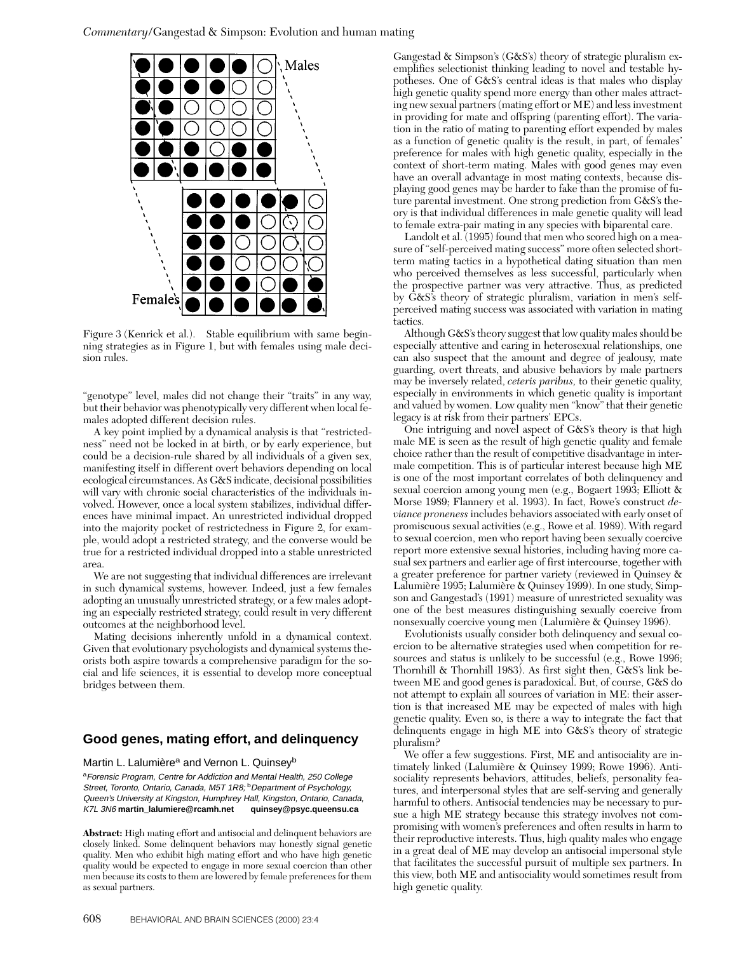

Figure 3 (Kenrick et al.). Stable equilibrium with same beginning strategies as in Figure 1, but with females using male decision rules.

"genotype" level, males did not change their "traits" in any way, but their behavior was phenotypically very different when local females adopted different decision rules.

A key point implied by a dynamical analysis is that "restrictedness" need not be locked in at birth, or by early experience, but could be a decision-rule shared by all individuals of a given sex, manifesting itself in different overt behaviors depending on local ecological circumstances. As G&S indicate, decisional possibilities will vary with chronic social characteristics of the individuals involved. However, once a local system stabilizes, individual differences have minimal impact. An unrestricted individual dropped into the majority pocket of restrictedness in Figure 2, for example, would adopt a restricted strategy, and the converse would be true for a restricted individual dropped into a stable unrestricted area.

We are not suggesting that individual differences are irrelevant in such dynamical systems, however. Indeed, just a few females adopting an unusually unrestricted strategy, or a few males adopting an especially restricted strategy, could result in very different outcomes at the neighborhood level.

Mating decisions inherently unfold in a dynamical context. Given that evolutionary psychologists and dynamical systems theorists both aspire towards a comprehensive paradigm for the social and life sciences, it is essential to develop more conceptual bridges between them.

## **Good genes, mating effort, and delinquency**

#### Martin L. Lalumière<sup>a</sup> and Vernon L. Quinsey<sup>b</sup>

a Forensic Program, Centre for Addiction and Mental Health, 250 College Street, Toronto, Ontario, Canada, M5T 1R8; <sup>b</sup>Department of Psychology, Queen's University at Kingston, Humphrey Hall, Kingston, Ontario, Canada, K7L 3N6 **martin\_lalumiere@rcamh.net quinsey@psyc.queensu.ca**

**Abstract:** High mating effort and antisocial and delinquent behaviors are closely linked. Some delinquent behaviors may honestly signal genetic quality. Men who exhibit high mating effort and who have high genetic quality would be expected to engage in more sexual coercion than other men because its costs to them are lowered by female preferences for them as sexual partners.

Gangestad & Simpson's (G&S's) theory of strategic pluralism exemplifies selectionist thinking leading to novel and testable hypotheses. One of G&S's central ideas is that males who display high genetic quality spend more energy than other males attracting new sexual partners (mating effort or ME) and less investment in providing for mate and offspring (parenting effort). The variation in the ratio of mating to parenting effort expended by males as a function of genetic quality is the result, in part, of females' preference for males with high genetic quality, especially in the context of short-term mating. Males with good genes may even have an overall advantage in most mating contexts, because displaying good genes may be harder to fake than the promise of future parental investment. One strong prediction from G&S's theory is that individual differences in male genetic quality will lead to female extra-pair mating in any species with biparental care.

Landolt et al. (1995) found that men who scored high on a measure of "self-perceived mating success" more often selected shortterm mating tactics in a hypothetical dating situation than men who perceived themselves as less successful, particularly when the prospective partner was very attractive. Thus, as predicted by G&S's theory of strategic pluralism, variation in men's selfperceived mating success was associated with variation in mating tactics.

Although G&S's theory suggest that low quality males should be especially attentive and caring in heterosexual relationships, one can also suspect that the amount and degree of jealousy, mate guarding, overt threats, and abusive behaviors by male partners may be inversely related, *ceteris paribus,* to their genetic quality, especially in environments in which genetic quality is important and valued by women. Low quality men "know" that their genetic legacy is at risk from their partners' EPCs.

One intriguing and novel aspect of G&S's theory is that high male ME is seen as the result of high genetic quality and female choice rather than the result of competitive disadvantage in intermale competition. This is of particular interest because high ME is one of the most important correlates of both delinquency and sexual coercion among young men (e.g., Bogaert 1993; Elliott & Morse 1989; Flannery et al. 1993). In fact, Rowe's construct *deviance proneness* includes behaviors associated with early onset of promiscuous sexual activities (e.g., Rowe et al. 1989). With regard to sexual coercion, men who report having been sexually coercive report more extensive sexual histories, including having more casual sex partners and earlier age of first intercourse, together with a greater preference for partner variety (reviewed in Quinsey & Lalumière 1995; Lalumière & Quinsey 1999). In one study, Simpson and Gangestad's (1991) measure of unrestricted sexuality was one of the best measures distinguishing sexually coercive from nonsexually coercive young men (Lalumière & Quinsey 1996).

Evolutionists usually consider both delinquency and sexual coercion to be alternative strategies used when competition for resources and status is unlikely to be successful (e.g., Rowe 1996; Thornhill & Thornhill 1983). As first sight then, G&S's link between ME and good genes is paradoxical. But, of course, G&S do not attempt to explain all sources of variation in ME: their assertion is that increased ME may be expected of males with high genetic quality. Even so, is there a way to integrate the fact that delinquents engage in high ME into G&S's theory of strategic pluralism?

We offer a few suggestions. First, ME and antisociality are intimately linked (Lalumière & Quinsey 1999; Rowe 1996). Antisociality represents behaviors, attitudes, beliefs, personality features, and interpersonal styles that are self-serving and generally harmful to others. Antisocial tendencies may be necessary to pursue a high ME strategy because this strategy involves not compromising with women's preferences and often results in harm to their reproductive interests. Thus, high quality males who engage in a great deal of ME may develop an antisocial impersonal style that facilitates the successful pursuit of multiple sex partners. In this view, both ME and antisociality would sometimes result from high genetic quality.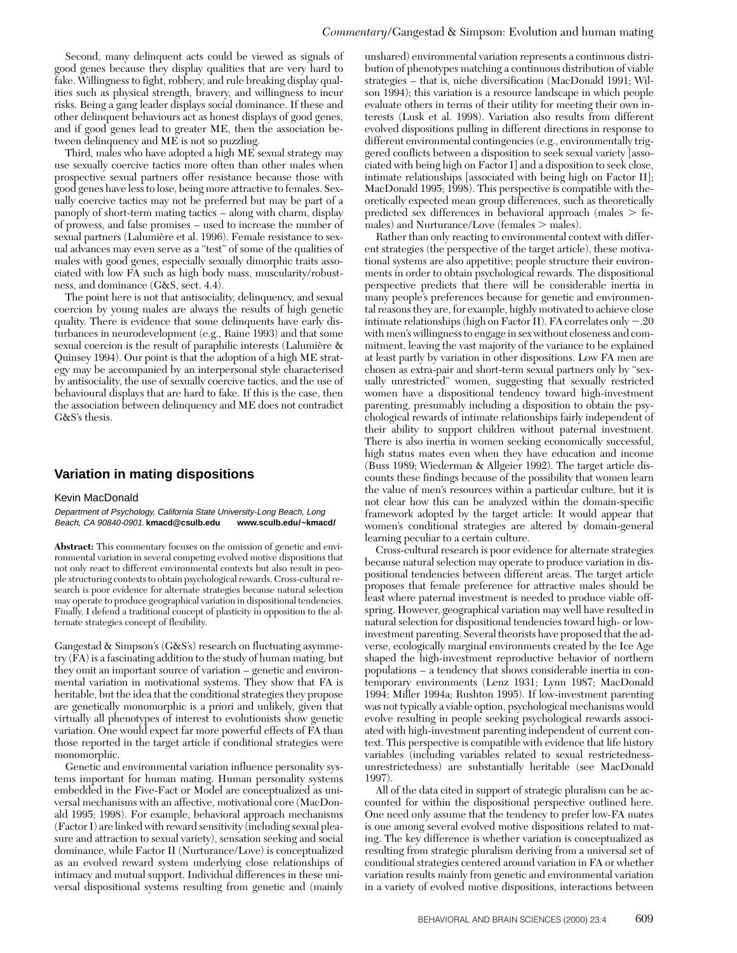Second, many delinquent acts could be viewed as signals of good genes because they display qualities that are very hard to fake. Willingness to fight, robbery, and rule breaking display qualities such as physical strength, bravery, and willingness to incur risks. Being a gang leader displays social dominance. If these and other delinquent behaviours act as honest displays of good genes, and if good genes lead to greater ME, then the association between delinquency and ME is not so puzzling.

Third, males who have adopted a high ME sexual strategy may use sexually coercive tactics more often than other males when prospective sexual partners offer resistance because those with good genes have less to lose, being more attractive to females. Sexually coercive tactics may not be preferred but may be part of a panoply of short-term mating tactics – along with charm, display of prowess, and false promises – used to increase the number of sexual partners (Lalumière et al. 1996). Female resistance to sexual advances may even serve as a "test" of some of the qualities of males with good genes, especially sexually dimorphic traits associated with low FA such as high body mass, muscularity/robustness, and dominance (G&S, sect. 4.4).

The point here is not that antisociality, delinquency, and sexual coercion by young males are always the results of high genetic quality. There is evidence that some delinquents have early disturbances in neurodevelopment (e.g., Raine 1993) and that some sexual coercion is the result of paraphilic interests (Lalumière & Quinsey 1994). Our point is that the adoption of a high ME strategy may be accompanied by an interpersonal style characterised by antisociality, the use of sexually coercive tactics, and the use of behavioural displays that are hard to fake. If this is the case, then the association between delinquency and ME does not contradict G&S's thesis.

## **Variation in mating dispositions**

#### Kevin MacDonald

Department of Psychology, California State University-Long Beach, Long Beach, CA 90840-0901. **kmacd@csulb.edu www.sculb.edu/~kmacd/**

**Abstract:** This commentary focuses on the omission of genetic and environmental variation in several competing evolved motive dispositions that not only react to different environmental contexts but also result in people structuring contexts to obtain psychological rewards. Cross-cultural research is poor evidence for alternate strategies because natural selection may operate to produce geographical variation in dispositional tendencies. Finally, I defend a traditional concept of plasticity in opposition to the alternate strategies concept of flexibility.

Gangestad & Simpson's (G&S's) research on fluctuating asymme- $\text{try}(\overline{FA})$  is a fascinating addition to the study of human mating, but they omit an important source of variation – genetic and environmental variation in motivational systems. They show that FA is heritable, but the idea that the conditional strategies they propose are genetically monomorphic is a priori and unlikely, given that virtually all phenotypes of interest to evolutionists show genetic variation. One would expect far more powerful effects of FA than those reported in the target article if conditional strategies were monomorphic.

Genetic and environmental variation influence personality systems important for human mating. Human personality systems embedded in the Five-Fact or Model are conceptualized as universal mechanisms with an affective, motivational core (MacDonald 1995; 1998). For example, behavioral approach mechanisms (Factor I) are linked with reward sensitivity (including sexual pleasure and attraction to sexual variety), sensation seeking and social dominance, while Factor II (Nurturance/Love) is conceptualized as an evolved reward system underlying close relationships of intimacy and mutual support. Individual differences in these universal dispositional systems resulting from genetic and (mainly

unshared) environmental variation represents a continuous distribution of phenotypes matching a continuous distribution of viable strategies – that is, niche diversification (MacDonald 1991; Wilson 1994); this variation is a resource landscape in which people evaluate others in terms of their utility for meeting their own interests (Lusk et al. 1998). Variation also results from different evolved dispositions pulling in different directions in response to different environmental contingencies (e.g., environmentally triggered conflicts between a disposition to seek sexual variety [associated with being high on Factor I] and a disposition to seek close, intimate relationships [associated with being high on Factor II]; MacDonald 1995; 1998). This perspective is compatible with theoretically expected mean group differences, such as theoretically predicted sex differences in behavioral approach (males  $>$  females) and Nurturance/Love (females  $>$  males).

Rather than only reacting to environmental context with different strategies (the perspective of the target article), these motivational systems are also appetitive; people structure their environments in order to obtain psychological rewards. The dispositional perspective predicts that there will be considerable inertia in many people's preferences because for genetic and environmental reasons they are, for example, highly motivated to achieve close intimate relationships (high on Factor II). FA correlates only  $-.20$ with men's willingness to engage in sex without closeness and commitment, leaving the vast majority of the variance to be explained at least partly by variation in other dispositions. Low FA men are chosen as extra-pair and short-term sexual partners only by "sexually unrestricted" women, suggesting that sexually restricted women have a dispositional tendency toward high-investment parenting, presumably including a disposition to obtain the psychological rewards of intimate relationships fairly independent of their ability to support children without paternal investment. There is also inertia in women seeking economically successful, high status mates even when they have education and income (Buss 1989; Wiederman & Allgeier 1992). The target article discounts these findings because of the possibility that women learn the value of men's resources within a particular culture, but it is not clear how this can be analyzed within the domain-specific framework adopted by the target article: It would appear that women's conditional strategies are altered by domain-general learning peculiar to a certain culture.

Cross-cultural research is poor evidence for alternate strategies because natural selection may operate to produce variation in dispositional tendencies between different areas. The target article proposes that female preference for attractive males should be least where paternal investment is needed to produce viable offspring. However, geographical variation may well have resulted in natural selection for dispositional tendencies toward high- or lowinvestment parenting. Several theorists have proposed that the adverse, ecologically marginal environments created by the Ice Age shaped the high-investment reproductive behavior of northern populations – a tendency that shows considerable inertia in contemporary environments (Lenz 1931; Lynn 1987; MacDonald 1994; Miller 1994a; Rushton 1995). If low-investment parenting was not typically a viable option, psychological mechanisms would evolve resulting in people seeking psychological rewards associated with high-investment parenting independent of current context. This perspective is compatible with evidence that life history variables (including variables related to sexual restrictednessunrestrictedness) are substantially heritable (see MacDonald 1997).

All of the data cited in support of strategic pluralism can be accounted for within the dispositional perspective outlined here. One need only assume that the tendency to prefer low-FA mates is one among several evolved motive dispositions related to mating. The key difference is whether variation is conceptualized as resulting from strategic pluralism deriving from a universal set of conditional strategies centered around variation in FA or whether variation results mainly from genetic and environmental variation in a variety of evolved motive dispositions, interactions between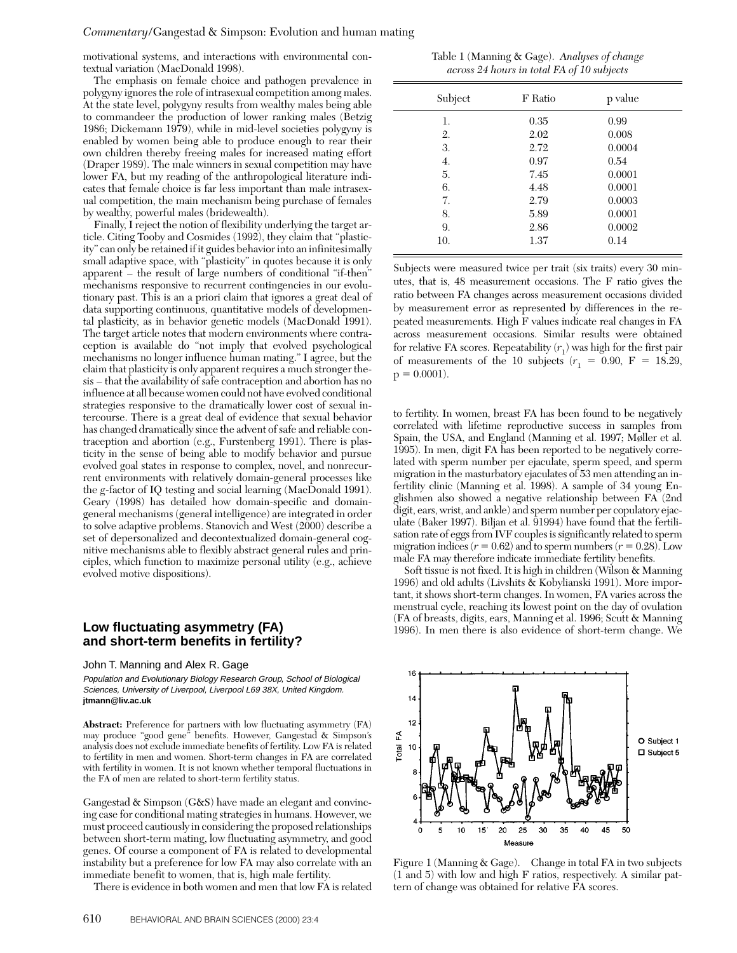motivational systems, and interactions with environmental contextual variation (MacDonald 1998).

The emphasis on female choice and pathogen prevalence in polygyny ignores the role of intrasexual competition among males. At the state level, polygyny results from wealthy males being able to commandeer the production of lower ranking males (Betzig 1986; Dickemann 1979), while in mid-level societies polygyny is enabled by women being able to produce enough to rear their own children thereby freeing males for increased mating effort (Draper 1989). The male winners in sexual competition may have lower FA, but my reading of the anthropological literature indicates that female choice is far less important than male intrasexual competition, the main mechanism being purchase of females by wealthy, powerful males (bridewealth).

Finally, I reject the notion of flexibility underlying the target article. Citing Tooby and Cosmides (1992), they claim that "plasticity" can only be retained if it guides behavior into an infinitesimally small adaptive space, with "plasticity" in quotes because it is only apparent – the result of large numbers of conditional "if-then" mechanisms responsive to recurrent contingencies in our evolutionary past. This is an a priori claim that ignores a great deal of data supporting continuous, quantitative models of developmental plasticity, as in behavior genetic models (MacDonald 1991). The target article notes that modern environments where contraception is available do "not imply that evolved psychological mechanisms no longer influence human mating." I agree, but the claim that plasticity is only apparent requires a much stronger thesis – that the availability of safe contraception and abortion has no influence at all because women could not have evolved conditional strategies responsive to the dramatically lower cost of sexual intercourse. There is a great deal of evidence that sexual behavior has changed dramatically since the advent of safe and reliable contraception and abortion (e.g., Furstenberg 1991). There is plasticity in the sense of being able to modify behavior and pursue evolved goal states in response to complex, novel, and nonrecurrent environments with relatively domain-general processes like the *g*-factor of IQ testing and social learning (MacDonald 1991). Geary (1998) has detailed how domain-specific and domaingeneral mechanisms (general intelligence) are integrated in order to solve adaptive problems. Stanovich and West (2000) describe a set of depersonalized and decontextualized domain-general cognitive mechanisms able to flexibly abstract general rules and principles, which function to maximize personal utility (e.g., achieve evolved motive dispositions).

# **Low fluctuating asymmetry (FA) and short-term benefits in fertility?**

#### John T. Manning and Alex R. Gage

Population and Evolutionary Biology Research Group, School of Biological Sciences, University of Liverpool, Liverpool L69 38X, United Kingdom. **jtmann@liv.ac.uk**

**Abstract:** Preference for partners with low fluctuating asymmetry (FA) may produce "good gene" benefits. However, Gangestad & Simpson's analysis does not exclude immediate benefits of fertility. Low FA is related to fertility in men and women. Short-term changes in FA are correlated with fertility in women. It is not known whether temporal fluctuations in the FA of men are related to short-term fertility status.

Gangestad & Simpson (G&S) have made an elegant and convincing case for conditional mating strategies in humans. However, we must proceed cautiously in considering the proposed relationships between short-term mating, low fluctuating asymmetry, and good genes. Of course a component of FA is related to developmental instability but a preference for low FA may also correlate with an immediate benefit to women, that is, high male fertility.

There is evidence in both women and men that low FA is related

Table 1 (Manning & Gage). *Analyses of change across 24 hours in total FA of 10 subjects*

 $\equiv$ 

| Subject | F Ratio | p value |  |
|---------|---------|---------|--|
| 1.      | 0.35    | 0.99    |  |
| 2.      | 2.02    | 0.008   |  |
| 3.      | 2.72    | 0.0004  |  |
| 4.      | 0.97    | 0.54    |  |
| 5.      | 7.45    | 0.0001  |  |
| 6.      | 4.48    | 0.0001  |  |
| 7.      | 2.79    | 0.0003  |  |
| 8.      | 5.89    | 0.0001  |  |
| 9.      | 2.86    | 0.0002  |  |
| 10.     | 1.37    | 0.14    |  |

Subjects were measured twice per trait (six traits) every 30 minutes, that is, 48 measurement occasions. The F ratio gives the ratio between FA changes across measurement occasions divided by measurement error as represented by differences in the repeated measurements. High F values indicate real changes in FA across measurement occasions. Similar results were obtained for relative FA scores. Repeatability  $(r_1)$  was high for the first pair of measurements of the 10 subjects  $(r_1 = 0.90, F = 18.29,$  $p = 0.0001$ ).

to fertility. In women, breast FA has been found to be negatively correlated with lifetime reproductive success in samples from Spain, the USA, and England (Manning et al. 1997; Møller et al. 1995). In men, digit FA has been reported to be negatively correlated with sperm number per ejaculate, sperm speed, and sperm migration in the masturbatory ejaculates of 53 men attending an infertility clinic (Manning et al. 1998). A sample of 34 young Englishmen also showed a negative relationship between FA (2nd digit, ears, wrist, and ankle) and sperm number per copulatory ejaculate (Baker 1997). Biljan et al. 91994) have found that the fertilisation rate of eggs from IVF couples is significantly related to sperm migration indices  $(r = 0.62)$  and to sperm numbers  $(r = 0.28)$ . Low male FA may therefore indicate immediate fertility benefits.

Soft tissue is not fixed. It is high in children (Wilson & Manning 1996) and old adults (Livshits & Kobylianski 1991). More important, it shows short-term changes. In women, FA varies across the menstrual cycle, reaching its lowest point on the day of ovulation (FA of breasts, digits, ears, Manning et al. 1996; Scutt & Manning 1996). In men there is also evidence of short-term change. We



Figure 1 (Manning & Gage). Change in total FA in two subjects (1 and 5) with low and high F ratios, respectively. A similar pattern of change was obtained for relative FA scores.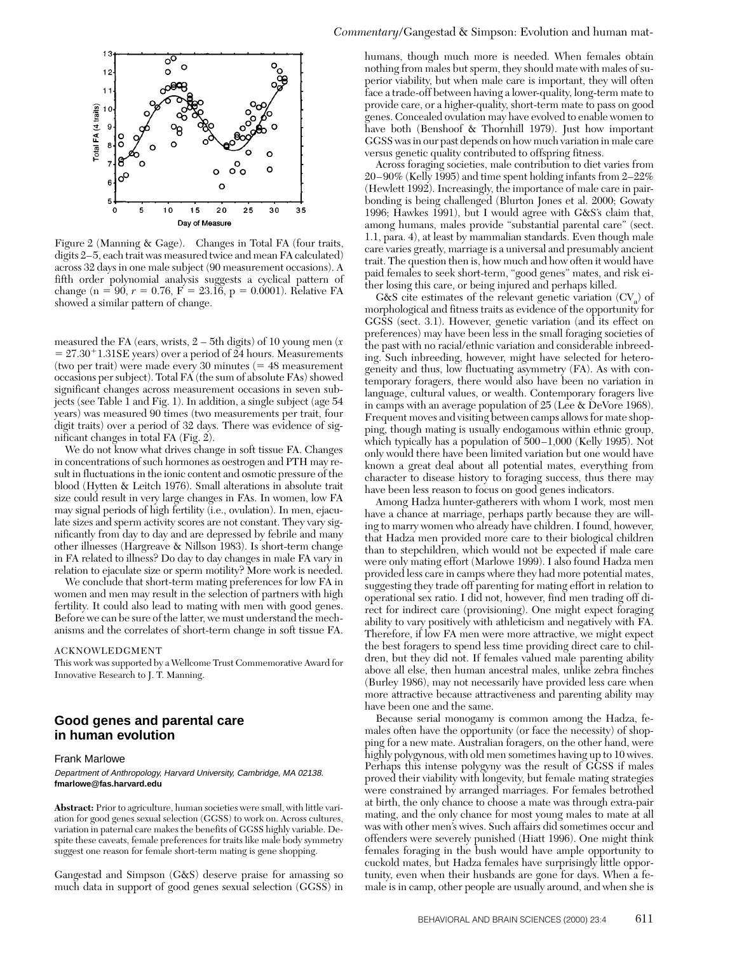

Figure 2 (Manning & Gage). Changes in Total FA (four traits, digits 2–5, each trait was measured twice and mean FA calculated) across 32 days in one male subject (90 measurement occasions). A fifth order polynomial analysis suggests a cyclical pattern of change (n =  $90, r = 0.76, F = 23.\overline{16}, p = 0.0001$ ). Relative FA showed a similar pattern of change.

measured the FA (ears, wrists, 2 – 5th digits) of 10 young men (*x*  $= 27.30 + 1.31$ SE years) over a period of 24 hours. Measurements (two per trait) were made every 30 minutes  $(= 48$  measurement occasions per subject). Total FA (the sum of absolute FAs) showed significant changes across measurement occasions in seven subjects (see Table 1 and Fig. 1). In addition, a single subject (age 54 years) was measured 90 times (two measurements per trait, four digit traits) over a period of 32 days. There was evidence of significant changes in total FA (Fig. 2).

We do not know what drives change in soft tissue FA. Changes in concentrations of such hormones as oestrogen and PTH may result in fluctuations in the ionic content and osmotic pressure of the blood (Hytten & Leitch 1976). Small alterations in absolute trait size could result in very large changes in FAs. In women, low FA may signal periods of high fertility (i.e., ovulation). In men, ejaculate sizes and sperm activity scores are not constant. They vary significantly from day to day and are depressed by febrile and many other illnesses (Hargreave & Nillson 1983). Is short-term change in FA related to illness? Do day to day changes in male FA vary in relation to ejaculate size or sperm motility? More work is needed.

We conclude that short-term mating preferences for low FA in women and men may result in the selection of partners with high fertility. It could also lead to mating with men with good genes. Before we can be sure of the latter, we must understand the mechanisms and the correlates of short-term change in soft tissue FA.

#### ACKNOWLEDGMENT

This work was supported by a Wellcome Trust Commemorative Award for Innovative Research to J. T. Manning.

# **Good genes and parental care in human evolution**

#### Frank Marlowe

Department of Anthropology, Harvard University, Cambridge, MA 02138. **fmarlowe@fas.harvard.edu**

**Abstract:** Prior to agriculture, human societies were small, with little variation for good genes sexual selection (GGSS) to work on. Across cultures, variation in paternal care makes the benefits of GGSS highly variable. Despite these caveats, female preferences for traits like male body symmetry suggest one reason for female short-term mating is gene shopping.

Gangestad and Simpson (G&S) deserve praise for amassing so much data in support of good genes sexual selection (GGSS) in

humans, though much more is needed. When females obtain nothing from males but sperm, they should mate with males of superior viability, but when male care is important, they will often face a trade-off between having a lower-quality, long-term mate to provide care, or a higher-quality, short-term mate to pass on good genes. Concealed ovulation may have evolved to enable women to have both (Benshoof & Thornhill 1979). Just how important GGSS was in our past depends on how much variation in male care versus genetic quality contributed to offspring fitness.

Across foraging societies, male contribution to diet varies from 20–90% (Kelly 1995) and time spent holding infants from 2–22% (Hewlett 1992). Increasingly, the importance of male care in pairbonding is being challenged (Blurton Jones et al. 2000; Gowaty 1996; Hawkes 1991), but I would agree with G&S's claim that, among humans, males provide "substantial parental care" (sect. 1.1, para. 4), at least by mammalian standards. Even though male care varies greatly, marriage is a universal and presumably ancient trait. The question then is, how much and how often it would have paid females to seek short-term, "good genes" mates, and risk either losing this care, or being injured and perhaps killed.

G&S cite estimates of the relevant genetic variation  $(CV_a)$  of morphological and fitness traits as evidence of the opportunity for GGSS (sect. 3.1). However, genetic variation (and its effect on preferences) may have been less in the small foraging societies of the past with no racial/ethnic variation and considerable inbreeding. Such inbreeding, however, might have selected for heterogeneity and thus, low fluctuating asymmetry (FA). As with contemporary foragers, there would also have been no variation in language, cultural values, or wealth. Contemporary foragers live in camps with an average population of 25 (Lee & DeVore 1968). Frequent moves and visiting between camps allows for mate shopping, though mating is usually endogamous within ethnic group, which typically has a population of 500–1,000 (Kelly 1995). Not only would there have been limited variation but one would have known a great deal about all potential mates, everything from character to disease history to foraging success, thus there may have been less reason to focus on good genes indicators.

Among Hadza hunter-gatherers with whom I work, most men have a chance at marriage, perhaps partly because they are willing to marry women who already have children. I found, however, that Hadza men provided more care to their biological children than to stepchildren, which would not be expected if male care were only mating effort (Marlowe 1999). I also found Hadza men provided less care in camps where they had more potential mates, suggesting they trade off parenting for mating effort in relation to operational sex ratio. I did not, however, find men trading off direct for indirect care (provisioning). One might expect foraging ability to vary positively with athleticism and negatively with FA. Therefore, if low FA men were more attractive, we might expect the best foragers to spend less time providing direct care to children, but they did not. If females valued male parenting ability above all else, then human ancestral males, unlike zebra finches (Burley 1986), may not necessarily have provided less care when more attractive because attractiveness and parenting ability may have been one and the same.

Because serial monogamy is common among the Hadza, females often have the opportunity (or face the necessity) of shopping for a new mate. Australian foragers, on the other hand, were highly polygynous, with old men sometimes having up to 10 wives. Perhaps this intense polygyny was the result of GGSS if males proved their viability with longevity, but female mating strategies were constrained by arranged marriages. For females betrothed at birth, the only chance to choose a mate was through extra-pair mating, and the only chance for most young males to mate at all was with other men's wives. Such affairs did sometimes occur and offenders were severely punished (Hiatt 1996). One might think females foraging in the bush would have ample opportunity to cuckold mates, but Hadza females have surprisingly little opportunity, even when their husbands are gone for days. When a female is in camp, other people are usually around, and when she is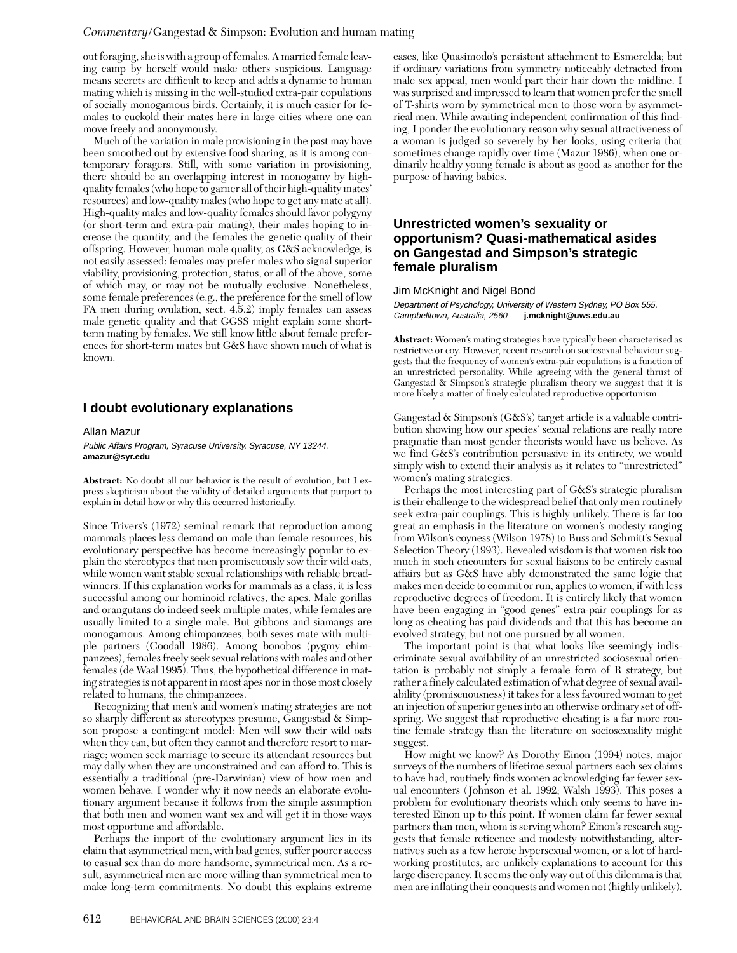## *Commentary/*Gangestad & Simpson: Evolution and human mating

out foraging, she is with a group of females. A married female leaving camp by herself would make others suspicious. Language means secrets are difficult to keep and adds a dynamic to human mating which is missing in the well-studied extra-pair copulations of socially monogamous birds. Certainly, it is much easier for females to cuckold their mates here in large cities where one can move freely and anonymously.

Much of the variation in male provisioning in the past may have been smoothed out by extensive food sharing, as it is among contemporary foragers. Still, with some variation in provisioning, there should be an overlapping interest in monogamy by highquality females (who hope to garner all of their high-quality mates' resources) and low-quality males (who hope to get any mate at all). High-quality males and low-quality females should favor polygyny (or short-term and extra-pair mating), their males hoping to increase the quantity, and the females the genetic quality of their offspring. However, human male quality, as G&S acknowledge, is not easily assessed: females may prefer males who signal superior viability, provisioning, protection, status, or all of the above, some of which may, or may not be mutually exclusive. Nonetheless, some female preferences (e.g., the preference for the smell of low FA men during ovulation, sect. 4.5.2) imply females can assess male genetic quality and that GGSS might explain some shortterm mating by females. We still know little about female preferences for short-term mates but G&S have shown much of what is known.

## **I doubt evolutionary explanations**

Allan Mazur Public Affairs Program, Syracuse University, Syracuse, NY 13244. **amazur@syr.edu**

**Abstract:** No doubt all our behavior is the result of evolution, but I express skepticism about the validity of detailed arguments that purport to explain in detail how or why this occurred historically.

Since Trivers's (1972) seminal remark that reproduction among mammals places less demand on male than female resources, his evolutionary perspective has become increasingly popular to explain the stereotypes that men promiscuously sow their wild oats, while women want stable sexual relationships with reliable breadwinners. If this explanation works for mammals as a class, it is less successful among our hominoid relatives, the apes. Male gorillas and orangutans do indeed seek multiple mates, while females are usually limited to a single male. But gibbons and siamangs are monogamous. Among chimpanzees, both sexes mate with multiple partners (Goodall 1986). Among bonobos (pygmy chimpanzees), females freely seek sexual relations with males and other females (de Waal 1995). Thus, the hypothetical difference in mating strategies is not apparent in most apes nor in those most closely related to humans, the chimpanzees.

Recognizing that men's and women's mating strategies are not so sharply different as stereotypes presume, Gangestad & Simpson propose a contingent model: Men will sow their wild oats when they can, but often they cannot and therefore resort to marriage; women seek marriage to secure its attendant resources but may dally when they are unconstrained and can afford to. This is essentially a traditional (pre-Darwinian) view of how men and women behave. I wonder why it now needs an elaborate evolutionary argument because it follows from the simple assumption that both men and women want sex and will get it in those ways most opportune and affordable.

Perhaps the import of the evolutionary argument lies in its claim that asymmetrical men, with bad genes, suffer poorer access to casual sex than do more handsome, symmetrical men. As a result, asymmetrical men are more willing than symmetrical men to make long-term commitments. No doubt this explains extreme cases, like Quasimodo's persistent attachment to Esmerelda; but if ordinary variations from symmetry noticeably detracted from male sex appeal, men would part their hair down the midline. I was surprised and impressed to learn that women prefer the smell of T-shirts worn by symmetrical men to those worn by asymmetrical men. While awaiting independent confirmation of this finding, I ponder the evolutionary reason why sexual attractiveness of a woman is judged so severely by her looks, using criteria that sometimes change rapidly over time (Mazur 1986), when one ordinarily healthy young female is about as good as another for the purpose of having babies.

# **Unrestricted women's sexuality or opportunism? Quasi-mathematical asides on Gangestad and Simpson's strategic female pluralism**

#### Jim McKnight and Nigel Bond

Department of Psychology, University of Western Sydney, PO Box 555, Campbelltown, Australia, 2560 **j.mcknight@uws.edu.au**

**Abstract:** Women's mating strategies have typically been characterised as restrictive or coy. However, recent research on sociosexual behaviour suggests that the frequency of women's extra-pair copulations is a function of an unrestricted personality. While agreeing with the general thrust of Gangestad & Simpson's strategic pluralism theory we suggest that it is more likely a matter of finely calculated reproductive opportunism.

Gangestad & Simpson's (G&S's) target article is a valuable contribution showing how our species' sexual relations are really more pragmatic than most gender theorists would have us believe. As we find G&S's contribution persuasive in its entirety, we would simply wish to extend their analysis as it relates to "unrestricted" women's mating strategies.

Perhaps the most interesting part of G&S's strategic pluralism is their challenge to the widespread belief that only men routinely seek extra-pair couplings. This is highly unlikely. There is far too great an emphasis in the literature on women's modesty ranging from Wilson's coyness (Wilson 1978) to Buss and Schmitt's Sexual Selection Theory (1993). Revealed wisdom is that women risk too much in such encounters for sexual liaisons to be entirely casual affairs but as G&S have ably demonstrated the same logic that makes men decide to commit or run, applies to women, if with less reproductive degrees of freedom. It is entirely likely that women have been engaging in "good genes" extra-pair couplings for as long as cheating has paid dividends and that this has become an evolved strategy, but not one pursued by all women.

The important point is that what looks like seemingly indiscriminate sexual availability of an unrestricted sociosexual orientation is probably not simply a female form of R strategy, but rather a finely calculated estimation of what degree of sexual availability (promiscuousness) it takes for a less favoured woman to get an injection of superior genes into an otherwise ordinary set of offspring. We suggest that reproductive cheating is a far more routine female strategy than the literature on sociosexuality might suggest.

How might we know? As Dorothy Einon (1994) notes, major surveys of the numbers of lifetime sexual partners each sex claims to have had, routinely finds women acknowledging far fewer sexual encounters (Johnson et al. 1992; Walsh 1993). This poses a problem for evolutionary theorists which only seems to have interested Einon up to this point. If women claim far fewer sexual partners than men, whom is serving whom? Einon's research suggests that female reticence and modesty notwithstanding, alternatives such as a few heroic hypersexual women, or a lot of hardworking prostitutes, are unlikely explanations to account for this large discrepancy. It seems the only way out of this dilemma is that men are inflating their conquests and women not (highly unlikely).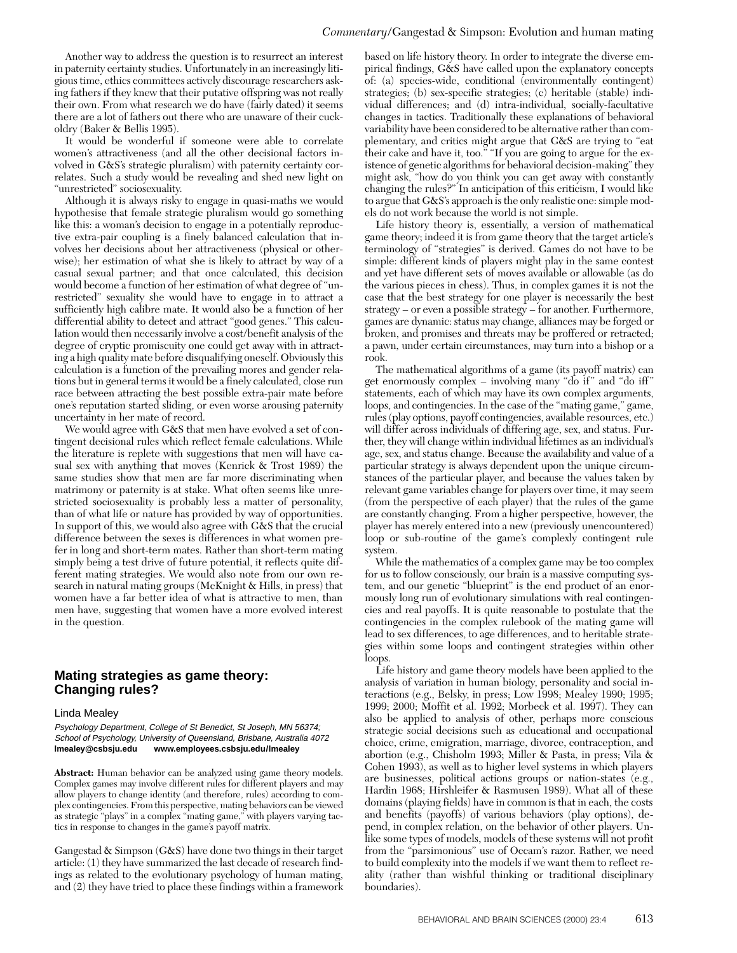Another way to address the question is to resurrect an interest in paternity certainty studies. Unfortunately in an increasingly litigious time, ethics committees actively discourage researchers asking fathers if they knew that their putative offspring was not really their own. From what research we do have (fairly dated) it seems there are a lot of fathers out there who are unaware of their cuckoldry (Baker & Bellis 1995).

It would be wonderful if someone were able to correlate women's attractiveness (and all the other decisional factors involved in G&S's strategic pluralism) with paternity certainty correlates. Such a study would be revealing and shed new light on "unrestricted" sociosexuality.

Although it is always risky to engage in quasi-maths we would hypothesise that female strategic pluralism would go something like this: a woman's decision to engage in a potentially reproductive extra-pair coupling is a finely balanced calculation that involves her decisions about her attractiveness (physical or otherwise); her estimation of what she is likely to attract by way of a casual sexual partner; and that once calculated, this decision would become a function of her estimation of what degree of "unrestricted" sexuality she would have to engage in to attract a sufficiently high calibre mate. It would also be a function of her differential ability to detect and attract "good genes." This calculation would then necessarily involve a cost/benefit analysis of the degree of cryptic promiscuity one could get away with in attracting a high quality mate before disqualifying oneself. Obviously this calculation is a function of the prevailing mores and gender relations but in general terms it would be a finely calculated, close run race between attracting the best possible extra-pair mate before one's reputation started sliding, or even worse arousing paternity uncertainty in her mate of record.

We would agree with G&S that men have evolved a set of contingent decisional rules which reflect female calculations. While the literature is replete with suggestions that men will have casual sex with anything that moves (Kenrick & Trost 1989) the same studies show that men are far more discriminating when matrimony or paternity is at stake. What often seems like unrestricted sociosexuality is probably less a matter of personality, than of what life or nature has provided by way of opportunities. In support of this, we would also agree with G&S that the crucial difference between the sexes is differences in what women prefer in long and short-term mates. Rather than short-term mating simply being a test drive of future potential, it reflects quite different mating strategies. We would also note from our own research in natural mating groups (McKnight & Hills, in press) that women have a far better idea of what is attractive to men, than men have, suggesting that women have a more evolved interest in the question.

# **Mating strategies as game theory: Changing rules?**

#### Linda Mealey

Psychology Department, College of St Benedict, St Joseph, MN 56374; School of Psychology, University of Queensland, Brisbane, Australia 4072 **lmealey@csbsju.edu www.employees.csbsju.edu/lmealey**

**Abstract:** Human behavior can be analyzed using game theory models. Complex games may involve different rules for different players and may allow players to change identity (and therefore, rules) according to complex contingencies. From this perspective, mating behaviors can be viewed as strategic "plays" in a complex "mating game," with players varying tactics in response to changes in the game's payoff matrix.

Gangestad & Simpson (G&S) have done two things in their target article: (1) they have summarized the last decade of research findings as related to the evolutionary psychology of human mating, and (2) they have tried to place these findings within a framework

based on life history theory. In order to integrate the diverse empirical findings, G&S have called upon the explanatory concepts of: (a) species-wide, conditional (environmentally contingent) strategies; (b) sex-specific strategies; (c) heritable (stable) individual differences; and (d) intra-individual, socially-facultative changes in tactics. Traditionally these explanations of behavioral variability have been considered to be alternative rather than complementary, and critics might argue that G&S are trying to "eat their cake and have it, too." "If you are going to argue for the existence of genetic algorithms for behavioral decision-making" they might ask, "how do you think you can get away with constantly changing the rules?" In anticipation of this criticism, I would like to argue that G&S's approach is the only realistic one: simple models do not work because the world is not simple.

Life history theory is, essentially, a version of mathematical game theory; indeed it is from game theory that the target article's terminology of "strategies" is derived. Games do not have to be simple: different kinds of players might play in the same contest and yet have different sets of moves available or allowable (as do the various pieces in chess). Thus, in complex games it is not the case that the best strategy for one player is necessarily the best strategy – or even a possible strategy – for another. Furthermore, games are dynamic: status may change, alliances may be forged or broken, and promises and threats may be proffered or retracted; a pawn, under certain circumstances, may turn into a bishop or a rook.

The mathematical algorithms of a game (its payoff matrix) can get enormously complex – involving many "do if" and "do iff" statements, each of which may have its own complex arguments, loops, and contingencies. In the case of the "mating game," game, rules (play options, payoff contingencies, available resources, etc.) will differ across individuals of differing age, sex, and status. Further, they will change within individual lifetimes as an individual's age, sex, and status change. Because the availability and value of a particular strategy is always dependent upon the unique circumstances of the particular player, and because the values taken by relevant game variables change for players over time, it may seem (from the perspective of each player) that the rules of the game are constantly changing. From a higher perspective, however, the player has merely entered into a new (previously unencountered) loop or sub-routine of the game's complexly contingent rule system.

While the mathematics of a complex game may be too complex for us to follow consciously, our brain is a massive computing system, and our genetic "blueprint" is the end product of an enormously long run of evolutionary simulations with real contingencies and real payoffs. It is quite reasonable to postulate that the contingencies in the complex rulebook of the mating game will lead to sex differences, to age differences, and to heritable strategies within some loops and contingent strategies within other loops.

Life history and game theory models have been applied to the analysis of variation in human biology, personality and social interactions (e.g., Belsky, in press; Low 1998; Mealey 1990; 1995; 1999; 2000; Moffit et al. 1992; Morbeck et al. 1997). They can also be applied to analysis of other, perhaps more conscious strategic social decisions such as educational and occupational choice, crime, emigration, marriage, divorce, contraception, and abortion (e.g., Chisholm 1993; Miller & Pasta, in press; Vila & Cohen 1993), as well as to higher level systems in which players are businesses, political actions groups or nation-states (e.g., Hardin 1968; Hirshleifer & Rasmusen 1989). What all of these domains (playing fields) have in common is that in each, the costs and benefits (payoffs) of various behaviors (play options), depend, in complex relation, on the behavior of other players. Unlike some types of models, models of these systems will not profit from the "parsimonious" use of Occam's razor. Rather, we need to build complexity into the models if we want them to reflect reality (rather than wishful thinking or traditional disciplinary boundaries).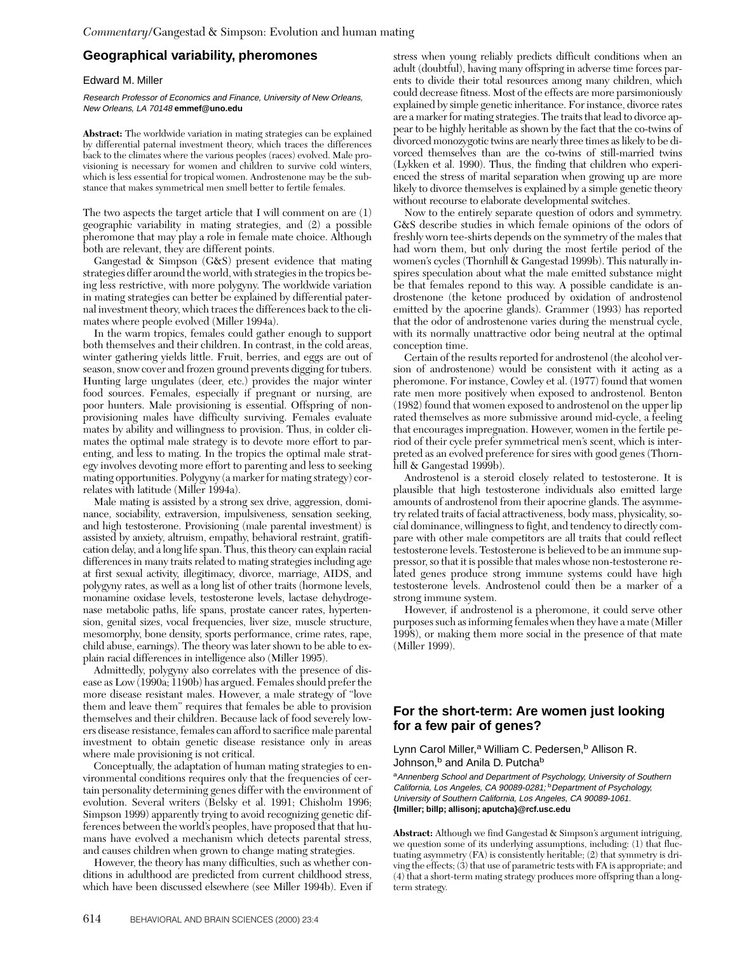# **Geographical variability, pheromones**

#### Edward M. Miller

Research Professor of Economics and Finance, University of New Orleans, New Orleans, LA 70148 **emmef@uno.edu**

**Abstract:** The worldwide variation in mating strategies can be explained by differential paternal investment theory, which traces the differences back to the climates where the various peoples (races) evolved. Male provisioning is necessary for women and children to survive cold winters, which is less essential for tropical women. Androstenone may be the substance that makes symmetrical men smell better to fertile females.

The two aspects the target article that I will comment on are (1) geographic variability in mating strategies, and (2) a possible pheromone that may play a role in female mate choice. Although both are relevant, they are different points.

Gangestad & Simpson (G&S) present evidence that mating strategies differ around the world, with strategies in the tropics being less restrictive, with more polygyny. The worldwide variation in mating strategies can better be explained by differential paternal investment theory, which traces the differences back to the climates where people evolved (Miller 1994a).

In the warm tropics, females could gather enough to support both themselves and their children. In contrast, in the cold areas, winter gathering yields little. Fruit, berries, and eggs are out of season, snow cover and frozen ground prevents digging for tubers. Hunting large ungulates (deer, etc.) provides the major winter food sources. Females, especially if pregnant or nursing, are poor hunters. Male provisioning is essential. Offspring of nonprovisioning males have difficulty surviving. Females evaluate mates by ability and willingness to provision. Thus, in colder climates the optimal male strategy is to devote more effort to parenting, and less to mating. In the tropics the optimal male strategy involves devoting more effort to parenting and less to seeking mating opportunities. Polygyny (a marker for mating strategy) correlates with latitude (Miller 1994a).

Male mating is assisted by a strong sex drive, aggression, dominance, sociability, extraversion, impulsiveness, sensation seeking, and high testosterone. Provisioning (male parental investment) is assisted by anxiety, altruism, empathy, behavioral restraint, gratification delay, and a long life span. Thus, this theory can explain racial differences in many traits related to mating strategies including age at first sexual activity, illegitimacy, divorce, marriage, AIDS, and polygyny rates, as well as a long list of other traits (hormone levels, monamine oxidase levels, testosterone levels, lactase dehydrogenase metabolic paths, life spans, prostate cancer rates, hypertension, genital sizes, vocal frequencies, liver size, muscle structure, mesomorphy, bone density, sports performance, crime rates, rape, child abuse, earnings). The theory was later shown to be able to explain racial differences in intelligence also (Miller 1995).

Admittedly, polygyny also correlates with the presence of disease as Low (1990a; 1190b) has argued. Females should prefer the more disease resistant males. However, a male strategy of "love them and leave them" requires that females be able to provision themselves and their children. Because lack of food severely lowers disease resistance, females can afford to sacrifice male parental investment to obtain genetic disease resistance only in areas where male provisioning is not critical.

Conceptually, the adaptation of human mating strategies to environmental conditions requires only that the frequencies of certain personality determining genes differ with the environment of evolution. Several writers (Belsky et al. 1991; Chisholm 1996; Simpson 1999) apparently trying to avoid recognizing genetic differences between the world's peoples, have proposed that that humans have evolved a mechanism which detects parental stress, and causes children when grown to change mating strategies.

However, the theory has many difficulties, such as whether conditions in adulthood are predicted from current childhood stress, which have been discussed elsewhere (see Miller 1994b). Even if stress when young reliably predicts difficult conditions when an adult (doubtful), having many offspring in adverse time forces parents to divide their total resources among many children, which could decrease fitness. Most of the effects are more parsimoniously explained by simple genetic inheritance. For instance, divorce rates are a marker for mating strategies. The traits that lead to divorce appear to be highly heritable as shown by the fact that the co-twins of divorced monozygotic twins are nearly three times as likely to be divorced themselves than are the co-twins of still-married twins (Lykken et al. 1990). Thus, the finding that children who experienced the stress of marital separation when growing up are more likely to divorce themselves is explained by a simple genetic theory without recourse to elaborate developmental switches.

Now to the entirely separate question of odors and symmetry. G&S describe studies in which female opinions of the odors of freshly worn tee-shirts depends on the symmetry of the males that had worn them, but only during the most fertile period of the women's cycles (Thornhill & Gangestad 1999b). This naturally inspires speculation about what the male emitted substance might be that females repond to this way. A possible candidate is androstenone (the ketone produced by oxidation of androstenol emitted by the apocrine glands). Grammer (1993) has reported that the odor of androstenone varies during the menstrual cycle, with its normally unattractive odor being neutral at the optimal conception time.

Certain of the results reported for androstenol (the alcohol version of androstenone) would be consistent with it acting as a pheromone. For instance, Cowley et al. (1977) found that women rate men more positively when exposed to androstenol. Benton (1982) found that women exposed to androstenol on the upper lip rated themselves as more submissive around mid-cycle, a feeling that encourages impregnation. However, women in the fertile period of their cycle prefer symmetrical men's scent, which is interpreted as an evolved preference for sires with good genes (Thornhill & Gangestad 1999b).

Androstenol is a steroid closely related to testosterone. It is plausible that high testosterone individuals also emitted large amounts of androstenol from their apocrine glands. The asymmetry related traits of facial attractiveness, body mass, physicality, social dominance, willingness to fight, and tendency to directly compare with other male competitors are all traits that could reflect testosterone levels. Testosterone is believed to be an immune suppressor, so that it is possible that males whose non-testosterone related genes produce strong immune systems could have high testosterone levels. Androstenol could then be a marker of a strong immune system.

However, if androstenol is a pheromone, it could serve other purposes such as informing females when they have a mate (Miller 1998), or making them more social in the presence of that mate (Miller 1999).

# **For the short-term: Are women just looking for a few pair of genes?**

Lynn Carol Miller,<sup>a</sup> William C. Pedersen,<sup>b</sup> Allison R. Johnson,<sup>b</sup> and Anila D. Putcha<sup>b</sup>

a Annenberg School and Department of Psychology, University of Southern California, Los Angeles, CA 90089-0281; <sup>b</sup>Department of Psychology, University of Southern California, Los Angeles, CA 90089-1061. **{lmiller; billp; allisonj; aputcha}@rcf.usc.edu**

**Abstract:** Although we find Gangestad & Simpson's argument intriguing, we question some of its underlying assumptions, including: (1) that fluctuating asymmetry (FA) is consistently heritable; (2) that symmetry is driving the effects; (3) that use of parametric tests with FA is appropriate; and (4) that a short-term mating strategy produces more offspring than a longterm strategy.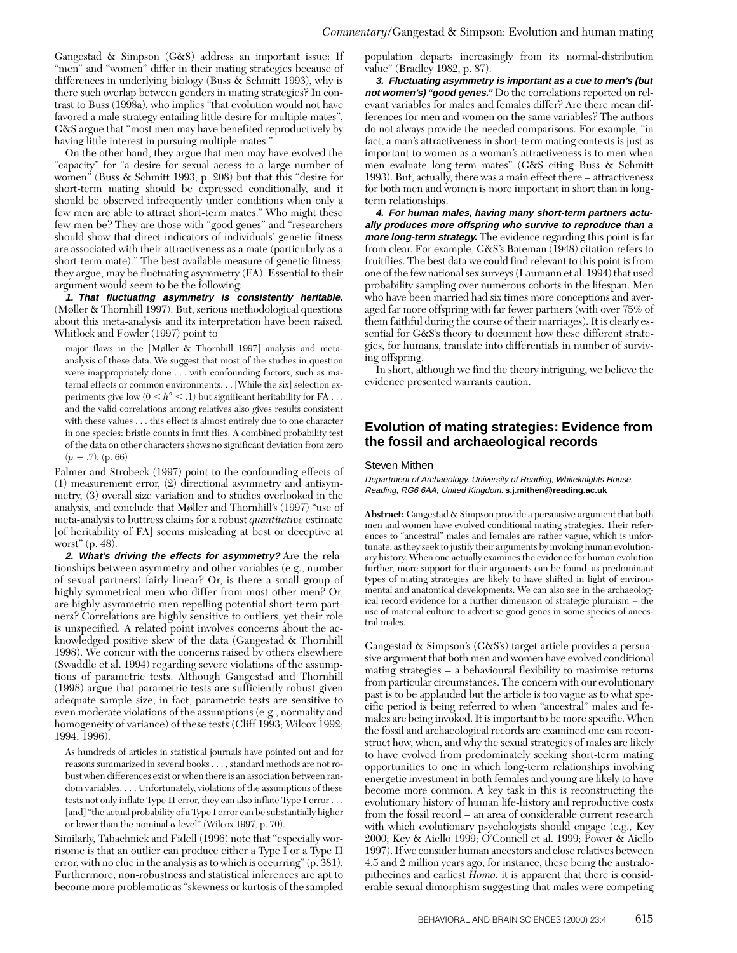Gangestad & Simpson (G&S) address an important issue: If "men" and "women" differ in their mating strategies because of differences in underlying biology (Buss & Schmitt 1993), why is there such overlap between genders in mating strategies? In contrast to Buss (1998a), who implies "that evolution would not have favored a male strategy entailing little desire for multiple mates", G&S argue that "most men may have benefited reproductively by having little interest in pursuing multiple mates.

On the other hand, they argue that men may have evolved the "capacity" for "a desire for sexual access to a large number of women" (Buss & Schmitt 1993, p. 208) but that this "desire for short-term mating should be expressed conditionally, and it should be observed infrequently under conditions when only a few men are able to attract short-term mates." Who might these few men be? They are those with "good genes" and "researchers should show that direct indicators of individuals' genetic fitness are associated with their attractiveness as a mate (particularly as a short-term mate)." The best available measure of genetic fitness, they argue, may be fluctuating asymmetry (FA). Essential to their argument would seem to be the following:

**1. That fluctuating asymmetry is consistently heritable.** (Møller & Thornhill 1997). But, serious methodological questions about this meta-analysis and its interpretation have been raised. Whitlock and Fowler (1997) point to

major flaws in the [Møller & Thornhill 1997] analysis and metaanalysis of these data. We suggest that most of the studies in question were inappropriately done . . . with confounding factors, such as maternal effects or common environments. . . [While the six] selection experiments give low  $(0 < h^2 < .1)$  but significant heritability for FA ... and the valid correlations among relatives also gives results consistent with these values . . . this effect is almost entirely due to one character in one species: bristle counts in fruit flies. A combined probability test of the data on other characters shows no significant deviation from zero  $(p = .7)$ . (p. 66)

Palmer and Strobeck (1997) point to the confounding effects of (1) measurement error, (2) directional asymmetry and antisymmetry, (3) overall size variation and to studies overlooked in the analysis, and conclude that Møller and Thornhill's (1997) "use of meta-analysis to buttress claims for a robust *quantitative* estimate [of heritability of FA] seems misleading at best or deceptive at worst" (p. 48).

**2. What's driving the effects for asymmetry?** Are the relationships between asymmetry and other variables (e.g., number of sexual partners) fairly linear? Or, is there a small group of highly symmetrical men who differ from most other men? Or, are highly asymmetric men repelling potential short-term partners? Correlations are highly sensitive to outliers, yet their role is unspecified. A related point involves concerns about the acknowledged positive skew of the data (Gangestad & Thornhill 1998). We concur with the concerns raised by others elsewhere (Swaddle et al. 1994) regarding severe violations of the assumptions of parametric tests. Although Gangestad and Thornhill (1998) argue that parametric tests are sufficiently robust given adequate sample size, in fact, parametric tests are sensitive to even moderate violations of the assumptions (e.g., normality and homogeneity of variance) of these tests (Cliff 1993; Wilcox 1992; 1994; 1996).

As hundreds of articles in statistical journals have pointed out and for reasons summarized in several books . . . , standard methods are not robust when differences exist or when there is an association between random variables. . . . Unfortunately, violations of the assumptions of these tests not only inflate Type II error, they can also inflate Type I error . . . [and] "the actual probability of a Type I error can be substantially higher or lower than the nominal  $\alpha$  level" (Wilcox 1997, p. 70).

Similarly, Tabachnick and Fidell (1996) note that "especially worrisome is that an outlier can produce either a Type I or a Type II error, with no clue in the analysis as to which is occurring" (p. 381). Furthermore, non-robustness and statistical inferences are apt to become more problematic as "skewness or kurtosis of the sampled

population departs increasingly from its normal-distribution value" (Bradley 1982, p. 87).

**3. Fluctuating asymmetry is important as a cue to men's (but not women's) "good genes."** Do the correlations reported on relevant variables for males and females differ? Are there mean differences for men and women on the same variables? The authors do not always provide the needed comparisons. For example, "in fact, a man's attractiveness in short-term mating contexts is just as important to women as a woman's attractiveness is to men when men evaluate long-term mates" (G&S citing Buss & Schmitt 1993). But, actually, there was a main effect there – attractiveness for both men and women is more important in short than in longterm relationships.

**4. For human males, having many short-term partners actually produces more offspring who survive to reproduce than a more long-term strategy.** The evidence regarding this point is far from clear. For example, G&S's Bateman (1948) citation refers to fruitflies. The best data we could find relevant to this point is from one of the few national sex surveys (Laumann et al. 1994) that used probability sampling over numerous cohorts in the lifespan. Men who have been married had six times more conceptions and averaged far more offspring with far fewer partners (with over 75% of them faithful during the course of their marriages). It is clearly essential for G&S's theory to document how these different strategies, for humans, translate into differentials in number of surviving offspring.

In short, although we find the theory intriguing, we believe the evidence presented warrants caution.

# **Evolution of mating strategies: Evidence from the fossil and archaeological records**

#### Steven Mithen

Department of Archaeology, University of Reading, Whiteknights House, Reading, RG6 6AA, United Kingdom. **s.j.mithen@reading.ac.uk**

**Abstract:** Gangestad & Simpson provide a persuasive argument that both men and women have evolved conditional mating strategies. Their references to "ancestral" males and females are rather vague, which is unfortunate, as they seek to justify their arguments by invoking human evolutionary history. When one actually examines the evidence for human evolution further, more support for their arguments can be found, as predominant types of mating strategies are likely to have shifted in light of environmental and anatomical developments. We can also see in the archaeological record evidence for a further dimension of strategic pluralism – the use of material culture to advertise good genes in some species of ancestral males.

Gangestad & Simpson's (G&S's) target article provides a persuasive argument that both men and women have evolved conditional mating strategies – a behavioural flexibility to maximise returns from particular circumstances. The concern with our evolutionary past is to be applauded but the article is too vague as to what specific period is being referred to when "ancestral" males and females are being invoked. It is important to be more specific. When the fossil and archaeological records are examined one can reconstruct how, when, and why the sexual strategies of males are likely to have evolved from predominately seeking short-term mating opportunities to one in which long-term relationships involving energetic investment in both females and young are likely to have become more common. A key task in this is reconstructing the evolutionary history of human life-history and reproductive costs from the fossil record – an area of considerable current research with which evolutionary psychologists should engage (e.g., Key 2000; Key & Aiello 1999; O'Connell et al. 1999; Power & Aiello 1997). If we consider human ancestors and close relatives between 4.5 and 2 million years ago, for instance, these being the australopithecines and earliest *Homo,* it is apparent that there is considerable sexual dimorphism suggesting that males were competing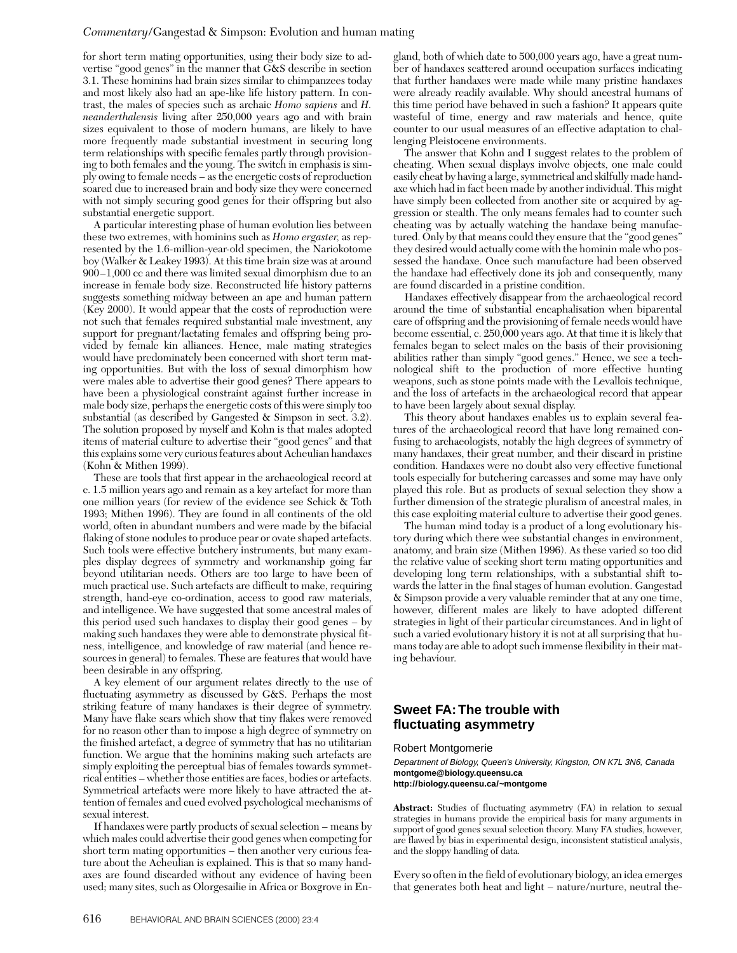## *Commentary/*Gangestad & Simpson: Evolution and human mating

for short term mating opportunities, using their body size to advertise "good genes" in the manner that G&S describe in section 3.1. These hominins had brain sizes similar to chimpanzees today and most likely also had an ape-like life history pattern. In contrast, the males of species such as archaic *Homo sapiens* and *H. neanderthalensis* living after 250,000 years ago and with brain sizes equivalent to those of modern humans, are likely to have more frequently made substantial investment in securing long term relationships with specific females partly through provisioning to both females and the young. The switch in emphasis is simply owing to female needs – as the energetic costs of reproduction soared due to increased brain and body size they were concerned with not simply securing good genes for their offspring but also substantial energetic support.

A particular interesting phase of human evolution lies between these two extremes, with hominins such as *Homo ergaster,* as represented by the 1.6-million-year-old specimen, the Nariokotome boy (Walker & Leakey 1993). At this time brain size was at around 900–1,000 cc and there was limited sexual dimorphism due to an increase in female body size. Reconstructed life history patterns suggests something midway between an ape and human pattern (Key 2000). It would appear that the costs of reproduction were not such that females required substantial male investment, any support for pregnant/lactating females and offspring being provided by female kin alliances. Hence, male mating strategies would have predominately been concerned with short term mating opportunities. But with the loss of sexual dimorphism how were males able to advertise their good genes? There appears to have been a physiological constraint against further increase in male body size, perhaps the energetic costs of this were simply too substantial (as described by Gangested & Simpson in sect. 3.2). The solution proposed by myself and Kohn is that males adopted items of material culture to advertise their "good genes" and that this explains some very curious features about Acheulian handaxes (Kohn & Mithen 1999).

These are tools that first appear in the archaeological record at c. 1.5 million years ago and remain as a key artefact for more than one million years (for review of the evidence see Schick & Toth 1993; Mithen 1996). They are found in all continents of the old world, often in abundant numbers and were made by the bifacial flaking of stone nodules to produce pear or ovate shaped artefacts. Such tools were effective butchery instruments, but many examples display degrees of symmetry and workmanship going far beyond utilitarian needs. Others are too large to have been of much practical use. Such artefacts are difficult to make, requiring strength, hand-eye co-ordination, access to good raw materials, and intelligence. We have suggested that some ancestral males of this period used such handaxes to display their good genes – by making such handaxes they were able to demonstrate physical fitness, intelligence, and knowledge of raw material (and hence resources in general) to females. These are features that would have been desirable in any offspring.

A key element of our argument relates directly to the use of fluctuating asymmetry as discussed by G&S. Perhaps the most striking feature of many handaxes is their degree of symmetry. Many have flake scars which show that tiny flakes were removed for no reason other than to impose a high degree of symmetry on the finished artefact, a degree of symmetry that has no utilitarian function. We argue that the hominins making such artefacts are simply exploiting the perceptual bias of females towards symmetrical entities – whether those entities are faces, bodies or artefacts. Symmetrical artefacts were more likely to have attracted the attention of females and cued evolved psychological mechanisms of sexual interest.

If handaxes were partly products of sexual selection – means by which males could advertise their good genes when competing for short term mating opportunities – then another very curious feature about the Acheulian is explained. This is that so many handaxes are found discarded without any evidence of having been used; many sites, such as Olorgesailie in Africa or Boxgrove in En-

gland, both of which date to 500,000 years ago, have a great number of handaxes scattered around occupation surfaces indicating that further handaxes were made while many pristine handaxes were already readily available. Why should ancestral humans of this time period have behaved in such a fashion? It appears quite wasteful of time, energy and raw materials and hence, quite counter to our usual measures of an effective adaptation to challenging Pleistocene environments.

The answer that Kohn and I suggest relates to the problem of cheating. When sexual displays involve objects, one male could easily cheat by having a large, symmetrical and skilfully made handaxe which had in fact been made by another individual. This might have simply been collected from another site or acquired by aggression or stealth. The only means females had to counter such cheating was by actually watching the handaxe being manufactured. Only by that means could they ensure that the "good genes" they desired would actually come with the hominin male who possessed the handaxe. Once such manufacture had been observed the handaxe had effectively done its job and consequently, many are found discarded in a pristine condition.

Handaxes effectively disappear from the archaeological record around the time of substantial encaphalisation when biparental care of offspring and the provisioning of female needs would have become essential, c. 250,000 years ago. At that time it is likely that females began to select males on the basis of their provisioning abilities rather than simply "good genes." Hence, we see a technological shift to the production of more effective hunting weapons, such as stone points made with the Levallois technique, and the loss of artefacts in the archaeological record that appear to have been largely about sexual display.

This theory about handaxes enables us to explain several features of the archaeological record that have long remained confusing to archaeologists, notably the high degrees of symmetry of many handaxes, their great number, and their discard in pristine condition. Handaxes were no doubt also very effective functional tools especially for butchering carcasses and some may have only played this role. But as products of sexual selection they show a further dimension of the strategic pluralism of ancestral males, in this case exploiting material culture to advertise their good genes.

The human mind today is a product of a long evolutionary history during which there wee substantial changes in environment, anatomy, and brain size (Mithen 1996). As these varied so too did the relative value of seeking short term mating opportunities and developing long term relationships, with a substantial shift towards the latter in the final stages of human evolution. Gangestad & Simpson provide a very valuable reminder that at any one time, however, different males are likely to have adopted different strategies in light of their particular circumstances. And in light of such a varied evolutionary history it is not at all surprising that humans today are able to adopt such immense flexibility in their mating behaviour.

# **Sweet FA:The trouble with fluctuating asymmetry**

#### Robert Montgomerie

Department of Biology, Queen's University, Kingston, ON K7L 3N6, Canada **montgome@biology.queensu.ca http://biology.queensu.ca/~montgome**

**Abstract:** Studies of fluctuating asymmetry (FA) in relation to sexual strategies in humans provide the empirical basis for many arguments in support of good genes sexual selection theory. Many FA studies, however, are flawed by bias in experimental design, inconsistent statistical analysis, and the sloppy handling of data.

Every so often in the field of evolutionary biology, an idea emerges that generates both heat and light – nature/nurture, neutral the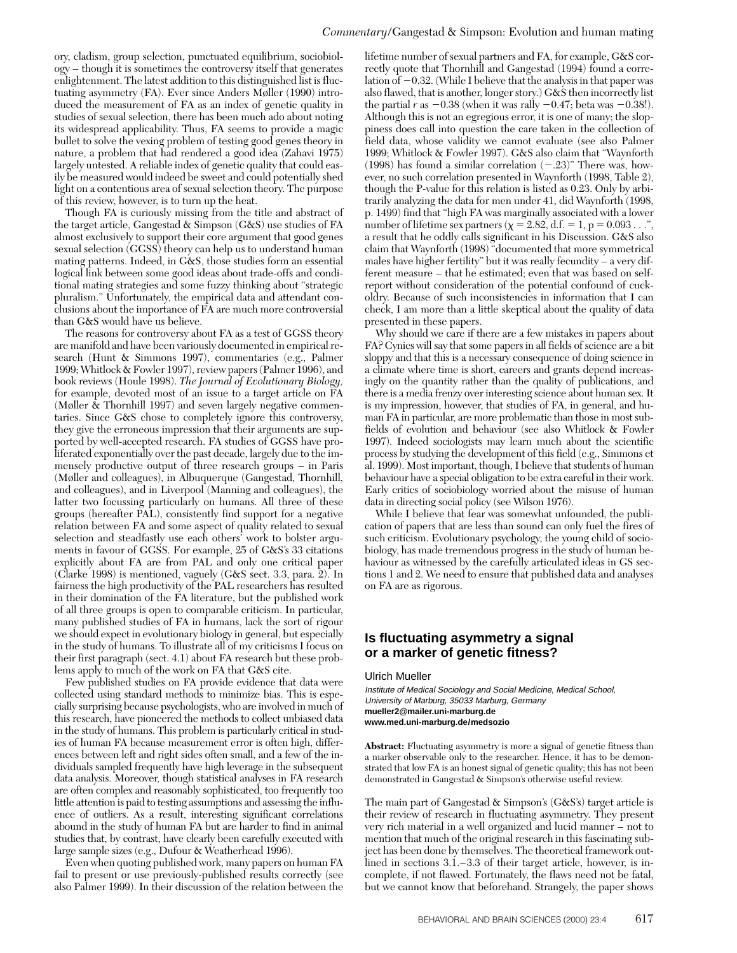ory, cladism, group selection, punctuated equilibrium, sociobiology – though it is sometimes the controversy itself that generates enlightenment. The latest addition to this distinguished list is fluctuating asymmetry (FA). Ever since Anders Møller (1990) introduced the measurement of FA as an index of genetic quality in studies of sexual selection, there has been much ado about noting its widespread applicability. Thus, FA seems to provide a magic bullet to solve the vexing problem of testing good genes theory in nature, a problem that had rendered a good idea (Zahavi 1975) largely untested. A reliable index of genetic quality that could easily be measured would indeed be sweet and could potentially shed light on a contentious area of sexual selection theory. The purpose of this review, however, is to turn up the heat.

Though FA is curiously missing from the title and abstract of the target article, Gangestad & Simpson (G&S) use studies of FA almost exclusively to support their core argument that good genes sexual selection (GGSS) theory can help us to understand human mating patterns. Indeed, in G&S, those studies form an essential logical link between some good ideas about trade-offs and conditional mating strategies and some fuzzy thinking about "strategic pluralism." Unfortunately, the empirical data and attendant conclusions about the importance of FA are much more controversial than G&S would have us believe.

The reasons for controversy about FA as a test of GGSS theory are manifold and have been variously documented in empirical research (Hunt & Simmons 1997), commentaries (e.g., Palmer 1999; Whitlock & Fowler 1997), review papers (Palmer 1996), and book reviews (Houle 1998). *The Journal of Evolutionary Biology,* for example, devoted most of an issue to a target article on FA (Møller & Thornhill 1997) and seven largely negative commentaries. Since G&S chose to completely ignore this controversy, they give the erroneous impression that their arguments are supported by well-accepted research. FA studies of GGSS have proliferated exponentially over the past decade, largely due to the immensely productive output of three research groups – in Paris (Møller and colleagues), in Albuquerque (Gangestad, Thornhill, and colleagues), and in Liverpool (Manning and colleagues), the latter two focussing particularly on humans. All three of these groups (hereafter PAL), consistently find support for a negative relation between FA and some aspect of quality related to sexual selection and steadfastly use each others' work to bolster arguments in favour of GGSS. For example, 25 of G&S's 33 citations explicitly about FA are from PAL and only one critical paper (Clarke 1998) is mentioned, vaguely (G&S sect. 3.3, para. 2). In fairness the high productivity of the PAL researchers has resulted in their domination of the FA literature, but the published work of all three groups is open to comparable criticism. In particular, many published studies of FA in humans, lack the sort of rigour we should expect in evolutionary biology in general, but especially in the study of humans. To illustrate all of my criticisms I focus on their first paragraph (sect. 4.1) about FA research but these problems apply to much of the work on FA that G&S cite.

Few published studies on FA provide evidence that data were collected using standard methods to minimize bias. This is especially surprising because psychologists, who are involved in much of this research, have pioneered the methods to collect unbiased data in the study of humans. This problem is particularly critical in studies of human FA because measurement error is often high, differences between left and right sides often small, and a few of the individuals sampled frequently have high leverage in the subsequent data analysis. Moreover, though statistical analyses in FA research are often complex and reasonably sophisticated, too frequently too little attention is paid to testing assumptions and assessing the influence of outliers. As a result, interesting significant correlations abound in the study of human FA but are harder to find in animal studies that, by contrast, have clearly been carefully executed with large sample sizes (e.g., Dufour & Weatherhead 1996).

Even when quoting published work, many papers on human FA fail to present or use previously-published results correctly (see also Palmer 1999). In their discussion of the relation between the

lifetime number of sexual partners and FA, for example, G&S correctly quote that Thornhill and Gangestad (1994) found a correlation of  $-0.32$ . (While I believe that the analysis in that paper was also flawed, that is another, longer story.) G&S then incorrectly list the partial *r* as  $-0.38$  (when it was rally  $-0.47$ ; beta was  $-0.38$ !). Although this is not an egregious error, it is one of many; the sloppiness does call into question the care taken in the collection of field data, whose validity we cannot evaluate (see also Palmer 1999; Whitlock & Fowler 1997). G&S also claim that "Waynforth (1998) has found a similar correlation  $(-.23)$ " There was, however, no such correlation presented in Waynforth (1998, Table 2), though the P-value for this relation is listed as 0.23. Only by arbitrarily analyzing the data for men under 41, did Waynforth (1998, p. 1499) find that "high FA was marginally associated with a lower number of lifetime sex partners ( $\chi = 2.82$ , d.f. = 1, p = 0.093...", a result that he oddly calls significant in his Discussion. G&S also claim that Waynforth  $(1998)$  "documented that more symmetrical males have higher fertility" but it was really fecundity – a very different measure – that he estimated; even that was based on selfreport without consideration of the potential confound of cuckoldry. Because of such inconsistencies in information that I can check, I am more than a little skeptical about the quality of data presented in these papers.

Why should we care if there are a few mistakes in papers about FA? Cynics will say that some papers in all fields of science are a bit sloppy and that this is a necessary consequence of doing science in a climate where time is short, careers and grants depend increasingly on the quantity rather than the quality of publications, and there is a media frenzy over interesting science about human sex. It is my impression, however, that studies of FA, in general, and human FA in particular, are more problematic than those in most subfields of evolution and behaviour (see also Whitlock & Fowler 1997). Indeed sociologists may learn much about the scientific process by studying the development of this field (e.g., Simmons et al. 1999). Most important, though, I believe that students of human behaviour have a special obligation to be extra careful in their work. Early critics of sociobiology worried about the misuse of human data in directing social policy (see Wilson 1976).

While I believe that fear was somewhat unfounded, the publication of papers that are less than sound can only fuel the fires of such criticism. Evolutionary psychology, the young child of sociobiology, has made tremendous progress in the study of human behaviour as witnessed by the carefully articulated ideas in GS sections 1 and 2. We need to ensure that published data and analyses on FA are as rigorous.

## **Is fluctuating asymmetry a signal or a marker of genetic fitness?**

#### Ulrich Mueller

Institute of Medical Sociology and Social Medicine, Medical School, University of Marburg, 35033 Marburg, Germany **mueller2@mailer.uni-marburg.de www.med.uni-marburg.de/medsozio**

**Abstract:** Fluctuating asymmetry is more a signal of genetic fitness than a marker observable only to the researcher. Hence, it has to be demonstrated that low FA is an honest signal of genetic quality; this has not been demonstrated in Gangestad & Simpson's otherwise useful review.

The main part of Gangestad & Simpson's (G&S's) target article is their review of research in fluctuating asymmetry. They present very rich material in a well organized and lucid manner – not to mention that much of the original research in this fascinating subject has been done by themselves. The theoretical framework outlined in sections 3.1.–3.3 of their target article, however, is incomplete, if not flawed. Fortunately, the flaws need not be fatal, but we cannot know that beforehand. Strangely, the paper shows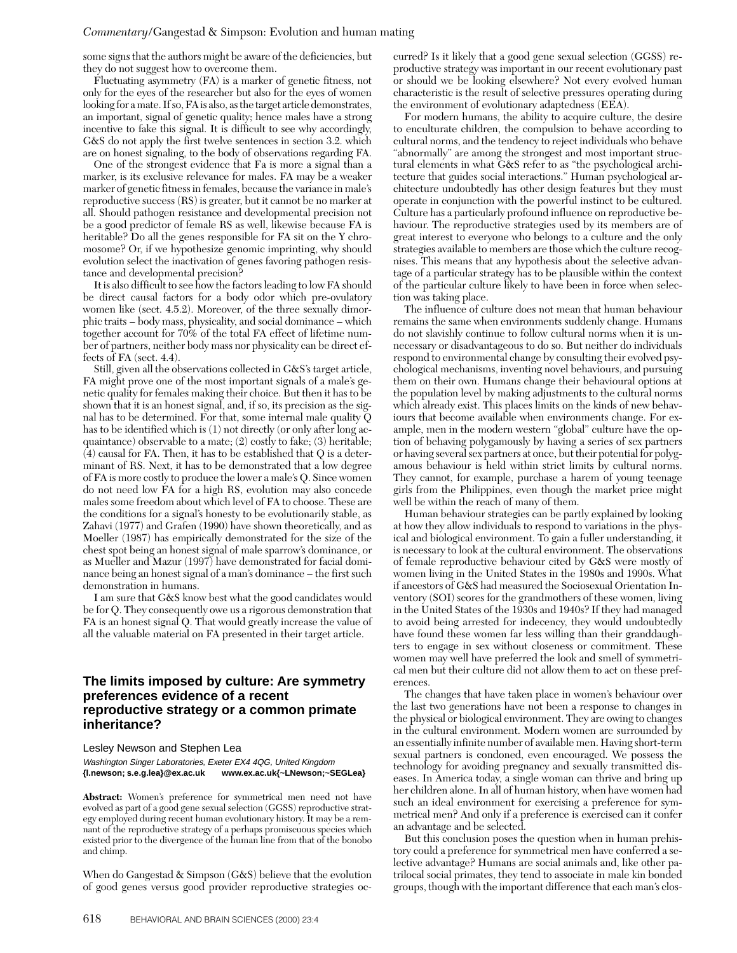some signs that the authors might be aware of the deficiencies, but they do not suggest how to overcome them.

Fluctuating asymmetry (FA) is a marker of genetic fitness, not only for the eyes of the researcher but also for the eyes of women looking for a mate. If so, FA is also, as the target article demonstrates, an important, signal of genetic quality; hence males have a strong incentive to fake this signal. It is difficult to see why accordingly, G&S do not apply the first twelve sentences in section 3.2. which are on honest signaling, to the body of observations regarding FA.

One of the strongest evidence that Fa is more a signal than a marker, is its exclusive relevance for males. FA may be a weaker marker of genetic fitness in females, because the variance in male's reproductive success (RS) is greater, but it cannot be no marker at all. Should pathogen resistance and developmental precision not be a good predictor of female RS as well, likewise because FA is heritable? Do all the genes responsible for FA sit on the Y chromosome? Or, if we hypothesize genomic imprinting, why should evolution select the inactivation of genes favoring pathogen resistance and developmental precision?

It is also difficult to see how the factors leading to low FA should be direct causal factors for a body odor which pre-ovulatory women like (sect. 4.5.2). Moreover, of the three sexually dimorphic traits – body mass, physicality, and social dominance – which together account for 70% of the total FA effect of lifetime number of partners, neither body mass nor physicality can be direct effects of FA (sect. 4.4).

Still, given all the observations collected in G&S's target article, FA might prove one of the most important signals of a male's genetic quality for females making their choice. But then it has to be shown that it is an honest signal, and, if so, its precision as the signal has to be determined. For that, some internal male quality Q has to be identified which is (1) not directly (or only after long acquaintance) observable to a mate; (2) costly to fake; (3) heritable; (4) causal for FA. Then, it has to be established that Q is a determinant of RS. Next, it has to be demonstrated that a low degree of FA is more costly to produce the lower a male's Q. Since women do not need low FA for a high RS, evolution may also concede males some freedom about which level of FA to choose. These are the conditions for a signal's honesty to be evolutionarily stable, as Zahavi (1977) and Grafen (1990) have shown theoretically, and as Moeller (1987) has empirically demonstrated for the size of the chest spot being an honest signal of male sparrow's dominance, or as Mueller and Mazur (1997) have demonstrated for facial dominance being an honest signal of a man's dominance – the first such demonstration in humans.

I am sure that G&S know best what the good candidates would be for Q. They consequently owe us a rigorous demonstration that FA is an honest signal Q. That would greatly increase the value of all the valuable material on FA presented in their target article.

# **The limits imposed by culture: Are symmetry preferences evidence of a recent reproductive strategy or a common primate inheritance?**

Lesley Newson and Stephen Lea Washington Singer Laboratories, Exeter EX4 4QG, United Kingdom **{l.newson; s.e.g.lea}@ex.ac.uk www.ex.ac.uk{~LNewson;~SEGLea}**

**Abstract:** Women's preference for symmetrical men need not have evolved as part of a good gene sexual selection (GGSS) reproductive strategy employed during recent human evolutionary history. It may be a remnant of the reproductive strategy of a perhaps promiscuous species which existed prior to the divergence of the human line from that of the bonobo and chimp.

When do Gangestad & Simpson (G&S) believe that the evolution of good genes versus good provider reproductive strategies occurred? Is it likely that a good gene sexual selection (GGSS) reproductive strategy was important in our recent evolutionary past or should we be looking elsewhere? Not every evolved human characteristic is the result of selective pressures operating during the environment of evolutionary adaptedness (EEA).

For modern humans, the ability to acquire culture, the desire to enculturate children, the compulsion to behave according to cultural norms, and the tendency to reject individuals who behave "abnormally" are among the strongest and most important structural elements in what G&S refer to as "the psychological architecture that guides social interactions." Human psychological architecture undoubtedly has other design features but they must operate in conjunction with the powerful instinct to be cultured. Culture has a particularly profound influence on reproductive behaviour. The reproductive strategies used by its members are of great interest to everyone who belongs to a culture and the only strategies available to members are those which the culture recognises. This means that any hypothesis about the selective advantage of a particular strategy has to be plausible within the context of the particular culture likely to have been in force when selection was taking place.

The influence of culture does not mean that human behaviour remains the same when environments suddenly change. Humans do not slavishly continue to follow cultural norms when it is unnecessary or disadvantageous to do so. But neither do individuals respond to environmental change by consulting their evolved psychological mechanisms, inventing novel behaviours, and pursuing them on their own. Humans change their behavioural options at the population level by making adjustments to the cultural norms which already exist. This places limits on the kinds of new behaviours that become available when environments change. For example, men in the modern western "global" culture have the option of behaving polygamously by having a series of sex partners or having several sex partners at once, but their potential for polygamous behaviour is held within strict limits by cultural norms. They cannot, for example, purchase a harem of young teenage girls from the Philippines, even though the market price might well be within the reach of many of them.

Human behaviour strategies can be partly explained by looking at how they allow individuals to respond to variations in the physical and biological environment. To gain a fuller understanding, it is necessary to look at the cultural environment. The observations of female reproductive behaviour cited by G&S were mostly of women living in the United States in the 1980s and 1990s. What if ancestors of G&S had measured the Sociosexual Orientation Inventory (SOI) scores for the grandmothers of these women, living in the United States of the 1930s and 1940s? If they had managed to avoid being arrested for indecency, they would undoubtedly have found these women far less willing than their granddaughters to engage in sex without closeness or commitment. These women may well have preferred the look and smell of symmetrical men but their culture did not allow them to act on these preferences.

The changes that have taken place in women's behaviour over the last two generations have not been a response to changes in the physical or biological environment. They are owing to changes in the cultural environment. Modern women are surrounded by an essentially infinite number of available men. Having short-term sexual partners is condoned, even encouraged. We possess the technology for avoiding pregnancy and sexually transmitted diseases. In America today, a single woman can thrive and bring up her children alone. In all of human history, when have women had such an ideal environment for exercising a preference for symmetrical men? And only if a preference is exercised can it confer an advantage and be selected.

But this conclusion poses the question when in human prehistory could a preference for symmetrical men have conferred a selective advantage? Humans are social animals and, like other patrilocal social primates, they tend to associate in male kin bonded groups, though with the important difference that each man's clos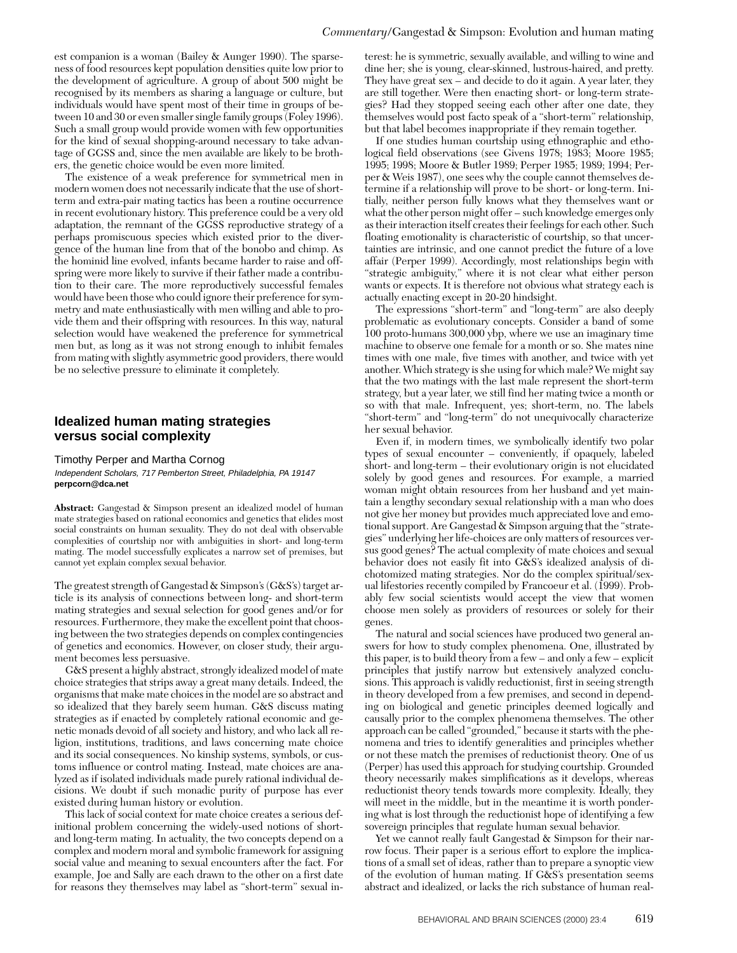est companion is a woman (Bailey & Aunger 1990). The sparseness of food resources kept population densities quite low prior to the development of agriculture. A group of about 500 might be recognised by its members as sharing a language or culture, but individuals would have spent most of their time in groups of between 10 and 30 or even smaller single family groups (Foley 1996). Such a small group would provide women with few opportunities for the kind of sexual shopping-around necessary to take advantage of GGSS and, since the men available are likely to be brothers, the genetic choice would be even more limited.

The existence of a weak preference for symmetrical men in modern women does not necessarily indicate that the use of shortterm and extra-pair mating tactics has been a routine occurrence in recent evolutionary history. This preference could be a very old adaptation, the remnant of the GGSS reproductive strategy of a perhaps promiscuous species which existed prior to the divergence of the human line from that of the bonobo and chimp. As the hominid line evolved, infants became harder to raise and offspring were more likely to survive if their father made a contribution to their care. The more reproductively successful females would have been those who could ignore their preference for symmetry and mate enthusiastically with men willing and able to provide them and their offspring with resources. In this way, natural selection would have weakened the preference for symmetrical men but, as long as it was not strong enough to inhibit females from mating with slightly asymmetric good providers, there would be no selective pressure to eliminate it completely.

# **Idealized human mating strategies versus social complexity**

Timothy Perper and Martha Cornog Independent Scholars, 717 Pemberton Street, Philadelphia, PA 19147 **perpcorn@dca.net**

**Abstract:** Gangestad & Simpson present an idealized model of human mate strategies based on rational economics and genetics that elides most social constraints on human sexuality. They do not deal with observable complexities of courtship nor with ambiguities in short- and long-term mating. The model successfully explicates a narrow set of premises, but cannot yet explain complex sexual behavior.

The greatest strength of Gangestad & Simpson's (G&S's) target article is its analysis of connections between long- and short-term mating strategies and sexual selection for good genes and/or for resources. Furthermore, they make the excellent point that choosing between the two strategies depends on complex contingencies of genetics and economics. However, on closer study, their argument becomes less persuasive.

G&S present a highly abstract, strongly idealized model of mate choice strategies that strips away a great many details. Indeed, the organisms that make mate choices in the model are so abstract and so idealized that they barely seem human. G&S discuss mating strategies as if enacted by completely rational economic and genetic monads devoid of all society and history, and who lack all religion, institutions, traditions, and laws concerning mate choice and its social consequences. No kinship systems, symbols, or customs influence or control mating. Instead, mate choices are analyzed as if isolated individuals made purely rational individual decisions. We doubt if such monadic purity of purpose has ever existed during human history or evolution.

This lack of social context for mate choice creates a serious definitional problem concerning the widely-used notions of shortand long-term mating. In actuality, the two concepts depend on a complex and modern moral and symbolic framework for assigning social value and meaning to sexual encounters after the fact. For example, Joe and Sally are each drawn to the other on a first date for reasons they themselves may label as "short-term" sexual in-

terest: he is symmetric, sexually available, and willing to wine and dine her; she is young, clear-skinned, lustrous-haired, and pretty. They have great sex – and decide to do it again. A year later, they are still together. Were then enacting short- or long-term strategies? Had they stopped seeing each other after one date, they themselves would post facto speak of a "short-term" relationship, but that label becomes inappropriate if they remain together.

If one studies human courtship using ethnographic and ethological field observations (see Givens 1978; 1983; Moore 1985; 1995; 1998; Moore & Butler 1989; Perper 1985; 1989; 1994; Perper & Weis 1987), one sees why the couple cannot themselves determine if a relationship will prove to be short- or long-term. Initially, neither person fully knows what they themselves want or what the other person might offer – such knowledge emerges only as their interaction itself creates their feelings for each other. Such floating emotionality is characteristic of courtship, so that uncertainties are intrinsic, and one cannot predict the future of a love affair (Perper 1999). Accordingly, most relationships begin with "strategic ambiguity," where it is not clear what either person wants or expects. It is therefore not obvious what strategy each is actually enacting except in 20-20 hindsight.

The expressions "short-term" and "long-term" are also deeply problematic as evolutionary concepts. Consider a band of some 100 proto-humans 300,000 ybp, where we use an imaginary time machine to observe one female for a month or so. She mates nine times with one male, five times with another, and twice with yet another. Which strategy is she using for which male? We might say that the two matings with the last male represent the short-term strategy, but a year later, we still find her mating twice a month or so with that male. Infrequent, yes; short-term, no. The labels "short-term" and "long-term" do not unequivocally characterize her sexual behavior.

Even if, in modern times, we symbolically identify two polar types of sexual encounter – conveniently, if opaquely, labeled short- and long-term – their evolutionary origin is not elucidated solely by good genes and resources. For example, a married woman might obtain resources from her husband and yet maintain a lengthy secondary sexual relationship with a man who does not give her money but provides much appreciated love and emotional support. Are Gangestad & Simpson arguing that the "strategies" underlying her life-choices are only matters of resources versus good genes? The actual complexity of mate choices and sexual behavior does not easily fit into G&S's idealized analysis of dichotomized mating strategies. Nor do the complex spiritual/sexual lifestories recently compiled by Francoeur et al. (1999). Probably few social scientists would accept the view that women choose men solely as providers of resources or solely for their genes.

The natural and social sciences have produced two general answers for how to study complex phenomena. One, illustrated by this paper, is to build theory from a few – and only a few – explicit principles that justify narrow but extensively analyzed conclusions. This approach is validly reductionist, first in seeing strength in theory developed from a few premises, and second in depending on biological and genetic principles deemed logically and causally prior to the complex phenomena themselves. The other approach can be called "grounded," because it starts with the phenomena and tries to identify generalities and principles whether or not these match the premises of reductionist theory. One of us (Perper) has used this approach for studying courtship. Grounded theory necessarily makes simplifications as it develops, whereas reductionist theory tends towards more complexity. Ideally, they will meet in the middle, but in the meantime it is worth pondering what is lost through the reductionist hope of identifying a few sovereign principles that regulate human sexual behavior.

Yet we cannot really fault Gangestad & Simpson for their narrow focus. Their paper is a serious effort to explore the implications of a small set of ideas, rather than to prepare a synoptic view of the evolution of human mating. If G&S's presentation seems abstract and idealized, or lacks the rich substance of human real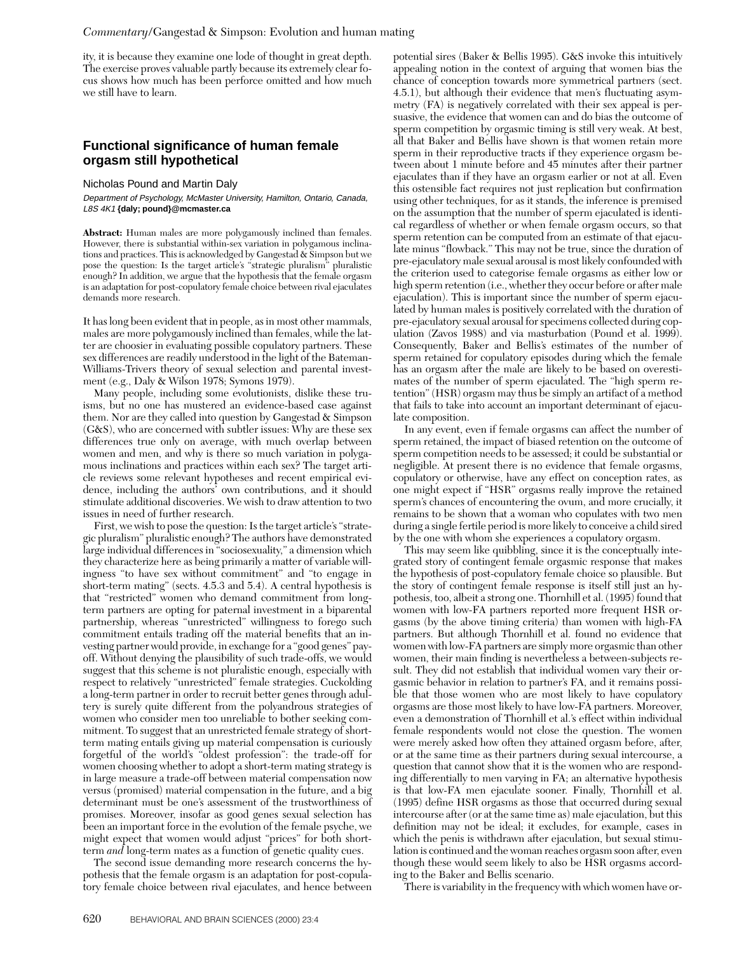ity, it is because they examine one lode of thought in great depth. The exercise proves valuable partly because its extremely clear focus shows how much has been perforce omitted and how much we still have to learn.

# **Functional significance of human female orgasm still hypothetical**

#### Nicholas Pound and Martin Daly

Department of Psychology, McMaster University, Hamilton, Ontario, Canada, L8S 4K1 **{daly; pound}@mcmaster.ca**

**Abstract:** Human males are more polygamously inclined than females. However, there is substantial within-sex variation in polygamous inclinations and practices. This is acknowledged by Gangestad & Simpson but we pose the question: Is the target article's "strategic pluralism" pluralistic enough? In addition, we argue that the hypothesis that the female orgasm is an adaptation for post-copulatory female choice between rival ejaculates demands more research.

It has long been evident that in people, as in most other mammals, males are more polygamously inclined than females, while the latter are choosier in evaluating possible copulatory partners. These sex differences are readily understood in the light of the Bateman-Williams-Trivers theory of sexual selection and parental investment (e.g., Daly & Wilson 1978; Symons 1979).

Many people, including some evolutionists, dislike these truisms, but no one has mustered an evidence-based case against them. Nor are they called into question by Gangestad & Simpson (G&S), who are concerned with subtler issues: Why are these sex differences true only on average, with much overlap between women and men, and why is there so much variation in polygamous inclinations and practices within each sex? The target article reviews some relevant hypotheses and recent empirical evidence, including the authors' own contributions, and it should stimulate additional discoveries. We wish to draw attention to two issues in need of further research.

First, we wish to pose the question: Is the target article's "strategic pluralism" pluralistic enough? The authors have demonstrated large individual differences in "sociosexuality," a dimension which they characterize here as being primarily a matter of variable willingness "to have sex without commitment" and "to engage in short-term mating" (sects. 4.5.3 and 5.4). A central hypothesis is that "restricted" women who demand commitment from longterm partners are opting for paternal investment in a biparental partnership, whereas "unrestricted" willingness to forego such commitment entails trading off the material benefits that an investing partner would provide, in exchange for a "good genes" payoff. Without denying the plausibility of such trade-offs, we would suggest that this scheme is not pluralistic enough, especially with respect to relatively "unrestricted" female strategies. Cuckolding a long-term partner in order to recruit better genes through adultery is surely quite different from the polyandrous strategies of women who consider men too unreliable to bother seeking commitment. To suggest that an unrestricted female strategy of shortterm mating entails giving up material compensation is curiously forgetful of the world's "oldest profession": the trade-off for women choosing whether to adopt a short-term mating strategy is in large measure a trade-off between material compensation now versus (promised) material compensation in the future, and a big determinant must be one's assessment of the trustworthiness of promises. Moreover, insofar as good genes sexual selection has been an important force in the evolution of the female psyche, we might expect that women would adjust "prices" for both shortterm *and* long-term mates as a function of genetic quality cues.

The second issue demanding more research concerns the hypothesis that the female orgasm is an adaptation for post-copulatory female choice between rival ejaculates, and hence between potential sires (Baker & Bellis 1995). G&S invoke this intuitively appealing notion in the context of arguing that women bias the chance of conception towards more symmetrical partners (sect. 4.5.1), but although their evidence that men's fluctuating asymmetry (FA) is negatively correlated with their sex appeal is persuasive, the evidence that women can and do bias the outcome of sperm competition by orgasmic timing is still very weak. At best, all that Baker and Bellis have shown is that women retain more sperm in their reproductive tracts if they experience orgasm between about 1 minute before and 45 minutes after their partner ejaculates than if they have an orgasm earlier or not at all. Even this ostensible fact requires not just replication but confirmation using other techniques, for as it stands, the inference is premised on the assumption that the number of sperm ejaculated is identical regardless of whether or when female orgasm occurs, so that sperm retention can be computed from an estimate of that ejaculate minus "flowback." This may not be true, since the duration of pre-ejaculatory male sexual arousal is most likely confounded with the criterion used to categorise female orgasms as either low or high sperm retention (i.e., whether they occur before or after male ejaculation). This is important since the number of sperm ejaculated by human males is positively correlated with the duration of pre-ejaculatory sexual arousal for specimens collected during copulation (Zavos 1988) and via masturbation (Pound et al. 1999). Consequently, Baker and Bellis's estimates of the number of sperm retained for copulatory episodes during which the female has an orgasm after the male are likely to be based on overestimates of the number of sperm ejaculated. The "high sperm retention" (HSR) orgasm may thus be simply an artifact of a method that fails to take into account an important determinant of ejaculate composition.

In any event, even if female orgasms can affect the number of sperm retained, the impact of biased retention on the outcome of sperm competition needs to be assessed; it could be substantial or negligible. At present there is no evidence that female orgasms, copulatory or otherwise, have any effect on conception rates, as one might expect if "HSR" orgasms really improve the retained sperm's chances of encountering the ovum, and more crucially, it remains to be shown that a woman who copulates with two men during a single fertile period is more likely to conceive a child sired by the one with whom she experiences a copulatory orgasm.

This may seem like quibbling, since it is the conceptually integrated story of contingent female orgasmic response that makes the hypothesis of post-copulatory female choice so plausible. But the story of contingent female response is itself still just an hypothesis, too, albeit a strong one. Thornhill et al. (1995) found that women with low-FA partners reported more frequent HSR orgasms (by the above timing criteria) than women with high-FA partners. But although Thornhill et al. found no evidence that women with low-FA partners are simply more orgasmic than other women, their main finding is nevertheless a between-subjects result. They did not establish that individual women vary their orgasmic behavior in relation to partner's FA, and it remains possible that those women who are most likely to have copulatory orgasms are those most likely to have low-FA partners. Moreover, even a demonstration of Thornhill et al.'s effect within individual female respondents would not close the question. The women were merely asked how often they attained orgasm before, after, or at the same time as their partners during sexual intercourse, a question that cannot show that it is the women who are responding differentially to men varying in FA; an alternative hypothesis is that low-FA men ejaculate sooner. Finally, Thornhill et al. (1995) define HSR orgasms as those that occurred during sexual intercourse after (or at the same time as) male ejaculation, but this definition may not be ideal; it excludes, for example, cases in which the penis is withdrawn after ejaculation, but sexual stimulation is continued and the woman reaches orgasm soon after, even though these would seem likely to also be HSR orgasms according to the Baker and Bellis scenario.

There is variability in the frequency with which women have or-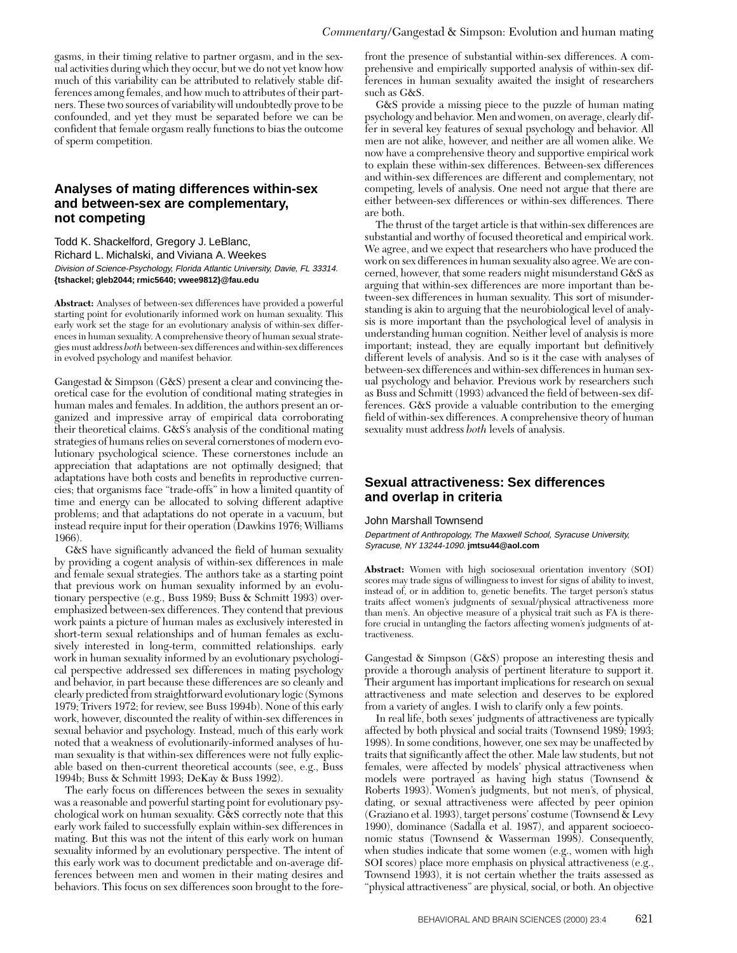gasms, in their timing relative to partner orgasm, and in the sexual activities during which they occur, but we do not yet know how much of this variability can be attributed to relatively stable differences among females, and how much to attributes of their partners. These two sources of variability will undoubtedly prove to be confounded, and yet they must be separated before we can be confident that female orgasm really functions to bias the outcome of sperm competition.

# **Analyses of mating differences within-sex and between-sex are complementary, not competing**

Todd K. Shackelford, Gregory J. LeBlanc, Richard L. Michalski, and Viviana A. Weekes Division of Science-Psychology, Florida Atlantic University, Davie, FL 33314. **{tshackel; gleb2044; rmic5640; vwee9812}@fau.edu**

**Abstract:** Analyses of between-sex differences have provided a powerful starting point for evolutionarily informed work on human sexuality. This early work set the stage for an evolutionary analysis of within-sex differences in human sexuality. A comprehensive theory of human sexual strategies must address *both* between-sex differences and within-sex differences in evolved psychology and manifest behavior.

Gangestad & Simpson (G&S) present a clear and convincing theoretical case for the evolution of conditional mating strategies in human males and females. In addition, the authors present an organized and impressive array of empirical data corroborating their theoretical claims. G&S's analysis of the conditional mating strategies of humans relies on several cornerstones of modern evolutionary psychological science. These cornerstones include an appreciation that adaptations are not optimally designed; that adaptations have both costs and benefits in reproductive currencies; that organisms face "trade-offs" in how a limited quantity of time and energy can be allocated to solving different adaptive problems; and that adaptations do not operate in a vacuum, but instead require input for their operation (Dawkins 1976; Williams 1966).

G&S have significantly advanced the field of human sexuality by providing a cogent analysis of within-sex differences in male and female sexual strategies. The authors take as a starting point that previous work on human sexuality informed by an evolutionary perspective (e.g., Buss 1989; Buss & Schmitt 1993) overemphasized between-sex differences. They contend that previous work paints a picture of human males as exclusively interested in short-term sexual relationships and of human females as exclusively interested in long-term, committed relationships. early work in human sexuality informed by an evolutionary psychological perspective addressed sex differences in mating psychology and behavior, in part because these differences are so cleanly and clearly predicted from straightforward evolutionary logic (Symons 1979; Trivers 1972; for review, see Buss 1994b). None of this early work, however, discounted the reality of within-sex differences in sexual behavior and psychology. Instead, much of this early work noted that a weakness of evolutionarily-informed analyses of human sexuality is that within-sex differences were not fully explicable based on then-current theoretical accounts (see, e.g., Buss 1994b; Buss & Schmitt 1993; DeKay & Buss 1992).

The early focus on differences between the sexes in sexuality was a reasonable and powerful starting point for evolutionary psychological work on human sexuality. G&S correctly note that this early work failed to successfully explain within-sex differences in mating. But this was not the intent of this early work on human sexuality informed by an evolutionary perspective. The intent of this early work was to document predictable and on-average differences between men and women in their mating desires and behaviors. This focus on sex differences soon brought to the fore-

front the presence of substantial within-sex differences. A comprehensive and empirically supported analysis of within-sex differences in human sexuality awaited the insight of researchers such as G&S.

G&S provide a missing piece to the puzzle of human mating psychology and behavior. Men and women, on average, clearly differ in several key features of sexual psychology and behavior. All men are not alike, however, and neither are all women alike. We now have a comprehensive theory and supportive empirical work to explain these within-sex differences. Between-sex differences and within-sex differences are different and complementary, not competing, levels of analysis. One need not argue that there are either between-sex differences or within-sex differences. There are both.

The thrust of the target article is that within-sex differences are substantial and worthy of focused theoretical and empirical work. We agree, and we expect that researchers who have produced the work on sex differences in human sexuality also agree. We are concerned, however, that some readers might misunderstand G&S as arguing that within-sex differences are more important than between-sex differences in human sexuality. This sort of misunderstanding is akin to arguing that the neurobiological level of analysis is more important than the psychological level of analysis in understanding human cognition. Neither level of analysis is more important; instead, they are equally important but definitively different levels of analysis. And so is it the case with analyses of between-sex differences and within-sex differences in human sexual psychology and behavior. Previous work by researchers such as Buss and Schmitt (1993) advanced the field of between-sex differences. G&S provide a valuable contribution to the emerging field of within-sex differences. A comprehensive theory of human sexuality must address *both* levels of analysis.

# **Sexual attractiveness: Sex differences and overlap in criteria**

#### John Marshall Townsend

Department of Anthropology, The Maxwell School, Syracuse University, Syracuse, NY 13244-1090. **jmtsu44@aol.com**

**Abstract:** Women with high sociosexual orientation inventory (SOI) scores may trade signs of willingness to invest for signs of ability to invest, instead of, or in addition to, genetic benefits. The target person's status traits affect women's judgments of sexual/physical attractiveness more than men's. An objective measure of a physical trait such as FA is therefore crucial in untangling the factors affecting women's judgments of attractiveness.

Gangestad & Simpson (G&S) propose an interesting thesis and provide a thorough analysis of pertinent literature to support it. Their argument has important implications for research on sexual attractiveness and mate selection and deserves to be explored from a variety of angles. I wish to clarify only a few points.

In real life, both sexes' judgments of attractiveness are typically affected by both physical and social traits (Townsend 1989; 1993; 1998). In some conditions, however, one sex may be unaffected by traits that significantly affect the other. Male law students, but not females, were affected by models' physical attractiveness when models were portrayed as having high status (Townsend & Roberts 1993). Women's judgments, but not men's, of physical, dating, or sexual attractiveness were affected by peer opinion (Graziano et al. 1993), target persons' costume (Townsend & Levy 1990), dominance (Sadalla et al. 1987), and apparent socioeconomic status (Townsend & Wasserman 1998). Consequently, when studies indicate that some women (e.g., women with high SOI scores) place more emphasis on physical attractiveness (e.g., Townsend 1993), it is not certain whether the traits assessed as "physical attractiveness" are physical, social, or both. An objective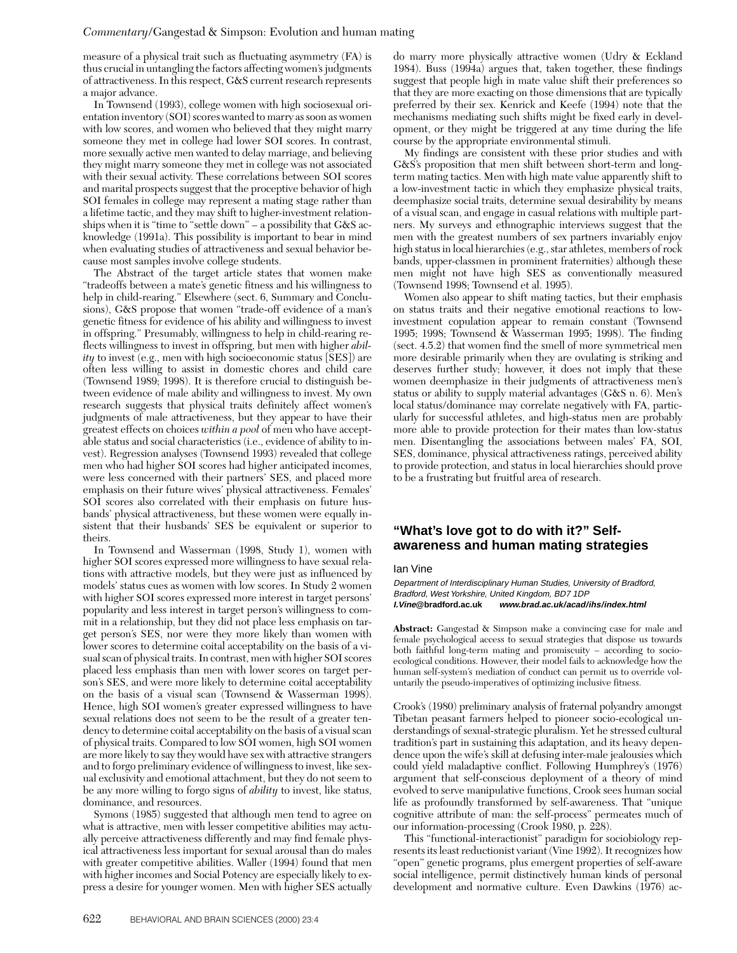measure of a physical trait such as fluctuating asymmetry (FA) is thus crucial in untangling the factors affecting women's judgments of attractiveness. In this respect, G&S current research represents a major advance.

In Townsend (1993), college women with high sociosexual orientation inventory (SOI) scores wanted to marry as soon as women with low scores, and women who believed that they might marry someone they met in college had lower SOI scores. In contrast, more sexually active men wanted to delay marriage, and believing they might marry someone they met in college was not associated with their sexual activity. These correlations between SOI scores and marital prospects suggest that the proceptive behavior of high SOI females in college may represent a mating stage rather than a lifetime tactic, and they may shift to higher-investment relationships when it is "time to "settle down" – a possibility that G&S acknowledge (1991a). This possibility is important to bear in mind when evaluating studies of attractiveness and sexual behavior because most samples involve college students.

The Abstract of the target article states that women make "tradeoffs between a mate's genetic fitness and his willingness to help in child-rearing." Elsewhere (sect. 6, Summary and Conclusions), G&S propose that women "trade-off evidence of a man's genetic fitness for evidence of his ability and willingness to invest in offspring." Presumably, willingness to help in child-rearing reflects willingness to invest in offspring, but men with higher *ability* to invest (e.g., men with high socioeconomic status [SES]) are often less willing to assist in domestic chores and child care (Townsend 1989; 1998). It is therefore crucial to distinguish between evidence of male ability and willingness to invest. My own research suggests that physical traits definitely affect women's judgments of male attractiveness, but they appear to have their greatest effects on choices *within a pool* of men who have acceptable status and social characteristics (i.e., evidence of ability to invest). Regression analyses (Townsend 1993) revealed that college men who had higher SOI scores had higher anticipated incomes, were less concerned with their partners' SES, and placed more emphasis on their future wives' physical attractiveness. Females' SOI scores also correlated with their emphasis on future husbands' physical attractiveness, but these women were equally insistent that their husbands' SES be equivalent or superior to theirs.

In Townsend and Wasserman (1998, Study 1), women with higher SOI scores expressed more willingness to have sexual relations with attractive models, but they were just as influenced by models' status cues as women with low scores. In Study 2 women with higher SOI scores expressed more interest in target persons' popularity and less interest in target person's willingness to commit in a relationship, but they did not place less emphasis on target person's SES, nor were they more likely than women with lower scores to determine coital acceptability on the basis of a visual scan of physical traits. In contrast, men with higher SOI scores placed less emphasis than men with lower scores on target person's SES, and were more likely to determine coital acceptability on the basis of a visual scan (Townsend & Wasserman 1998). Hence, high SOI women's greater expressed willingness to have sexual relations does not seem to be the result of a greater tendency to determine coital acceptability on the basis of a visual scan of physical traits. Compared to low SOI women, high SOI women are more likely to say they would have sex with attractive strangers and to forgo preliminary evidence of willingness to invest, like sexual exclusivity and emotional attachment, but they do not seem to be any more willing to forgo signs of *ability* to invest, like status, dominance, and resources.

Symons (1985) suggested that although men tend to agree on what is attractive, men with lesser competitive abilities may actually perceive attractiveness differently and may find female physical attractiveness less important for sexual arousal than do males with greater competitive abilities. Waller (1994) found that men with higher incomes and Social Potency are especially likely to express a desire for younger women. Men with higher SES actually do marry more physically attractive women (Udry & Eckland 1984). Buss (1994a) argues that, taken together, these findings suggest that people high in mate value shift their preferences so that they are more exacting on those dimensions that are typically preferred by their sex. Kenrick and Keefe (1994) note that the mechanisms mediating such shifts might be fixed early in development, or they might be triggered at any time during the life course by the appropriate environmental stimuli.

My findings are consistent with these prior studies and with G&S's proposition that men shift between short-term and longterm mating tactics. Men with high mate value apparently shift to a low-investment tactic in which they emphasize physical traits, deemphasize social traits, determine sexual desirability by means of a visual scan, and engage in casual relations with multiple partners. My surveys and ethnographic interviews suggest that the men with the greatest numbers of sex partners invariably enjoy high status in local hierarchies (e.g., star athletes, members of rock bands, upper-classmen in prominent fraternities) although these men might not have high SES as conventionally measured (Townsend 1998; Townsend et al. 1995).

Women also appear to shift mating tactics, but their emphasis on status traits and their negative emotional reactions to lowinvestment copulation appear to remain constant (Townsend 1995; 1998; Townsend & Wasserman 1995; 1998). The finding (sect. 4.5.2) that women find the smell of more symmetrical men more desirable primarily when they are ovulating is striking and deserves further study; however, it does not imply that these women deemphasize in their judgments of attractiveness men's status or ability to supply material advantages (G&S n. 6). Men's local status/dominance may correlate negatively with FA, particularly for successful athletes, and high-status men are probably more able to provide protection for their mates than low-status men. Disentangling the associations between males' FA, SOI, SES, dominance, physical attractiveness ratings, perceived ability to provide protection, and status in local hierarchies should prove to be a frustrating but fruitful area of research.

# **"What's love got to do with it?" Selfawareness and human mating strategies**

#### Ian Vine

Department of Interdisciplinary Human Studies, University of Bradford, Bradford, West Yorkshire, United Kingdom, BD7 1DP **I.Vine@bradford.ac.uk www.brad.ac.uk/acad/ihs/index.html**

**Abstract:** Gangestad & Simpson make a convincing case for male and female psychological access to sexual strategies that dispose us towards both faithful long-term mating and promiscuity – according to socioecological conditions. However, their model fails to acknowledge how the human self-system's mediation of conduct can permit us to override voluntarily the pseudo-imperatives of optimizing inclusive fitness.

Crook's (1980) preliminary analysis of fraternal polyandry amongst Tibetan peasant farmers helped to pioneer socio-ecological understandings of sexual-strategic pluralism. Yet he stressed cultural tradition's part in sustaining this adaptation, and its heavy dependence upon the wife's skill at defusing inter-male jealousies which could yield maladaptive conflict. Following Humphrey's (1976) argument that self-conscious deployment of a theory of mind evolved to serve manipulative functions, Crook sees human social life as profoundly transformed by self-awareness. That "unique cognitive attribute of man: the self-process" permeates much of our information-processing (Crook 1980, p. 228).

This "functional-interactionist" paradigm for sociobiology represents its least reductionist variant (Vine 1992). It recognizes how "open" genetic programs, plus emergent properties of self-aware social intelligence, permit distinctively human kinds of personal development and normative culture. Even Dawkins (1976) ac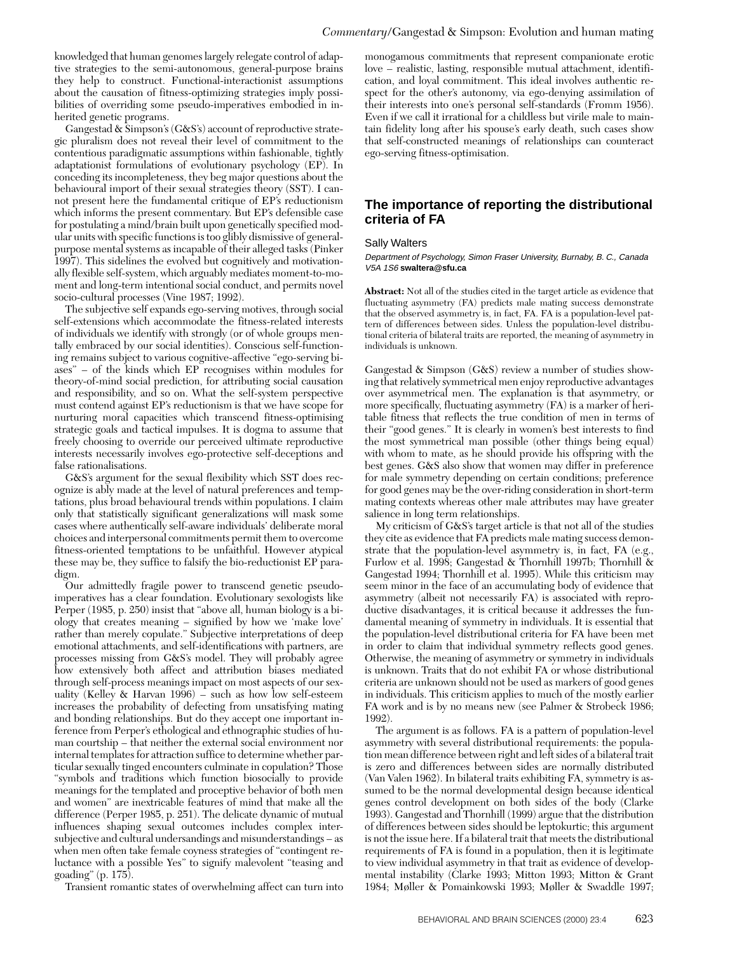knowledged that human genomes largely relegate control of adaptive strategies to the semi-autonomous, general-purpose brains they help to construct. Functional-interactionist assumptions about the causation of fitness-optimizing strategies imply possibilities of overriding some pseudo-imperatives embodied in inherited genetic programs.

Gangestad & Simpson's (G&S's) account of reproductive strategic pluralism does not reveal their level of commitment to the contentious paradigmatic assumptions within fashionable, tightly adaptationist formulations of evolutionary psychology (EP). In conceding its incompleteness, they beg major questions about the behavioural import of their sexual strategies theory (SST). I cannot present here the fundamental critique of EP's reductionism which informs the present commentary. But EP's defensible case for postulating a mind/brain built upon genetically specified modular units with specific functions is too glibly dismissive of generalpurpose mental systems as incapable of their alleged tasks (Pinker 1997). This sidelines the evolved but cognitively and motivationally flexible self-system, which arguably mediates moment-to-moment and long-term intentional social conduct, and permits novel socio-cultural processes (Vine 1987; 1992).

The subjective self expands ego-serving motives, through social self-extensions which accommodate the fitness-related interests of individuals we identify with strongly (or of whole groups mentally embraced by our social identities). Conscious self-functioning remains subject to various cognitive-affective "ego-serving biases" – of the kinds which EP recognises within modules for theory-of-mind social prediction, for attributing social causation and responsibility, and so on. What the self-system perspective must contend against EP's reductionism is that we have scope for nurturing moral capacities which transcend fitness-optimising strategic goals and tactical impulses. It is dogma to assume that freely choosing to override our perceived ultimate reproductive interests necessarily involves ego-protective self-deceptions and false rationalisations.

G&S's argument for the sexual flexibility which SST does recognize is ably made at the level of natural preferences and temptations, plus broad behavioural trends within populations. I claim only that statistically significant generalizations will mask some cases where authentically self-aware individuals' deliberate moral choices and interpersonal commitments permit them to overcome fitness-oriented temptations to be unfaithful. However atypical these may be, they suffice to falsify the bio-reductionist EP paradigm.

Our admittedly fragile power to transcend genetic pseudoimperatives has a clear foundation. Evolutionary sexologists like Perper (1985, p. 250) insist that "above all, human biology is a biology that creates meaning – signified by how we 'make love' rather than merely copulate." Subjective interpretations of deep emotional attachments, and self-identifications with partners, are processes missing from G&S's model. They will probably agree how extensively both affect and attribution biases mediated through self-process meanings impact on most aspects of our sexuality (Kelley & Harvan 1996) – such as how low self-esteem increases the probability of defecting from unsatisfying mating and bonding relationships. But do they accept one important inference from Perper's ethological and ethnographic studies of human courtship – that neither the external social environment nor internal templates for attraction suffice to determine whether particular sexually tinged encounters culminate in copulation? Those "symbols and traditions which function biosocially to provide meanings for the templated and proceptive behavior of both men and women" are inextricable features of mind that make all the difference (Perper 1985, p. 251). The delicate dynamic of mutual influences shaping sexual outcomes includes complex intersubjective and cultural undersandings and misunderstandings – as when men often take female coyness strategies of "contingent reluctance with a possible Yes" to signify malevolent "teasing and goading" (p. 175).

Transient romantic states of overwhelming affect can turn into

monogamous commitments that represent companionate erotic love – realistic, lasting, responsible mutual attachment, identification, and loyal commitment. This ideal involves authentic respect for the other's autonomy, via ego-denying assimilation of their interests into one's personal self-standards (Fromm 1956). Even if we call it irrational for a childless but virile male to maintain fidelity long after his spouse's early death, such cases show that self-constructed meanings of relationships can counteract ego-serving fitness-optimisation.

## **The importance of reporting the distributional criteria of FA**

#### Sally Walters

Department of Psychology, Simon Fraser University, Burnaby, B. C., Canada V5A 1S6 **swaltera@sfu.ca**

**Abstract:** Not all of the studies cited in the target article as evidence that fluctuating asymmetry (FA) predicts male mating success demonstrate that the observed asymmetry is, in fact, FA. FA is a population-level pattern of differences between sides. Unless the population-level distributional criteria of bilateral traits are reported, the meaning of asymmetry in individuals is unknown.

Gangestad & Simpson (G&S) review a number of studies showing that relatively symmetrical men enjoy reproductive advantages over asymmetrical men. The explanation is that asymmetry, or more specifically, fluctuating asymmetry (FA) is a marker of heritable fitness that reflects the true condition of men in terms of their "good genes." It is clearly in women's best interests to find the most symmetrical man possible (other things being equal) with whom to mate, as he should provide his offspring with the best genes. G&S also show that women may differ in preference for male symmetry depending on certain conditions; preference for good genes may be the over-riding consideration in short-term mating contexts whereas other male attributes may have greater salience in long term relationships.

My criticism of G&S's target article is that not all of the studies they cite as evidence that FA predicts male mating success demonstrate that the population-level asymmetry is, in fact, FA (e.g., Furlow et al. 1998; Gangestad & Thornhill 1997b; Thornhill & Gangestad 1994; Thornhill et al. 1995). While this criticism may seem minor in the face of an accumulating body of evidence that asymmetry (albeit not necessarily FA) is associated with reproductive disadvantages, it is critical because it addresses the fundamental meaning of symmetry in individuals. It is essential that the population-level distributional criteria for FA have been met in order to claim that individual symmetry reflects good genes. Otherwise, the meaning of asymmetry or symmetry in individuals is unknown. Traits that do not exhibit FA or whose distributional criteria are unknown should not be used as markers of good genes in individuals. This criticism applies to much of the mostly earlier FA work and is by no means new (see Palmer & Strobeck 1986; 1992).

The argument is as follows. FA is a pattern of population-level asymmetry with several distributional requirements: the population mean difference between right and left sides of a bilateral trait is zero and differences between sides are normally distributed (Van Valen 1962). In bilateral traits exhibiting FA, symmetry is assumed to be the normal developmental design because identical genes control development on both sides of the body (Clarke 1993). Gangestad and Thornhill (1999) argue that the distribution of differences between sides should be leptokurtic; this argument is not the issue here. If a bilateral trait that meets the distributional requirements of FA is found in a population, then it is legitimate to view individual asymmetry in that trait as evidence of developmental instability (Clarke 1993; Mitton 1993; Mitton & Grant 1984; Møller & Pomainkowski 1993; Møller & Swaddle 1997;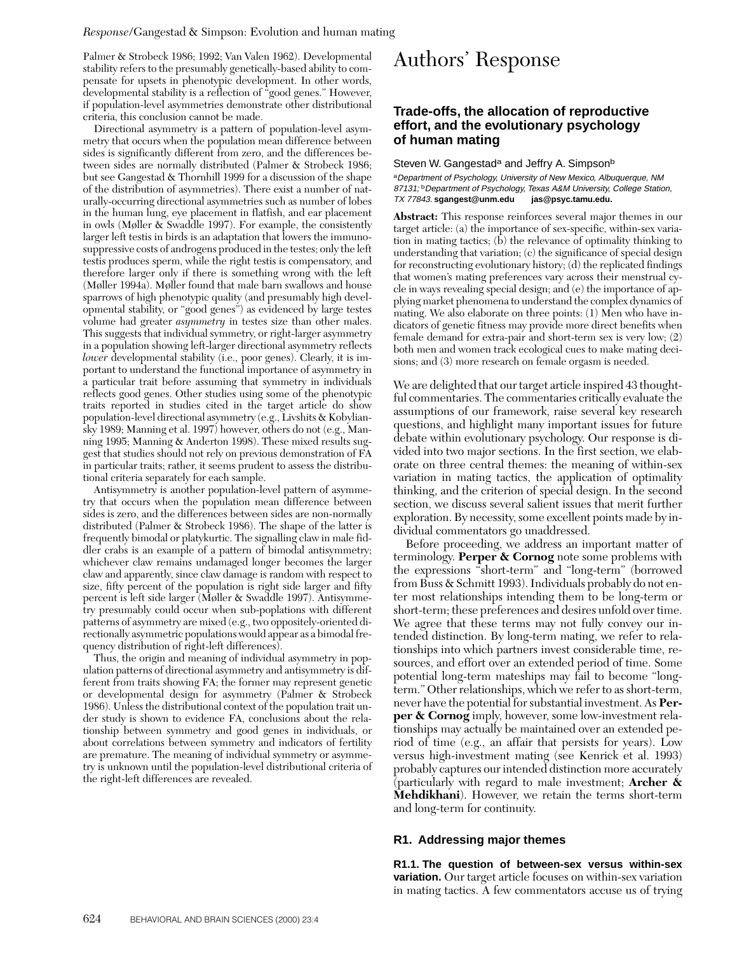Palmer & Strobeck 1986; 1992; Van Valen 1962). Developmental stability refers to the presumably genetically-based ability to compensate for upsets in phenotypic development. In other words, developmental stability is a reflection of "good genes." However, if population-level asymmetries demonstrate other distributional criteria, this conclusion cannot be made.

Directional asymmetry is a pattern of population-level asymmetry that occurs when the population mean difference between sides is significantly different from zero, and the differences between sides are normally distributed (Palmer & Strobeck 1986; but see Gangestad & Thornhill 1999 for a discussion of the shape of the distribution of asymmetries). There exist a number of naturally-occurring directional asymmetries such as number of lobes in the human lung, eye placement in flatfish, and ear placement in owls (Møller & Swaddle 1997). For example, the consistently larger left testis in birds is an adaptation that lowers the immunosuppressive costs of androgens produced in the testes; only the left testis produces sperm, while the right testis is compensatory, and therefore larger only if there is something wrong with the left (Møller 1994a). Møller found that male barn swallows and house sparrows of high phenotypic quality (and presumably high developmental stability, or "good genes") as evidenced by large testes volume had greater *asymmetry* in testes size than other males. This suggests that individual symmetry, or right-larger asymmetry in a population showing left-larger directional asymmetry reflects *lower* developmental stability (i.e., poor genes). Clearly, it is important to understand the functional importance of asymmetry in a particular trait before assuming that symmetry in individuals reflects good genes. Other studies using some of the phenotypic traits reported in studies cited in the target article do show population-level directional asymmetry (e.g., Livshits & Kobyliansky 1989; Manning et al. 1997) however, others do not (e.g., Manning 1995; Manning & Anderton 1998). These mixed results suggest that studies should not rely on previous demonstration of FA in particular traits; rather, it seems prudent to assess the distributional criteria separately for each sample.

Antisymmetry is another population-level pattern of asymmetry that occurs when the population mean difference between sides is zero, and the differences between sides are non-normally distributed (Palmer & Strobeck 1986). The shape of the latter is frequently bimodal or platykurtic. The signalling claw in male fiddler crabs is an example of a pattern of bimodal antisymmetry; whichever claw remains undamaged longer becomes the larger claw and apparently, since claw damage is random with respect to size, fifty percent of the population is right side larger and fifty percent is left side larger (Møller & Swaddle 1997). Antisymmetry presumably could occur when sub-poplations with different patterns of asymmetry are mixed (e.g., two oppositely-oriented directionally asymmetric populations would appear as a bimodal frequency distribution of right-left differences).

Thus, the origin and meaning of individual asymmetry in population patterns of directional asymmetry and antisymmetry is different from traits showing FA; the former may represent genetic or developmental design for asymmetry (Palmer & Strobeck 1986). Unless the distributional context of the population trait under study is shown to evidence FA, conclusions about the relationship between symmetry and good genes in individuals, or about correlations between symmetry and indicators of fertility are premature. The meaning of individual symmetry or asymmetry is unknown until the population-level distributional criteria of the right-left differences are revealed.

# Authors' Response

# **Trade-offs, the allocation of reproductive effort, and the evolutionary psychology of human mating**

#### Steven W. Gangestad<sup>a</sup> and Jeffry A. Simpson<sup>b</sup> aDepartment of Psychology, University of New Mexico, Albuquerque, NM 87131; <sup>b</sup>Department of Psychology, Texas A&M University, College Station, TX 77843. **sgangest@unm.edu jas@psyc.tamu.edu.**

**Abstract:** This response reinforces several major themes in our target article: (a) the importance of sex-specific, within-sex variation in mating tactics; (b) the relevance of optimality thinking to understanding that variation; (c) the significance of special design for reconstructing evolutionary history; (d) the replicated findings that women's mating preferences vary across their menstrual cycle in ways revealing special design; and (e) the importance of applying market phenomena to understand the complex dynamics of mating. We also elaborate on three points: (1) Men who have indicators of genetic fitness may provide more direct benefits when female demand for extra-pair and short-term sex is very low; (2) both men and women track ecological cues to make mating decisions; and (3) more research on female orgasm is needed.

We are delighted that our target article inspired 43 thoughtful commentaries. The commentaries critically evaluate the assumptions of our framework, raise several key research questions, and highlight many important issues for future debate within evolutionary psychology. Our response is divided into two major sections. In the first section, we elaborate on three central themes: the meaning of within-sex variation in mating tactics, the application of optimality thinking, and the criterion of special design. In the second section, we discuss several salient issues that merit further exploration. By necessity, some excellent points made by individual commentators go unaddressed.

Before proceeding, we address an important matter of terminology. **Perper & Cornog** note some problems with the expressions "short-term" and "long-term" (borrowed from Buss & Schmitt 1993). Individuals probably do not enter most relationships intending them to be long-term or short-term; these preferences and desires unfold over time. We agree that these terms may not fully convey our intended distinction. By long-term mating, we refer to relationships into which partners invest considerable time, resources, and effort over an extended period of time. Some potential long-term mateships may fail to become "longterm." Other relationships, which we refer to as short-term, never have the potential for substantial investment. As **Perper & Cornog** imply, however, some low-investment relationships may actually be maintained over an extended period of time (e.g., an affair that persists for years). Low versus high-investment mating (see Kenrick et al. 1993) probably captures our intended distinction more accurately (particularly with regard to male investment; **Archer & Mehdikhani**). However, we retain the terms short-term and long-term for continuity.

## **R1. Addressing major themes**

**R1.1. The question of between-sex versus within-sex variation.** Our target article focuses on within-sex variation in mating tactics. A few commentators accuse us of trying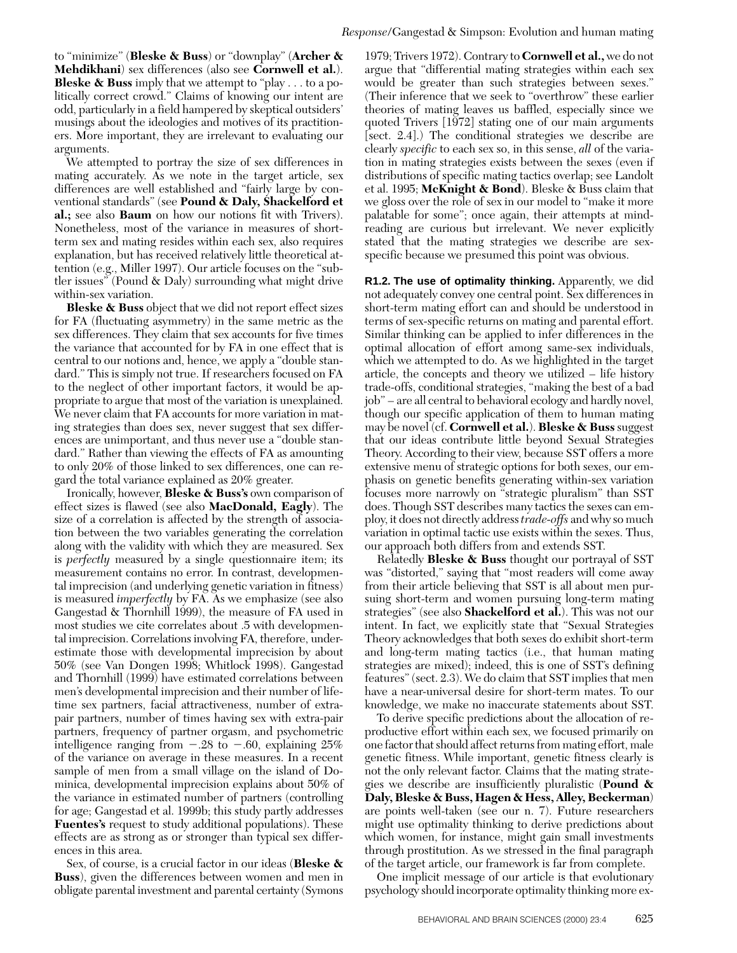to "minimize" (**Bleske & Buss**) or "downplay" (**Archer & Mehdikhani**) sex differences (also see **Cornwell et al.**). **Bleske & Buss** imply that we attempt to "play . . . to a politically correct crowd." Claims of knowing our intent are odd, particularly in a field hampered by skeptical outsiders' musings about the ideologies and motives of its practitioners. More important, they are irrelevant to evaluating our arguments.

We attempted to portray the size of sex differences in mating accurately. As we note in the target article, sex differences are well established and "fairly large by conventional standards" (see **Pound & Daly, Shackelford et al.;** see also **Baum** on how our notions fit with Trivers). Nonetheless, most of the variance in measures of shortterm sex and mating resides within each sex, also requires explanation, but has received relatively little theoretical attention (e.g., Miller 1997). Our article focuses on the "subtler issues" (Pound & Daly) surrounding what might drive within-sex variation.

**Bleske & Buss** object that we did not report effect sizes for FA (fluctuating asymmetry) in the same metric as the sex differences. They claim that sex accounts for five times the variance that accounted for by FA in one effect that is central to our notions and, hence, we apply a "double standard." This is simply not true. If researchers focused on FA to the neglect of other important factors, it would be appropriate to argue that most of the variation is unexplained. We never claim that FA accounts for more variation in mating strategies than does sex, never suggest that sex differences are unimportant, and thus never use a "double standard." Rather than viewing the effects of FA as amounting to only 20% of those linked to sex differences, one can regard the total variance explained as 20% greater.

Ironically, however, **Bleske & Buss's** own comparison of effect sizes is flawed (see also **MacDonald, Eagly**). The size of a correlation is affected by the strength of association between the two variables generating the correlation along with the validity with which they are measured. Sex is *perfectly* measured by a single questionnaire item; its measurement contains no error. In contrast, developmental imprecision (and underlying genetic variation in fitness) is measured *imperfectly* by FA. As we emphasize (see also Gangestad & Thornhill 1999), the measure of FA used in most studies we cite correlates about .5 with developmental imprecision. Correlations involving FA, therefore, underestimate those with developmental imprecision by about 50% (see Van Dongen 1998; Whitlock 1998). Gangestad and Thornhill (1999) have estimated correlations between men's developmental imprecision and their number of lifetime sex partners, facial attractiveness, number of extrapair partners, number of times having sex with extra-pair partners, frequency of partner orgasm, and psychometric intelligence ranging from  $-.28$  to  $-.60$ , explaining 25% of the variance on average in these measures. In a recent sample of men from a small village on the island of Dominica, developmental imprecision explains about 50% of the variance in estimated number of partners (controlling for age; Gangestad et al. 1999b; this study partly addresses **Fuentes's** request to study additional populations). These effects are as strong as or stronger than typical sex differences in this area.

Sex, of course, is a crucial factor in our ideas (**Bleske & Buss**), given the differences between women and men in obligate parental investment and parental certainty (Symons

1979; Trivers 1972). Contrary to **Cornwell et al.,** we do not argue that "differential mating strategies within each sex would be greater than such strategies between sexes." (Their inference that we seek to "overthrow" these earlier theories of mating leaves us baffled, especially since we quoted Trivers [1972] stating one of our main arguments [sect. 2.4].) The conditional strategies we describe are clearly *specific* to each sex so, in this sense, *all* of the variation in mating strategies exists between the sexes (even if distributions of specific mating tactics overlap; see Landolt et al. 1995; **McKnight & Bond**). Bleske & Buss claim that we gloss over the role of sex in our model to "make it more palatable for some"; once again, their attempts at mindreading are curious but irrelevant. We never explicitly stated that the mating strategies we describe are sexspecific because we presumed this point was obvious.

**R1.2. The use of optimality thinking.** Apparently, we did not adequately convey one central point. Sex differences in short-term mating effort can and should be understood in terms of sex-specific returns on mating and parental effort. Similar thinking can be applied to infer differences in the optimal allocation of effort among same-sex individuals, which we attempted to do. As we highlighted in the target article, the concepts and theory we utilized – life history trade-offs, conditional strategies, "making the best of a bad job" – are all central to behavioral ecology and hardly novel, though our specific application of them to human mating may be novel (cf. **Cornwell et al.**). **Bleske & Buss** suggest that our ideas contribute little beyond Sexual Strategies Theory. According to their view, because SST offers a more extensive menu of strategic options for both sexes, our emphasis on genetic benefits generating within-sex variation focuses more narrowly on "strategic pluralism" than SST does. Though SST describes many tactics the sexes can employ, it does not directly address *trade-offs* and why so much variation in optimal tactic use exists within the sexes. Thus, our approach both differs from and extends SST.

Relatedly **Bleske & Buss** thought our portrayal of SST was "distorted," saying that "most readers will come away from their article believing that SST is all about men pursuing short-term and women pursuing long-term mating strategies" (see also **Shackelford et al.**). This was not our intent. In fact, we explicitly state that "Sexual Strategies Theory acknowledges that both sexes do exhibit short-term and long-term mating tactics (i.e., that human mating strategies are mixed); indeed, this is one of SST's defining features" (sect. 2.3). We do claim that SST implies that men have a near-universal desire for short-term mates. To our knowledge, we make no inaccurate statements about SST.

To derive specific predictions about the allocation of reproductive effort within each sex, we focused primarily on one factor that should affect returns from mating effort, male genetic fitness. While important, genetic fitness clearly is not the only relevant factor. Claims that the mating strategies we describe are insufficiently pluralistic (**Pound & Daly, Bleske & Buss, Hagen & Hess, Alley, Beckerman**) are points well-taken (see our n. 7). Future researchers might use optimality thinking to derive predictions about which women, for instance, might gain small investments through prostitution. As we stressed in the final paragraph of the target article, our framework is far from complete.

One implicit message of our article is that evolutionary psychology should incorporate optimality thinking more ex-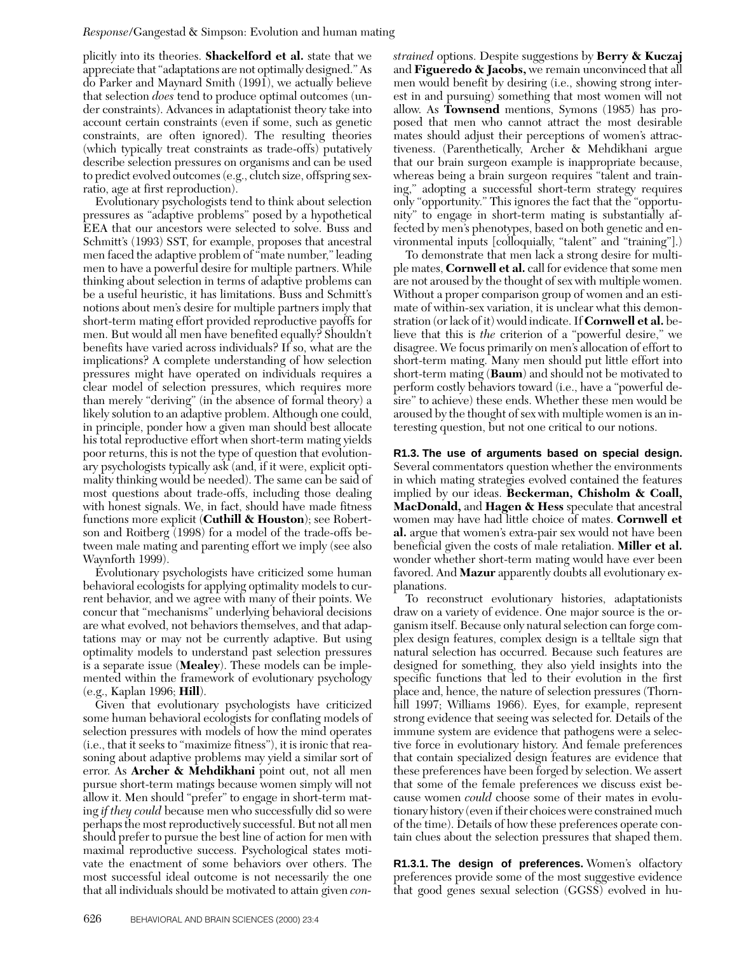plicitly into its theories. **Shackelford et al.** state that we appreciate that "adaptations are not optimally designed." As do Parker and Maynard Smith (1991), we actually believe that selection *does* tend to produce optimal outcomes (under constraints). Advances in adaptationist theory take into account certain constraints (even if some, such as genetic constraints, are often ignored). The resulting theories (which typically treat constraints as trade-offs) putatively describe selection pressures on organisms and can be used to predict evolved outcomes (e.g., clutch size, offspring sexratio, age at first reproduction).

Evolutionary psychologists tend to think about selection pressures as "adaptive problems" posed by a hypothetical EEA that our ancestors were selected to solve. Buss and Schmitt's (1993) SST, for example, proposes that ancestral men faced the adaptive problem of "mate number," leading men to have a powerful desire for multiple partners. While thinking about selection in terms of adaptive problems can be a useful heuristic, it has limitations. Buss and Schmitt's notions about men's desire for multiple partners imply that short-term mating effort provided reproductive payoffs for men. But would all men have benefited equally? Shouldn't benefits have varied across individuals? If so, what are the implications? A complete understanding of how selection pressures might have operated on individuals requires a clear model of selection pressures, which requires more than merely "deriving" (in the absence of formal theory) a likely solution to an adaptive problem. Although one could, in principle, ponder how a given man should best allocate his total reproductive effort when short-term mating yields poor returns, this is not the type of question that evolutionary psychologists typically ask (and, if it were, explicit optimality thinking would be needed). The same can be said of most questions about trade-offs, including those dealing with honest signals. We, in fact, should have made fitness functions more explicit (**Cuthill & Houston**); see Robertson and Roitberg (1998) for a model of the trade-offs between male mating and parenting effort we imply (see also Waynforth 1999).

Evolutionary psychologists have criticized some human behavioral ecologists for applying optimality models to current behavior, and we agree with many of their points. We concur that "mechanisms" underlying behavioral decisions are what evolved, not behaviors themselves, and that adaptations may or may not be currently adaptive. But using optimality models to understand past selection pressures is a separate issue (**Mealey**). These models can be implemented within the framework of evolutionary psychology (e.g., Kaplan 1996; **Hill**).

Given that evolutionary psychologists have criticized some human behavioral ecologists for conflating models of selection pressures with models of how the mind operates (i.e., that it seeks to "maximize fitness"), it is ironic that reasoning about adaptive problems may yield a similar sort of error. As **Archer & Mehdikhani** point out, not all men pursue short-term matings because women simply will not allow it. Men should "prefer" to engage in short-term mating *if they could* because men who successfully did so were perhaps the most reproductively successful. But not all men should prefer to pursue the best line of action for men with maximal reproductive success. Psychological states motivate the enactment of some behaviors over others. The most successful ideal outcome is not necessarily the one that all individuals should be motivated to attain given *con-* *strained* options. Despite suggestions by **Berry & Kuczaj** and **Figueredo & Jacobs,** we remain unconvinced that all men would benefit by desiring (i.e., showing strong interest in and pursuing) something that most women will not allow. As **Townsend** mentions, Symons (1985) has proposed that men who cannot attract the most desirable mates should adjust their perceptions of women's attractiveness. (Parenthetically, Archer & Mehdikhani argue that our brain surgeon example is inappropriate because, whereas being a brain surgeon requires "talent and training," adopting a successful short-term strategy requires only "opportunity." This ignores the fact that the "opportunity" to engage in short-term mating is substantially affected by men's phenotypes, based on both genetic and environmental inputs [colloquially, "talent" and "training"].)

To demonstrate that men lack a strong desire for multiple mates, **Cornwell et al.** call for evidence that some men are not aroused by the thought of sex with multiple women. Without a proper comparison group of women and an estimate of within-sex variation, it is unclear what this demonstration (or lack of it) would indicate. If **Cornwell et al.** believe that this is *the* criterion of a "powerful desire," we disagree. We focus primarily on men's allocation of effort to short-term mating. Many men should put little effort into short-term mating (**Baum**) and should not be motivated to perform costly behaviors toward (i.e., have a "powerful desire" to achieve) these ends. Whether these men would be aroused by the thought of sex with multiple women is an interesting question, but not one critical to our notions.

**R1.3. The use of arguments based on special design.** Several commentators question whether the environments in which mating strategies evolved contained the features implied by our ideas. **Beckerman, Chisholm & Coall, MacDonald,** and **Hagen & Hess** speculate that ancestral women may have had little choice of mates. **Cornwell et al.** argue that women's extra-pair sex would not have been beneficial given the costs of male retaliation. **Miller et al.** wonder whether short-term mating would have ever been favored. And **Mazur** apparently doubts all evolutionary explanations.

To reconstruct evolutionary histories, adaptationists draw on a variety of evidence. One major source is the organism itself. Because only natural selection can forge complex design features, complex design is a telltale sign that natural selection has occurred. Because such features are designed for something, they also yield insights into the specific functions that led to their evolution in the first place and, hence, the nature of selection pressures (Thornhill 1997; Williams 1966). Eyes, for example, represent strong evidence that seeing was selected for. Details of the immune system are evidence that pathogens were a selective force in evolutionary history. And female preferences that contain specialized design features are evidence that these preferences have been forged by selection. We assert that some of the female preferences we discuss exist because women *could* choose some of their mates in evolutionary history (even if their choices were constrained much of the time). Details of how these preferences operate contain clues about the selection pressures that shaped them.

**R1.3.1. The design of preferences.** Women's olfactory preferences provide some of the most suggestive evidence that good genes sexual selection (GGSS) evolved in hu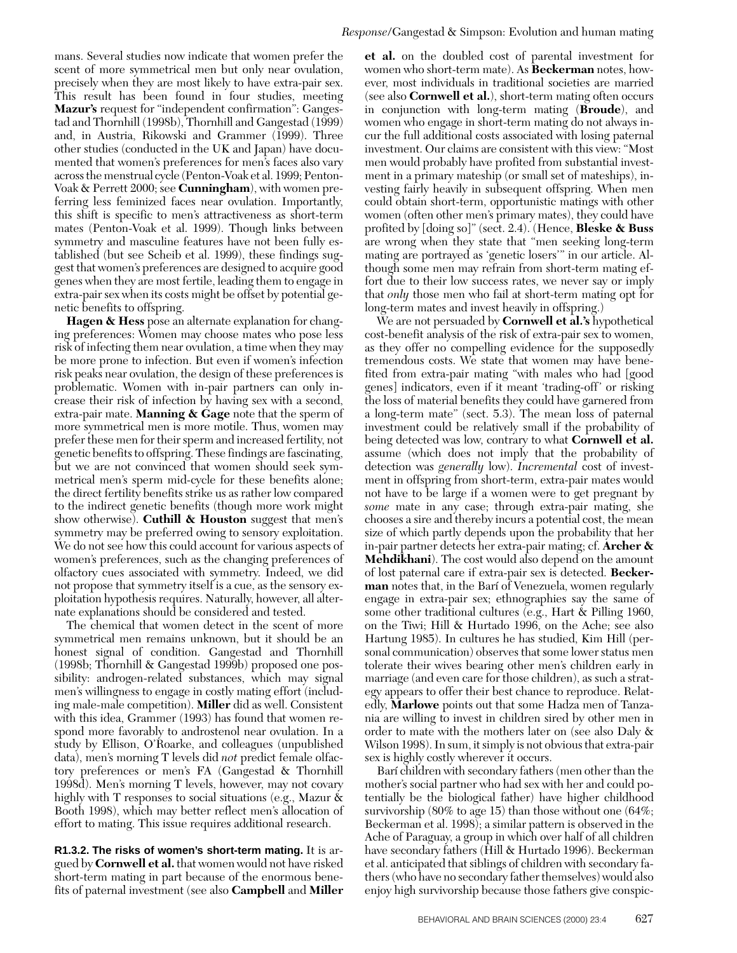mans. Several studies now indicate that women prefer the scent of more symmetrical men but only near ovulation, precisely when they are most likely to have extra-pair sex. This result has been found in four studies, meeting **Mazur's** request for "independent confirmation": Gangestad and Thornhill (1998b), Thornhill and Gangestad (1999) and, in Austria, Rikowski and Grammer (1999). Three other studies (conducted in the UK and Japan) have documented that women's preferences for men's faces also vary across the menstrual cycle (Penton-Voak et al. 1999; Penton-Voak & Perrett 2000; see **Cunningham**), with women preferring less feminized faces near ovulation. Importantly, this shift is specific to men's attractiveness as short-term mates (Penton-Voak et al. 1999). Though links between symmetry and masculine features have not been fully established (but see Scheib et al. 1999), these findings suggest that women's preferences are designed to acquire good genes when they are most fertile, leading them to engage in extra-pair sex when its costs might be offset by potential genetic benefits to offspring.

**Hagen & Hess** pose an alternate explanation for changing preferences: Women may choose mates who pose less risk of infecting them near ovulation, a time when they may be more prone to infection. But even if women's infection risk peaks near ovulation, the design of these preferences is problematic. Women with in-pair partners can only increase their risk of infection by having sex with a second, extra-pair mate. **Manning & Gage** note that the sperm of more symmetrical men is more motile. Thus, women may prefer these men for their sperm and increased fertility, not genetic benefits to offspring. These findings are fascinating, but we are not convinced that women should seek symmetrical men's sperm mid-cycle for these benefits alone; the direct fertility benefits strike us as rather low compared to the indirect genetic benefits (though more work might show otherwise). **Cuthill & Houston** suggest that men's symmetry may be preferred owing to sensory exploitation. We do not see how this could account for various aspects of women's preferences, such as the changing preferences of olfactory cues associated with symmetry. Indeed, we did not propose that symmetry itself is a cue, as the sensory exploitation hypothesis requires. Naturally, however, all alternate explanations should be considered and tested.

The chemical that women detect in the scent of more symmetrical men remains unknown, but it should be an honest signal of condition. Gangestad and Thornhill (1998b; Thornhill & Gangestad 1999b) proposed one possibility: androgen-related substances, which may signal men's willingness to engage in costly mating effort (including male-male competition). **Miller** did as well. Consistent with this idea, Grammer (1993) has found that women respond more favorably to androstenol near ovulation. In a study by Ellison, O'Roarke, and colleagues (unpublished data), men's morning T levels did *not* predict female olfactory preferences or men's FA (Gangestad & Thornhill 1998d). Men's morning T levels, however, may not covary highly with T responses to social situations (e.g., Mazur & Booth 1998), which may better reflect men's allocation of effort to mating. This issue requires additional research.

**R1.3.2. The risks of women's short-term mating.** It is argued by **Cornwell et al.** that women would not have risked short-term mating in part because of the enormous benefits of paternal investment (see also **Campbell** and **Miller**

**et al.** on the doubled cost of parental investment for women who short-term mate). As **Beckerman** notes, however, most individuals in traditional societies are married (see also **Cornwell et al.**), short-term mating often occurs in conjunction with long-term mating (**Broude**), and women who engage in short-term mating do not always incur the full additional costs associated with losing paternal investment. Our claims are consistent with this view: "Most men would probably have profited from substantial investment in a primary mateship (or small set of mateships), investing fairly heavily in subsequent offspring. When men could obtain short-term, opportunistic matings with other women (often other men's primary mates), they could have profited by [doing so]" (sect. 2.4). (Hence, **Bleske & Buss** are wrong when they state that "men seeking long-term mating are portrayed as 'genetic losers'" in our article. Although some men may refrain from short-term mating effort due to their low success rates, we never say or imply that *only* those men who fail at short-term mating opt for long-term mates and invest heavily in offspring.)

We are not persuaded by **Cornwell et al.'s** hypothetical cost-benefit analysis of the risk of extra-pair sex to women, as they offer no compelling evidence for the supposedly tremendous costs. We state that women may have benefited from extra-pair mating "with males who had [good genes] indicators, even if it meant 'trading-off' or risking the loss of material benefits they could have garnered from a long-term mate" (sect. 5.3). The mean loss of paternal investment could be relatively small if the probability of being detected was low, contrary to what **Cornwell et al.**  assume (which does not imply that the probability of detection was *generally* low). *Incremental* cost of investment in offspring from short-term, extra-pair mates would not have to be large if a women were to get pregnant by *some* mate in any case; through extra-pair mating, she chooses a sire and thereby incurs a potential cost, the mean size of which partly depends upon the probability that her in-pair partner detects her extra-pair mating; cf. **Archer & Mehdikhani**). The cost would also depend on the amount of lost paternal care if extra-pair sex is detected. **Beckerman** notes that, in the Barí of Venezuela, women regularly engage in extra-pair sex; ethnographies say the same of some other traditional cultures (e.g., Hart & Pilling 1960, on the Tiwi; Hill & Hurtado 1996, on the Ache; see also Hartung 1985). In cultures he has studied, Kim Hill (personal communication) observes that some lower status men tolerate their wives bearing other men's children early in marriage (and even care for those children), as such a strategy appears to offer their best chance to reproduce. Relatedly, **Marlowe** points out that some Hadza men of Tanzania are willing to invest in children sired by other men in order to mate with the mothers later on (see also Daly & Wilson 1998). In sum, it simply is not obvious that extra-pair sex is highly costly wherever it occurs.

Barí children with secondary fathers (men other than the mother's social partner who had sex with her and could potentially be the biological father) have higher childhood survivorship (80% to age 15) than those without one (64%; Beckerman et al. 1998); a similar pattern is observed in the Ache of Paraguay, a group in which over half of all children have secondary fathers (Hill & Hurtado 1996). Beckerman et al. anticipated that siblings of children with secondary fathers (who have no secondary father themselves) would also enjoy high survivorship because those fathers give conspic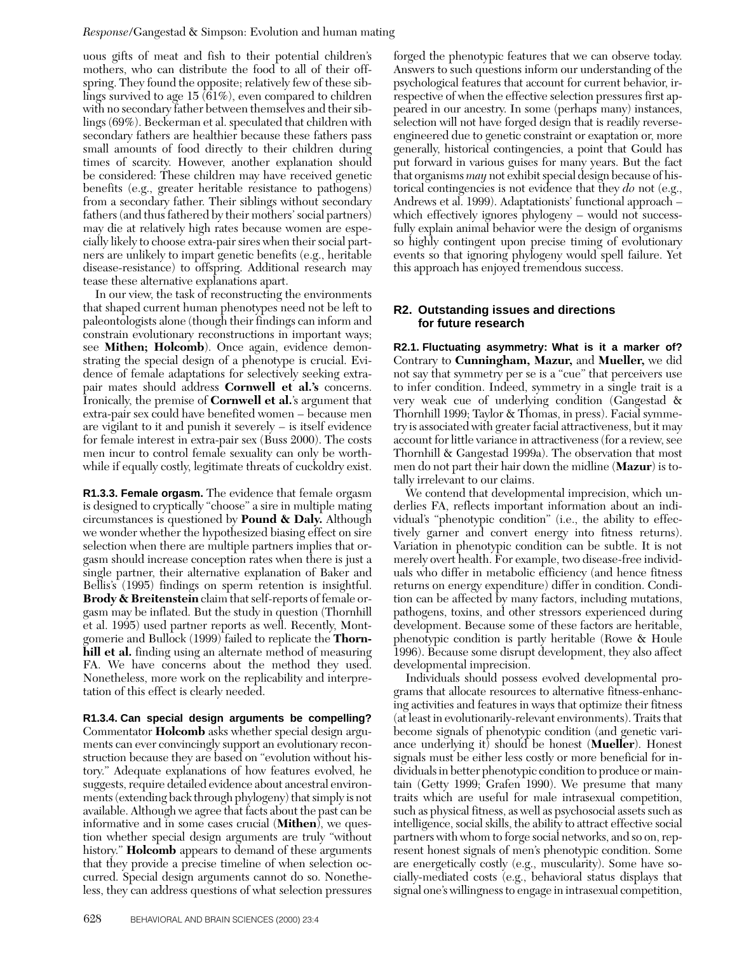uous gifts of meat and fish to their potential children's mothers, who can distribute the food to all of their offspring. They found the opposite; relatively few of these siblings survived to age 15 (61%), even compared to children with no secondary father between themselves and their siblings (69%). Beckerman et al. speculated that children with secondary fathers are healthier because these fathers pass small amounts of food directly to their children during times of scarcity. However, another explanation should be considered: These children may have received genetic benefits (e.g., greater heritable resistance to pathogens) from a secondary father. Their siblings without secondary fathers (and thus fathered by their mothers' social partners) may die at relatively high rates because women are especially likely to choose extra-pair sires when their social partners are unlikely to impart genetic benefits (e.g., heritable disease-resistance) to offspring. Additional research may tease these alternative explanations apart.

In our view, the task of reconstructing the environments that shaped current human phenotypes need not be left to paleontologists alone (though their findings can inform and constrain evolutionary reconstructions in important ways; see **Mithen; Holcomb**). Once again, evidence demonstrating the special design of a phenotype is crucial. Evidence of female adaptations for selectively seeking extrapair mates should address **Cornwell et al.'s** concerns. Ironically, the premise of **Cornwell et al.**'s argument that extra-pair sex could have benefited women – because men are vigilant to it and punish it severely – is itself evidence for female interest in extra-pair sex (Buss 2000). The costs men incur to control female sexuality can only be worthwhile if equally costly, legitimate threats of cuckoldry exist.

**R1.3.3. Female orgasm.** The evidence that female orgasm is designed to cryptically "choose" a sire in multiple mating circumstances is questioned by **Pound & Daly.** Although we wonder whether the hypothesized biasing effect on sire selection when there are multiple partners implies that orgasm should increase conception rates when there is just a single partner, their alternative explanation of Baker and Bellis's (1995) findings on sperm retention is insightful. **Brody & Breitenstein** claim that self-reports of female orgasm may be inflated. But the study in question (Thornhill et al. 1995) used partner reports as well. Recently, Montgomerie and Bullock (1999) failed to replicate the **Thornhill et al.** finding using an alternate method of measuring FA. We have concerns about the method they used. Nonetheless, more work on the replicability and interpretation of this effect is clearly needed.

**R1.3.4. Can special design arguments be compelling?** Commentator **Holcomb** asks whether special design arguments can ever convincingly support an evolutionary reconstruction because they are based on "evolution without history." Adequate explanations of how features evolved, he suggests, require detailed evidence about ancestral environments (extending back through phylogeny) that simply is not available. Although we agree that facts about the past can be informative and in some cases crucial (**Mithen**), we question whether special design arguments are truly "without history." **Holcomb** appears to demand of these arguments that they provide a precise timeline of when selection occurred. Special design arguments cannot do so. Nonetheless, they can address questions of what selection pressures

forged the phenotypic features that we can observe today. Answers to such questions inform our understanding of the psychological features that account for current behavior, irrespective of when the effective selection pressures first appeared in our ancestry. In some (perhaps many) instances, selection will not have forged design that is readily reverseengineered due to genetic constraint or exaptation or, more generally, historical contingencies, a point that Gould has put forward in various guises for many years. But the fact that organisms *may* not exhibit special design because of historical contingencies is not evidence that they *do* not (e.g., Andrews et al. 1999). Adaptationists' functional approach – which effectively ignores phylogeny – would not successfully explain animal behavior were the design of organisms so highly contingent upon precise timing of evolutionary events so that ignoring phylogeny would spell failure. Yet this approach has enjoyed tremendous success.

# **R2. Outstanding issues and directions for future research**

**R2.1. Fluctuating asymmetry: What is it a marker of?** Contrary to **Cunningham, Mazur,** and **Mueller,** we did not say that symmetry per se is a "cue" that perceivers use to infer condition. Indeed, symmetry in a single trait is a very weak cue of underlying condition (Gangestad & Thornhill 1999; Taylor & Thomas, in press). Facial symmetry is associated with greater facial attractiveness, but it may account for little variance in attractiveness (for a review, see Thornhill & Gangestad 1999a). The observation that most men do not part their hair down the midline (**Mazur**) is totally irrelevant to our claims.

We contend that developmental imprecision, which underlies FA, reflects important information about an individual's "phenotypic condition" (i.e., the ability to effectively garner and convert energy into fitness returns). Variation in phenotypic condition can be subtle. It is not merely overt health. For example, two disease-free individuals who differ in metabolic efficiency (and hence fitness returns on energy expenditure) differ in condition. Condition can be affected by many factors, including mutations, pathogens, toxins, and other stressors experienced during development. Because some of these factors are heritable, phenotypic condition is partly heritable (Rowe & Houle 1996). Because some disrupt development, they also affect developmental imprecision.

Individuals should possess evolved developmental programs that allocate resources to alternative fitness-enhancing activities and features in ways that optimize their fitness (at least in evolutionarily-relevant environments). Traits that become signals of phenotypic condition (and genetic variance underlying it) should be honest (**Mueller**). Honest signals must be either less costly or more beneficial for individuals in better phenotypic condition to produce or maintain (Getty 1999; Grafen 1990). We presume that many traits which are useful for male intrasexual competition, such as physical fitness, as well as psychosocial assets such as intelligence, social skills, the ability to attract effective social partners with whom to forge social networks, and so on, represent honest signals of men's phenotypic condition. Some are energetically costly (e.g., muscularity). Some have socially-mediated costs (e.g., behavioral status displays that signal one's willingness to engage in intrasexual competition,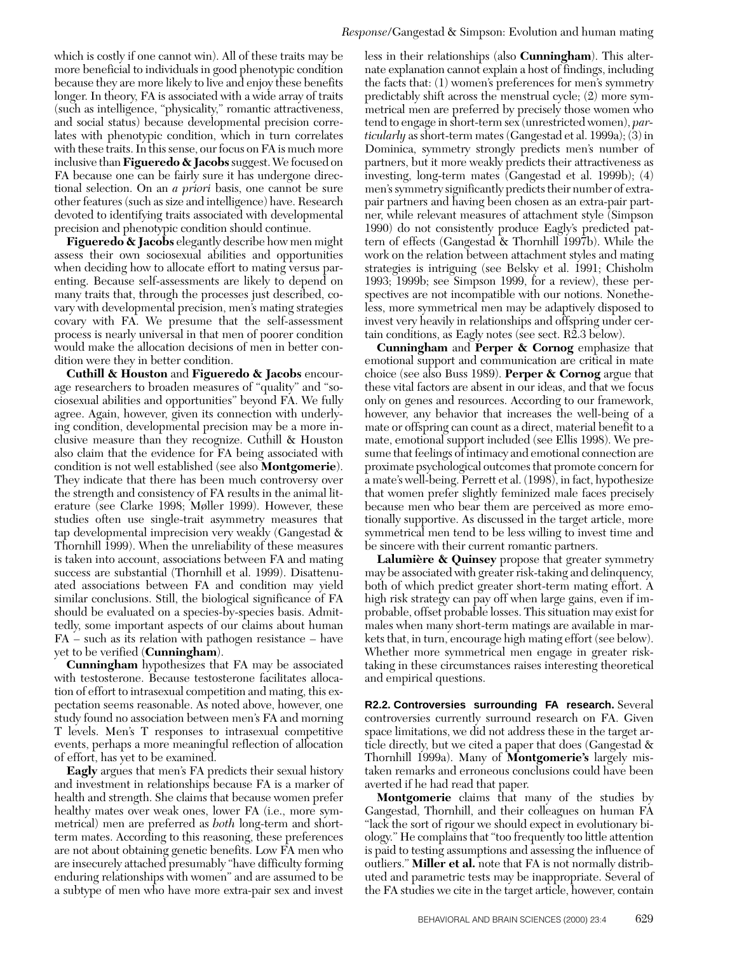which is costly if one cannot win). All of these traits may be more beneficial to individuals in good phenotypic condition because they are more likely to live and enjoy these benefits longer. In theory, FA is associated with a wide array of traits (such as intelligence, "physicality," romantic attractiveness, and social status) because developmental precision correlates with phenotypic condition, which in turn correlates with these traits. In this sense, our focus on FA is much more inclusive than **Figueredo & Jacobs** suggest. We focused on FA because one can be fairly sure it has undergone directional selection. On an *a priori* basis, one cannot be sure other features (such as size and intelligence) have. Research devoted to identifying traits associated with developmental precision and phenotypic condition should continue.

**Figueredo & Jacobs** elegantly describe how men might assess their own sociosexual abilities and opportunities when deciding how to allocate effort to mating versus parenting. Because self-assessments are likely to depend on many traits that, through the processes just described, covary with developmental precision, men's mating strategies covary with FA. We presume that the self-assessment process is nearly universal in that men of poorer condition would make the allocation decisions of men in better condition were they in better condition.

**Cuthill & Houston** and **Figueredo & Jacobs** encourage researchers to broaden measures of "quality" and "sociosexual abilities and opportunities" beyond FA. We fully agree. Again, however, given its connection with underlying condition, developmental precision may be a more inclusive measure than they recognize. Cuthill & Houston also claim that the evidence for FA being associated with condition is not well established (see also **Montgomerie**). They indicate that there has been much controversy over the strength and consistency of FA results in the animal literature (see Clarke 1998; Møller 1999). However, these studies often use single-trait asymmetry measures that tap developmental imprecision very weakly (Gangestad & Thornhill 1999). When the unreliability of these measures is taken into account, associations between FA and mating success are substantial (Thornhill et al. 1999). Disattenuated associations between FA and condition may yield similar conclusions. Still, the biological significance of FA should be evaluated on a species-by-species basis. Admittedly, some important aspects of our claims about human FA – such as its relation with pathogen resistance – have yet to be verified (**Cunningham**).

**Cunningham** hypothesizes that FA may be associated with testosterone. Because testosterone facilitates allocation of effort to intrasexual competition and mating, this expectation seems reasonable. As noted above, however, one study found no association between men's FA and morning T levels. Men's T responses to intrasexual competitive events, perhaps a more meaningful reflection of allocation of effort, has yet to be examined.

**Eagly** argues that men's FA predicts their sexual history and investment in relationships because FA is a marker of health and strength. She claims that because women prefer healthy mates over weak ones, lower FA (i.e., more symmetrical) men are preferred as *both* long-term and shortterm mates. According to this reasoning, these preferences are not about obtaining genetic benefits. Low FA men who are insecurely attached presumably "have difficulty forming enduring relationships with women" and are assumed to be a subtype of men who have more extra-pair sex and invest

less in their relationships (also **Cunningham**). This alternate explanation cannot explain a host of findings, including the facts that: (1) women's preferences for men's symmetry predictably shift across the menstrual cycle; (2) more symmetrical men are preferred by precisely those women who tend to engage in short-term sex (unrestricted women), *particularly* as short-term mates (Gangestad et al. 1999a); (3) in Dominica, symmetry strongly predicts men's number of partners, but it more weakly predicts their attractiveness as investing, long-term mates (Gangestad et al. 1999b); (4) men's symmetry significantly predicts their number of extrapair partners and having been chosen as an extra-pair partner, while relevant measures of attachment style (Simpson 1990) do not consistently produce Eagly's predicted pattern of effects (Gangestad & Thornhill 1997b). While the work on the relation between attachment styles and mating strategies is intriguing (see Belsky et al. 1991; Chisholm 1993; 1999b; see Simpson 1999, for a review), these perspectives are not incompatible with our notions. Nonetheless, more symmetrical men may be adaptively disposed to invest very heavily in relationships and offspring under certain conditions, as Eagly notes (see sect. R2.3 below).

**Cunningham** and **Perper & Cornog** emphasize that emotional support and communication are critical in mate choice (see also Buss 1989). **Perper & Cornog** argue that these vital factors are absent in our ideas, and that we focus only on genes and resources. According to our framework, however, any behavior that increases the well-being of a mate or offspring can count as a direct, material benefit to a mate, emotional support included (see Ellis 1998). We presume that feelings of intimacy and emotional connection are proximate psychological outcomes that promote concern for a mate's well-being. Perrett et al. (1998), in fact, hypothesize that women prefer slightly feminized male faces precisely because men who bear them are perceived as more emotionally supportive. As discussed in the target article, more symmetrical men tend to be less willing to invest time and be sincere with their current romantic partners.

Lalumière & Quinsey propose that greater symmetry may be associated with greater risk-taking and delinquency, both of which predict greater short-term mating effort. A high risk strategy can pay off when large gains, even if improbable, offset probable losses. This situation may exist for males when many short-term matings are available in markets that, in turn, encourage high mating effort (see below). Whether more symmetrical men engage in greater risktaking in these circumstances raises interesting theoretical and empirical questions.

**R2.2. Controversies surrounding FA research.** Several controversies currently surround research on FA. Given space limitations, we did not address these in the target article directly, but we cited a paper that does (Gangestad & Thornhill 1999a). Many of **Montgomerie's** largely mistaken remarks and erroneous conclusions could have been averted if he had read that paper.

**Montgomerie** claims that many of the studies by Gangestad, Thornhill, and their colleagues on human FA "lack the sort of rigour we should expect in evolutionary biology." He complains that "too frequently too little attention is paid to testing assumptions and assessing the influence of outliers." **Miller et al.** note that FA is not normally distributed and parametric tests may be inappropriate. Several of the FA studies we cite in the target article, however, contain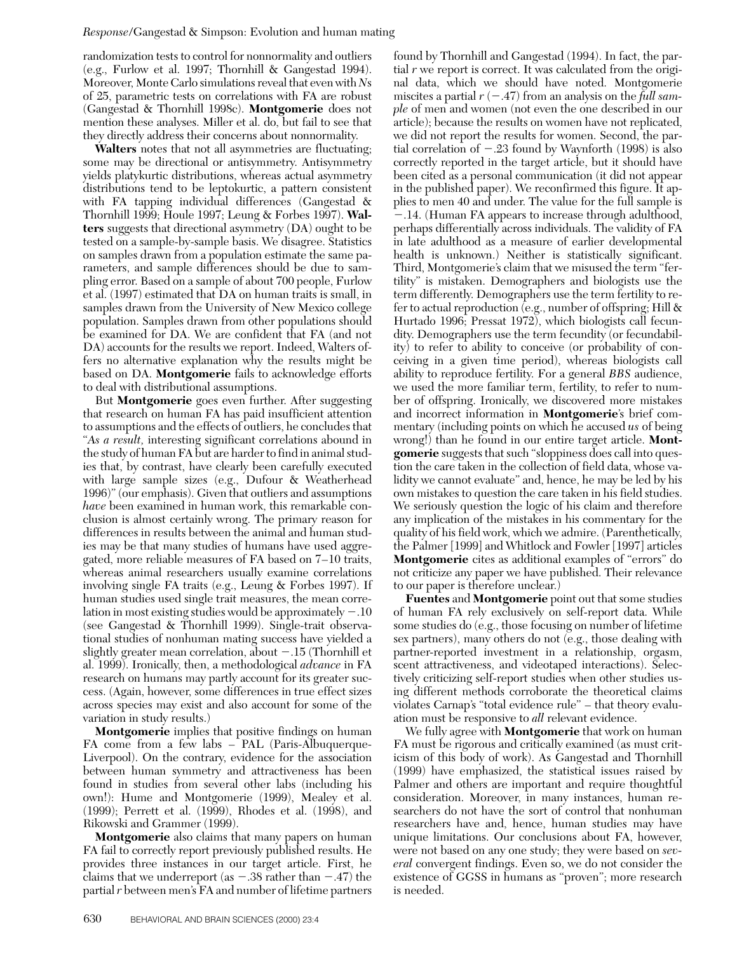randomization tests to control for nonnormality and outliers (e.g., Furlow et al. 1997; Thornhill & Gangestad 1994). Moreover, Monte Carlo simulations reveal that even with *N*s of 25, parametric tests on correlations with FA are robust (Gangestad & Thornhill 1998c). **Montgomerie** does not mention these analyses. Miller et al. do, but fail to see that they directly address their concerns about nonnormality.

**Walters** notes that not all asymmetries are fluctuating; some may be directional or antisymmetry. Antisymmetry yields platykurtic distributions, whereas actual asymmetry distributions tend to be leptokurtic, a pattern consistent with FA tapping individual differences (Gangestad & Thornhill 1999; Houle 1997; Leung & Forbes 1997). **Walters** suggests that directional asymmetry (DA) ought to be tested on a sample-by-sample basis. We disagree. Statistics on samples drawn from a population estimate the same parameters, and sample differences should be due to sampling error. Based on a sample of about 700 people, Furlow et al. (1997) estimated that DA on human traits is small, in samples drawn from the University of New Mexico college population. Samples drawn from other populations should be examined for DA. We are confident that FA (and not DA) accounts for the results we report. Indeed, Walters offers no alternative explanation why the results might be based on DA. **Montgomerie** fails to acknowledge efforts to deal with distributional assumptions.

But **Montgomerie** goes even further. After suggesting that research on human FA has paid insufficient attention to assumptions and the effects of outliers, he concludes that "*As a result,* interesting significant correlations abound in the study of human FA but are harder to find in animal studies that, by contrast, have clearly been carefully executed with large sample sizes (e.g., Dufour & Weatherhead 1996)" (our emphasis). Given that outliers and assumptions *have* been examined in human work, this remarkable conclusion is almost certainly wrong. The primary reason for differences in results between the animal and human studies may be that many studies of humans have used aggregated, more reliable measures of FA based on 7–10 traits, whereas animal researchers usually examine correlations involving single FA traits (e.g., Leung & Forbes 1997). If human studies used single trait measures, the mean correlation in most existing studies would be approximately  $-.10$ (see Gangestad & Thornhill 1999). Single-trait observational studies of nonhuman mating success have yielded a slightly greater mean correlation, about  $-.15$  (Thornhill et al. 1999). Ironically, then, a methodological *advance* in FA research on humans may partly account for its greater success. (Again, however, some differences in true effect sizes across species may exist and also account for some of the variation in study results.)

**Montgomerie** implies that positive findings on human FA come from a few labs – PAL (Paris-Albuquerque-Liverpool). On the contrary, evidence for the association between human symmetry and attractiveness has been found in studies from several other labs (including his own!): Hume and Montgomerie (1999), Mealey et al. (1999); Perrett et al. (1999), Rhodes et al. (1998), and Rikowski and Grammer (1999).

**Montgomerie** also claims that many papers on human FA fail to correctly report previously published results. He provides three instances in our target article. First, he claims that we underreport (as  $-.38$  rather than  $-.47$ ) the partial *r* between men's FA and number of lifetime partners found by Thornhill and Gangestad (1994). In fact, the partial *r* we report is correct. It was calculated from the original data, which we should have noted. Montgomerie miscites a partial  $r(-.47)$  from an analysis on the *full sample* of men and women (not even the one described in our article); because the results on women have not replicated, we did not report the results for women. Second, the partial correlation of  $-.23$  found by Waynforth (1998) is also correctly reported in the target article, but it should have been cited as a personal communication (it did not appear in the published paper). We reconfirmed this figure. It applies to men 40 and under. The value for the full sample is 2.14. (Human FA appears to increase through adulthood, perhaps differentially across individuals. The validity of FA in late adulthood as a measure of earlier developmental health is unknown.) Neither is statistically significant. Third, Montgomerie's claim that we misused the term "fertility" is mistaken. Demographers and biologists use the term differently. Demographers use the term fertility to refer to actual reproduction (e.g., number of offspring; Hill & Hurtado 1996; Pressat 1972), which biologists call fecundity. Demographers use the term fecundity (or fecundability) to refer to ability to conceive (or probability of conceiving in a given time period), whereas biologists call ability to reproduce fertility. For a general *BBS* audience, we used the more familiar term, fertility, to refer to number of offspring. Ironically, we discovered more mistakes and incorrect information in **Montgomerie**'s brief commentary (including points on which he accused *us* of being wrong!) than he found in our entire target article. **Montgomerie** suggests that such "sloppiness does call into question the care taken in the collection of field data, whose validity we cannot evaluate" and, hence, he may be led by his own mistakes to question the care taken in his field studies. We seriously question the logic of his claim and therefore any implication of the mistakes in his commentary for the quality of his field work, which we admire. (Parenthetically, the Palmer [1999] and Whitlock and Fowler [1997] articles **Montgomerie** cites as additional examples of "errors" do not criticize any paper we have published. Their relevance to our paper is therefore unclear.)

**Fuentes** and **Montgomerie** point out that some studies of human FA rely exclusively on self-report data. While some studies do (e.g., those focusing on number of lifetime sex partners), many others do not (e.g., those dealing with partner-reported investment in a relationship, orgasm, scent attractiveness, and videotaped interactions). Selectively criticizing self-report studies when other studies using different methods corroborate the theoretical claims violates Carnap's "total evidence rule" – that theory evaluation must be responsive to *all* relevant evidence.

We fully agree with **Montgomerie** that work on human FA must be rigorous and critically examined (as must criticism of this body of work). As Gangestad and Thornhill (1999) have emphasized, the statistical issues raised by Palmer and others are important and require thoughtful consideration. Moreover, in many instances, human researchers do not have the sort of control that nonhuman researchers have and, hence, human studies may have unique limitations. Our conclusions about FA, however, were not based on any one study; they were based on *several* convergent findings. Even so, we do not consider the existence of GGSS in humans as "proven"; more research is needed.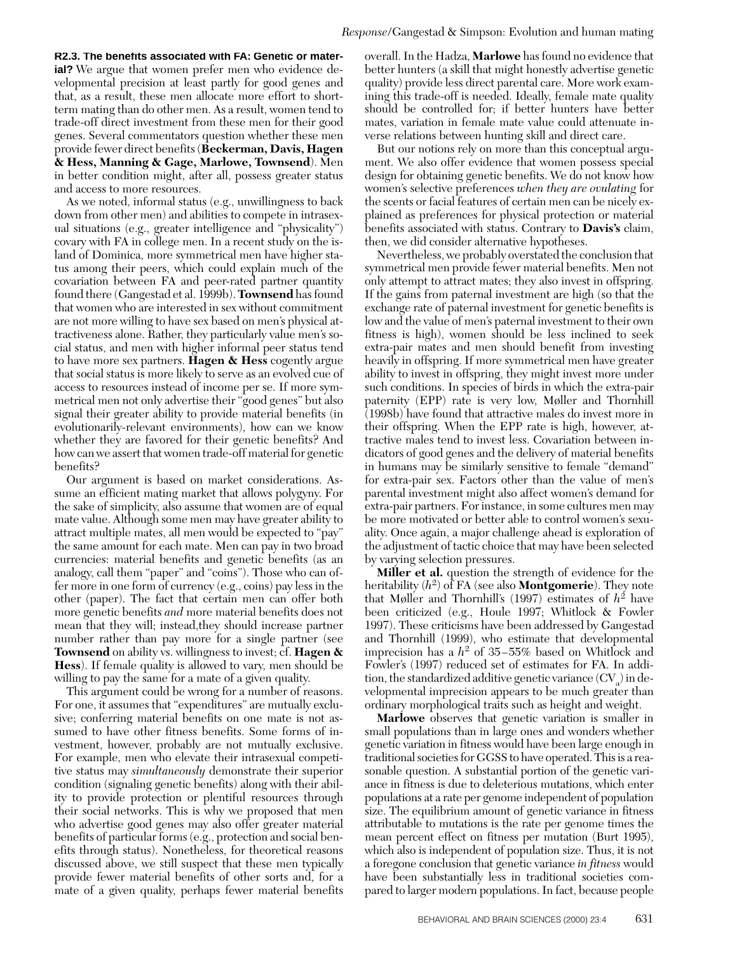**R2.3. The benefits associated with FA: Genetic or material?** We argue that women prefer men who evidence developmental precision at least partly for good genes and that, as a result, these men allocate more effort to shortterm mating than do other men. As a result, women tend to trade-off direct investment from these men for their good genes. Several commentators question whether these men provide fewer direct benefits (**Beckerman, Davis, Hagen & Hess, Manning & Gage, Marlowe, Townsend**). Men in better condition might, after all, possess greater status and access to more resources.

As we noted, informal status (e.g., unwillingness to back down from other men) and abilities to compete in intrasexual situations (e.g., greater intelligence and "physicality") covary with FA in college men. In a recent study on the island of Dominica, more symmetrical men have higher status among their peers, which could explain much of the covariation between FA and peer-rated partner quantity found there (Gangestad et al. 1999b). **Townsend** has found that women who are interested in sex without commitment are not more willing to have sex based on men's physical attractiveness alone. Rather, they particularly value men's social status, and men with higher informal peer status tend to have more sex partners. **Hagen & Hess** cogently argue that social status is more likely to serve as an evolved cue of access to resources instead of income per se. If more symmetrical men not only advertise their "good genes" but also signal their greater ability to provide material benefits (in evolutionarily-relevant environments), how can we know whether they are favored for their genetic benefits? And how can we assert that women trade-off material for genetic benefits?

Our argument is based on market considerations. Assume an efficient mating market that allows polygyny. For the sake of simplicity, also assume that women are of equal mate value. Although some men may have greater ability to attract multiple mates, all men would be expected to "pay" the same amount for each mate. Men can pay in two broad currencies: material benefits and genetic benefits (as an analogy, call them "paper" and "coins"). Those who can offer more in one form of currency (e.g., coins) pay less in the other (paper). The fact that certain men can offer both more genetic benefits *and* more material benefits does not mean that they will; instead,they should increase partner number rather than pay more for a single partner (see **Townsend** on ability vs. willingness to invest; cf. **Hagen & Hess**). If female quality is allowed to vary, men should be willing to pay the same for a mate of a given quality.

This argument could be wrong for a number of reasons. For one, it assumes that "expenditures" are mutually exclusive; conferring material benefits on one mate is not assumed to have other fitness benefits. Some forms of investment, however, probably are not mutually exclusive. For example, men who elevate their intrasexual competitive status may *simultaneously* demonstrate their superior condition (signaling genetic benefits) along with their ability to provide protection or plentiful resources through their social networks. This is why we proposed that men who advertise good genes may also offer greater material benefits of particular forms (e.g., protection and social benefits through status). Nonetheless, for theoretical reasons discussed above, we still suspect that these men typically provide fewer material benefits of other sorts and, for a mate of a given quality, perhaps fewer material benefits

overall. In the Hadza, **Marlowe** has found no evidence that better hunters (a skill that might honestly advertise genetic quality) provide less direct parental care. More work examining this trade-off is needed. Ideally, female mate quality should be controlled for; if better hunters have better mates, variation in female mate value could attenuate inverse relations between hunting skill and direct care.

But our notions rely on more than this conceptual argument. We also offer evidence that women possess special design for obtaining genetic benefits. We do not know how women's selective preferences *when they are ovulating* for the scents or facial features of certain men can be nicely explained as preferences for physical protection or material benefits associated with status. Contrary to **Davis's** claim, then, we did consider alternative hypotheses.

Nevertheless, we probably overstated the conclusion that symmetrical men provide fewer material benefits. Men not only attempt to attract mates; they also invest in offspring. If the gains from paternal investment are high (so that the exchange rate of paternal investment for genetic benefits is low and the value of men's paternal investment to their own fitness is high), women should be less inclined to seek extra-pair mates and men should benefit from investing heavily in offspring. If more symmetrical men have greater ability to invest in offspring, they might invest more under such conditions. In species of birds in which the extra-pair paternity (EPP) rate is very low, Møller and Thornhill (1998b) have found that attractive males do invest more in their offspring. When the EPP rate is high, however, attractive males tend to invest less. Covariation between indicators of good genes and the delivery of material benefits in humans may be similarly sensitive to female "demand" for extra-pair sex. Factors other than the value of men's parental investment might also affect women's demand for extra-pair partners. For instance, in some cultures men may be more motivated or better able to control women's sexuality. Once again, a major challenge ahead is exploration of the adjustment of tactic choice that may have been selected by varying selection pressures.

**Miller et al.** question the strength of evidence for the heritability (*h*2) of FA (see also **Montgomerie**). They note that Møller and Thornhill's (1997) estimates of *h*<sup>2</sup> have been criticized (e.g., Houle 1997; Whitlock & Fowler 1997). These criticisms have been addressed by Gangestad and Thornhill (1999), who estimate that developmental imprecision has a  $h^2$  of 35–55% based on Whitlock and Fowler's (1997) reduced set of estimates for FA. In addition, the standardized additive genetic variance  $\left(\mathrm{CV}_\mathrm{a}\right)$  in developmental imprecision appears to be much greater than ordinary morphological traits such as height and weight.

**Marlowe** observes that genetic variation is smaller in small populations than in large ones and wonders whether genetic variation in fitness would have been large enough in traditional societies for GGSS to have operated. This is a reasonable question. A substantial portion of the genetic variance in fitness is due to deleterious mutations, which enter populations at a rate per genome independent of population size. The equilibrium amount of genetic variance in fitness attributable to mutations is the rate per genome times the mean percent effect on fitness per mutation (Burt 1995), which also is independent of population size. Thus, it is not a foregone conclusion that genetic variance *in fitness* would have been substantially less in traditional societies compared to larger modern populations. In fact, because people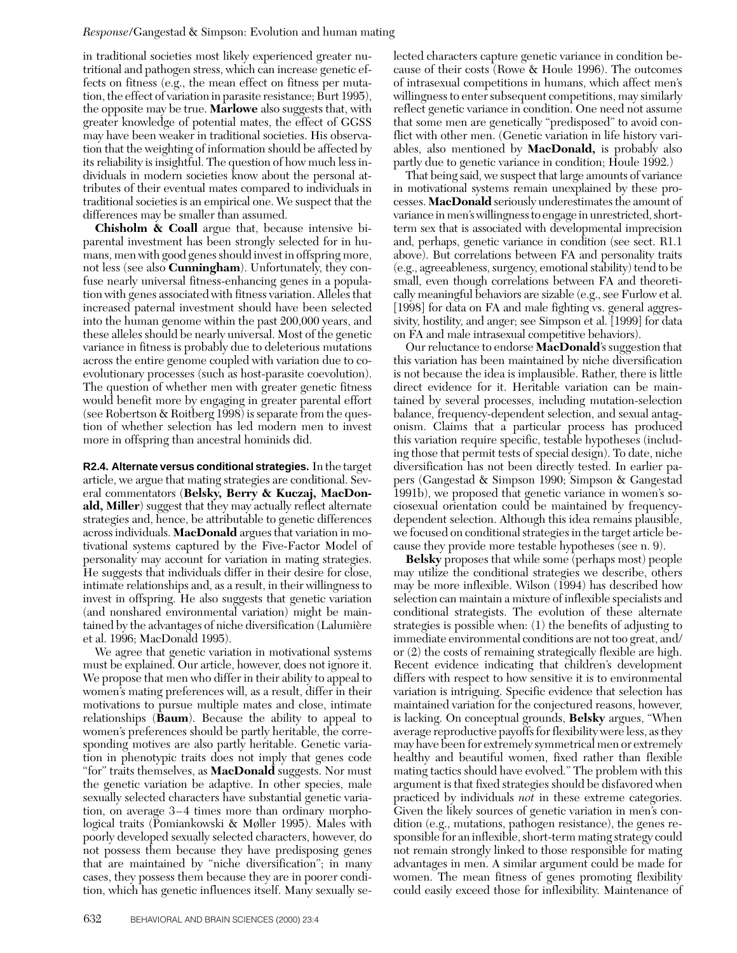in traditional societies most likely experienced greater nutritional and pathogen stress, which can increase genetic effects on fitness (e.g., the mean effect on fitness per mutation, the effect of variation in parasite resistance; Burt 1995), the opposite may be true. **Marlowe** also suggests that, with greater knowledge of potential mates, the effect of GGSS may have been weaker in traditional societies. His observation that the weighting of information should be affected by its reliability is insightful. The question of how much less individuals in modern societies know about the personal attributes of their eventual mates compared to individuals in traditional societies is an empirical one. We suspect that the differences may be smaller than assumed.

**Chisholm & Coall** argue that, because intensive biparental investment has been strongly selected for in humans, men with good genes should invest in offspring more, not less (see also **Cunningham**). Unfortunately, they confuse nearly universal fitness-enhancing genes in a population with genes associated with fitness variation. Alleles that increased paternal investment should have been selected into the human genome within the past 200,000 years, and these alleles should be nearly universal. Most of the genetic variance in fitness is probably due to deleterious mutations across the entire genome coupled with variation due to coevolutionary processes (such as host-parasite coevolution). The question of whether men with greater genetic fitness would benefit more by engaging in greater parental effort (see Robertson & Roitberg 1998) is separate from the question of whether selection has led modern men to invest more in offspring than ancestral hominids did.

**R2.4. Alternate versus conditional strategies.** In the target article, we argue that mating strategies are conditional. Several commentators (**Belsky, Berry & Kuczaj, MacDonald, Miller**) suggest that they may actually reflect alternate strategies and, hence, be attributable to genetic differences across individuals. **MacDonald** argues that variation in motivational systems captured by the Five-Factor Model of personality may account for variation in mating strategies. He suggests that individuals differ in their desire for close, intimate relationships and, as a result, in their willingness to invest in offspring. He also suggests that genetic variation (and nonshared environmental variation) might be maintained by the advantages of niche diversification (Lalumière et al. 1996; MacDonald 1995).

We agree that genetic variation in motivational systems must be explained. Our article, however, does not ignore it. We propose that men who differ in their ability to appeal to women's mating preferences will, as a result, differ in their motivations to pursue multiple mates and close, intimate relationships (**Baum**). Because the ability to appeal to women's preferences should be partly heritable, the corresponding motives are also partly heritable. Genetic variation in phenotypic traits does not imply that genes code "for" traits themselves, as **MacDonald** suggests. Nor must the genetic variation be adaptive. In other species, male sexually selected characters have substantial genetic variation, on average 3–4 times more than ordinary morphological traits (Pomiankowski & Møller 1995). Males with poorly developed sexually selected characters, however, do not possess them because they have predisposing genes that are maintained by "niche diversification"; in many cases, they possess them because they are in poorer condition, which has genetic influences itself. Many sexually selected characters capture genetic variance in condition because of their costs (Rowe & Houle 1996). The outcomes of intrasexual competitions in humans, which affect men's willingness to enter subsequent competitions, may similarly reflect genetic variance in condition. One need not assume that some men are genetically "predisposed" to avoid conflict with other men. (Genetic variation in life history variables, also mentioned by **MacDonald,** is probably also partly due to genetic variance in condition; Houle 1992.)

That being said, we suspect that large amounts of variance in motivational systems remain unexplained by these processes. **MacDonald** seriously underestimates the amount of variance in men's willingness to engage in unrestricted, shortterm sex that is associated with developmental imprecision and, perhaps, genetic variance in condition (see sect. R1.1 above). But correlations between FA and personality traits (e.g., agreeableness, surgency, emotional stability) tend to be small, even though correlations between FA and theoretically meaningful behaviors are sizable (e.g., see Furlow et al. [1998] for data on FA and male fighting vs. general aggressivity, hostility, and anger; see Simpson et al. [1999] for data on FA and male intrasexual competitive behaviors).

Our reluctance to endorse **MacDonald**'s suggestion that this variation has been maintained by niche diversification is not because the idea is implausible. Rather, there is little direct evidence for it. Heritable variation can be maintained by several processes, including mutation-selection balance, frequency-dependent selection, and sexual antagonism. Claims that a particular process has produced this variation require specific, testable hypotheses (including those that permit tests of special design). To date, niche diversification has not been directly tested. In earlier papers (Gangestad & Simpson 1990; Simpson & Gangestad 1991b), we proposed that genetic variance in women's sociosexual orientation could be maintained by frequencydependent selection. Although this idea remains plausible, we focused on conditional strategies in the target article because they provide more testable hypotheses (see n. 9).

**Belsky** proposes that while some (perhaps most) people may utilize the conditional strategies we describe, others may be more inflexible. Wilson (1994) has described how selection can maintain a mixture of inflexible specialists and conditional strategists. The evolution of these alternate strategies is possible when: (1) the benefits of adjusting to immediate environmental conditions are not too great, and/ or (2) the costs of remaining strategically flexible are high. Recent evidence indicating that children's development differs with respect to how sensitive it is to environmental variation is intriguing. Specific evidence that selection has maintained variation for the conjectured reasons, however, is lacking. On conceptual grounds, **Belsky** argues, "When average reproductive payoffs for flexibility were less, as they may have been for extremely symmetrical men or extremely healthy and beautiful women, fixed rather than flexible mating tactics should have evolved." The problem with this argument is that fixed strategies should be disfavored when practiced by individuals *not* in these extreme categories. Given the likely sources of genetic variation in men's condition (e.g., mutations, pathogen resistance), the genes responsible for an inflexible, short-term mating strategy could not remain strongly linked to those responsible for mating advantages in men. A similar argument could be made for women. The mean fitness of genes promoting flexibility could easily exceed those for inflexibility. Maintenance of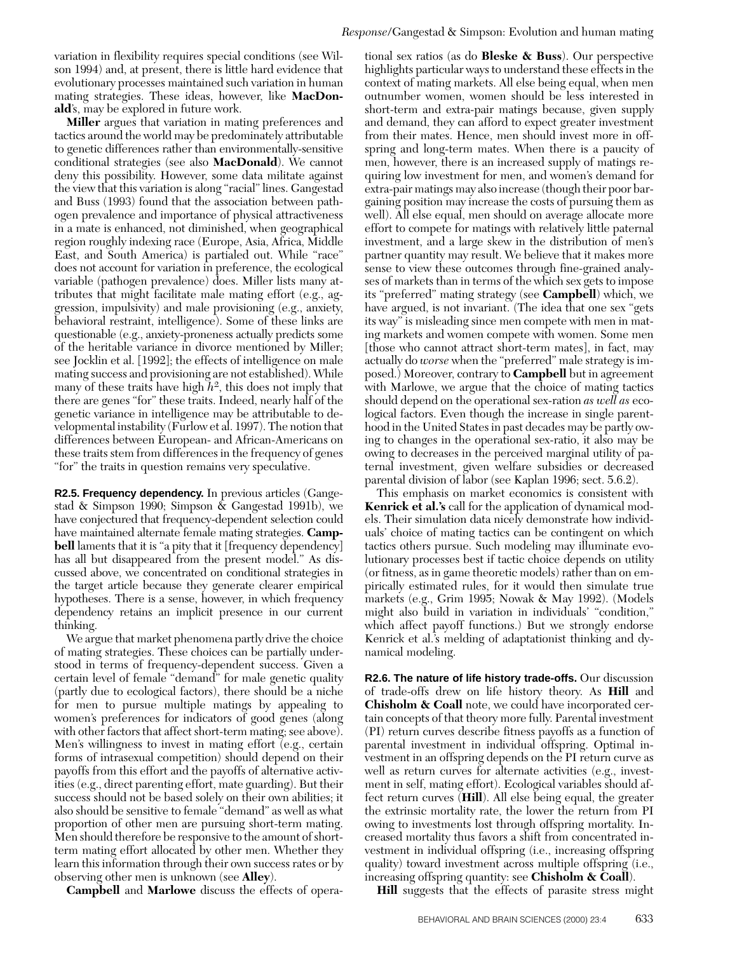variation in flexibility requires special conditions (see Wilson 1994) and, at present, there is little hard evidence that evolutionary processes maintained such variation in human mating strategies. These ideas, however, like **MacDonald**'s, may be explored in future work.

**Miller** argues that variation in mating preferences and tactics around the world may be predominately attributable to genetic differences rather than environmentally-sensitive conditional strategies (see also **MacDonald**). We cannot deny this possibility. However, some data militate against the view that this variation is along "racial" lines. Gangestad and Buss (1993) found that the association between pathogen prevalence and importance of physical attractiveness in a mate is enhanced, not diminished, when geographical region roughly indexing race (Europe, Asia, Africa, Middle East, and South America) is partialed out. While "race" does not account for variation in preference, the ecological variable (pathogen prevalence) does. Miller lists many attributes that might facilitate male mating effort (e.g., aggression, impulsivity) and male provisioning (e.g., anxiety, behavioral restraint, intelligence). Some of these links are questionable (e.g., anxiety-proneness actually predicts some of the heritable variance in divorce mentioned by Miller; see Jocklin et al. [1992]; the effects of intelligence on male mating success and provisioning are not established). While many of these traits have high  $h^2$ , this does not imply that there are genes "for" these traits. Indeed, nearly half of the genetic variance in intelligence may be attributable to developmental instability (Furlow et al. 1997). The notion that differences between European- and African-Americans on these traits stem from differences in the frequency of genes "for" the traits in question remains very speculative.

**R2.5. Frequency dependency.** In previous articles (Gangestad & Simpson 1990; Simpson & Gangestad 1991b), we have conjectured that frequency-dependent selection could have maintained alternate female mating strategies. **Campbell** laments that it is "a pity that it [frequency dependency] has all but disappeared from the present model." As discussed above, we concentrated on conditional strategies in the target article because they generate clearer empirical hypotheses. There is a sense, however, in which frequency dependency retains an implicit presence in our current thinking.

We argue that market phenomena partly drive the choice of mating strategies. These choices can be partially understood in terms of frequency-dependent success. Given a certain level of female "demand" for male genetic quality (partly due to ecological factors), there should be a niche for men to pursue multiple matings by appealing to women's preferences for indicators of good genes (along with other factors that affect short-term mating; see above). Men's willingness to invest in mating effort (e.g., certain forms of intrasexual competition) should depend on their payoffs from this effort and the payoffs of alternative activities (e.g., direct parenting effort, mate guarding). But their success should not be based solely on their own abilities; it also should be sensitive to female "demand" as well as what proportion of other men are pursuing short-term mating. Men should therefore be responsive to the amount of shortterm mating effort allocated by other men. Whether they learn this information through their own success rates or by observing other men is unknown (see **Alley**).

**Campbell** and **Marlowe** discuss the effects of opera-

tional sex ratios (as do **Bleske & Buss**). Our perspective highlights particular ways to understand these effects in the context of mating markets. All else being equal, when men outnumber women, women should be less interested in short-term and extra-pair matings because, given supply and demand, they can afford to expect greater investment from their mates. Hence, men should invest more in offspring and long-term mates. When there is a paucity of men, however, there is an increased supply of matings requiring low investment for men, and women's demand for extra-pair matings may also increase (though their poor bargaining position may increase the costs of pursuing them as well). All else equal, men should on average allocate more effort to compete for matings with relatively little paternal investment, and a large skew in the distribution of men's partner quantity may result. We believe that it makes more sense to view these outcomes through fine-grained analyses of markets than in terms of the which sex gets to impose its "preferred" mating strategy (see **Campbell**) which, we have argued, is not invariant. (The idea that one sex "gets its way" is misleading since men compete with men in mating markets and women compete with women. Some men [those who cannot attract short-term mates], in fact, may actually do *worse* when the "preferred" male strategy is imposed.) Moreover, contrary to **Campbell** but in agreement with Marlowe, we argue that the choice of mating tactics should depend on the operational sex-ration *as well as* ecological factors. Even though the increase in single parenthood in the United States in past decades may be partly owing to changes in the operational sex-ratio, it also may be owing to decreases in the perceived marginal utility of paternal investment, given welfare subsidies or decreased parental division of labor (see Kaplan 1996; sect. 5.6.2).

This emphasis on market economics is consistent with **Kenrick et al.'s** call for the application of dynamical models. Their simulation data nicely demonstrate how individuals' choice of mating tactics can be contingent on which tactics others pursue. Such modeling may illuminate evolutionary processes best if tactic choice depends on utility (or fitness, as in game theoretic models) rather than on empirically estimated rules, for it would then simulate true markets (e.g., Grim 1995; Nowak & May 1992). (Models might also build in variation in individuals' "condition," which affect payoff functions.) But we strongly endorse Kenrick et al.'s melding of adaptationist thinking and dynamical modeling.

**R2.6. The nature of life history trade-offs.** Our discussion of trade-offs drew on life history theory. As **Hill** and **Chisholm & Coall** note, we could have incorporated certain concepts of that theory more fully. Parental investment (PI) return curves describe fitness payoffs as a function of parental investment in individual offspring. Optimal investment in an offspring depends on the PI return curve as well as return curves for alternate activities (e.g., investment in self, mating effort). Ecological variables should affect return curves (**Hill**). All else being equal, the greater the extrinsic mortality rate, the lower the return from PI owing to investments lost through offspring mortality. Increased mortality thus favors a shift from concentrated investment in individual offspring (i.e., increasing offspring quality) toward investment across multiple offspring (i.e., increasing offspring quantity: see **Chisholm & Coall**).

**Hill** suggests that the effects of parasite stress might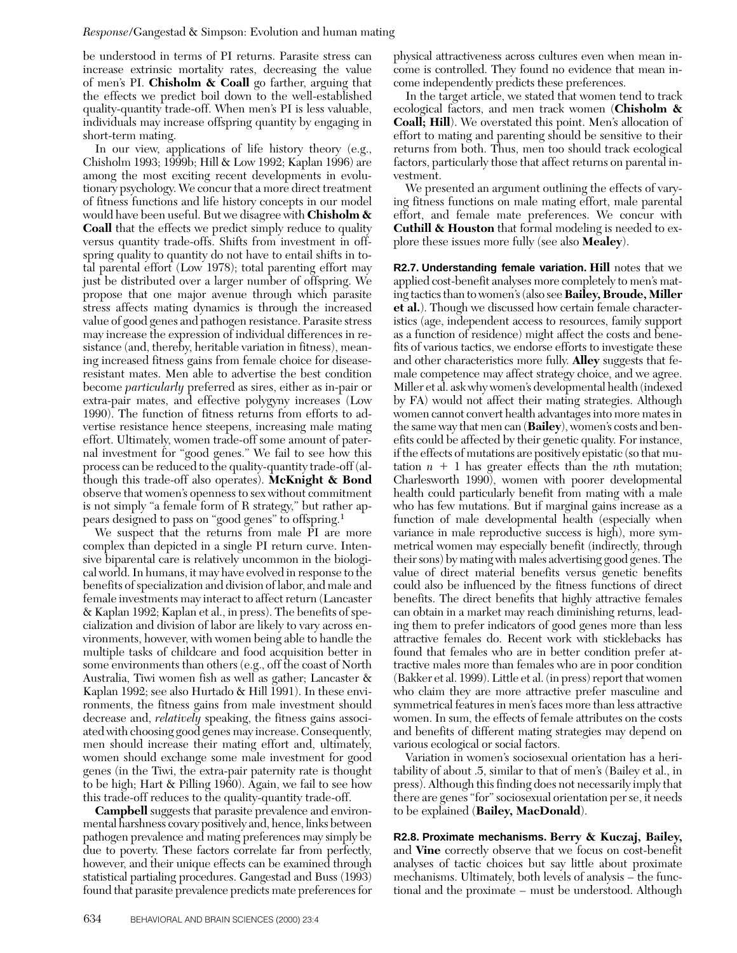be understood in terms of PI returns. Parasite stress can increase extrinsic mortality rates, decreasing the value of men's PI. **Chisholm & Coall** go farther, arguing that the effects we predict boil down to the well-established quality-quantity trade-off. When men's PI is less valuable, individuals may increase offspring quantity by engaging in short-term mating.

In our view, applications of life history theory (e.g., Chisholm 1993; 1999b; Hill & Low 1992; Kaplan 1996) are among the most exciting recent developments in evolutionary psychology. We concur that a more direct treatment of fitness functions and life history concepts in our model would have been useful. But we disagree with **Chisholm & Coall** that the effects we predict simply reduce to quality versus quantity trade-offs. Shifts from investment in offspring quality to quantity do not have to entail shifts in total parental effort (Low 1978); total parenting effort may just be distributed over a larger number of offspring. We propose that one major avenue through which parasite stress affects mating dynamics is through the increased value of good genes and pathogen resistance. Parasite stress may increase the expression of individual differences in resistance (and, thereby, heritable variation in fitness), meaning increased fitness gains from female choice for diseaseresistant mates. Men able to advertise the best condition become *particularly* preferred as sires, either as in-pair or extra-pair mates, and effective polygyny increases (Low 1990). The function of fitness returns from efforts to advertise resistance hence steepens, increasing male mating effort. Ultimately, women trade-off some amount of paternal investment for "good genes." We fail to see how this process can be reduced to the quality-quantity trade-off (although this trade-off also operates). **McKnight & Bond** observe that women's openness to sex without commitment is not simply "a female form of R strategy," but rather appears designed to pass on "good genes" to offspring.1

We suspect that the returns from male PI are more complex than depicted in a single PI return curve. Intensive biparental care is relatively uncommon in the biological world. In humans, it may have evolved in response to the benefits of specialization and division of labor, and male and female investments may interact to affect return (Lancaster & Kaplan 1992; Kaplan et al., in press). The benefits of specialization and division of labor are likely to vary across environments, however, with women being able to handle the multiple tasks of childcare and food acquisition better in some environments than others (e.g., off the coast of North Australia, Tiwi women fish as well as gather; Lancaster & Kaplan 1992; see also Hurtado & Hill 1991). In these environments, the fitness gains from male investment should decrease and, *relatively* speaking, the fitness gains associated with choosing good genes may increase. Consequently, men should increase their mating effort and, ultimately, women should exchange some male investment for good genes (in the Tiwi, the extra-pair paternity rate is thought to be high; Hart & Pilling 1960). Again, we fail to see how this trade-off reduces to the quality-quantity trade-off.

**Campbell** suggests that parasite prevalence and environmental harshness covary positively and, hence, links between pathogen prevalence and mating preferences may simply be due to poverty. These factors correlate far from perfectly, however, and their unique effects can be examined through statistical partialing procedures. Gangestad and Buss (1993) found that parasite prevalence predicts mate preferences for physical attractiveness across cultures even when mean income is controlled. They found no evidence that mean income independently predicts these preferences.

In the target article, we stated that women tend to track ecological factors, and men track women (**Chisholm & Coall; Hill**). We overstated this point. Men's allocation of effort to mating and parenting should be sensitive to their returns from both. Thus, men too should track ecological factors, particularly those that affect returns on parental investment.

We presented an argument outlining the effects of varying fitness functions on male mating effort, male parental effort, and female mate preferences. We concur with **Cuthill & Houston** that formal modeling is needed to explore these issues more fully (see also **Mealey**).

**R2.7. Understanding female variation. Hill** notes that we applied cost-benefit analyses more completely to men's mating tactics than to women's (also see **Bailey, Broude, Miller et al.**). Though we discussed how certain female characteristics (age, independent access to resources, family support as a function of residence) might affect the costs and benefits of various tactics, we endorse efforts to investigate these and other characteristics more fully. **Alley** suggests that female competence may affect strategy choice, and we agree. Miller et al. ask why women's developmental health (indexed by FA) would not affect their mating strategies. Although women cannot convert health advantages into more mates in the same way that men can (**Bailey**), women's costs and benefits could be affected by their genetic quality. For instance, if the effects of mutations are positively epistatic (so that mutation  $n + 1$  has greater effects than the *n*th mutation; Charlesworth 1990), women with poorer developmental health could particularly benefit from mating with a male who has few mutations. But if marginal gains increase as a function of male developmental health (especially when variance in male reproductive success is high), more symmetrical women may especially benefit (indirectly, through their sons) by mating with males advertising good genes. The value of direct material benefits versus genetic benefits could also be influenced by the fitness functions of direct benefits. The direct benefits that highly attractive females can obtain in a market may reach diminishing returns, leading them to prefer indicators of good genes more than less attractive females do. Recent work with sticklebacks has found that females who are in better condition prefer attractive males more than females who are in poor condition (Bakker et al. 1999). Little et al. (in press) report that women who claim they are more attractive prefer masculine and symmetrical features in men's faces more than less attractive women. In sum, the effects of female attributes on the costs and benefits of different mating strategies may depend on various ecological or social factors.

Variation in women's sociosexual orientation has a heritability of about .5, similar to that of men's (Bailey et al., in press). Although this finding does not necessarily imply that there are genes "for" sociosexual orientation per se, it needs to be explained (**Bailey, MacDonald**).

**R2.8. Proximate mechanisms. Berry & Kuczaj, Bailey,** and **Vine** correctly observe that we focus on cost-benefit analyses of tactic choices but say little about proximate mechanisms. Ultimately, both levels of analysis – the functional and the proximate – must be understood. Although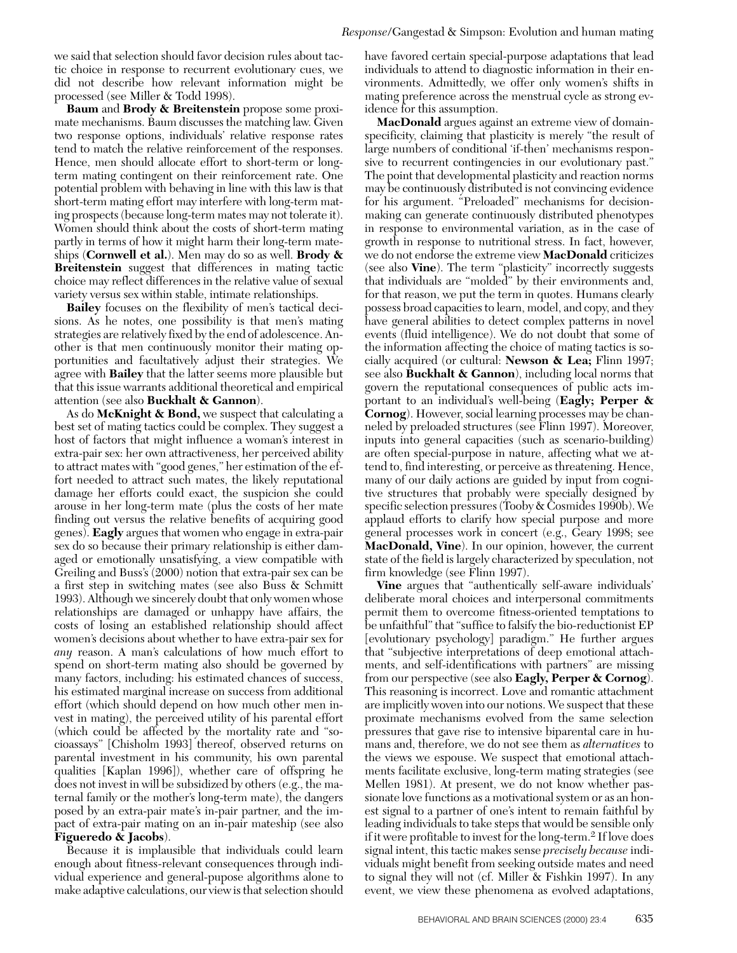we said that selection should favor decision rules about tactic choice in response to recurrent evolutionary cues, we did not describe how relevant information might be processed (see Miller & Todd 1998).

**Baum** and **Brody & Breitenstein** propose some proximate mechanisms. Baum discusses the matching law. Given two response options, individuals' relative response rates tend to match the relative reinforcement of the responses. Hence, men should allocate effort to short-term or longterm mating contingent on their reinforcement rate. One potential problem with behaving in line with this law is that short-term mating effort may interfere with long-term mating prospects (because long-term mates may not tolerate it). Women should think about the costs of short-term mating partly in terms of how it might harm their long-term mateships (**Cornwell et al.**). Men may do so as well. **Brody & Breitenstein** suggest that differences in mating tactic choice may reflect differences in the relative value of sexual variety versus sex within stable, intimate relationships.

**Bailey** focuses on the flexibility of men's tactical decisions. As he notes, one possibility is that men's mating strategies are relatively fixed by the end of adolescence. Another is that men continuously monitor their mating opportunities and facultatively adjust their strategies. We agree with **Bailey** that the latter seems more plausible but that this issue warrants additional theoretical and empirical attention (see also **Buckhalt & Gannon**).

As do **McKnight & Bond,** we suspect that calculating a best set of mating tactics could be complex. They suggest a host of factors that might influence a woman's interest in extra-pair sex: her own attractiveness, her perceived ability to attract mates with "good genes," her estimation of the effort needed to attract such mates, the likely reputational damage her efforts could exact, the suspicion she could arouse in her long-term mate (plus the costs of her mate finding out versus the relative benefits of acquiring good genes). **Eagly** argues that women who engage in extra-pair sex do so because their primary relationship is either damaged or emotionally unsatisfying, a view compatible with Greiling and Buss's (2000) notion that extra-pair sex can be a first step in switching mates (see also Buss & Schmitt 1993). Although we sincerely doubt that only women whose relationships are damaged or unhappy have affairs, the costs of losing an established relationship should affect women's decisions about whether to have extra-pair sex for *any* reason. A man's calculations of how much effort to spend on short-term mating also should be governed by many factors, including: his estimated chances of success, his estimated marginal increase on success from additional effort (which should depend on how much other men invest in mating), the perceived utility of his parental effort (which could be affected by the mortality rate and "socioassays" [Chisholm 1993] thereof, observed returns on parental investment in his community, his own parental qualities [Kaplan 1996]), whether care of offspring he does not invest in will be subsidized by others (e.g., the maternal family or the mother's long-term mate), the dangers posed by an extra-pair mate's in-pair partner, and the impact of extra-pair mating on an in-pair mateship (see also **Figueredo & Jacobs**).

Because it is implausible that individuals could learn enough about fitness-relevant consequences through individual experience and general-pupose algorithms alone to make adaptive calculations, our view is that selection should

have favored certain special-purpose adaptations that lead individuals to attend to diagnostic information in their environments. Admittedly, we offer only women's shifts in mating preference across the menstrual cycle as strong evidence for this assumption.

**MacDonald** argues against an extreme view of domainspecificity, claiming that plasticity is merely "the result of large numbers of conditional 'if-then' mechanisms responsive to recurrent contingencies in our evolutionary past." The point that developmental plasticity and reaction norms may be continuously distributed is not convincing evidence for his argument. "Preloaded" mechanisms for decisionmaking can generate continuously distributed phenotypes in response to environmental variation, as in the case of growth in response to nutritional stress. In fact, however, we do not endorse the extreme view **MacDonald** criticizes (see also **Vine**). The term "plasticity" incorrectly suggests that individuals are "molded" by their environments and, for that reason, we put the term in quotes. Humans clearly possess broad capacities to learn, model, and copy, and they have general abilities to detect complex patterns in novel events (fluid intelligence). We do not doubt that some of the information affecting the choice of mating tactics is socially acquired (or cultural: **Newson & Lea;** Flinn 1997; see also **Buckhalt & Gannon**), including local norms that govern the reputational consequences of public acts important to an individual's well-being (**Eagly; Perper & Cornog**). However, social learning processes may be channeled by preloaded structures (see Flinn 1997). Moreover, inputs into general capacities (such as scenario-building) are often special-purpose in nature, affecting what we attend to, find interesting, or perceive as threatening. Hence, many of our daily actions are guided by input from cognitive structures that probably were specially designed by specific selection pressures (Tooby & Cosmides 1990b). We applaud efforts to clarify how special purpose and more general processes work in concert (e.g., Geary 1998; see **MacDonald, Vine**). In our opinion, however, the current state of the field is largely characterized by speculation, not firm knowledge (see Flinn 1997).

**Vine** argues that "authentically self-aware individuals' deliberate moral choices and interpersonal commitments permit them to overcome fitness-oriented temptations to be unfaithful" that "suffice to falsify the bio-reductionist EP [evolutionary psychology] paradigm." He further argues that "subjective interpretations of deep emotional attachments, and self-identifications with partners" are missing from our perspective (see also **Eagly, Perper & Cornog**). This reasoning is incorrect. Love and romantic attachment are implicitly woven into our notions. We suspect that these proximate mechanisms evolved from the same selection pressures that gave rise to intensive biparental care in humans and, therefore, we do not see them as *alternatives* to the views we espouse. We suspect that emotional attachments facilitate exclusive, long-term mating strategies (see Mellen 1981). At present, we do not know whether passionate love functions as a motivational system or as an honest signal to a partner of one's intent to remain faithful by leading individuals to take steps that would be sensible only if it were profitable to invest for the long-term.2 If love does signal intent, this tactic makes sense *precisely because* individuals might benefit from seeking outside mates and need to signal they will not (cf. Miller & Fishkin 1997). In any event, we view these phenomena as evolved adaptations,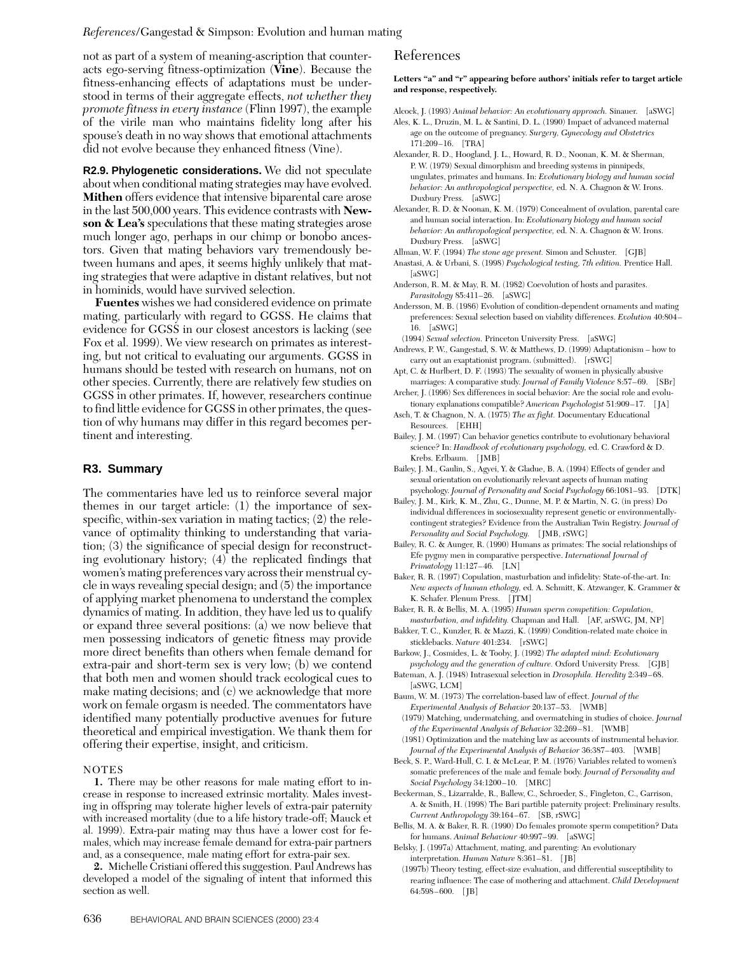not as part of a system of meaning-ascription that counteracts ego-serving fitness-optimization (**Vine**). Because the fitness-enhancing effects of adaptations must be understood in terms of their aggregate effects, *not whether they promote fitness in every instance* (Flinn 1997), the example of the virile man who maintains fidelity long after his spouse's death in no way shows that emotional attachments did not evolve because they enhanced fitness (Vine).

**R2.9. Phylogenetic considerations.** We did not speculate about when conditional mating strategies may have evolved. **Mithen** offers evidence that intensive biparental care arose in the last 500,000 years. This evidence contrasts with **Newson & Lea's** speculations that these mating strategies arose much longer ago, perhaps in our chimp or bonobo ancestors. Given that mating behaviors vary tremendously between humans and apes, it seems highly unlikely that mating strategies that were adaptive in distant relatives, but not in hominids, would have survived selection.

**Fuentes** wishes we had considered evidence on primate mating, particularly with regard to GGSS. He claims that evidence for GGSS in our closest ancestors is lacking (see Fox et al. 1999). We view research on primates as interesting, but not critical to evaluating our arguments. GGSS in humans should be tested with research on humans, not on other species. Currently, there are relatively few studies on GGSS in other primates. If, however, researchers continue to find little evidence for GGSS in other primates, the question of why humans may differ in this regard becomes pertinent and interesting.

## **R3. Summary**

The commentaries have led us to reinforce several major themes in our target article: (1) the importance of sexspecific, within-sex variation in mating tactics; (2) the relevance of optimality thinking to understanding that variation; (3) the significance of special design for reconstructing evolutionary history; (4) the replicated findings that women's mating preferences vary across their menstrual cycle in ways revealing special design; and (5) the importance of applying market phenomena to understand the complex dynamics of mating. In addition, they have led us to qualify or expand three several positions: (a) we now believe that men possessing indicators of genetic fitness may provide more direct benefits than others when female demand for extra-pair and short-term sex is very low; (b) we contend that both men and women should track ecological cues to make mating decisions; and (c) we acknowledge that more work on female orgasm is needed. The commentators have identified many potentially productive avenues for future theoretical and empirical investigation. We thank them for offering their expertise, insight, and criticism.

#### **NOTES**

**1.** There may be other reasons for male mating effort to increase in response to increased extrinsic mortality. Males investing in offspring may tolerate higher levels of extra-pair paternity with increased mortality (due to a life history trade-off; Mauck et al. 1999). Extra-pair mating may thus have a lower cost for females, which may increase female demand for extra-pair partners and, as a consequence, male mating effort for extra-pair sex.

**2.** Michelle Cristiani offered this suggestion. Paul Andrews has developed a model of the signaling of intent that informed this section as well.

## References

#### **Letters "a" and "r" appearing before authors' initials refer to target article and response, respectively.**

Alcock, J. (1993) *Animal behavior: An evolutionary approach.* Sinauer. [aSWG]

Ales, K. L., Druzin, M. L. & Santini, D. L. (1990) Impact of advanced maternal age on the outcome of pregnancy. *Surgery, Gynecology and Obstetrics* 171:209–16. [TRA]

- Alexander, R. D., Hoogland, J. L., Howard, R. D., Noonan, K. M. & Sherman, P. W. (1979) Sexual dimorphism and breeding systems in pinnipeds, ungulates, primates and humans. In: *Evolutionary biology and human social behavior: An anthropological perspective,* ed. N. A. Chagnon & W. Irons. Duxbury Press. [aSWG]
- Alexander, R. D. & Noonan, K. M. (1979) Concealment of ovulation, parental care and human social interaction. In: *Evolutionary biology and human social behavior: An anthropological perspective,* ed. N. A. Chagnon & W. Irons. Duxbury Press. [aSWG]
- Allman, W. F. (1994) *The stone age present.* Simon and Schuster. [GJB]
- Anastasi, A. & Urbani, S. (1998) *Psychological testing, 7th edition.* Prentice Hall. [aSWG]
- Anderson, R. M. & May, R. M. (1982) Coevolution of hosts and parasites. *Parasitology* 85:411–26. [aSWG]
- Andersson, M. B. (1986) Evolution of condition-dependent ornaments and mating preferences: Sexual selection based on viability differences. *Evolution* 40:804– 16. [aSWG]
- (1994) *Sexual selection.* Princeton University Press. [aSWG]
- Andrews, P. W., Gangestad, S. W. & Matthews, D. (1999) Adaptationism how to carry out an exaptationist program. (submitted). [rSWG]
- Apt, C. & Hurlbert, D. F. (1993) The sexuality of women in physically abusive marriages: A comparative study. *Journal of Family Violence* 8:57–69. [SBr]
- Archer, J. (1996) Sex differences in social behavior: Are the social role and evolutionary explanations compatible? *American Psychologist* 51:909–17. [JA]
- Asch, T. & Chagnon, N. A. (1975) *The ax fight.* Documentary Educational Resources. [EHH]
- Bailey, J. M. (1997) Can behavior genetics contribute to evolutionary behavioral science? In: *Handbook of evolutionary psychology,* ed. C. Crawford & D. Krebs. Erlbaum. [JMB]
- Bailey, J. M., Gaulin, S., Agyei, Y. & Gladue, B. A. (1994) Effects of gender and sexual orientation on evolutionarily relevant aspects of human mating psychology. *Journal of Personality and Social Psychology* 66:1081–93. [DTK]
- Bailey, J. M., Kirk, K. M., Zhu, G., Dunne, M. P. & Martin, N. G. (in press) Do individual differences in sociosexuality represent genetic or environmentallycontingent strategies? Evidence from the Australian Twin Registry. *Journal of Personality and Social Psychology.* [JMB, rSWG]
- Bailey, R. C. & Aunger, R. (1990) Humans as primates: The social relationships of Efe pygmy men in comparative perspective. *International Journal of Primatology* 11:127–46. [LN]
- Baker, R. R. (1997) Copulation, masturbation and infidelity: State-of-the-art. In: *New aspects of human ethology,* ed. A. Schmitt, K. Atzwanger, K. Grammer & K. Schafer. Plenum Press. [JTM]
- Baker, R. R. & Bellis, M. A. (1995) *Human sperm competition: Copulation, masturbation, and infidelity.* Chapman and Hall. [AF, arSWG, JM, NP]
- Bakker, T. C., Kunzler, R. & Mazzi, K. (1999) Condition-related mate choice in sticklebacks. *Nature* 401:234. [rSWG]
- Barkow, J., Cosmides, L. & Tooby, J. (1992) *The adapted mind: Evolutionary psychology and the generation of culture.* Oxford University Press. [GJB]
- Bateman, A. J. (1948) Intrasexual selection in *Drosophila. Heredity* 2:349–68. [aSWG, LCM]
- Baum, W. M. (1973) The correlation-based law of effect. *Journal of the Experimental Analysis of Behavior* 20:137–53. [WMB]
- (1979) Matching, undermatching, and overmatching in studies of choice. *Journal of the Experimental Analysis of Behavior* 32:269–81. [WMB]
- (1981) Optimization and the matching law as accounts of instrumental behavior. *Journal of the Experimental Analysis of Behavior* 36:387–403. [WMB]
- Beck, S. P., Ward-Hull, C. I. & McLear, P. M. (1976) Variables related to women's somatic preferences of the male and female body. *Journal of Personality and Social Psychology* 34:1200–10. [MRC]
- Beckerman, S., Lizarralde, R., Ballew, C., Schroeder, S., Fingleton, C., Garrison, A. & Smith, H. (1998) The Bari partible paternity project: Preliminary results. *Current Anthropology* 39:164–67. [SB, rSWG]
- Bellis, M. A. & Baker, R. R. (1990) Do females promote sperm competition? Data for humans. *Animal Behaviour* 40:997–99. [aSWG]
- Belsky, J. (1997a) Attachment, mating, and parenting: An evolutionary interpretation. *Human Nature* 8:361–81. [JB]
- (1997b) Theory testing, effect-size evaluation, and differential susceptibility to rearing influence: The case of mothering and attachment. *Child Development* 64:598–600. [JB]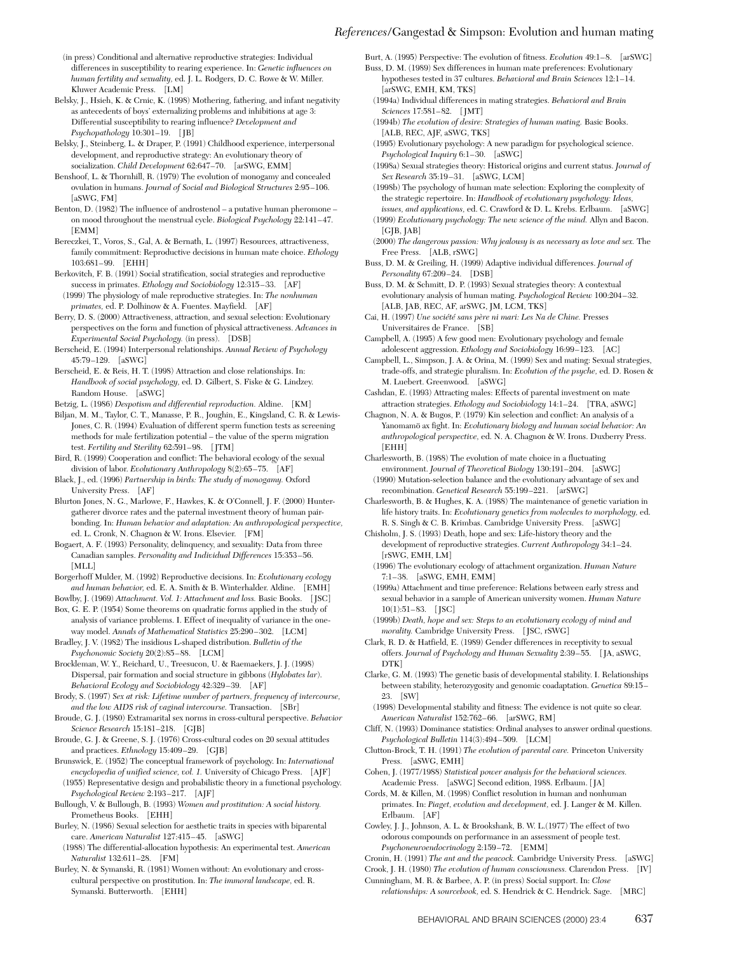(in press) Conditional and alternative reproductive strategies: Individual differences in susceptibility to rearing experience. In: *Genetic influences on human fertility and sexuality,* ed. J. L. Rodgers, D. C. Rowe & W. Miller. Kluwer Academic Press. [LM]

Belsky, J., Hsieh, K. & Crnic, K. (1998) Mothering, fathering, and infant negativity as antecedents of boys' externalizing problems and inhibitions at age 3: Differential susceptibility to rearing influence? *Development and Psychopathology* 10:301–19. [JB]

Belsky, J., Steinberg, L. & Draper, P. (1991) Childhood experience, interpersonal development, and reproductive strategy: An evolutionary theory of socialization. *Child Development* 62:647–70. [arSWG, EMM]

Benshoof, L. & Thornhill, R. (1979) The evolution of monogamy and concealed ovulation in humans. *Journal of Social and Biological Structures* 2:95–106. [aSWG, FM]

Benton, D. (1982) The influence of androstenol – a putative human pheromone – on mood throughout the menstrual cycle. *Biological Psychology* 22:141–47. [EMM]

Bereczkei, T., Voros, S., Gal, A. & Bernath, L. (1997) Resources, attractiveness, family commitment: Reproductive decisions in human mate choice. *Ethology* 103:681–99. [EHH]

Berkovitch, F. B. (1991) Social stratification, social strategies and reproductive success in primates. *Ethology and Sociobiology* 12:315–33. [AF] (1999) The physiology of male reproductive strategies. In: *The nonhuman primates,* ed. P. Dolhinow & A. Fuentes. Mayfield. [AF]

Berry, D. S. (2000) Attractiveness, attraction, and sexual selection: Evolutionary perspectives on the form and function of physical attractiveness. *Advances in Experimental Social Psychology.* (in press). [DSB]

Berscheid, E. (1994) Interpersonal relationships. *Annual Review of Psychology* 45:79–129. [aSWG]

Berscheid, E. & Reis, H. T. (1998) Attraction and close relationships. In: *Handbook of social psychology,* ed. D. Gilbert, S. Fiske & G. Lindzey. Random House. [aSWG]

Betzig, L. (1986) *Despotism and differential reproduction.* Aldine. [KM]

Biljan, M. M., Taylor, C. T., Manasse, P. R., Joughin, E., Kingsland, C. R. & Lewis-Jones, C. R. (1994) Evaluation of different sperm function tests as screening methods for male fertilization potential – the value of the sperm migration test. *Fertility and Sterility* 62:591–98. [JTM]

Bird, R. (1999) Cooperation and conflict: The behavioral ecology of the sexual division of labor. *Evolutionary Anthropology* 8(2):65–75. [AF]

Black, J., ed. (1996) *Partnership in birds: The study of monogamy.* Oxford University Press. [AF]

Blurton Jones, N. G., Marlowe, F., Hawkes, K. & O'Connell, J. F. (2000) Huntergatherer divorce rates and the paternal investment theory of human pairbonding. In: *Human behavior and adaptation: An anthropological perspective,* ed. L. Cronk, N. Chagnon & W. Irons. Elsevier. [FM]

Bogaert, A. F. (1993) Personality, delinquency, and sexuality: Data from three Canadian samples. *Personality and Individual Differences* 15:353–56. [MLL]

Borgerhoff Mulder, M. (1992) Reproductive decisions. In: *Evolutionary ecology and human behavior,* ed. E. A. Smith & B. Winterhalder. Aldine. [EMH]

Bowlby, J. (1969) *Attachment. Vol. 1: Attachment and loss.* Basic Books. [JSC]

Box, G. E. P. (1954) Some theorems on quadratic forms applied in the study of analysis of variance problems. I. Effect of inequality of variance in the oneway model. *Annals of Mathematical Statistics* 25:290–302. [LCM]

Bradley, J. V. (1982) The insidious L-shaped distribution. *Bulletin of the Psychonomic Society* 20(2):85–88. [LCM]

Brockleman, W. Y., Reichard, U., Treesucon, U. & Raemaekers, J. J. (1998) Dispersal, pair formation and social structure in gibbons (*Hylobates lar*). *Behavioral Ecology and Sociobiology* 42:329–39. [AF]

Brody, S. (1997) *Sex at risk: Lifetime number of partners, frequency of intercourse, and the low AIDS risk of vaginal intercourse.* Transaction. [SBr]

Broude, G. J. (1980) Extramarital sex norms in cross-cultural perspective. *Behavior Science Research* 15:181–218. [GJB]

Broude, G. J. & Greene, S. J. (1976) Cross-cultural codes on 20 sexual attitudes and practices. *Ethnology* 15:409–29. [GJB]

Brunswick, E. (1952) The conceptual framework of psychology. In: *International encyclopedia of unified science, vol. 1.* University of Chicago Press. [AJF] (1955) Representative design and probabilistic theory in a functional psychology. *Psychological Review* 2:193–217. [AJF]

Bullough, V. & Bullough, B. (1993) *Women and prostitution: A social history.* Prometheus Books. [EHH]

Burley, N. (1986) Sexual selection for aesthetic traits in species with biparental care. *American Naturalist* 127:415–45. [aSWG]

(1988) The differential-allocation hypothesis: An experimental test. *American Naturalist* 132:611–28. [FM]

Burley, N. & Symanski, R. (1981) Women without: An evolutionary and crosscultural perspective on prostitution. In: *The immoral landscape,* ed. R. Symanski. Butterworth. [EHH]

Burt, A. (1995) Perspective: The evolution of fitness. *Evolution* 49:1–8. [arSWG]

Buss, D. M. (1989) Sex differences in human mate preferences: Evolutionary hypotheses tested in 37 cultures. *Behavioral and Brain Sciences* 12:1–14. [arSWG, EMH, KM, TKS]

- (1994a) Individual differences in mating strategies. *Behavioral and Brain Sciences* 17:581–82. [JMT]
- (1994b) *The evolution of desire: Strategies of human mating.* Basic Books. [ALB, REC, AJF, aSWG, TKS]
- (1995) Evolutionary psychology: A new paradigm for psychological science. *Psychological Inquiry* 6:1–30. [aSWG]
- (1998a) Sexual strategies theory: Historical origins and current status. *Journal of Sex Research* 35:19–31. [aSWG, LCM]

(1998b) The psychology of human mate selection: Exploring the complexity of the strategic repertoire. In: *Handbook of evolutionary psychology: Ideas, issues, and applications,* ed. C. Crawford & D. L. Krebs. Erlbaum. [aSWG]

(1999) *Evolutionary psychology: The new science of the mind.* Allyn and Bacon.  $[G]B$ ,  $[AB]$ 

- (2000) *The dangerous passion: Why jealousy is as necessary as love and sex.* The Free Press. [ALB, rSWG]
- Buss, D. M. & Greiling, H. (1999) Adaptive individual differences. *Journal of Personality* 67:209–24. [DSB]

Buss, D. M. & Schmitt, D. P. (1993) Sexual strategies theory: A contextual evolutionary analysis of human mating. *Psychological Review* 100:204–32. [ALB, JAB, REC, AF, arSWG, JM, LCM, TKS]

Cai, H. (1997) *Une société sans père ni mari: Les Na de Chine.* Presses Universitaires de France. [SB]

Campbell, A. (1995) A few good men: Evolutionary psychology and female adolescent aggression. *Ethology and Sociobiology* 16:99–123. [AC]

Campbell, L., Simpson, J. A. & Orina, M. (1999) Sex and mating: Sexual strategies, trade-offs, and strategic pluralism. In: *Evolution of the psyche,* ed. D. Rosen & M. Luebert. Greenwood. [aSWG]

Cashdan, E. (1993) Attracting males: Effects of parental investment on mate attraction strategies. *Ethology and Sociobiology* 14:1–24. [TRA, aSWG]

Chagnon, N. A. & Bugos, P. (1979) Kin selection and conflict: An analysis of a Yanomamö ax fight. In: *Evolutionary biology and human social behavior: An anthropological perspective,* ed. N. A. Chagnon & W. Irons. Duxberry Press. [EHH]

Charlesworth, B. (1988) The evolution of mate choice in a fluctuating environment. *Journal of Theoretical Biology* 130:191–204. [aSWG] (1990) Mutation-selection balance and the evolutionary advantage of sex and

recombination. *Genetical Research* 55:199–221. [arSWG] Charlesworth, B. & Hughes, K. A. (1988) The maintenance of genetic variation in life history traits. In: *Evolutionary genetics from molecules to morphology,* ed. R. S. Singh & C. B. Krimbas. Cambridge University Press. [aSWG]

Chisholm, J. S. (1993) Death, hope and sex: Life-history theory and the development of reproductive strategies. *Current Anthropology* 34:1–24. [rSWG, EMH, LM]

(1996) The evolutionary ecology of attachment organization. *Human Nature* 7:1–38. [aSWG, EMH, EMM]

(1999a) Attachment and time preference: Relations between early stress and sexual behavior in a sample of American university women. *Human Nature* 10(1):51–83. [JSC]

(1999b) *Death, hope and sex: Steps to an evolutionary ecology of mind and morality.* Cambridge University Press. [JSC, rSWG]

Clark, R. D. & Hatfield, E. (1989) Gender differences in receptivity to sexual offers. *Journal of Psychology and Human Sexuality* 2:39–55. [JA, aSWG, DTK]

Clarke, G. M. (1993) The genetic basis of developmental stability. I. Relationships between stability, heterozygosity and genomic coadaptation. *Genetica* 89:15– 23. [SW]

(1998) Developmental stability and fitness: The evidence is not quite so clear. *American Naturalist* 152:762–66. [arSWG, RM]

Cliff, N. (1993) Dominance statistics: Ordinal analyses to answer ordinal questions. *Psychological Bulletin* 114(3):494–509. [LCM]

Clutton-Brock, T. H. (1991) *The evolution of parental care.* Princeton University Press. [aSWG, EMH]

Cohen, J. (1977/1988) *Statistical power analysis for the behavioral sciences.* Academic Press. [aSWG] Second edition, 1988. Erlbaum. [JA]

Cords, M. & Killen, M. (1998) Conflict resolution in human and nonhuman primates. In: *Piaget, evolution and development,* ed. J. Langer & M. Killen. Erlbaum. [AF]

Cowley, J. J., Johnson, A. L. & Brookshank, B. W. L.(1977) The effect of two odorous compounds on performance in an assessment of people test. *Psychoneuroendocrinology* 2:159–72. [EMM]

Cronin, H. (1991) *The ant and the peacock.* Cambridge University Press. [aSWG]

Crook, J. H. (1980) *The evolution of human consciousness.* Clarendon Press. [IV]

Cunningham, M. R. & Barbee, A. P. (in press) Social support. In: *Close*

*relationships: A sourcebook,* ed. S. Hendrick & C. Hendrick. Sage. [MRC]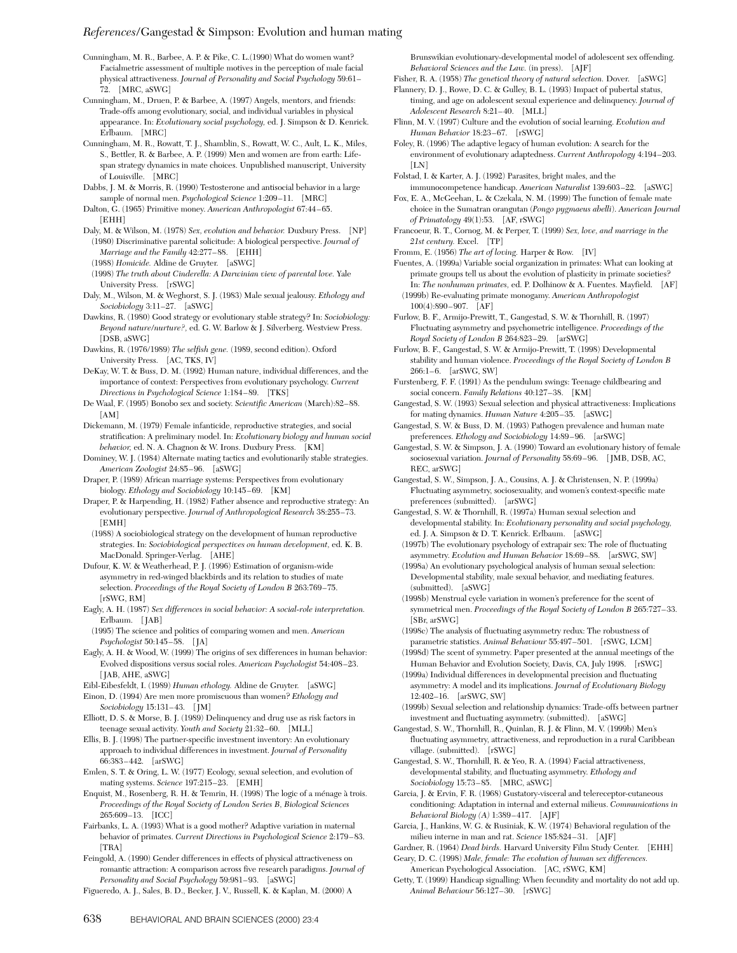Cunningham, M. R., Barbee, A. P. & Pike, C. L.(1990) What do women want? Facialmetric assessment of multiple motives in the perception of male facial physical attractiveness. *Journal of Personality and Social Psychology* 59:61– 72. [MRC, aSWG]

Cunningham, M., Druen, P. & Barbee, A. (1997) Angels, mentors, and friends: Trade-offs among evolutionary, social, and individual variables in physical appearance. In: *Evolutionary social psychology,* ed. J. Simpson & D. Kenrick. Erlbaum. [MRC]

Cunningham, M. R., Rowatt, T. J., Shamblin, S., Rowatt, W. C., Ault, L. K., Miles, S., Bettler, R. & Barbee, A. P. (1999) Men and women are from earth: Lifespan strategy dynamics in mate choices. Unpublished manuscript, University of Louisville. [MRC]

Dabbs, J. M. & Morris, R. (1990) Testosterone and antisocial behavior in a large sample of normal men. *Psychological Science* 1:209–11. [MRC]

Dalton, G. (1965) Primitive money. *American Anthropologist* 67:44–65. [EHH]

Daly, M. & Wilson, M. (1978) *Sex, evolution and behavior.* Duxbury Press. [NP] (1980) Discriminative parental solicitude: A biological perspective. *Journal of Marriage and the Family* 42:277–88. [EHH]

(1988) *Homicide.* Aldine de Gruyter. [aSWG]

(1998) *The truth about Cinderella: A Darwinian view of parental love.* Yale University Press. [rSWG]

Daly, M., Wilson, M. & Weghorst, S. J. (1983) Male sexual jealousy. *Ethology and Sociobiology* 3:11–27. [aSWG]

Dawkins, R. (1980) Good strategy or evolutionary stable strategy? In: *Sociobiology: Beyond nature/nurture?,* ed. G. W. Barlow & J. Silverberg. Westview Press. [DSB, aSWG]

Dawkins, R. (1976/1989) *The selfish gene.* (1989, second edition). Oxford University Press. [AC, TKS, IV]

DeKay, W. T. & Buss, D. M. (1992) Human nature, individual differences, and the importance of context: Perspectives from evolutionary psychology. *Current Directions in Psychological Science* 1:184–89. [TKS]

De Waal, F. (1995) Bonobo sex and society. *Scientific American* (March):82–88. [AM]

Dickemann, M. (1979) Female infanticide, reproductive strategies, and social stratification: A preliminary model. In: *Evolutionary biology and human social behavior,* ed. N. A. Chagnon & W. Irons. Duxbury Press. [KM]

Dominey, W. J. (1984) Alternate mating tactics and evolutionarily stable strategies. *American Zoologist* 24:85–96. [aSWG]

Draper, P. (1989) African marriage systems: Perspectives from evolutionary biology. *Ethology and Sociobiology* 10:145–69. [KM]

Draper, P. & Harpending, H. (1982) Father absence and reproductive strategy: An evolutionary perspective. *Journal of Anthropological Research* 38:255–73. [EMH]

(1988) A sociobiological strategy on the development of human reproductive strategies. In: *Sociobiological perspectives on human development,* ed. K. B. MacDonald. Springer-Verlag. [AHE]

Dufour, K. W. & Weatherhead, P. J. (1996) Estimation of organism-wide asymmetry in red-winged blackbirds and its relation to studies of mate selection. *Proceedings of the Royal Society of London B* 263:769–75. [rSWG, RM]

Eagly, A. H. (1987) *Sex differences in social behavior: A social-role interpretation.* Erlbaum. [JAB]

(1995) The science and politics of comparing women and men. *American Psychologist* 50:145–58. [JA]

Eagly, A. H. & Wood, W. (1999) The origins of sex differences in human behavior: Evolved dispositions versus social roles. *American Psychologist* 54:408–23. [JAB, AHE, aSWG]

Eibl-Eibesfeldt, I. (1989) *Human ethology.* Aldine de Gruyter. [aSWG]

Einon, D. (1994) Are men more promiscuous than women? *Ethology and Sociobiology* 15:131–43. [JM]

Elliott, D. S. & Morse, B. J. (1989) Delinquency and drug use as risk factors in teenage sexual activity. *Youth and Society* 21:32–60. [MLL]

Ellis, B. J. (1998) The partner-specific investment inventory: An evolutionary approach to individual differences in investment. *Journal of Personality* 66:383–442. [arSWG]

Emlen, S. T. & Oring, L. W. (1977) Ecology, sexual selection, and evolution of mating systems. *Science* 197:215–23. [EMH]

Enquist, M., Rosenberg, R. H. & Temrin, H. (1998) The logic of a ménage à trois. *Proceedings of the Royal Society of London Series B, Biological Sciences* 265:609–13. [ICC]

Fairbanks, L. A. (1993) What is a good mother? Adaptive variation in maternal behavior of primates. *Current Directions in Psychological Science* 2:179–83. [TRA]

Feingold, A. (1990) Gender differences in effects of physical attractiveness on romantic attraction: A comparison across five research paradigms. *Journal of Personality and Social Psychology* 59:981–93. [aSWG]

Figueredo, A. J., Sales, B. D., Becker, J. V., Russell, K. & Kaplan, M. (2000) A

638 BEHAVIORAL AND BRAIN SCIENCES (2000) 23:4

Brunswikian evolutionary-developmental model of adolescent sex offending. *Behavioral Sciences and the Law.* (in press). [AJF]

Fisher, R. A. (1958) *The genetical theory of natural selection.* Dover. [aSWG]

Flannery, D. J., Rowe, D. C. & Gulley, B. L. (1993) Impact of pubertal status, timing, and age on adolescent sexual experience and delinquency. *Journal of Adolescent Research* 8:21–40. [MLL]

Flinn, M. V. (1997) Culture and the evolution of social learning. *Evolution and Human Behavior* 18:23–67. [rSWG]

Foley, R. (1996) The adaptive legacy of human evolution: A search for the environment of evolutionary adaptedness. *Current Anthropology* 4:194–203.  $[LN]$ 

Folstad, I. & Karter, A. J. (1992) Parasites, bright males, and the immunocompetence handicap. *American Naturalist* 139:603–22. [aSWG]

Fox, E. A., McGeehan, L. & Czekala, N. M. (1999) The function of female mate choice in the Sumatran orangutan (*Pongo pygmaeus abelli*). *American Journal of Primatology* 49(1):53. [AF, rSWG]

Francoeur, R. T., Cornog, M. & Perper, T. (1999) *Sex, love, and marriage in the 21st century.* Excel. [TP]

Fromm, E. (1956) *The art of loving.* Harper & Row. [IV]

Fuentes, A. (1999a) Variable social organization in primates: What can looking at primate groups tell us about the evolution of plasticity in primate societies? In: *The nonhuman primates,* ed. P. Dolhinow & A. Fuentes. Mayfield. [AF] (1999b) Re-evaluating primate monogamy. *American Anthropologist* 100(4):890–907. [AF]

Furlow, B. F., Armijo-Prewitt, T., Gangestad, S. W. & Thornhill, R. (1997) Fluctuating asymmetry and psychometric intelligence. *Proceedings of the Royal Society of London B* 264:823–29. [arSWG]

Furlow, B. F., Gangestad, S. W. & Armijo-Prewitt, T. (1998) Developmental stability and human violence. *Proceedings of the Royal Society of London B* 266:1–6. [arSWG, SW]

Furstenberg, F. F. (1991) As the pendulum swings: Teenage childbearing and social concern. *Family Relations* 40:127–38. [KM]

Gangestad, S. W. (1993) Sexual selection and physical attractiveness: Implications for mating dynamics. *Human Nature* 4:205–35. [aSWG]

Gangestad, S. W. & Buss, D. M. (1993) Pathogen prevalence and human mate preferences. *Ethology and Sociobiology* 14:89–96. [arSWG]

Gangestad, S. W. & Simpson, J. A. (1990) Toward an evolutionary history of female sociosexual variation. *Journal of Personality* 58:69–96. [JMB, DSB, AC, REC, arSWG]

Gangestad, S. W., Simpson, J. A., Cousins, A. J. & Christensen, N. P. (1999a) Fluctuating asymmetry, sociosexuality, and women's context-specific mate preferences (submitted). [arSWG]

Gangestad, S. W. & Thornhill, R. (1997a) Human sexual selection and developmental stability. In: *Evolutionary personality and social psychology,* ed. J. A. Simpson & D. T. Kenrick. Erlbaum. [aSWG]

(1997b) The evolutionary psychology of extrapair sex: The role of fluctuating asymmetry. *Evolution and Human Behavior* 18:69–88. [arSWG, SW]

(1998a) An evolutionary psychological analysis of human sexual selection: Developmental stability, male sexual behavior, and mediating features. (submitted). [aSWG]

(1998b) Menstrual cycle variation in women's preference for the scent of symmetrical men. *Proceedings of the Royal Society of London B* 265:727–33. [SBr, arSWG]

(1998c) The analysis of fluctuating asymmetry redux: The robustness of parametric statistics. *Animal Behaviour* 55:497–501. [rSWG, LCM]

(1998d) The scent of symmetry. Paper presented at the annual meetings of the Human Behavior and Evolution Society, Davis, CA, July 1998. [rSWG]

(1999a) Individual differences in developmental precision and fluctuating asymmetry: A model and its implications. *Journal of Evolutionary Biology* 12:402–16. [arSWG, SW]

(1999b) Sexual selection and relationship dynamics: Trade-offs between partner investment and fluctuating asymmetry. (submitted). [aSWG]

Gangestad, S. W., Thornhill, R., Quinlan, R. J. & Flinn, M. V. (1999b) Men's fluctuating asymmetry, attractiveness, and reproduction in a rural Caribbean village. (submitted). [rSWG]

Gangestad, S. W., Thornhill, R. & Yeo, R. A. (1994) Facial attractiveness, developmental stability, and fluctuating asymmetry. *Ethology and Sociobiology* 15:73–85. [MRC, aSWG]

Garcia, J. & Ervin, F. R. (1968) Gustatory-visceral and telereceptor-cutaneous conditioning: Adaptation in internal and external milieus. *Communications in Behavioral Biology (A)* 1:389–417. [AJF]

Garcia, J., Hankins, W. G. & Rusiniak, K. W. (1974) Behavioral regulation of the milieu interne in man and rat. *Science* 185:824–31. [AJF]

Gardner, R. (1964) *Dead birds.* Harvard University Film Study Center. [EHH] Geary, D. C. (1998) *Male, female: The evolution of human sex differences.*

American Psychological Association. [AC, rSWG, KM]

Getty, T. (1999) Handicap signalling: When fecundity and mortality do not add up. *Animal Behaviour* 56:127–30. [rSWG]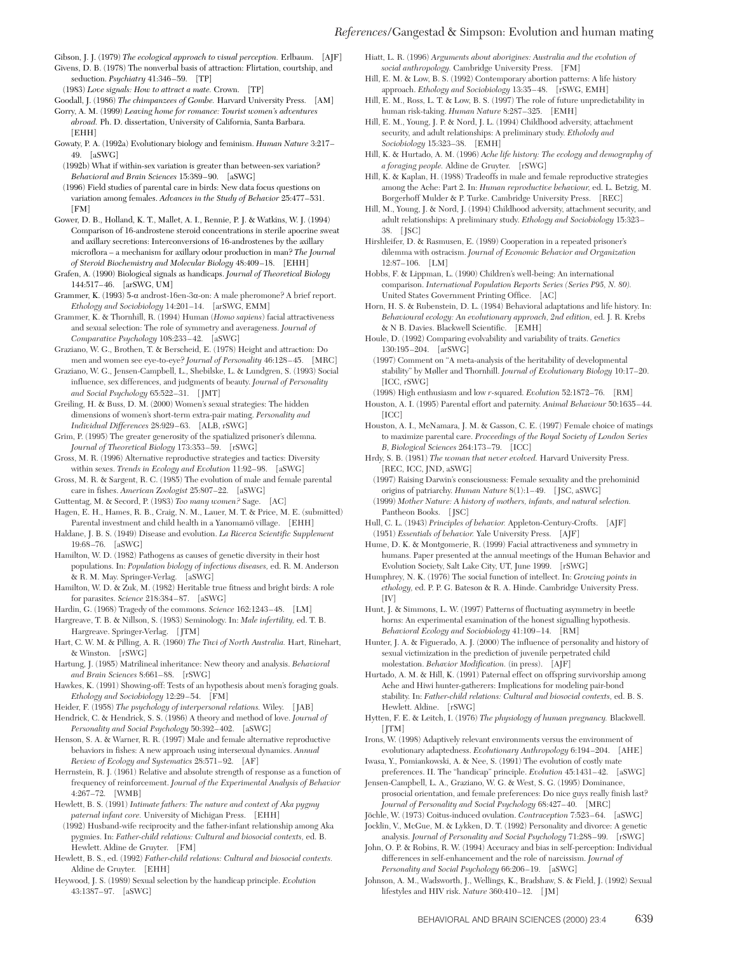Gibson, J. J. (1979) *The ecological approach to visual perception.* Erlbaum. [AJF] Givens, D. B. (1978) The nonverbal basis of attraction: Flirtation, courtship, and seduction. *Psychiatry* 41:346–59. [TP]

- Goodall, J. (1986) *The chimpanzees of Gombe.* Harvard University Press. [AM]
- Gorry, A. M. (1999) *Leaving home for romance: Tourist women's adventures abroad.* Ph. D. dissertation, University of California, Santa Barbara. [EHH]
- Gowaty, P. A. (1992a) Evolutionary biology and feminism. *Human Nature* 3:217– 49. [aSWG]
- (1992b) What if within-sex variation is greater than between-sex variation? *Behavioral and Brain Sciences* 15:389–90. [aSWG]
- (1996) Field studies of parental care in birds: New data focus questions on variation among females. *Advances in the Study of Behavior* 25:477–531. [FM]
- Gower, D. B., Holland, K. T., Mallet, A. I., Rennie, P. J. & Watkins, W. J. (1994) Comparison of 16-androstene steroid concentrations in sterile apocrine sweat and axillary secretions: Interconversions of 16-androstenes by the axillary microflora – a mechanism for axillary odour production in man? *The Journal of Steroid Biochemistry and Molecular Biology* 48:409–18. [EHH]
- Grafen, A. (1990) Biological signals as handicaps. *Journal of Theoretical Biology* 144:517–46. [arSWG, UM]
- Grammer, K. (1993) 5-a androst-16en-3a-on: A male pheromone? A brief report. *Ethology and Sociobiology* 14:201–14. [arSWG, EMM]
- Grammer, K. & Thornhill, R. (1994) Human (*Homo sapiens*) facial attractiveness and sexual selection: The role of symmetry and averageness. *Journal of Comparative Psychology* 108:233–42. [aSWG]
- Graziano, W. G., Brothen, T. & Berscheid, E. (1978) Height and attraction: Do men and women see eye-to-eye? *Journal of Personality* 46:128–45. [MRC]
- Graziano, W. G., Jensen-Campbell, L., Shebilske, L. & Lundgren, S. (1993) Social influence, sex differences, and judgments of beauty. *Journal of Personality and Social Psychology* 65:522–31. [JMT]
- Greiling, H. & Buss, D. M. (2000) Women's sexual strategies: The hidden dimensions of women's short-term extra-pair mating. *Personality and Individual Differences* 28:929–63. [ALB, rSWG]
- Grim, P. (1995) The greater generosity of the spatialized prisoner's dilemna. *Journal of Theoretical Biology* 173:353–59. [rSWG]
- Gross, M. R. (1996) Alternative reproductive strategies and tactics: Diversity within sexes. *Trends in Ecology and Evolution* 11:92–98. [aSWG]
- Gross, M. R. & Sargent, R. C. (1985) The evolution of male and female parental care in fishes. *American Zoologist* 25:807–22. [aSWG]
- Guttentag, M. & Secord, P. (1983) *Too many women?* Sage. [AC]
- Hagen, E. H., Hames, R. B., Craig, N. M., Lauer, M. T. & Price, M. E. (submitted) Parental investment and child health in a Yanomamö village. [EHH]
- Haldane, J. B. S. (1949) Disease and evolution. *La Ricerca Scientific Supplement* 19:68–76. [aSWG]
- Hamilton, W. D. (1982) Pathogens as causes of genetic diversity in their host populations. In: *Population biology of infectious diseases,* ed. R. M. Anderson & R. M. May. Springer-Verlag. [aSWG]
- Hamilton, W. D. & Zuk, M. (1982) Heritable true fitness and bright birds: A role for parasites. *Science* 218:384–87. [aSWG]
- Hardin, G. (1968) Tragedy of the commons. *Science* 162:1243–48. [LM]
- Hargreave, T. B. & Nillson, S. (1983) Seminology. In: *Male infertility,* ed. T. B. Hargreave. Springer-Verlag. [JTM]
- Hart, C. W. M. & Pilling, A. R. (1960) *The Tiwi of North Australia.* Hart, Rinehart, & Winston. [rSWG]
- Hartung, J. (1985) Matrilineal inheritance: New theory and analysis. *Behavioral and Brain Sciences* 8:661–88. [rSWG]
- Hawkes, K. (1991) Showing-off: Tests of an hypothesis about men's foraging goals. *Ethology and Sociobiology* 12:29–54. [FM]
- Heider, F. (1958) *The psychology of interpersonal relations.* Wiley. [JAB]
- Hendrick, C. & Hendrick, S. S. (1986) A theory and method of love. *Journal of Personality and Social Psychology* 50:392–402. [aSWG]
- Henson, S. A. & Warner, R. R. (1997) Male and female alternative reproductive behaviors in fishes: A new approach using intersexual dynamics. *Annual Review of Ecology and Systematics* 28:571–92. [AF]
- Herrnstein, R. J. (1961) Relative and absolute strength of response as a function of frequency of reinforcement. *Journal of the Experimental Analysis of Behavior* 4:267–72. [WMB]
- Hewlett, B. S. (1991) *Intimate fathers: The nature and context of Aka pygmy paternal infant core.* University of Michigan Press. [EHH]
- (1992) Husband-wife reciprocity and the father-infant relationship among Aka pygmies. In: *Father-child relations: Cultural and biosocial contexts,* ed. B. Hewlett. Aldine de Gruyter. [FM]
- Hewlett, B. S., ed. (1992) *Father-child relations: Cultural and biosocial contexts.* Aldine de Gruyter. [EHH]
- Heywood, J. S. (1989) Sexual selection by the handicap principle. *Evolution* 43:1387–97. [aSWG]
- Hiatt, L. R. (1996) *Arguments about aborigines: Australia and the evolution of social anthropology.* Cambridge University Press. [FM]
- Hill, E. M. & Low, B. S. (1992) Contemporary abortion patterns: A life history approach. *Ethology and Sociobiology* 13:35–48. [rSWG, EMH]
- Hill, E. M., Ross, L. T. & Low, B. S. (1997) The role of future unpredictability in human risk-taking. *Human Nature* 8:287–325. [EMH]
- Hill, E. M., Young, J. P. & Nord, J. L. (1994) Childhood adversity, attachment security, and adult relationships: A preliminary study. *Etholody and Sociobiology* 15:323–38. [EMH]
- Hill, K. & Hurtado, A. M. (1996) *Ache life history: The ecology and demography of a foraging people.* Aldine de Gruyter. [rSWG]
- Hill, K. & Kaplan, H. (1988) Tradeoffs in male and female reproductive strategies among the Ache: Part 2. In: *Human reproductive behaviour,* ed. L. Betzig, M. Borgerhoff Mulder & P. Turke. Cambridge University Press. [REC]
- Hill, M., Young, J. & Nord, J. (1994) Childhood adversity, attachment security, and adult relationships: A preliminary study. *Ethology and Sociobiology* 15:323– 38. [JSC]
- Hirshleifer, D. & Rasmusen, E. (1989) Cooperation in a repeated prisoner's dilemma with ostracism. *Journal of Economic Behavior and Organization* 12:87–106. [LM]

Hobbs, F. & Lippman, L. (1990) Children's well-being: An international comparison. *International Population Reports Series (Series P95, N. 80).* United States Government Printing Office. [AC]

- Horn, H. S. & Rubenstein, D. L. (1984) Behavioral adaptations and life history. In: *Behavioural ecology: An evolutionary approach, 2nd edition,* ed. J. R. Krebs & N B. Davies. Blackwell Scientific. [EMH]
- Houle, D. (1992) Comparing evolvability and variability of traits. *Genetics* 130:195–204. [arSWG]
- (1997) Comment on "A meta-analysis of the heritability of developmental stability" by Møller and Thornhill. *Journal of Evolutionary Biology* 10:17–20. [ICC, rSWG]
- (1998) High enthusiasm and low *r*-squared. *Evolution* 52:1872–76. [RM]
- Houston, A. I. (1995) Parental effort and paternity. *Animal Behaviour* 50:1635–44. [ICC]
- Houston, A. I., McNamara, J. M. & Gasson, C. E. (1997) Female choice of matings to maximize parental care. *Proceedings of the Royal Society of London Series B, Biological Sciences* 264:173–79. [ICC]
- Hrdy, S. B. (1981) *The woman that never evolved.* Harvard University Press. [REC, ICC, JND, aSWG]
- (1997) Raising Darwin's consciousness: Female sexuality and the prehominid origins of patriarchy. *Human Nature* 8(1):1–49. [JSC, aSWG]
- (1999) *Mother Nature: A history of mothers, infants, and natural selection.* Pantheon Books. [JSC]
- Hull, C. L. (1943) *Principles of behavior.* Appleton-Century-Crofts. [AJF] (1951) *Essentials of behavior.* Yale University Press. [AJF]
- Hume, D. K. & Montgomerie, R. (1999) Facial attractiveness and symmetry in humans. Paper presented at the annual meetings of the Human Behavior and Evolution Society, Salt Lake City, UT, June 1999. [rSWG]
- Humphrey, N. K. (1976) The social function of intellect. In: *Growing points in ethology,* ed. P. P. G. Bateson & R. A. Hinde. Cambridge University Press. [IV]
- Hunt, J. & Simmons, L. W. (1997) Patterns of fluctuating asymmetry in beetle horns: An experimental examination of the honest signalling hypothesis. *Behavioral Ecology and Sociobiology* 41:109–14. [RM]
- Hunter, J. A. & Figuerado, A. J. (2000) The influence of personality and history of sexual victimization in the prediction of juvenile perpetrated child molestation. *Behavior Modification.* (in press). [AJF]
- Hurtado, A. M. & Hill, K. (1991) Paternal effect on offspring survivorship among Ache and Hiwi hunter-gatherers: Implications for modeling pair-bond stability. In: *Father-child relations: Cultural and biosocial contexts,* ed. B. S. Hewlett. Aldine. [rSWG]
- Hytten, F. E. & Leitch, I. (1976) *The physiology of human pregnancy.* Blackwell. [JTM]
- Irons, W. (1998) Adaptively relevant environments versus the environment of evolutionary adaptedness. *Evolutionary Anthropology* 6:194–204. [AHE]
- Iwasa, Y., Pomiankowski, A. & Nee, S. (1991) The evolution of costly mate preferences. II. The "handicap" principle. *Evolution* 45:1431–42. [aSWG]

Jensen-Campbell, L. A., Graziano, W. G. & West, S. G. (1995) Dominance, prosocial orientation, and female preferences: Do nice guys really finish last? *Journal of Personality and Social Psychology* 68:427–40. [MRC]

- Jöchle, W. (1973) Coitus-induced ovulation. *Contraception* 7:523–64. [aSWG]
- Jocklin, V., McGue, M. & Lykken, D. T. (1992) Personality and divorce: A genetic analysis. *Journal of Personality and Social Psychology* 71:288–99. [rSWG]
- John, O. P. & Robins, R. W. (1994) Accuracy and bias in self-perception: Individual differences in self-enhancement and the role of narcissism. *Journal of Personality and Social Psychology* 66:206–19. [aSWG]
- Johnson, A. M., Wadsworth, J., Wellings, K., Bradshaw, S. & Field, J. (1992) Sexual lifestyles and HIV risk. *Nature* 360:410–12. [JM]

<sup>(1983)</sup> *Love signals: How to attract a mate.* Crown. [TP]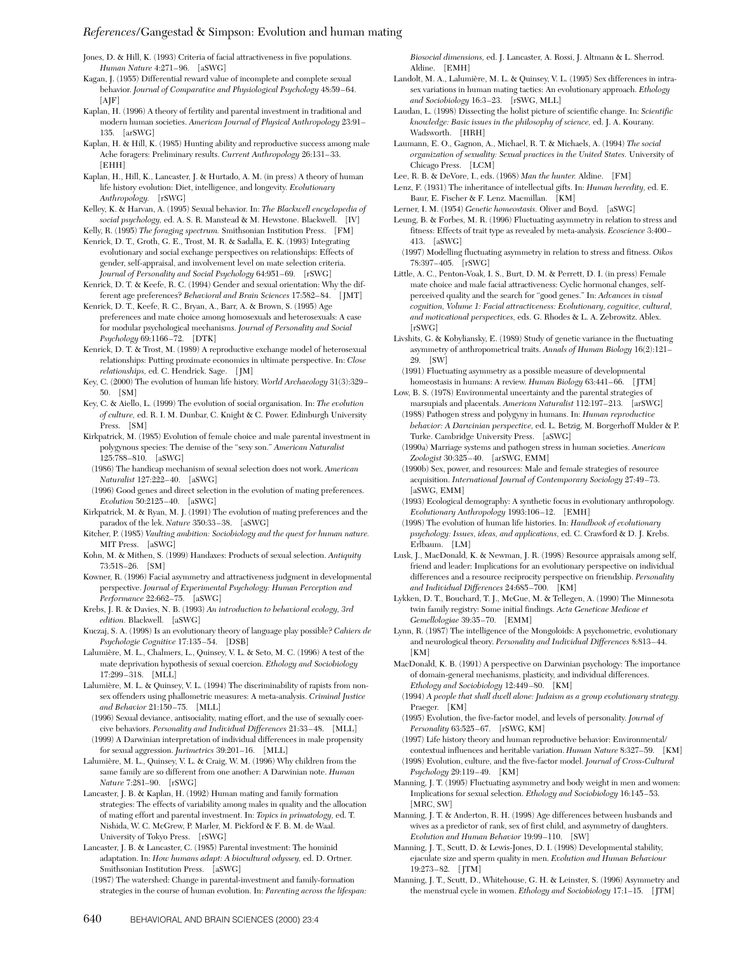Jones, D. & Hill, K. (1993) Criteria of facial attractiveness in five populations. *Human Nature* 4:271–96. [aSWG]

Kagan, J. (1955) Differential reward value of incomplete and complete sexual behavior. *Journal of Comparative and Physiological Psychology* 48:59–64.  $[A]F$ 

Kaplan, H. (1996) A theory of fertility and parental investment in traditional and modern human societies. *American Journal of Physical Anthropology* 23:91– 135. [arSWG]

Kaplan, H. & Hill, K. (1985) Hunting ability and reproductive success among male Ache foragers: Preliminary results. *Current Anthropology* 26:131–33. [EHH]

Kaplan, H., Hill, K., Lancaster, J. & Hurtado, A. M. (in press) A theory of human life history evolution: Diet, intelligence, and longevity. *Evolutionary Anthropology.* [rSWG]

Kelley, K. & Harvan, A. (1995) Sexual behavior. In: *The Blackwell encyclopedia of social psychology,* ed. A. S. R. Manstead & M. Hewstone. Blackwell. [IV]

Kelly, R. (1995) *The foraging spectrum.* Smithsonian Institution Press. [FM]

Kenrick, D. T., Groth, G. E., Trost, M. R. & Sadalla, E. K. (1993) Integrating evolutionary and social exchange perspectives on relationships: Effects of gender, self-appraisal, and involvement level on mate selection criteria. *Journal of Personality and Social Psychology* 64:951–69. [rSWG]

Kenrick, D. T. & Keefe, R. C. (1994) Gender and sexual orientation: Why the different age preferences? *Behavioral and Brain Sciences* 17:582–84. [JMT]

Kenrick, D. T., Keefe, R. C., Bryan, A., Barr, A. & Brown, S. (1995) Age preferences and mate choice among homosexuals and heterosexuals: A case for modular psychological mechanisms. *Journal of Personality and Social Psychology* 69:1166–72. [DTK]

Kenrick, D. T. & Trost, M. (1989) A reproductive exchange model of heterosexual relationships: Putting proximate economics in ultimate perspective. In: *Close relationships,* ed. C. Hendrick. Sage. [JM]

- Key, C. (2000) The evolution of human life history. *World Archaeology* 31(3):329– 50. [SM]
- Key, C. & Aiello, L. (1999) The evolution of social organisation. In: *The evolution of culture,* ed. R. I. M. Dunbar, C. Knight & C. Power. Edinburgh University Press. [SM]

Kirkpatrick, M. (1985) Evolution of female choice and male parental investment in polygynous species: The demise of the "sexy son." *American Naturalist* 125:788–810. [aSWG]

(1986) The handicap mechanism of sexual selection does not work. *American Naturalist* 127:222–40. [aSWG]

(1996) Good genes and direct selection in the evolution of mating preferences. *Evolution* 50:2125–40. [aSWG]

- Kirkpatrick, M. & Ryan, M. J. (1991) The evolution of mating preferences and the paradox of the lek. *Nature* 350:33–38. [aSWG]
- Kitcher, P. (1985) *Vaulting ambition: Sociobiology and the quest for human nature.* MIT Press. [aSWG]
- Kohn, M. & Mithen, S. (1999) Handaxes: Products of sexual selection. *Antiquity* 73:518–26. [SM]
- Kowner, R. (1996) Facial asymmetry and attractiveness judgment in developmental perspective. *Journal of Experimental Psychology: Human Perception and Performance* 22:662–75. [aSWG]

Krebs, J. R. & Davies, N. B. (1993) *An introduction to behavioral ecology, 3rd edition.* Blackwell. [aSWG]

Kuczaj, S. A. (1998) Is an evolutionary theory of language play possible? *Cahiers de Psychologie Cognitive* 17:135–54. [DSB]

Lalumière, M. L., Chalmers, L., Quinsey, V. L. & Seto, M. C. (1996) A test of the mate deprivation hypothesis of sexual coercion. *Ethology and Sociobiology* 17:299–318. [MLL]

Lalumière, M. L. & Quinsey, V. L. (1994) The discriminability of rapists from nonsex offenders using phallometric measures: A meta-analysis. *Criminal Justice and Behavior* 21:150–75. [MLL]

(1996) Sexual deviance, antisociality, mating effort, and the use of sexually coercive behaviors. *Personality and Individual Differences* 21:33–48. [MLL]

(1999) A Darwinian interpretation of individual differences in male propensity for sexual aggression. *Jurimetrics* 39:201–16. [MLL]

Lalumière, M. L., Quinsey, V. L. & Craig, W. M. (1996) Why children from the same family are so different from one another: A Darwinian note. *Human Nature* 7:281–90. [rSWG]

Lancaster, J. B. & Kaplan, H. (1992) Human mating and family formation strategies: The effects of variability among males in quality and the allocation of mating effort and parental investment. In: *Topics in primatology,* ed. T. Nishida, W. C. McGrew, P. Marler, M. Pickford & F. B. M. de Waal. University of Tokyo Press. [rSWG]

Lancaster, J. B. & Lancaster, C. (1985) Parental investment: The hominid adaptation. In: *How humans adapt: A biocultural odyssey,* ed. D. Ortner. Smithsonian Institution Press. [aSWG]

(1987) The watershed: Change in parental-investment and family-formation strategies in the course of human evolution. In: *Parenting across the lifespan:* *Biosocial dimensions,* ed. J. Lancaster, A. Rossi, J. Altmann & L. Sherrod. Aldine. [EMH]

Landolt, M. A., Lalumière, M. L. & Quinsey, V. L. (1995) Sex differences in intrasex variations in human mating tactics: An evolutionary approach. *Ethology and Sociobiology* 16:3–23. [rSWG, MLL]

Laudan, L. (1998) Dissecting the holist picture of scientific change. In: *Scientific knowledge: Basic issues in the philosophy of science,* ed. J. A. Kourany. Wadsworth. [HRH]

Laumann, E. O., Gagnon, A., Michael, R. T. & Michaels, A. (1994) *The social organization of sexuality: Sexual practices in the United States.* University of Chicago Press. [LCM]

- Lee, R. B. & DeVore, I., eds. (1968) *Man the hunter.* Aldine. [FM]
- Lenz, F. (1931) The inheritance of intellectual gifts. In: *Human heredity,* ed. E. Baur, E. Fischer & F. Lenz. Macmillan. [KM]

Lerner, I. M. (1954) *Genetic homeostasis.* Oliver and Boyd. [aSWG]

- Leung, B. & Forbes, M. R. (1996) Fluctuating asymmetry in relation to stress and fitness: Effects of trait type as revealed by meta-analysis. *Ecoscience* 3:400– 413. [aSWG]
- (1997) Modelling fluctuating asymmetry in relation to stress and fitness. *Oikos* 78:397–405. [rSWG]

Little, A. C., Penton-Voak, I. S., Burt, D. M. & Perrett, D. I. (in press) Female mate choice and male facial attractiveness: Cyclic hormonal changes, selfperceived quality and the search for "good genes." In: *Advances in visual cognition, Volume 1: Facial attractiveness: Evolutionary, cognitive, cultural, and motivational perspectives,* eds. G. Rhodes & L. A. Zebrowitz. Ablex. [rSWG]

- Livshits, G. & Kobyliansky, E. (1989) Study of genetic variance in the fluctuating asymmetry of anthropometrical traits. *Annals of Human Biology* 16(2):121– 29. [SW]
- (1991) Fluctuating asymmetry as a possible measure of developmental homeostasis in humans: A review. *Human Biology* 63:441–66. [JTM]

Low, B. S. (1978) Environmental uncertainty and the parental strategies of marsupials and placentals. *American Naturalist* 112:197–213. [arSWG]

(1988) Pathogen stress and polygyny in humans. In: *Human reproductive behavior: A Darwinian perspective,* ed. L. Betzig, M. Borgerhoff Mulder & P. Turke. Cambridge University Press. [aSWG]

- (1990a) Marriage systems and pathogen stress in human societies. *American Zoologist* 30:325–40. [arSWG, EMM]
- (1990b) Sex, power, and resources: Male and female strategies of resource acquisition. *International Journal of Contemporary Sociology* 27:49–73. [aSWG, EMM]
- (1993) Ecological demography: A synthetic focus in evolutionary anthropology. *Evolutionary Anthropology* 1993:106–12. [EMH]
- (1998) The evolution of human life histories. In: *Handbook of evolutionary psychology: Issues, ideas, and applications,* ed. C. Crawford & D. J. Krebs. Erlbaum. [LM]
- Lusk, J., MacDonald, K. & Newman, J. R. (1998) Resource appraisals among self, friend and leader: Implications for an evolutionary perspective on individual differences and a resource reciprocity perspective on friendship. *Personality and Individual Differences* 24:685–700. [KM]

Lykken, D. T., Bouchard, T. J., McGue, M. & Tellegen, A. (1990) The Minnesota twin family registry: Some initial findings. *Acta Geneticae Medicae et Gemellologiae* 39:35–70. [EMM]

Lynn, R. (1987) The intelligence of the Mongoloids: A psychometric, evolutionary and neurological theory. *Personality and Individual Differences* 8:813–44.  $[KM]$ 

MacDonald, K. B. (1991) A perspective on Darwinian psychology: The importance of domain-general mechanisms, plasticity, and individual differences. *Ethology and Sociobiology* 12:449–80. [KM]

- (1994) *A people that shall dwell alone: Judaism as a group evolutionary strategy.* Praeger. [KM]
- (1995) Evolution, the five-factor model, and levels of personality. *Journal of Personality* 63:525–67. [rSWG, KM]

(1997) Life history theory and human reproductive behavior: Environmental/ contextual influences and heritable variation. *Human Nature* 8:327–59. [KM]

- Manning, J. T. (1995) Fluctuating asymmetry and body weight in men and women: Implications for sexual selection. *Ethology and Sociobiology* 16:145–53. [MRC, SW]
- Manning, J. T. & Anderton, R. H. (1998) Age differences between husbands and wives as a predictor of rank, sex of first child, and asymmetry of daughters. *Evolution and Human Behavior* 19:99–110. [SW]

Manning, J. T., Scutt, D. & Lewis-Jones, D. I. (1998) Developmental stability, ejaculate size and sperm quality in men. *Evolution and Human Behaviour* 19:273–82. [JTM]

Manning, J. T., Scutt, D., Whitehouse, G. H. & Leinster, S. (1996) Asymmetry and the menstrual cycle in women. *Ethology and Sociobiology* 17:1–15. [JTM]

<sup>(1998)</sup> Evolution, culture, and the five-factor model. *Journal of Cross-Cultural Psychology* 29:119–49. [KM]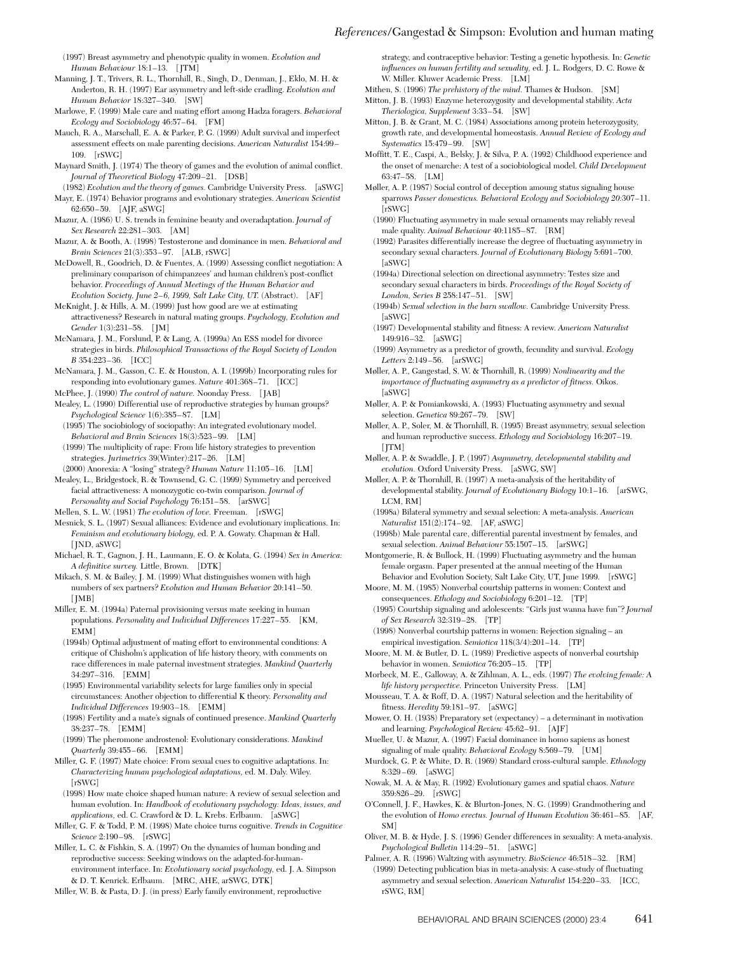(1997) Breast asymmetry and phenotypic quality in women. *Evolution and Human Behaviour* 18:1–13. [JTM]

Manning, J. T., Trivers, R. L., Thornhill, R., Singh, D., Denman, J., Eklo, M. H. & Anderton, R. H. (1997) Ear asymmetry and left-side cradling. *Evolution and Human Behavior* 18:327–340. [SW]

Marlowe, F. (1999) Male care and mating effort among Hadza foragers. *Behavioral Ecology and Sociobiology* 46:57–64. [FM]

Mauch, R. A., Marschall, E. A. & Parker, P. G. (1999) Adult survival and imperfect assessment effects on male parenting decisions. *American Naturalist* 154:99– 109. [rSWG]

Maynard Smith, J. (1974) The theory of games and the evolution of animal conflict. *Journal of Theoretical Biology* 47:209–21. [DSB]

(1982) *Evolution and the theory of games.* Cambridge University Press. [aSWG] Mayr, E. (1974) Behavior programs and evolutionary strategies. *American Scientist* 62:650–59. [AJF, aSWG]

Mazur, A. (1986) U. S. trends in feminine beauty and overadaptation. *Journal of Sex Research* 22:281–303. [AM]

Mazur, A. & Booth, A. (1998) Testosterone and dominance in men. *Behavioral and Brain Sciences* 21(3):353–97. [ALB, rSWG]

McDowell, R., Goodrich, D. & Fuentes, A. (1999) Assessing conflict negotiation: A preliminary comparison of chimpanzees' and human children's post-conflict behavior. *Proceedings of Annual Meetings of the Human Behavior and Evolution Society, June 2–6, 1999, Salt Lake City, UT.* (Abstract). [AF]

McKnight, J. & Hills, A. M. (1999) Just how good are we at estimating attractiveness? Research in natural mating groups. *Psychology, Evolution and Gender* 1(3):231–58. [JM]

McNamara, J. M., Forslund, P. & Lang, A. (1999a) An ESS model for divorce strategies in birds. *Philosophical Transactions of the Royal Society of London B* 354:223–36. [ICC]

McNamara, J. M., Gasson, C. E. & Houston, A. I. (1999b) Incorporating rules for responding into evolutionary games. *Nature* 401:368–71. [ICC]

McPhee, J. (1990) *The control of nature.* Noonday Press. [JAB] Mealey, L. (1990) Differential use of reproductive strategies by human groups? *Psychological Science* 1(6):385–87. [LM]

(1995) The sociobiology of sociopathy: An integrated evolutionary model. *Behavioral and Brain Sciences* 18(3):523–99. [LM]

(1999) The multiplicity of rape: From life history strategies to prevention strategies. *Jurimetrics* 39(Winter):217–26. [LM]

(2000) Anorexia: A "losing" strategy? *Human Nature* 11:105–16. [LM]

Mealey, L., Bridgestock, R. & Townsend, G. C. (1999) Symmetry and perceived facial attractiveness: A monozygotic co-twin comparison. *Journal of Personality and Social Psychology* 76:151–58. [arSWG]

Mellen, S. L. W. (1981) *The evolution of love.* Freeman. [rSWG]

Mesnick, S. L. (1997) Sexual alliances: Evidence and evolutionary implications. In: *Feminism and evolutionary biology,* ed. P. A. Gowaty. Chapman & Hall. [JND, aSWG]

Michael, R. T., Gagnon, J. H., Laumann, E. O. & Kolata, G. (1994) *Sex in America: A definitive survey.* Little, Brown. [DTK]

Mikach, S. M. & Bailey, J. M. (1999) What distinguishes women with high numbers of sex partners? *Evolution and Human Behavior* 20:141–50. [JMB]

Miller, E. M. (1994a) Paternal provisioning versus mate seeking in human populations. *Personality and Individual Differences* 17:227–55. [KM, EMM]

(1994b) Optimal adjustment of mating effort to environmental conditions: A critique of Chisholm's application of life history theory, with comments on race differences in male paternal investment strategies. *Mankind Quarterly* 34:297–316. [EMM]

(1995) Environmental variability selects for large families only in special circumstances: Another objection to differential K theory. *Personality and Individual Differences* 19:903–18. [EMM]

(1998) Fertility and a mate's signals of continued presence. *Mankind Quarterly* 38:237–78. [EMM]

(1999) The pheromone androstenol: Evolutionary considerations. *Mankind Quarterly* 39:455–66. [EMM]

Miller, G. F. (1997) Mate choice: From sexual cues to cognitive adaptations. In: *Characterizing human psychological adaptations,* ed. M. Daly. Wiley. [rSWG]

(1998) How mate choice shaped human nature: A review of sexual selection and human evolution. In: *Handbook of evolutionary psychology: Ideas, issues, and applications,* ed. C. Crawford & D. L. Krebs. Erlbaum. [aSWG]

Miller, G. F. & Todd, P. M. (1998) Mate choice turns cognitive. *Trends in Cognitive Science* 2:190–98. [rSWG]

Miller, L. C. & Fishkin, S. A. (1997) On the dynamics of human bonding and reproductive success: Seeking windows on the adapted-for-humanenvironment interface. In: *Evolutionary social psychology,* ed. J. A. Simpson & D. T. Kenrick. Erlbaum. [MRC, AHE, arSWG, DTK]

Miller, W. B. & Pasta, D. J. (in press) Early family environment, reproductive

strategy, and contraceptive behavior: Testing a genetic hypothesis. In: *Genetic influences on human fertility and sexuality,* ed. J. L. Rodgers, D. C. Rowe & W. Miller. Kluwer Academic Press. [LM]

Mithen, S. (1996) *The prehistory of the mind.* Thames & Hudson. [SM]

Mitton, J. B. (1993) Enzyme heterozygosity and developmental stability. *Acta Theriologica, Supplement* 3:33–54. [SW]

Mitton, J. B. & Grant, M. C. (1984) Associations among protein heterozygosity, growth rate, and developmental homeostasis. *Annual Review of Ecology and Systematics* 15:479–99. [SW]

Moffitt, T. E., Caspi, A., Belsky, J. & Silva, P. A. (1992) Childhood experience and the onset of menarche: A test of a sociobiological model. *Child Development* 63:47–58. [LM]

Møller, A. P. (1987) Social control of deception amoung status signaling house sparrows *Passer domesticus. Behavioral Ecology and Sociobiology 20:*307–11. [rSWG]

(1990) Fluctuating asymmetry in male sexual ornaments may reliably reveal male quality. *Animal Behaviour* 40:1185–87. [RM]

(1992) Parasites differentially increase the degree of fluctuating asymmetry in secondary sexual characters. *Journal of Evolutionary Biology* 5:691–700. [aSWG]

(1994a) Directional selection on directional asymmetry: Testes size and secondary sexual characters in birds. *Proceedings of the Royal Society of London, Series B* 258:147–51. [SW]

(1994b) *Sexual selection in the barn swallow.* Cambridge University Press. [aSWG]

(1997) Developmental stability and fitness: A review. *American Naturalist* 149:916–32. [aSWG]

(1999) Asymmetry as a predictor of growth, fecundity and survival. *Ecology Letters* 2:149–56. [arSWG]

Møller, A. P., Gangestad, S. W. & Thornhill, R. (1999) *Nonlinearity and the importance of fluctuating asymmetry as a predictor of fitness.* Oikos. [aSWG]

Møller, A. P. & Pomiankowski, A. (1993) Fluctuating asymmetry and sexual selection. *Genetica* 89:267–79. [SW]

Møller, A. P., Soler, M. & Thornhill, R. (1995) Breast asymmetry, sexual selection and human reproductive success. *Ethology and Sociobiology* 16:207–19. [JTM]

Møller, A. P. & Swaddle, J. P. (1997) *Asymmetry, developmental stability and evolution.* Oxford University Press. [aSWG, SW]

Møller, A. P. & Thornhill, R. (1997) A meta-analysis of the heritability of developmental stability. *Journal of Evolutionary Biology* 10:1–16. [arSWG, LCM, RM]

(1998a) Bilateral symmetry and sexual selection: A meta-analysis. *American Naturalist* 151(2):174–92. [AF, aSWG]

(1998b) Male parental care, differential parental investment by females, and sexual selection. *Animal Behaviour* 55:1507–15. [arSWG]

Montgomerie, R. & Bullock, H. (1999) Fluctuating asymmetry and the human female orgasm. Paper presented at the annual meeting of the Human Behavior and Evolution Society, Salt Lake City, UT, June 1999. [rSWG]

Moore, M. M. (1985) Nonverbal courtship patterns in women: Context and consequences. *Ethology and Sociobiology* 6:201–12. [TP]

(1995) Courtship signaling and adolescents: "Girls just wanna have fun"? *Journal of Sex Research* 32:319–28. [TP]

(1998) Nonverbal courtship patterns in women: Rejection signaling – an empirical investigation. *Semiotica* 118(3/4):201–14. [TP]

Moore, M. M. & Butler, D. L. (1989) Predictive aspects of nonverbal courtship behavior in women. *Semiotica* 76:205–15. [TP]

Morbeck, M. E., Galloway, A. & Zihlman, A. L., eds. (1997) *The evolving female: A life history perspective.* Princeton University Press. [LM]

Mousseau, T. A. & Roff, D. A. (1987) Natural selection and the heritability of fitness. *Heredity* 59:181–97. [aSWG]

Mower, O. H. (1938) Preparatory set (expectancy) – a determinant in motivation and learning. *Psychological Review* 45:62–91. [AJF]

Mueller, U. & Mazur, A. (1997) Facial dominance in homo sapiens as honest signaling of male quality. *Behavioral Ecology* 8:569–79. [UM]

Murdock, G. P. & White, D. R. (1969) Standard cross-cultural sample. *Ethnology* 8:329 –69. [aSWG]

Nowak, M. A. & May, R. (1992) Evolutionary games and spatial chaos. *Nature* 359:826–29. [rSWG]

O'Connell, J. F., Hawkes, K. & Blurton-Jones, N. G. (1999) Grandmothering and the evolution of *Homo erectus. Journal of Human Evolution* 36:461–85. [AF, SM]

Oliver, M. B. & Hyde, J. S. (1996) Gender differences in sexuality: A meta-analysis. *Psychological Bulletin* 114:29–51. [aSWG]

Palmer, A. R. (1996) Waltzing with asymmetry. *BioScience* 46:518–32. [RM] (1999) Detecting publication bias in meta-analysis: A case-study of fluctuating asymmetry and sexual selection. *American Naturalist* 154:220–33. [ICC, rSWG, RM]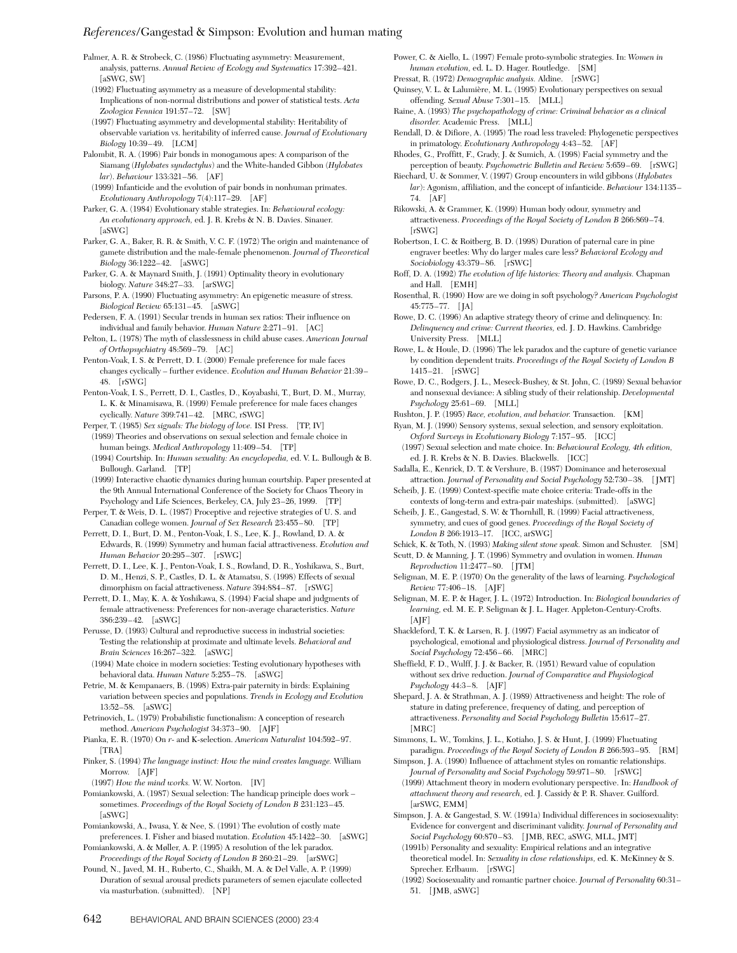Palmer, A. R. & Strobeck, C. (1986) Fluctuating asymmetry: Measurement, analysis, patterns. *Annual Review of Ecology and Systematics* 17:392–421. [aSWG, SW]

(1992) Fluctuating asymmetry as a measure of developmental stability: Implications of non-normal distributions and power of statistical tests. *Acta Zoologica Fennica* 191:57–72. [SW]

- (1997) Fluctuating asymmetry and developmental stability: Heritability of observable variation vs. heritability of inferred cause. *Journal of Evolutionary Biology* 10:39–49. [LCM]
- Palombit, R. A. (1996) Pair bonds in monogamous apes: A comparison of the Siamang (*Hylobates syndactylus*) and the White-handed Gibbon (*Hylobates lar*). *Behaviour* 133:321–56. [AF]
- (1999) Infanticide and the evolution of pair bonds in nonhuman primates. *Evolutionary Anthropology* 7(4):117–29. [AF]
- Parker, G. A. (1984) Evolutionary stable strategies. In: *Behavioural ecology: An evolutionary approach,* ed. J. R. Krebs & N. B. Davies. Sinauer. [aSWG]
- Parker, G. A., Baker, R. R. & Smith, V. C. F. (1972) The origin and maintenance of gamete distribution and the male-female phenomenon. *Journal of Theoretical Biology* 36:1222–42. [aSWG]
- Parker, G. A. & Maynard Smith, J. (1991) Optimality theory in evolutionary biology. *Nature* 348:27–33. [arSWG]
- Parsons, P. A. (1990) Fluctuating asymmetry: An epigenetic measure of stress. *Biological Review* 65:131–45. [aSWG]
- Pedersen, F. A. (1991) Secular trends in human sex ratios: Their influence on individual and family behavior. *Human Nature* 2:271–91. [AC]
- Pelton, L. (1978) The myth of classlessness in child abuse cases. *American Journal of Orthopsychiatry* 48:569–79. [AC]
- Penton-Voak, I. S. & Perrett, D. I. (2000) Female preference for male faces changes cyclically – further evidence. *Evolution and Human Behavior* 21:39– 48. [rSWG]
- Penton-Voak, I. S., Perrett, D. I., Castles, D., Koyabashi, T., Burt, D. M., Murray, L. K. & Minamisawa, R. (1999) Female preference for male faces changes cyclically. *Nature* 399:741–42. [MRC, rSWG]
- Perper, T. (1985) *Sex signals: The biology of love.* ISI Press. [TP, IV] (1989) Theories and observations on sexual selection and female choice in human beings. *Medical Anthropology* 11:409–54. [TP]
- (1994) Courtship. In: *Human sexuality: An encyclopedia,* ed. V. L. Bullough & B. Bullough. Garland. [TP]
- (1999) Interactive chaotic dynamics during human courtship. Paper presented at the 9th Annual International Conference of the Society for Chaos Theory in Psychology and Life Sciences, Berkeley, CA, July 23–26, 1999. [TP]
- Perper, T. & Weis, D. L. (1987) Proceptive and rejective strategies of U. S. and Canadian college women. *Journal of Sex Research* 23:455–80. [TP]
- Perrett, D. I., Burt, D. M., Penton-Voak, I. S., Lee, K. J., Rowland, D. A. & Edwards, R. (1999) Symmetry and human facial attractiveness. *Evolution and Human Behavior* 20:295–307. [rSWG]
- Perrett, D. I., Lee, K. J., Penton-Voak, I. S., Rowland, D. R., Yoshikawa, S., Burt, D. M., Henzi, S. P., Castles, D. L. & Atamatsu, S. (1998) Effects of sexual dimorphism on facial attractiveness. *Nature* 394:884–87. [rSWG]
- Perrett, D. I., May, K. A. & Yoshikawa, S. (1994) Facial shape and judgments of female attractiveness: Preferences for non-average characteristics. *Nature* 386:239–42. [aSWG]
- Perusse, D. (1993) Cultural and reproductive success in industrial societies: Testing the relationship at proximate and ultimate levels. *Behavioral and Brain Sciences* 16:267–322. [aSWG]
- (1994) Mate choice in modern societies: Testing evolutionary hypotheses with behavioral data. *Human Nature* 5:255–78. [aSWG]
- Petrie, M. & Kempanaers, B. (1998) Extra-pair paternity in birds: Explaining variation between species and populations. *Trends in Ecology and Evolution* 13:52–58. [aSWG]
- Petrinovich, L. (1979) Probabilistic functionalism: A conception of research method. *American Psychologist* 34:373–90. [AJF]
- Pianka, E. R. (1970) On *r* and K-selection. *American Naturalist* 104:592–97. [TRA]
- Pinker, S. (1994) *The language instinct: How the mind creates language.* William Morrow. [AJF]
	- (1997) *How the mind works.* W. W. Norton. [IV]
- Pomiankowski, A. (1987) Sexual selection: The handicap principle does work sometimes. *Proceedings of the Royal Society of London B* 231:123–45. [aSWG]
- Pomiankowski, A., Iwasa, Y. & Nee, S. (1991) The evolution of costly mate
- preferences. I. Fisher and biased mutation. *Evolution* 45:1422–30. [aSWG] Pomiankowski, A. & Møller, A. P. (1995) A resolution of the lek paradox.
- *Proceedings of the Royal Society of London B* 260:21–29. [arSWG] Pound, N., Javed, M. H., Ruberto, C., Shaikh, M. A. & Del Valle, A. P. (1999) Duration of sexual arousal predicts parameters of semen ejaculate collected via masturbation. (submitted). [NP]
- Power, C. & Aiello, L. (1997) Female proto-symbolic strategies. In: *Women in human evolution,* ed. L. D. Hager. Routledge. [SM]
- Pressat, R. (1972) *Demographic analysis.* Aldine. [rSWG]
- Quinsey, V. L. & Lalumière, M. L. (1995) Evolutionary perspectives on sexual offending. *Sexual Abuse* 7:301–15. [MLL]
- Raine, A. (1993) *The psychopathology of crime: Criminal behavior as a clinical disorder.* Academic Press. [MLL]
- Rendall, D. & Difiore, A. (1995) The road less traveled: Phylogenetic perspectives in primatology. *Evolutionary Anthropology* 4:43–52. [AF]
- Rhodes, G., Proffitt, F., Grady, J. & Sumich, A. (1998) Facial symmetry and the perception of beauty. *Psychometric Bulletin and Review* 5:659–69. [rSWG]
- Riechard, U. & Sommer, V. (1997) Group encounters in wild gibbons (*Hylobates lar*): Agonism, affiliation, and the concept of infanticide. *Behaviour* 134:1135– 74. [AF]
- Rikowski, A. & Grammer, K. (1999) Human body odour, symmetry and attractiveness. *Proceedings of the Royal Society of London B* 266:869–74. [rSWG]
- Robertson, I. C. & Roitberg, B. D. (1998) Duration of paternal care in pine engraver beetles: Why do larger males care less? *Behavioral Ecology and Sociobiology* 43:379–86. [rSWG]
- Roff, D. A. (1992) *The evolution of life histories: Theory and analysis.* Chapman and Hall. [EMH]
- Rosenthal, R. (1990) How are we doing in soft psychology? *American Psychologist* 45:775–77. [JA]
- Rowe, D. C. (1996) An adaptive strategy theory of crime and delinquency. In: *Delinquency and crime: Current theories,* ed. J. D. Hawkins. Cambridge University Press. [MLL]
- Rowe, L. & Houle, D. (1996) The lek paradox and the capture of genetic variance by condition dependent traits. *Proceedings of the Royal Society of London B* 1415–21. [rSWG]
- Rowe, D. C., Rodgers, J. L., Meseck-Bushey, & St. John, C. (1989) Sexual behavior and nonsexual deviance: A sibling study of their relationship. *Developmental Psychology* 25:61–69. [MLL]
- Rushton, J. P. (1995) *Race, evolution, and behavior.* Transaction. [KM]
- Ryan, M. J. (1990) Sensory systems, sexual selection, and sensory exploitation. *Oxford Surveys in Evolutionary Biology* 7:157–95. [ICC]
- (1997) Sexual selection and mate choice. In: *Behavioural Ecology, 4th edition,* ed. J. R. Krebs & N. B. Davies. Blackwells. [ICC]
- Sadalla, E., Kenrick, D. T. & Vershure, B. (1987) Dominance and heterosexual attraction. *Journal of Personality and Social Psychology* 52:730–38. [JMT]
- Scheib, J. E. (1999) Context-specific mate choice criteria: Trade-offs in the contexts of long-term and extra-pair mateships. (submitted). [aSWG]
- Scheib, J. E., Gangestad, S. W. & Thornhill, R. (1999) Facial attractiveness, symmetry, and cues of good genes. *Proceedings of the Royal Society of London B* 266:1913–17. [ICC, arSWG]
- Schick, K. & Toth, N. (1993) *Making silent stone speak.* Simon and Schuster. [SM]
- Scutt, D. & Manning, J. T. (1996) Symmetry and ovulation in women. *Human Reproduction* 11:2477–80. [JTM]
- Seligman, M. E. P. (1970) On the generality of the laws of learning. *Psychological Review* 77:406–18. [AJF]
- Seligman, M. E. P. & Hager, J. L. (1972) Introduction. In: *Biological boundaries of learning,* ed. M. E. P. Seligman & J. L. Hager. Appleton-Century-Crofts.  $[A]F]$
- Shackleford, T. K. & Larsen, R. J. (1997) Facial asymmetry as an indicator of psychological, emotional and physiological distress. *Journal of Personality and Social Psychology* 72:456–66. [MRC]
- Sheffield, F. D., Wulff, J. J. & Backer, R. (1951) Reward value of copulation without sex drive reduction. *Journal of Comparative and Physiological Psychology* 44:3–8. [AJF]
- Shepard, J. A. & Strathman, A. J. (1989) Attractiveness and height: The role of stature in dating preference, frequency of dating, and perception of attractiveness. *Personality and Social Psychology Bulletin* 15:617–27. [MRC]
- Simmons, L. W., Tomkins, J. L., Kotiaho, J. S. & Hunt, J. (1999) Fluctuating paradigm. *Proceedings of the Royal Society of London B* 266:593–95. [RM]
- Simpson, J. A. (1990) Influence of attachment styles on romantic relationships. *Journal of Personality and Social Psychology* 59:971–80. [rSWG]
- (1999) Attachment theory in modern evolutionary perspective. In: *Handbook of attachment theory and research,* ed. J. Cassidy & P. R. Shaver. Guilford. [arSWG, EMM]
- Simpson, J. A. & Gangestad, S. W. (1991a) Individual differences in sociosexuality: Evidence for convergent and discriminant validity. *Journal of Personality and Social Psychology* 60:870–83. [JMB, REC, aSWG, MLL, JMT]
- (1991b) Personality and sexuality: Empirical relations and an integrative theoretical model. In: *Sexuality in close relationships,* ed. K. McKinney & S. Sprecher. Erlbaum. [rSWG]
- (1992) Sociosexuality and romantic partner choice. *Journal of Personality* 60:31– 51. [JMB, aSWG]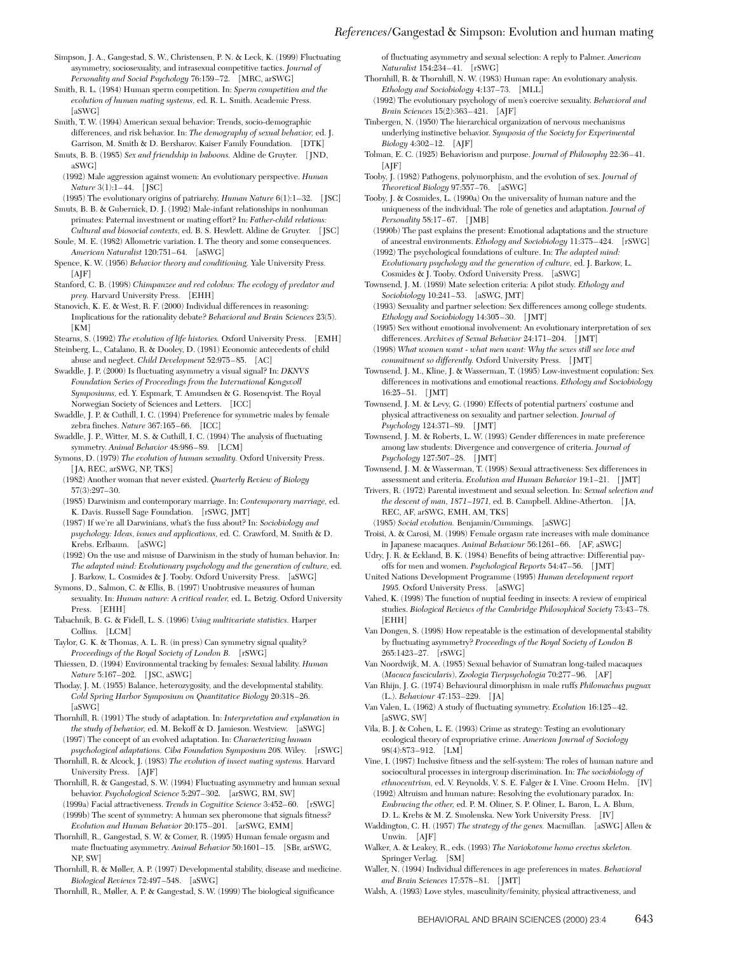- Simpson, J. A., Gangestad, S. W., Christensen, P. N. & Leck, K. (1999) Fluctuating asymmetry, sociosexuality, and intrasexual competitive tactics. *Journal of Personality and Social Psychology* 76:159–72. [MRC, arSWG]
- Smith, R. L. (1984) Human sperm competition. In: *Sperm competition and the evolution of human mating systems,* ed. R. L. Smith. Academic Press. [aSWG]
- Smith, T. W. (1994) American sexual behavior: Trends, socio-demographic differences, and risk behavior. In: *The demography of sexual behavior,* ed. J. Garrison, M. Smith & D. Bersharov. Kaiser Family Foundation. [DTK]
- Smuts, B. B. (1985) *Sex and friendship in baboons.* Aldine de Gruyter. [JND, aSWG]
	- (1992) Male aggression against women: An evolutionary perspective. *Human Nature* 3(1):1–44. [JSC]
- (1995) The evolutionary origins of patriarchy. *Human Nature* 6(1):1–32. [JSC] Smuts, B. B. & Gubernick, D. J. (1992) Male-infant relationships in nonhuman primates: Paternal investment or mating effort? In: *Father-child relations: Cultural and biosocial contexts,* ed. B. S. Hewlett. Aldine de Gruyter. [JSC]
- Soule, M. E. (1982) Allometric variation. I. The theory and some consequences. *American Naturalist* 120:751–64. [aSWG]
- Spence, K. W. (1956) *Behavior theory and conditioning.* Yale University Press.  $[A]F]$
- Stanford, C. B. (1998) *Chimpanzee and red colobus: The ecology of predator and prey.* Harvard University Press. [EHH]
- Stanovich, K. E. & West, R. F. (2000) Individual differences in reasoning: Implications for the rationality debate? *Behavioral and Brain Sciences* 23(5).  $[KM]$
- Stearns, S. (1992) *The evolution of life histories.* Oxford University Press. [EMH] Steinberg, L., Catalano, R. & Dooley, D. (1981) Economic antecedents of child
- abuse and neglect. *Child Development* 52:975–85. [AC]
- Swaddle, J. P. (2000) Is fluctuating asymmetry a visual signal? In: *DKNVS Foundation Series of Proceedings from the International Kongsvoll Symposiums,* ed. Y. Espmark, T. Amundsen & G. Rosenqvist. The Royal Norwegian Society of Sciences and Letters. [ICC]
- Swaddle, J. P. & Cuthill, I. C. (1994) Preference for symmetric males by female zebra finches. *Nature* 367:165–66. [ICC]
- Swaddle, J. P., Witter, M. S. & Cuthill, I. C. (1994) The analysis of fluctuating symmetry. *Animal Behavior* 48:986–89. [LCM]
- Symons, D. (1979) *The evolution of human sexuality.* Oxford University Press. [JA, REC, arSWG, NP, TKS]
	- (1982) Another woman that never existed. *Quarterly Review of Biology* 57(3):297–30.
	- (1985) Darwinism and contemporary marriage. In: *Contemporary marriage,* ed. K. Davis. Russell Sage Foundation. [rSWG, JMT]
	- (1987) If we're all Darwinians, what's the fuss about? In: *Sociobiology and psychology: Ideas, issues and applications,* ed. C. Crawford, M. Smith & D. Krebs. Erlbaum. [aSWG]
- (1992) On the use and misuse of Darwinism in the study of human behavior. In: *The adapted mind: Evolutionary psychology and the generation of culture,* ed. J. Barkow, L. Cosmides & J. Tooby. Oxford University Press. [aSWG]
- Symons, D., Salmon, C. & Ellis, B. (1997) Unobtrusive measures of human sexuality. In: *Human nature: A critical reader,* ed. L. Betzig. Oxford University
- Press. [EHH] Tabachnik, B. G. & Fidell, L. S. (1996) *Using multivariate statistics.* Harper Collins. [LCM]
- Taylor, G. K. & Thomas, A. L. R. (in press) Can symmetry signal quality? *Proceedings of the Royal Society of London B.* [rSWG]
- Thiessen, D. (1994) Environmental tracking by females: Sexual lability. *Human Nature* 5:167–202. [JSC, aSWG]
- Thoday, J. M. (1955) Balance, heterozygosity, and the developmental stability. *Cold Spring Harbor Symposium on Quantitative Biology* 20:318–26. [aSWG]
- Thornhill, R. (1991) The study of adaptation. In: *Interpretation and explanation in the study of behavior,* ed. M. Bekoff & D. Jamieson. Westview. [aSWG] (1997) The concept of an evolved adaptation. In: *Characterizing human psychological adaptations. Ciba Foundation Symposium 208.* Wiley. [rSWG]
- Thornhill, R. & Alcock, J. (1983) *The evolution of insect mating systems.* Harvard University Press. [AJF]
- Thornhill, R. & Gangestad, S. W. (1994) Fluctuating asymmetry and human sexual behavior. *Psychological Science* 5:297–302. [arSWG, RM, SW]
- (1999a) Facial attractiveness. *Trends in Cognitive Science* 3:452–60. [rSWG] (1999b) The scent of symmetry: A human sex pheromone that signals fitness? *Evolution and Human Behavior* 20:175–201. [arSWG, EMM]
- Thornhill, R., Gangestad, S. W. & Comer, R. (1995) Human female orgasm and mate fluctuating asymmetry. *Animal Behavior* 50:1601–15. [SBr, arSWG, NP, SW]
- Thornhill, R. & Møller, A. P. (1997) Developmental stability, disease and medicine. *Biological Reviews* 72:497–548. [aSWG]
- Thornhill, R., Møller, A. P. & Gangestad, S. W. (1999) The biological significance

of fluctuating asymmetry and sexual selection: A reply to Palmer. *American Naturalist* 154:234–41. [rSWG]

- Thornhill, R. & Thornhill, N. W. (1983) Human rape: An evolutionary analysis. *Ethology and Sociobiology* 4:137–73. [MLL]
	- (1992) The evolutionary psychology of men's coercive sexuality. *Behavioral and Brain Sciences* 15(2):363–421. [AJF]
- Tinbergen, N. (1950) The hierarchical organization of nervous mechanisms underlying instinctive behavior. *Symposia of the Society for Experimental Biology* 4:302–12. [AJF]
- Tolman, E. C. (1925) Behaviorism and purpose. *Journal of Philosophy* 22:36–41.  $[A]F]$
- Tooby, J. (1982) Pathogens, polymorphism, and the evolution of sex. *Journal of Theoretical Biology* 97:557–76. [aSWG]
- Tooby, J. & Cosmides, L. (1990a) On the universality of human nature and the uniqueness of the individual: The role of genetics and adaptation. *Journal of Personality* 58:17–67. [JMB]
	- (1990b) The past explains the present: Emotional adaptations and the structure of ancestral environments. *Ethology and Sociobiology* 11:375–424. [rSWG]
	- (1992) The psychological foundations of culture. In: *The adapted mind: Evolutionary psychology and the generation of culture,* ed. J. Barkow, L. Cosmides & J. Tooby. Oxford University Press. [aSWG]
- Townsend, J. M. (1989) Mate selection criteria: A pilot study. *Ethology and Sociobiology* 10:241–53. [aSWG, JMT]
- (1993) Sexuality and partner selection: Sex differences among college students. *Ethology and Sociobiology* 14:305–30. [JMT]
- (1995) Sex without emotional involvement: An evolutionary interpretation of sex differences. *Archives of Sexual Behavior* 24:171–204. [JMT]

(1998) *What women want - what men want: Why the sexes still see love and commitment so differently.* Oxford University Press. [JMT]

- Townsend, J. M., Kline, J. & Wasserman, T. (1995) Low-investment copulation: Sex differences in motivations and emotional reactions. *Ethology and Sociobiology* 16:25–51. [JMT]
- Townsend, J. M. & Levy, G. (1990) Effects of potential partners' costume and physical attractiveness on sexuality and partner selection. *Journal of Psychology* 124:371–89. [JMT]
- Townsend, J. M. & Roberts, L. W. (1993) Gender differences in mate preference among law students: Divergence and convergence of criteria. *Journal of Psychology* 127:507–28. [JMT]
- Townsend, J. M. & Wasserman, T. (1998) Sexual attractiveness: Sex differences in assessment and criteria. *Evolution and Human Behavior* 19:1–21. [JMT]
- Trivers, R. (1972) Parental investment and sexual selection. In: *Sexual selection and the descent of man, 1871–1971,* ed. B. Campbell. Aldine-Atherton. [JA, REC, AF, arSWG, EMH, AM, TKS]

(1985) *Social evolution.* Benjamin/Cummings. [aSWG]

- Troisi, A. & Carosi, M. (1998) Female orgasm rate increases with male dominance in Japanese macaques. *Animal Behaviour* 56:1261–66. [AF, aSWG]
- Udry, J. R. & Eckland, B. K. (1984) Benefits of being attractive: Differential payoffs for men and women. *Psychological Reports* 54:47–56. [JMT]
- United Nations Development Programme (1995) *Human development report 1995.* Oxford University Press. [aSWG]
- Vahed, K. (1998) The function of nuptial feeding in insects: A review of empirical studies. *Biological Reviews of the Cambridge Philosophical Society* 73:43–78. [EHH]
- Van Dongen, S. (1998) How repeatable is the estimation of developmental stability by fluctuating asymmetry? *Proceedings of the Royal Society of London B* 265:1423–27. [rSWG]
- Van Noordwijk, M. A. (1985) Sexual behavior of Sumatran long-tailed macaques (*Macaca fascicularis*). *Zoologia Tierpsychologia* 70:277–96. [AF]
- Van Rhijn, J. G. (1974) Behavioural dimorphism in male ruffs *Philomachus pugnax* (L.). *Behaviour* 47:153–229. [JA]
- Van Valen, L. (1962) A study of fluctuating symmetry. *Evolution* 16:125–42. [aSWG, SW]
- Vila, B. J. & Cohen, L. E. (1993) Crime as strategy: Testing an evolutionary ecological theory of expropriative crime. *American Journal of Sociology* 98(4):873–912. [LM]
- Vine, I. (1987) Inclusive fitness and the self-system: The roles of human nature and sociocultural processes in intergroup discrimination. In: *The sociobiology of ethnocentrism,* ed. V. Reynolds, V. S. E. Falger & I. Vine. Croom Helm. [IV]
	- (1992) Altruism and human nature: Resolving the evolutionary paradox. In: *Embracing the other,* ed. P. M. Oliner, S. P. Oliner, L. Baron, L. A. Blum, D. L. Krebs & M. Z. Smolenska. New York University Press. [IV]
- Waddington, C. H. (1957) *The strategy of the genes.* Macmillan. [aSWG] Allen & Unwin. [AJF]
- Walker, A. & Leakey, R., eds. (1993) *The Nariokotome homo erectus skeleton.* Springer Verlag. [SM]
- Waller, N. (1994) Individual differences in age preferences in mates. *Behavioral and Brain Sciences* 17:578–81. [JMT]
- Walsh, A. (1993) Love styles, masculinity/feminity, physical attractiveness, and